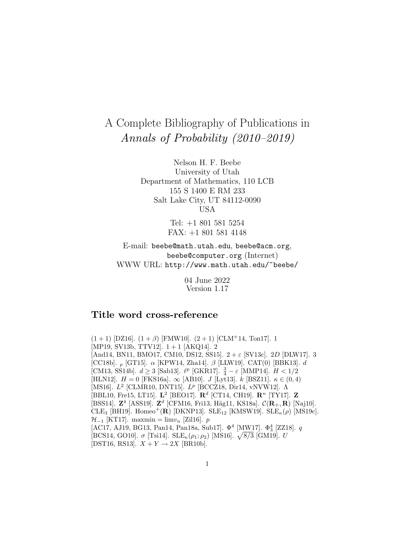# A Complete Bibliography of Publications in Annals of Probability (2010–2019)

Nelson H. F. Beebe University of Utah Department of Mathematics, 110 LCB 155 S 1400 E RM 233 Salt Lake City, UT 84112-0090 USA

> Tel: +1 801 581 5254 FAX: +1 801 581 4148

E-mail: beebe@math.utah.edu, beebe@acm.org, beebe@computer.org (Internet) WWW URL: http://www.math.utah.edu/~beebe/

> 04 June 2022 Version 1.17

# **Title word cross-reference**

 $(1+1)$  [DZ16].  $(1+\beta)$  [FMW10].  $(2+1)$  [CLM+14, Ton17]. 1 [MP19, SV13b, TTV12]. 1 + 1 [AKQ14]. 2 [And14, BN11, BMO17, CM10, DS12, SS15].  $2 + \varepsilon$  [SV13c]. 2D [DLW17]. 3 [CC18b].  $_p$  [GT15].  $\alpha$  [KPW14, Zha14].  $\beta$  [LLW19]. CAT(0) [BBK13]. d [CM13, SS14b].  $d \ge 3$  [Sab13].  $\ell^p$  [GKR17].  $\frac{3}{4} - \varepsilon$  [MMP14].  $H < 1/2$ [HLN12].  $H = 0$  [FKS16a].  $\infty$  [AB10]. *J* [Lyt13].  $k$  [BSZ11].  $\kappa \in (0, 4)$ [MS16]. L<sup>2</sup> [CLMR10, DNT15]. L<sup>p</sup> [BCCZ18, Dir14, vNVW12]. Λ [BBL10, Fre15, LT15]. **L**<sup>2</sup> [BEO17]. **R**<sup>d</sup> [CT14, CH19]. **R**<sup>n</sup> [TY17]. **Z** [BSS14]. **<sup>Z</sup>**<sup>4</sup> [ASS19]. **<sup>Z</sup>**<sup>d</sup> [CFM16, Fri13, H¨ag11, KS18a]. <sup>C</sup>(**R**+, **<sup>R</sup>**) [Naj10]. CLE<sub>3</sub> [BH19]. Homeo<sup>+</sup>(**R**) [DKNP13]. SLE<sub>12</sub> [KMSW19]. SLE<sub>K</sub> $(\rho)$  [MS19c].  $\mathcal{H}_{-1}$  [KT17]. maxmin = lim $v_n$  [Zil16]. p  $[\text{AC}17, \, \text{A}J19, \, \text{BG}13, \, \text{Pan}14, \, \text{Pan}18a, \, \text{Sub}17].$   $\Phi^4$   $[\text{M}\text{W}17].$   $\Phi^4_3$  [ZZ18].  $q$ [BCS14, GO10].  $\sigma$  [Tsi14]. SLE<sub> $\kappa(\rho_1;\rho_2)$ </sub> [MS16].  $\sqrt{\frac{8}{3}}$  [GM19]. U [DST16, RS13].  $X + Y \rightarrow 2X$  [BR10b].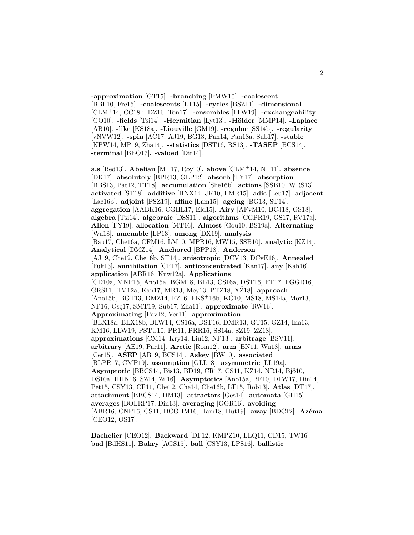**-approximation** [GT15]. **-branching** [FMW10]. **-coalescent** [BBL10, Fre15]. **-coalescents** [LT15]. **-cycles** [BSZ11]. **-dimensional** [CLM<sup>+</sup>14, CC18b, DZ16, Ton17]. **-ensembles** [LLW19]. **-exchangeability** [GO10]. **-fields** [Tsi14]. **-Hermitian** [Lyt13]. **-H¨older** [MMP14]. **-Laplace** [AB10]. **-like** [KS18a]. **-Liouville** [GM19]. **-regular** [SS14b]. **-regularity** [vNVW12]. **-spin** [AC17, AJ19, BG13, Pan14, Pan18a, Sub17]. **-stable** [KPW14, MP19, Zha14]. **-statistics** [DST16, RS13]. **-TASEP** [BCS14]. **-terminal** [BEO17]. **-valued** [Dir14].

**a.s** [Bed13]. **Abelian** [MT17, Roy10]. **above** [CLM<sup>+</sup>14, NT11]. **absence** [DK17]. **absolutely** [BPR13, GLP12]. **absorb** [TY17]. **absorption** [BBS13, Pat12, TT18]. **accumulation** [She16b]. **actions** [SSB10, WRS13]. **activated** [ST18]. **additive** [HNX14, JK10, LMR15]. **adic** [Leu17]. **adjacent** [Lac16b]. **adjoint** [PSZ19]. **affine** [Lam15]. **ageing** [BG13, ST14]. **aggregation** [AABK16, CGHL17, Eld15]. **Airy** [AFvM10, BCJ18, GS18]. **algebra** [Tsi14]. **algebraic** [DSS11]. **algorithms** [CGPR19, GS17, RV17a]. **Allen** [FY19]. **allocation** [MT16]. **Almost** [Gou10, BS19a]. **Alternating** [Wu18]. **amenable** [LP13]. **among** [DX19]. **analysis** [Bau17, Che16a, CFM16, LM10, MPR16, MW15, SSB10]. **analytic** [KZ14]. **Analytical** [DMZ14]. **Anchored** [BPP18]. **Anderson** [AJ19, Che12, Che16b, ST14]. **anisotropic** [DCV13, DCvE16]. **Annealed** [Fuk13]. **annihilation** [CF17]. **anticoncentrated** [Kan17]. **any** [Kah16]. **application** [ABR16, Kuw12a]. **Applications** [CD10a, MNP15, Ano15a, BGM18, BE13, CS16a, DST16, FT17, FGGR16, GRS11, HM12a, Kan17, MR13, Mey13, PTZ18, XZ18. approach [Ano15b, BGT13, DMZ14, FZ16, FKS<sup>+</sup>16b, KO10, MS18, MS14a, Mor13, NP16, Ose17, SMT19, Sub17, Zha11]. **approximate** [RW16]. **Approximating** [Pav12, Ver11]. **approximation** [BLX18a, BLX18b, BLW14, CS16a, DST16, DMR13, GT15, GZ14, Ina13, KM16, LLW19, PSTU10, PR11, PRR16, SS14a, SZ19, ZZ18]. **approximations** [CM14, Kry14, Liu12, NP13]. **arbitrage** [BSV11]. **arbitrary** [AE19, Par11]. **Arctic** [Rom12]. **arm** [BN11, Wu18]. **arms** [Cer15]. **ASEP** [AB19, BCS14]. **Askey** [BW10]. **associated** [BLPR17, CMP19]. **assumption** [GLL18]. **asymmetric** [LL19a]. **Asymptotic** [BBCS14, Bis13, BD19, CR17, CS11, KZ14, NR14, Bjö10, DS10a, HHN16, SZ14, Zil16]. **Asymptotics** [Ano15a, BF10, DLW17, Din14, Pet15, CSY13, CF11, Che12, Che14, Che16b, LT15, Rob13]. **Atlas** [DT17]. **attachment** [BBCS14, DM13]. **attractors** [Ges14]. **automata** [GH15]. **averages** [BOLRP17, Din13]. **averaging** [GGR16]. **avoiding** [ABR16, CNP16, CS11, DCGHM16, Ham18, Hut19]. **away** [BDC12]. Azéma [CEO12, OS17].

**Bachelier** [CEO12]. **Backward** [DF12, KMPZ10, LLQ11, CD15, TW16]. **bad** [BdHS11]. **Bakry** [AGS15]. **ball** [CSY13, LPS16]. **ballistic**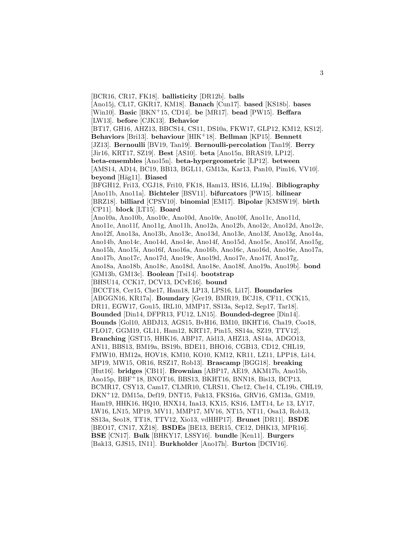[Ano15j, CL17, GKR17, KM18]. **Banach** [Cun17]. **based** [KS18b]. **bases** [Win10]. **Basic** [BKN<sup>+</sup>15, CD14]. **be** [MR17]. **bead** [PW15]. **Beffara** [LW13]. **before** [CJK13]. **Behavior** [BT17, GH16, AHZ13, BBCS14, CS11, DS10a, FKW17, GLP12, KM12, KS12]. **Behaviors** [Bri13]. **behaviour** [HIK<sup>+</sup>18]. **Bellman** [KP15]. **Bennett** [JZ13]. **Bernoulli** [BV19, Tan19]. **Bernoulli-percolation** [Tan19]. **Berry** [Jir16, KRT17, SZ19]. **Best** [AS10]. **beta** [Ano15n, BRAS19, LP12]. **beta-ensembles** [Ano15n]. **beta-hypergeometric** [LP12]. **between** [AMS14, AD14, BC19, BB13, BGL11, GM13a, Kar13, Pan10, Pim16, VV10]. **beyond** [H¨ag11]. **Biased** [BFGH12, Fri13, CGJ18, Fri10, FK18, Ham13, HS16, LL19a]. **Bibliography** [Ano11b, Ano11a]. **Bichteler** [BSV11]. **bifurcators** [PW15]. **bilinear** [BRZ18]. **billiard** [CPSV10]. **binomial** [EM17]. **Bipolar** [KMSW19]. **birth** [CP11]. **block** [LT15]. **Board** [Ano10a, Ano10b, Ano10c, Ano10d, Ano10e, Ano10f, Ano11c, Ano11d, Ano11e, Ano11f, Ano11g, Ano11h, Ano12a, Ano12b, Ano12c, Ano12d, Ano12e, Ano12f, Ano13a, Ano13b, Ano13c, Ano13d, Ano13e, Ano13f, Ano13g, Ano14a, Ano14b, Ano14c, Ano14d, Ano14e, Ano14f, Ano15d, Ano15e, Ano15f, Ano15g, Ano15h, Ano15i, Ano16f, Ano16a, Ano16b, Ano16c, Ano16d, Ano16e, Ano17a, Ano17b, Ano17c, Ano17d, Ano19c, Ano19d, Ano17e, Ano17f, Ano17g, Ano18a, Ano18b, Ano18c, Ano18d, Ano18e, Ano18f, Ano19a, Ano19b]. **bond** [GM13b, GM13c]. **Boolean** [Tsi14]. **bootstrap** [BHSU14, CCK17, DCV13, DCvE16]. **bound** [BCCT18, Cer15, Che17, Ham18, LP13, LPS16, Li17]. **Boundaries** [ABGGN16, KR17a]. **Boundary** [Ger19, BMR19, BCJ18, CF11, CCK15, DR11, EGW17, Gou15, IRL10, MMP17, SS13a, Sep12, Sep17, Tar18]. **Bounded** [Din14, DFPR13, FU12, LN15]. **Bounded-degree** [Din14]. **Bounds** [Gol10, ABDJ13, AGS15, BvH16, BM10, BKHT16, Cha19, Coo18, FLO17, GGM19, GL11, Ham12, KRT17, Pin15, SS14a, SZ19, TTV12]. **Branching** [GST15, HHK16, ABP17, Aïd13, AHZ13, AS14a, ADGO13, AN11, BBS13, BM19a, BS19b, BDE11, BHO16, CGB13, CD12, CHL19, FMW10, HM12a, HOV18, KM10, KO10, KM12, KR11, LZ11, LPP18, Li14, MP19, MW15, OR16, RSZ17, Rob13]. **Brascamp** [BGG18]. **breaking** [Hut16]. **bridges** [CB11]. **Brownian** [ABP17, AE19, AKM17b, Ano15b, Ano15p, BBF<sup>+</sup>18, BNOT16, BBS13, BKHT16, BNN18, Bis13, BCP13, BCMR17, CSY13, Cam17, CLMR10, CLRS11, Che12, Che14, CL19b, CHL19, DKN<sup>+</sup>12, DM15a, Def19, DNT15, Fuk13, FKS16a, GRV16, GM13a, GM19, Ham19, HHK16, HQ10, HNX14, Ina13, KX15, KS16, LMT14, Le 13, LY17, LW16, LN15, MP19, MV11, MMP17, MV16, NT15, NT11, Osa13, Rob13, SS13a, Seo18, TT18, TTV12, Xio13, vdHHP17]. **Brunet** [DR11]. **BSDE** [BEO17, CN17, XŽ18]. **BSDEs** [BE13, BER15, CE12, DHK13, MPR16]. **BSE** [CN17]. **Bulk** [BHKY17, LSSY16]. **bundle** [Ken11]. **Burgers** [Bak13, GJS15, IN11]. **Burkholder** [Ano17h]. **Burton** [DCIV16].

[BCR16, CR17, FK18]. **ballisticity** [DR12b]. **balls**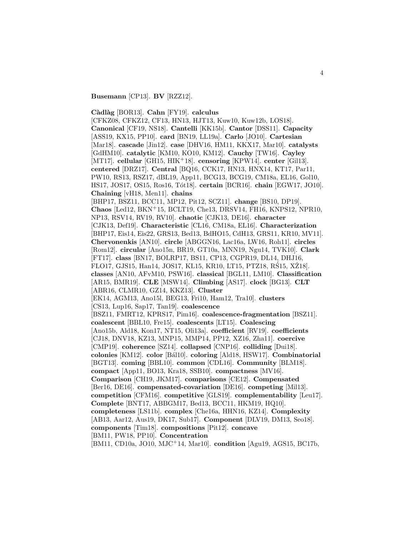**Busemann** [CP13]. **BV** [RZZ12].

**C`adl`ag** [BOR13]. **Cahn** [FY19]. **calculus**

[CFKZ08, CFKZ12, CF13, HN13, HJT13, Kuw10, Kuw12b, LOS18]. **Canonical** [CF19, NS18]. **Cantelli** [KK15b]. **Cantor** [DSS11]. **Capacity** [ASS19, KX15, PP10]. **card** [BN19, LL19a]. **Carlo** [JO10]. **Cartesian** [Mar18]. **cascade** [Jin12]. **case** [DHV16, HM11, KKX17, Mar10]. **catalysts** [GdHM10]. **catalytic** [KM10, KO10, KM12]. **Cauchy** [TW16]. **Cayley** [MT17]. **cellular** [GH15, HIK<sup>+</sup>18]. **censoring** [KPW14]. **center** [Gil13]. **centered** [DRZ17]. **Central** [BQ16, CCK17, HN13, HNX14, KT17, Par11, PW10, RS13, RSZ17, dBL19, App11, BCG13, BCG19, CM18a, EL16, Gol10, HS17, JOS17, OS15, Ros16, T´ot18]. **certain** [BCR16]. **chain** [EGW17, JO10]. **Chaining** [vH18, Men11]. **chains** [BHP17, BSZ11, BCC11, MP12, Pit12, SCZ11]. **change** [BS10, DP19]. **Chaos** [Led12, BKN<sup>+</sup>15, BCLT19, Che13, DRSV14, FH16, KNPS12, NPR10, NP13, RSV14, RV19, RV10]. **chaotic** [CJK13, DE16]. **character** [CJK13, Def19]. **Characteristic** [CL16, CM18a, EL16]. **Characterization** [BHP17, Eis14, Eis22, GRS13, Bed13, BdHO15, CdH13, GRS11, KR10, MV11]. **Chervonenkis** [AN10]. **circle** [ABGGN16, Lac16a, LW16, Roh11]. **circles** [Rom12]. **circular** [Ano15n, BR19, GT10a, MNN19, Ngu14, TVK10]. **Clark** [FT17]. **class** [BN17, BOLRP17, BS11, CP13, CGPR19, DL14, DHJ16, FLO17, GJS15, Han14, JOS17, KL15, KR10, LT15, PTZ18, RŚ15, XŽ18. **classes** [AN10, AFvM10, PSW16]. **classical** [BGL11, LM10]. **Classification** [AR15, BMR19]. **CLE** [MSW14]. **Climbing** [AS17]. **clock** [BG13]. **CLT** [ABR16, CLMR10, GZ14, KKZ13]. **Cluster** [EK14, AGM13, Ano15l, BEG13, Fri10, Ham12, Tra10]. **clusters** [CS13, Lup16, Sap17, Tan19]. **coalescence** [BSZ11, FMRT12, KPRS17, Pim16]. **coalescence-fragmentation** [BSZ11]. **coalescent** [BBL10, Fre15]. **coalescents** [LT15]. **Coalescing** [Ano15b, Ald18, Kon17, NT15, Oli13a]. **coefficient** [RV19]. **coefficients** [CJ18, DNV18, KZ13, MNP15, MMP14, PP12, XZ16, Zha11]. **coercive** [CMP19]. **coherence** [SZ14]. **collapsed** [CNP16]. **colliding** [Dui18]. **colonies** [KM12]. **color** [B´al10]. **coloring** [Ald18, HSW17]. **Combinatorial** [BGT13]. **coming** [BBL10]. **common** [CDL16]. **Community** [BLM18]. **compact** [App11, BO13, Kra18, SSB10]. **compactness** [MV16]. **Comparison** [CH19, JKM17]. **comparisons** [CE12]. **Compensated** [Ber16, DE16]. **compensated-covariation** [DE16]. **competing** [Mil13]. **competition** [CFM16]. **competitive** [GLS19]. **complementability** [Leu17]. **Complete** [BNT17, ABBGM17, Bed13, BCC11, HKM19, HQ10]. **completeness** [LS11b]. **complex** [Che16a, HHN16, KZ14]. **Complexity** [AB13, Aar12, Aus19, DK17, Sub17]. **Component** [DLV19, DM13, Seo18]. **components** [Tim18]. **compositions** [Pit12]. **concave** [BM11, PW18, PP10]. **Concentration**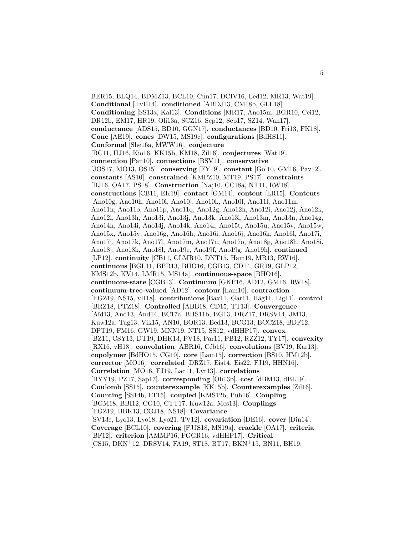BER15, BLQ14, BDMZ13, BCL10, Cun17, DCIV16, Led12, MR13, Wat19]. **Conditional** [TvH14]. **conditioned** [ABDJ13, CM18b, GLL18]. **Conditioning** [SS13a, Kal13]. **Conditions** [MR17, Ano15m, BGR10, Cei12, DR12b, EM17, HR19, Oli13a, SCZ16, Sep12, Sep17, SZ14, Wan17]. **conductance** [ADS15, BD10, GGN17]. **conductances** [BD10, Fri13, FK18]. **Cone** [AE19]. **cones** [DW15, MS19c]. **configurations** [BdHS11]. **Conformal** [She16a, MWW16]. **conjecture** [BC11, HJ16, Kio16, KK15b, KM18, Zil16]. **conjectures** [Wat19]. **connection** [Pan10]. **connections** [BSV11]. **conservative** [JOS17, MO13, OS15]. **conserving** [FY19]. **constant** [Gol10, GM16, Pav12]. **constants** [AS10]. **constrained** [KMPZ10, MT19, PS17]. **constraints** [BJ16, OA17, PS18]. **Construction** [Naj10, CC18a, NT11, RW18]. **constructions** [CB11, EK19]. **contact** [GM14]. **content** [LR15]. **Contents** [Ano10g, Ano10h, Ano10i, Ano10j, Ano10k, Ano10l, Ano11l, Ano11m, Ano11n, Ano11o, Ano11p, Ano11q, Ano12g, Ano12h, Ano12i, Ano12j, Ano12k, Ano12l, Ano13h, Ano13i, Ano13j, Ano13k, Ano13l, Ano13m, Ano13n, Ano14g, Ano14h, Ano14i, Ano14j, Ano14k, Ano14l, Ano15t, Ano15u, Ano15v, Ano15w, Ano15x, Ano15y, Ano16g, Ano16h, Ano16i, Ano16j, Ano16k, Ano16l, Ano17i, Ano17j, Ano17k, Ano17l, Ano17m, Ano17n, Ano17o, Ano18g, Ano18h, Ano18i, Ano18j, Ano18k, Ano18l, Ano19e, Ano19f, Ano19g, Ano19h]. **continued** [LP12]. **continuity** [CB11, CLMR10, DNT15, Ham19, MR13, RW16]. **continuous** [BGL11, BPR13, BHO16, CGB13, CD14, GR19, GLP12, KMS12b, KV14, LMR15, MS14a]. **continuous-space** [BHO16]. **continuous-state** [CGB13]. **Continuum** [GKP16, AD12, GM16, RW18]. **continuum-tree-valued** [AD12]. **contour** [Lam10]. **contraction** [EGZ19, NS15, vH18]. **contributions** [Bax11, Gar11, Häg11, Lig11]. **control** [BRZ18, PTZ18]. **Controlled** [ABB18, CD15, TT13]. **Convergence** [Aïd13, And13, And14, BC17a, BHS11b, BG13, DRZ17, DRSV14, JM13, Kuw12a, Tug13, Vik15, AN10, BOR13, Bed13, BCG13, BCCZ18, BDF12, DPT19, FM16, GW19, MNN19, NT15, SS12, vdHHP17]. **convex** [BZ11, CSY13, DT19, DHK13, PV18, Par11, PB12, RZZ12, TY17]. **convexity** [RX16, vH18]. **convolution** [ABR16, Céb16]. **convolutions** [BV19, Kar13]. **copolymer** [BdHO15, CG10]. **core** [Lam15]. **correction** [BS10, HM12b]. **corrector** [MO16]. **correlated** [DRZ17, Eis14, Eis22, FJ19, HHN16]. **Correlation** [MO16, FJ19, Lac11, Lyt13]. **correlations** [BYY19, PZ17, Sap17]. **corresponding** [Oli13b]. **cost** [dBM13, dBL19]. **Coulomb** [SS15]. **counterexample** [KK15b]. **Counterexamples** [Zil16]. **Counting** [SS14b, LT15]. **coupled** [KMS12b, Puh16]. **Coupling** [BGM18, BBI12, CG10, CTT17, Kuw12a, Mes13]. **Couplings** [EGZ19, BBK13, CGJ18, NS18]. **Covariance** [SV13c, Lyo13, Lyo18, Lyo21, TV12]. **covariation** [DE16]. **cover** [Din14]. **Coverage** [BCL10]. **covering** [FJJS18, MS19a]. **crackle** [OA17]. **criteria** [BF12]. **criterion** [AMMP16, FGGR16, vdHHP17]. **Critical** [CS15, DKN<sup>+</sup>12, DRSV14, FA19, ST18, BT17, BKN<sup>+</sup>15, BN11, BH19,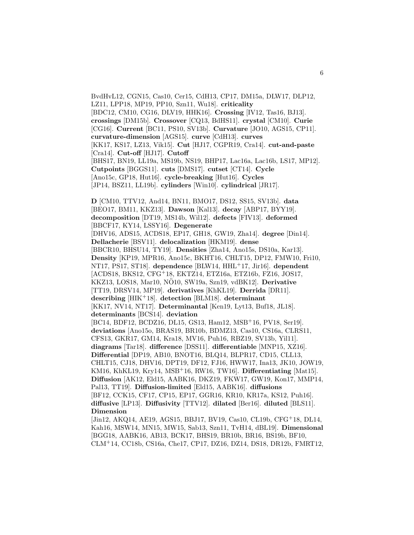BvdHvL12, CGN15, Cas10, Cer15, CdH13, CP17, DM15a, DLW17, DLP12, LZ11, LPP18, MP19, PP10, Szn11, Wu18]. **criticality** [BDC12, CM10, CG16, DLV19, HHK16]. **Crossing** [IV12, Tas16, BJ13]. **crossings** [DM15b]. **Crossover** [CQ13, BdHS11]. **crystal** [CM10]. **Curie** [CG16]. **Current** [BC11, PS10, SV13b]. **Curvature** [JO10, AGS15, CP11]. **curvature-dimension** [AGS15]. **curve** [CdH13]. **curves** [KK17, KS17, LZ13, Vik15]. **Cut** [HJ17, CGPR19, Cra14]. **cut-and-paste** [Cra14]. **Cut-off** [HJ17]. **Cutoff** [BHS17, BN19, LL19a, MS19b, NS19, BHP17, Lac16a, Lac16b, LS17, MP12]. **Cutpoints** [BGGS11]. **cuts** [DMS17]. **cutset** [CT14]. **Cycle** [Ano15c, GP18, Hut16]. **cycle-breaking** [Hut16]. **Cycles** [JP14, BSZ11, LL19b]. **cylinders** [Win10]. **cylindrical** [JR17].

**D** [CM10, TTV12, And14, BN11, BMO17, DS12, SS15, SV13b]. **data** [BEO17, BM11, KKZ13]. **Dawson** [Kal13]. **decay** [ABP17, BYY19]. **decomposition** [DT19, MS14b, Wil12]. **defects** [FIV13]. **deformed** [BBCF17, KY14, LSSY16]. **Degenerate** [DHV16, ADS15, ACDS18, EP17, GH18, GW19, Zha14]. **degree** [Din14]. **Dellacherie** [BSV11]. **delocalization** [HKM19]. **dense** [BBCR10, BHSU14, TY19]. **Densities** [Zha14, Ano15s, DS10a, Kar13]. **Density** [KP19, MPR16, Ano15c, BKHT16, CHLT15, DP12, FMW10, Fri10, NT17, PS17, ST18]. **dependence** [BLW14, HHL<sup>+</sup>17, Jir16]. **dependent** [ACDS18, BKS12, CFG<sup>+</sup>18, EKTZ14, ETZ16a, ETZ16b, FZ16, JOS17, KKZ13, LOS18, Mar10, NÖ10, SW19a, Szn19, vdBK12<sup>]</sup>. Derivative [TT19, DRSV14, MP19]. **derivatives** [KhKL19]. **Derrida** [DR11]. **describing** [HIK<sup>+</sup>18]. **detection** [BLM18]. **determinant** [KK17, NV14, NT17]. **Determinantal** [Ken19, Lyt13, Buf18, JL18]. **determinants** [BCS14]. **deviation** [BC14, BDF12, BCDZ16, DL15, GS13, Ham12, MSB<sup>+</sup>16, PV18, Ser19]. **deviations** [Ano15o, BRAS19, BR10b, BDMZ13, Cas10, CS16a, CLRS11, CFS13, GKR17, GM14, Kra18, MV16, Puh16, RBZ19, SV13b, Yil11]. **diagrams** [Tar18]. **difference** [DSS11]. **differentiable** [MNP15, XZ16]. **Differential** [DP19, AB10, BNOT16, BLQ14, BLPR17, CD15, CLL13, CHLT15, CJ18, DHV16, DPT19, DF12, FJ16, HWW17, Ina13, JK10, JOW19, KM16, KhKL19, Kry14, MSB<sup>+</sup>16, RW16, TW16]. **Differentiating** [Mat15]. **Diffusion** [AK12, Eld15, AABK16, DKZ19, FKW17, GW19, Kon17, MMP14, Pal13, TT19]. **Diffusion-limited** [Eld15, AABK16]. **diffusions** [BF12, CCK15, CF17, CP15, EP17, GGR16, KR10, KR17a, KS12, Puh16]. **diffusive** [LP13]. **Diffusivity** [TTV12]. **dilated** [Ber16]. **diluted** [BLS11]. **Dimension** [Jin12, AKQ14, AE19, AGS15, BBJ17, BV19, Cas10, CL19b, CFG<sup>+</sup>18, DL14,

Kah16, MSW14, MN15, MW15, Sab13, Szn11, TvH14, dBL19]. **Dimensional** [BGG18, AABK16, AB13, BCK17, BHS19, BR10b, BR16, BS19b, BF10, CLM<sup>+</sup>14, CC18b, CS16a, Che17, CP17, DZ16, DZ14, DS18, DR12b, FMRT12,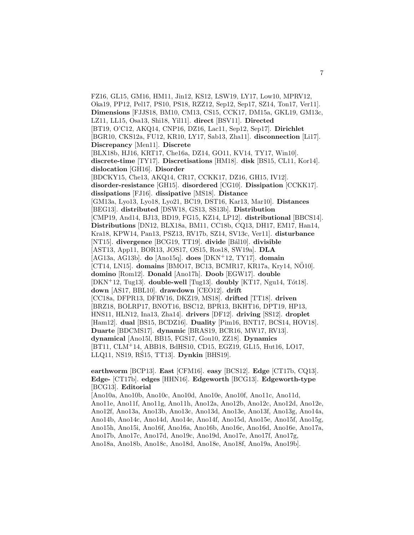FZ16, GL15, GM16, HM11, Jin12, KS12, LSW19, LY17, Low10, MPRV12, Oka19, PP12, Pel17, PS10, PS18, RZZ12, Sep12, Sep17, SZ14, Ton17, Ver11]. **Dimensions** [FJJS18, BM10, CM13, CS15, CCK17, DM15a, GKL19, GM13c, LZ11, LL15, Osa13, Shi18, Yil11]. **direct** [BSV11]. **Directed** [BT19, O'C12, AKQ14, CNP16, DZ16, Lac11, Sep12, Sep17]. **Dirichlet** [BGR10, CKS12a, FU12, KR10, LY17, Sab13, Zha11]. **disconnection** [Li17]. **Discrepancy** [Men11]. **Discrete** [BLX18b, HJ16, KRT17, Che16a, DZ14, GO11, KV14, TY17, Win10]. **discrete-time** [TY17]. **Discretisations** [HM18]. **disk** [BS15, CL11, Kor14]. **dislocation** [GH16]. **Disorder** [BDCKY15, Che13, AKQ14, CR17, CCKK17, DZ16, GH15, IV12]. **disorder-resistance** [GH15]. **disordered** [CG10]. **Dissipation** [CCKK17]. **dissipations** [FJ16]. **dissipative** [MS18]. **Distance** [GM13a, Lyo13, Lyo18, Lyo21, BC19, DST16, Kar13, Mar10]. **Distances** [BEG13]. **distributed** [DSW18, GS13, SS13b]. **Distribution** [CMP19, And14, BJ13, BD19, FG15, KZ14, LP12]. **distributional** [BBCS14]. **Distributions** [DN12, BLX18a, BM11, CC18b, CQ13, DH17, EM17, Han14, Kra18, KPW14, Pan13, PSZ13, RV17b, SZ14, SV13c, Ver11]. **disturbance** [NT15]. **divergence** [BCG19, TT19]. **divide** [B´al10]. **divisible** [AST13, App11, BOR13, JOS17, OS15, Ros18, SW19a]. **DLA** [AG13a, AG13b]. **do** [Ano15q]. **does** [DKN<sup>+</sup>12, TY17]. **domain** [CT14, LN15]. **domains** [BMO17, BC13, BCMR17, KR17a, Kry14, NO10]. ¨ **domino** [Rom12]. **Donald** [Ano17h]. **Doob** [EGW17]. **double** [DKN<sup>+</sup>12, Tug13]. **double-well** [Tug13]. **doubly** [KT17, Ngu14, Tót18]. **down** [AS17, BBL10]. **drawdown** [CEO12]. **drift** [CC18a, DFPR13, DFRV16, DKZ19, MS18]. **drifted** [TT18]. **driven** [BRZ18, BOLRP17, BNOT16, BSC12, BPR13, BKHT16, DPT19, HP13, HNS11, HLN12, Ina13, Zha14]. **drivers** [DF12]. **driving** [SS12]. **droplet** [Ham12]. **dual** [BS15, BCDZ16]. **Duality** [Pim16, BNT17, BCS14, HOV18]. **Duarte** [BDCMS17]. **dynamic** [BRAS19, BCR16, MW17, RV13]. **dynamical** [Ano15l, BB15, FGS17, Gou10, ZZ18]. **Dynamics** [BT11, CLM<sup>+</sup>14, ABB18, BdHS10, CD15, EGZ19, GL15, Hut16, LO17, LLQ11, NS19, RS15, TT13]. ´ **Dynkin** [BHS19].

**earthworm** [BCP13]. **East** [CFM16]. **easy** [BCS12]. **Edge** [CT17b, CQ13]. **Edge-** [CT17b]. **edges** [HHN16]. **Edgeworth** [BCG13]. **Edgeworth-type** [BCG13]. **Editorial**

[Ano10a, Ano10b, Ano10c, Ano10d, Ano10e, Ano10f, Ano11c, Ano11d, Ano11e, Ano11f, Ano11g, Ano11h, Ano12a, Ano12b, Ano12c, Ano12d, Ano12e, Ano12f, Ano13a, Ano13b, Ano13c, Ano13d, Ano13e, Ano13f, Ano13g, Ano14a, Ano14b, Ano14c, Ano14d, Ano14e, Ano14f, Ano15d, Ano15e, Ano15f, Ano15g, Ano15h, Ano15i, Ano16f, Ano16a, Ano16b, Ano16c, Ano16d, Ano16e, Ano17a, Ano17b, Ano17c, Ano17d, Ano19c, Ano19d, Ano17e, Ano17f, Ano17g, Ano18a, Ano18b, Ano18c, Ano18d, Ano18e, Ano18f, Ano19a, Ano19b].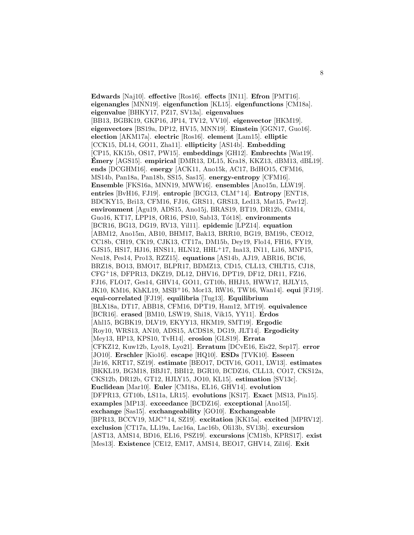**Edwards** [Naj10]. **effective** [Ros16]. **effects** [IN11]. **Efron** [PMT16]. **eigenangles** [MNN19]. **eigenfunction** [KL15]. **eigenfunctions** [CM18a]. **eigenvalue** [BHKY17, PZ17, SV13a]. **eigenvalues** [BB13, BGBK19, GKP16, JP14, TV12, VV10]. **eigenvector** [HKM19]. **eigenvectors** [BS19a, DP12, HV15, MNN19]. **Einstein** [GGN17, Guo16]. **election** [AKM17a]. **electric** [Ros16]. **element** [Lam15]. **elliptic** [CCK15, DL14, GO11, Zha11]. **ellipticity** [AS14b]. **Embedding** [CP15, KK15b, OS17, PW15]. **embeddings** [GH12]. **Embrechts** [Wat19]. **Émery** [AGS15]. **empirical** [DMR13, DL15, Kra18, KKZ13, dBM13, dBL19]. **ends** [DCGHM16]. **energy** [ACK11, Ano15k, AC17, BdHO15, CFM16, MS14b, Pan18a, Pan18b, SS15, Sas15]. **energy-entropy** [CFM16]. **Ensemble** [FKS16a, MNN19, MWW16]. **ensembles** [Ano15n, LLW19]. **entries** [BvH16, FJ19]. **entropic** [BCG13, CLM<sup>+</sup>14]. **Entropy** [ENT18, BDCKY15, Bri13, CFM16, FJ16, GRS11, GRS13, Led13, Mat15, Pav12]. **environment** [Agu19, ADS15, Ano15j, BRAS19, BT19, DR12b, GM14, Guo16, KT17, LPP18, OR16, PS10, Sab13, T´ot18]. **environments** [BCR16, BG13, DG19, RV13, Yil11]. **epidemic** [LPZ14]. **equation** [ABM12, Ano15m, AB10, BHM17, Bak13, BRR10, BG19, BM19b, CEO12, CC18b, CH19, CK19, CJK13, CT17a, DM15b, Dey19, Flo14, FH16, FY19, GJS15, HS17, HJ16, HNS11, HLN12, HHL<sup>+</sup>17, Ina13, IN11, Li16, MNP15, Neu18, Pes14, Pro13, RZZ15]. **equations** [AS14b, AJ19, ABR16, BC16, BRZ18, BO13, BMO17, BLPR17, BDMZ13, CD15, CLL13, CHLT15, CJ18, CFG<sup>+</sup>18, DFPR13, DKZ19, DL12, DHV16, DPT19, DF12, DR11, FZ16, FJ16, FLO17, Ges14, GHV14, GO11, GT10b, HHJ15, HWW17, HJLY15, JK10, KM16, KhKL19, MSB<sup>+</sup>16, Mor13, RW16, TW16, Wan14]. **equi** [FJ19]. **equi-correlated** [FJ19]. **equilibria** [Tug13]. **Equilibrium** [BLX18a, DT17, ABB18, CFM16, DPT19, Ham12, MT19]. **equivalence** [BCR16]. **erased** [BM10, LSW19, Shi18, Vik15, YY11]. **Erdos** [Ahl15, BGBK19, DLV19, EKYY13, HKM19, SMT19]. **Ergodic** [Roy10, WRS13, AN10, ADS15, ACDS18, DG19, JLT14]. **Ergodicity** [Mey13, HP13, KPS10, TvH14]. **erosion** [GLS19]. **Errata** [CFKZ12, Kuw12b, Lyo18, Lyo21]. **Erratum** [DCvE16, Eis22, Sep17]. **error** [JO10]. **Erschler** [Kio16]. **escape** [HQ10]. **ESDs** [TVK10]. **Esseen** [Jir16, KRT17, SZ19]. **estimate** [BEO17, DCIV16, GO11, LW13]. **estimates** [BKKL19, BGM18, BBJ17, BBI12, BGR10, BCDZ16, CLL13, CO17, CKS12a, CKS12b, DR12b, GT12, HJLY15, JO10, KL15]. **estimation** [SV13c]. **Euclidean** [Mar10]. **Euler** [CM18a, EL16, GHV14]. **evolution** [DFPR13, GT10b, LS11a, LR15]. **evolutions** [KS17]. **Exact** [MS13, Pin15]. **examples** [MP13]. **exceedance** [BCDZ16]. **exceptional** [Ano15l]. **exchange** [Sas15]. **exchangeability** [GO10]. **Exchangeable** [BPR13, BCCV19, MJC<sup>+</sup>14, SZ19]. **excitation** [KK15a]. **excited** [MPRV12]. **exclusion** [CT17a, LL19a, Lac16a, Lac16b, Oli13b, SV13b]. **excursion** [AST13, AMS14, BD16, EL16, PSZ19]. **excursions** [CM18b, KPRS17]. **exist** [Mes13]. **Existence** [CE12, EM17, AMS14, BEO17, GHV14, Zil16]. **Exit**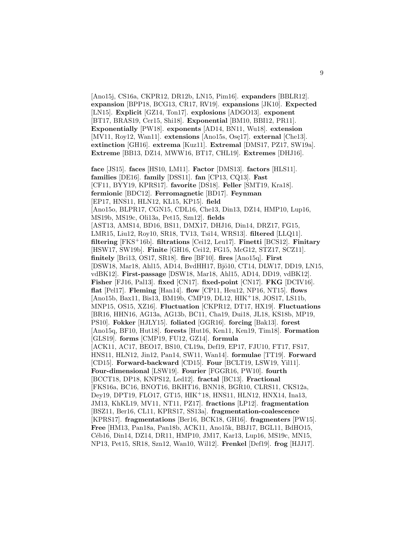[Ano15j, CS16a, CKPR12, DR12b, LN15, Pim16]. **expanders** [BBLR12]. **expansion** [BPP18, BCG13, CR17, RV19]. **expansions** [JK10]. **Expected** [LN15]. **Explicit** [GZ14, Ton17]. **explosions** [ADGO13]. **exponent** [BT17, BRAS19, Cer15, Shi18]. **Exponential** [BM10, BBI12, PR11]. **Exponentially** [PW18]. **exponents** [AD14, BN11, Wu18]. **extension** [MV11, Roy12, Wan11]. **extensions** [Ano15s, Ose17]. **external** [Che13]. **extinction** [GH16]. **extrema** [Kuz11]. **Extremal** [DMS17, PZ17, SW19a]. **Extreme** [BB13, DZ14, MWW16, BT17, CHL19]. **Extremes** [DHJ16].

**face** [JS15]. **faces** [HS10, LM11]. **Factor** [DMS13]. **factors** [HLS11]. **families** [DE16]. **family** [DSS11]. **fan** [CP13, CQ13]. **Fast** [CF11, BYY19, KPRS17]. **favorite** [DS18]. **Feller** [SMT19, Kra18]. **fermionic** [BDC12]. **Ferromagnetic** [BD17]. **Feynman** [EP17, HNS11, HLN12, KL15, KP15]. **field** [Ano15o, BLPR17, CGN15, CDL16, Che13, Din13, DZ14, HMP10, Lup16, MS19b, MS19c, Oli13a, Pet15, Szn12]. **fields** [AST13, AMS14, BD16, BS11, DMX17, DHJ16, Din14, DRZ17, FG15, LMR15, Liu12, Roy10, SR18, TV13, Tsi14, WRS13]. **filtered** [LLQ11]. **filtering** [FKS<sup>+</sup>16b]. **filtrations** [Cei12, Leu17]. **Finetti** [BCS12]. **Finitary** [HSW17, SW19b]. **Finite** [GH16, Cei12, FG15, McG12, STZ17, SCZ11]. **finitely** [Bri13, OS17, SR18]. **fire** [BF10]. **fires** [Ano15q]. **First** [DSW18, Mar18, Ahl15, AD14, BvdHH17, Bjö10, CT14, DLW17, DD19, LN15, vdBK12]. **First-passage** [DSW18, Mar18, Ahl15, AD14, DD19, vdBK12]. **Fisher** [FJ16, Pal13]. **fixed** [CN17]. **fixed-point** [CN17]. **FKG** [DCIV16]. **flat** [Pel17]. **Fleming** [Han14]. **flow** [CP11, Heu12, NP16, NT15]. **flows** [Ano15b, Bax11, Bis13, BM19b, CMP19, DL12, HIK<sup>+</sup>18, JOS17, LS11b, MNP15, OS15, XZ16]. **Fluctuation** [CKPR12, DT17, HX19]. **Fluctuations** [BR16, HHN16, AG13a, AG13b, BC11, Cha19, Dui18, JL18, KS18b, MP19, PS10]. **Fokker** [HJLY15]. **foliated** [GGR16]. **forcing** [Bak13]. **forest** [Ano15q, BF10, Hut18]. **forests** [Hut16, Ken11, Ken19, Tim18]. **Formation** [GLS19]. **forms** [CMP19, FU12, GZ14]. **formula** [ACK11, AC17, BEO17, BS10, CL19a, Def19, EP17, FJU10, FT17, FS17, HNS11, HLN12, Jin12, Pan14, SW11, Wan14]. **formulae** [TT19]. **Forward** [CD15]. **Forward-backward** [CD15]. **Four** [BCLT19, LSW19, Yil11]. **Four-dimensional** [LSW19]. **Fourier** [FGGR16, PW10]. **fourth** [BCCT18, DP18, KNPS12, Led12]. **fractal** [BC13]. **Fractional** [FKS16a, BC16, BNOT16, BKHT16, BNN18, BGR10, CLRS11, CKS12a, Dey19, DPT19, FLO17, GT15, HIK<sup>+</sup>18, HNS11, HLN12, HNX14, Ina13, JM13, KhKL19, MV11, NT11, PZ17]. **fractions** [LP12]. **fragmentation** [BSZ11, Ber16, CL11, KPRS17, SS13a]. **fragmentation-coalescence** [KPRS17]. **fragmentations** [Ber16, BCK18, GH16]. **fragmenters** [PW15]. **Free** [HM13, Pan18a, Pan18b, ACK11, Ano15k, BBJ17, BGL11, BdHO15, Céb16, Din14, DZ14, DR11, HMP10, JM17, Kar13, Lup16, MS19c, MN15, NP13, Pet15, SR18, Szn12, Wan10, Wil12]. **Frenkel** [Def19]. **frog** [HJJ17].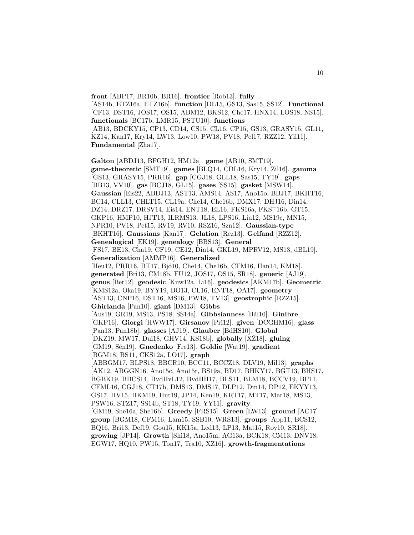**front** [ABP17, BR10b, BR16]. **frontier** [Rob13]. **fully** [AS14b, ETZ16a, ETZ16b]. **function** [DL15, GS13, Sas15, SS12]. **Functional** [CF13, DST16, JOS17, OS15, ABM12, BKS12, Che17, HNX14, LOS18, NS15]. **functionals** [BC17b, LMR15, PSTU10]. **functions** [AB13, BDCKY15, CP13, CD14, CS15, CL16, CP15, GS13, GRASY15, GL11, KZ14, Kan17, Kry14, LW13, Low10, PW18, PV18, Pel17, RZZ12, Yil11]. **Fundamental** [Zha17].

**Galton** [ABDJ13, BFGH12, HM12a]. **game** [AB10, SMT19]. **game-theoretic** [SMT19]. **games** [BLQ14, CDL16, Kry14, Zil16]. **gamma** [GS13, GRASY15, PRR16]. **gap** [CGJ18, GLL18, Sas15, TY19]. **gaps** [BB13, VV10]. **gas** [BCJ18, GL15]. **gases** [SS15]. **gasket** [MSW14]. **Gaussian** [Eis22, ABDJ13, AST13, AMS14, AS17, Ano15o, BBJ17, BKHT16, BC14, CLL13, CHLT15, CL19a, Che14, Che16b, DMX17, DHJ16, Din14, DZ14, DRZ17, DRSV14, Eis14, ENT18, EL16, FKS16a, FKS<sup>+</sup>16b, GT15, GKP16, HMP10, HJT13, ILRMS13, JL18, LPS16, Liu12, MS19c, MN15, NPR10, PV18, Pet15, RV19, RV10, RSZ16, Szn12]. **Gaussian-type** [BKHT16]. **Gaussians** [Kan17]. **Gelation** [Rez13]. **Gelfand** [RZZ12]. **Genealogical** [EK19]. **genealogy** [BBS13]. **General** [FS17, BE13, Cha19, CF19, CE12, Din14, GKL19, MPRV12, MS13, dBL19]. **Generalization** [AMMP16]. **Generalized** [Heu12, PRR16, BT17, Bjö10, Che14, Che16b, CFM16, Han14, KM18]. **generated** [Bri13, CM18b, FU12, JOS17, OS15, SR18]. **generic** [AJ19]. **genus** [Bet12]. **geodesic** [Kuw12a, Li16]. **geodesics** [AKM17b]. **Geometric** [KMS12a, Oka19, BYY19, BO13, CL16, ENT18, OA17]. **geometry** [AST13, CNP16, DST16, MS16, PW18, TV13]. **geostrophic** [RZZ15]. **Ghirlanda** [Pan10]. **giant** [DM13]. **Gibbs** [Aus19, GR19, MS13, PS18, SS14a]. **Gibbsianness** [B´al10]. **Ginibre** [GKP16]. **Giorgi** [HWW17]. **Girsanov** [Pri12]. **given** [DCGHM16]. **glass** [Pan13, Pan18b]. **glasses** [AJ19]. **Glauber** [BdHS10]. **Global** [DKZ19, MW17, Dui18, GHV14, KS18b]. **globally** [XZ18]. **gluing** [GM19, S´en19]. **Gnedenko** [Fre13]. **Goldie** [Wat19]. **gradient** [BGM18, BS11, CKS12a, LO17]. **graph** [ABBGM17, BLPS18, BBCR10, BCC11, BCCZ18, DLV19, Mil13]. **graphs** [AK12, ABGGN16, Ano15c, Ano15r, BS19a, BD17, BHKY17, BGT13, BHS17, BGBK19, BBCS14, BvdHvL12, BvdHH17, BLS11, BLM18, BCCV19, BP11, CFML16, CGJ18, CT17b, DMS13, DMS17, DLP12, Din14, DP12, EKYY13, GS17, HV15, HKM19, Hut19, JP14, Ken19, KRT17, MT17, Mar18, MS13, PSW16, STZ17, SS14b, ST18, TY19, YY11]. **gravity** [GM19, She16a, She16b]. **Greedy** [FRS15]. **Green** [LW13]. **ground** [AC17]. **group** [BGM18, CFM16, Lam15, SSB10, WRS13]. **groups** [App11, BCS12, BQ16, Bri13, Def19, Gou15, KK15a, Led13, LP13, Mat15, Roy10, SR18]. **growing** [JP14]. **Growth** [Shi18, Ano15m, AG13a, BCK18, CM13, DNV18, EGW17, HQ10, PW15, Ton17, Tra10, XZ16]. **growth-fragmentations**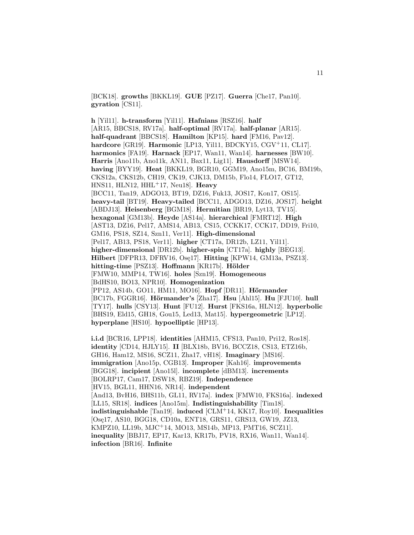[BCK18]. **growths** [BKKL19]. **GUE** [PZ17]. **Guerra** [Che17, Pan10]. **gyration** [CS11].

**h** [Yil11]. **h-transform** [Yil11]. **Hafnians** [RSZ16]. **half** [AR15, BBCS18, RV17a]. **half-optimal** [RV17a]. **half-planar** [AR15]. **half-quadrant** [BBCS18]. **Hamilton** [KP15]. **hard** [FM16, Pav12]. **hardcore** [GR19]. **Harmonic** [LP13, Yil11, BDCKY15, CGV<sup>+</sup>11, CL17]. **harmonics** [FA19]. **Harnack** [EP17, Wan11, Wan14]. **harnesses** [BW10]. **Harris** [Ano11b, Ano11k, AN11, Bax11, Lig11]. **Hausdorff** [MSW14]. **having** [BYY19]. **Heat** [BKKL19, BGR10, GGM19, Ano15m, BC16, BM19b, CKS12a, CKS12b, CH19, CK19, CJK13, DM15b, Flo14, FLO17, GT12, HNS11, HLN12, HHL<sup>+</sup>17, Neu18]. **Heavy** [BCC11, Tan19, ADGO13, BT19, DZ16, Fuk13, JOS17, Kon17, OS15]. **heavy-tail** [BT19]. **Heavy-tailed** [BCC11, ADGO13, DZ16, JOS17]. **height** [ABDJ13]. **Heisenberg** [BGM18]. **Hermitian** [BR19, Lyt13, TV15]. **hexagonal** [GM13b]. **Heyde** [AS14a]. **hierarchical** [FMRT12]. **High** [AST13, DZ16, Pel17, AMS14, AB13, CS15, CCKK17, CCK17, DD19, Fri10, GM16, PS18, SZ14, Szn11, Ver11]. **High-dimensional** [Pel17, AB13, PS18, Ver11]. **higher** [CT17a, DR12b, LZ11, Yil11]. **higher-dimensional** [DR12b]. **higher-spin** [CT17a]. **highly** [BEG13]. **Hilbert** [DFPR13, DFRV16, Os¸e17]. **Hitting** [KPW14, GM13a, PSZ13]. **hitting-time** [PSZ13]. **Hoffmann** [KR17b]. **H¨older** [FMW10, MMP14, TW16]. **holes** [Szn19]. **Homogeneous** [BdHS10, BO13, NPR10]. **Homogenization** [PP12, AS14b, GO11, HM11, MO16]. **Hopf** [DR11]. **Hörmander** [BC17b, FGGR16]. **H¨ormander's** [Zha17]. **Hsu** [Ahl15]. **Hu** [FJU10]. **hull** [TY17]. **hulls** [CSY13]. **Hunt** [FU12]. **Hurst** [FKS16a, HLN12]. **hyperbolic** [BHS19, Eld15, GH18, Gou15, Led13, Mat15]. **hypergeometric** [LP12]. **hyperplane** [HS10]. **hypoelliptic** [HP13].

**i.i.d** [BCR16, LPP18]. **identities** [AHM15, CFS13, Pan10, Pri12, Ros18]. **identity** [CD14, HJLY15]. **II** [BLX18b, BV16, BCCZ18, CS13, ETZ16b, GH16, Ham12, MS16, SCZ11, Zha17, vH18]. **Imaginary** [MS16]. **immigration** [Ano15p, CGB13]. **Improper** [Kah16]. **improvements** [BGG18]. **incipient** [Ano15l]. **incomplete** [dBM13]. **increments** [BOLRP17, Cam17, DSW18, RBZ19]. **Independence** [HV15, BGL11, HHN16, NR14]. **independent** [And13, BvH16, BHS11b, GL11, RV17a]. **index** [FMW10, FKS16a]. **indexed** [LL15, SR18]. **indices** [Ano15m]. **Indistinguishability** [Tim18]. **indistinguishable** [Tan19]. **induced** [CLM<sup>+</sup>14, KK17, Roy10]. **Inequalities** [Ose17, AS10, BGG18, CD10a, ENT18, GRS11, GRS13, GW19, JZ13, KMPZ10, LL19b, MJC<sup>+</sup>14, MO13, MS14b, MP13, PMT16, SCZ11]. **inequality** [BBJ17, EP17, Kar13, KR17b, PV18, RX16, Wan11, Wan14]. **infection** [BR16]. **Infinite**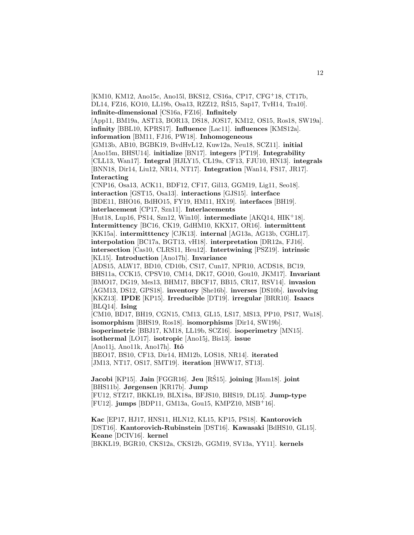[KM10, KM12, Ano15c, Ano15l, BKS12, CS16a, CP17, CFG<sup>+</sup>18, CT17b, DL14, FZ16, KO10, LL19b, Osa13, RZZ12, RŚ15, Sap17, TvH14, Tra10. **infinite-dimensional** [CS16a, FZ16]. **Infinitely** [App11, BM19a, AST13, BOR13, DS18, JOS17, KM12, OS15, Ros18, SW19a]. **infinity** [BBL10, KPRS17]. **Influence** [Lac11]. **influences** [KMS12a]. **information** [BM11, FJ16, PW18]. **Inhomogeneous** [GM13b, AB10, BGBK19, BvdHvL12, Kuw12a, Neu18, SCZ11]. **initial** [Ano15m, BHSU14]. **initialize** [BN17]. **integers** [PT19]. **Integrability** [CLL13, Wan17]. **Integral** [HJLY15, CL19a, CF13, FJU10, HN13]. **integrals** [BNN18, Dir14, Liu12, NR14, NT17]. **Integration** [Wan14, FS17, JR17]. **Interacting** [CNP16, Osa13, ACK11, BDF12, CF17, Gil13, GGM19, Lig11, Seo18]. **interaction** [GST15, Osa13]. **interactions** [GJS15]. **interface** [BDE11, BHO16, BdHO15, FY19, HM11, HX19]. **interfaces** [BH19]. **interlacement** [CP17, Szn11]. **Interlacements** [Hut18, Lup16, PS14, Szn12, Win10]. **intermediate** [AKQ14, HIK<sup>+</sup>18]. **Intermittency** [BC16, CK19, GdHM10, KKX17, OR16]. **intermittent** [KK15a]. **intermitttency** [CJK13]. **internal** [AG13a, AG13b, CGHL17]. **interpolation** [BC17a, BGT13, vH18]. **interpretation** [DR12a, FJ16]. **intersection** [Cas10, CLRS11, Heu12]. **Intertwining** [PSZ19]. **intrinsic** [KL15]. **Introduction** [Ano17h]. **Invariance** [ADS15, ALW17, BD10, CD10b, CS17, Cun17, NPR10, ACDS18, BC19, BHS11a, CCK15, CPSV10, CM14, DK17, GO10, Gou10, JKM17]. **Invariant** [BMO17, DG19, Mes13, BHM17, BBCF17, BB15, CR17, RSV14]. **invasion** [AGM13, DS12, GPS18]. **inventory** [She16b]. **inverses** [DS10b]. **involving** [KKZ13]. **IPDE** [KP15]. **Irreducible** [DT19]. **irregular** [BRR10]. **Isaacs** [BLQ14]. **Ising** [CM10, BD17, BH19, CGN15, CM13, GL15, LS17, MS13, PP10, PS17, Wu18]. **isomorphism** [BHS19, Ros18]. **isomorphisms** [Dir14, SW19b]. **isoperimetric** [BBJ17, KM18, LL19b, SCZ16]. **isoperimetry** [MN15]. **isothermal** [LO17]. **isotropic** [Ano15j, Bis13]. **issue** [Ano11j, Ano11k, Ano17h]. **Itˆo** [BEO17, BS10, CF13, Dir14, HM12b, LOS18, NR14]. **iterated** [JM13, NT17, OS17, SMT19]. **iteration** [HWW17, ST13]. **Jacobi** [KP15]. **Jain** [FGGR16]. **Jeu** [RS15]. ´ **joining** [Ham18]. **joint** [BHS11b]. **Jørgensen** [KR17b]. **Jump** [FU12, STZ17, BKKL19, BLX18a, BFJS10, BHS19, DL15]. **Jump-type**

[FU12]. **jumps** [BDP11, GM13a, Gou15, KMPZ10, MSB<sup>+</sup>16].

**Kac** [EP17, HJ17, HNS11, HLN12, KL15, KP15, PS18]. **Kantorovich** [DST16]. **Kantorovich-Rubinstein** [DST16]. **Kawasaki** [BdHS10, GL15]. **Keane** [DCIV16]. **kernel** [BKKL19, BGR10, CKS12a, CKS12b, GGM19, SV13a, YY11]. **kernels**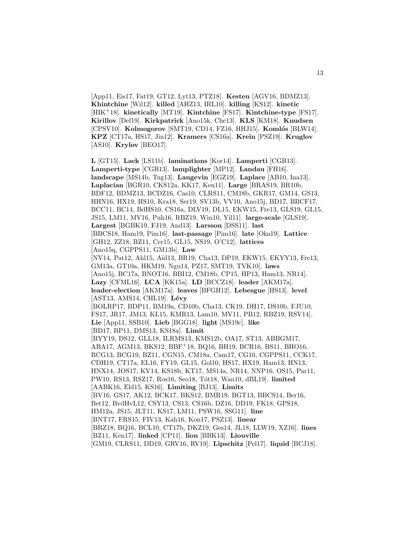[App11, Eis17, Fat19, GT12, Lyt13, PTZ18]. **Kesten** [AGV16, BDMZ13]. **Khintchine** [Wil12]. **killed** [AHZ13, IRL10]. **killing** [KS12]. **kinetic** [HIK<sup>+</sup>18]. **kinetically** [MT19]. **Kintchine** [FS17]. **Kintchine-type** [FS17]. **Kirillov** [Def19]. **Kirkpatrick** [Ano15k, Che13]. **KLS** [KM18]. **Knudsen** [CPSV10]. **Kolmogorov** [SMT19, CD14, FZ16, HHJ15]. **Komlós** [BLW14]. **KPZ** [CT17a, HS17, Jin12]. **Kramers** [CS16a]. **Krein** [PSZ19]. **Kruglov** [AS10]. **Krylov** [BEO17].

13

**L** [GT15]. **Lack** [LS11b]. **laminations** [Kor14]. **Lamperti** [CGB13]. **Lamperti-type** [CGB13]. **lamplighter** [MP12]. **Landau** [FH16]. **landscape** [MS14b, Tug13]. **Langevin** [EGZ19]. **Laplace** [AB10, Ina13]. **Laplacian** [BGR10, CKS12a, KK17, Ken11]. **Large** [BRAS19, BR10b, BDF12, BDMZ13, BCDZ16, Cas10, CLRS11, CM18b, GKR17, GM14, GS13, HHN16, HX19, HS10, Kra18, Ser19, SV13b, VV10, Ano15j, BD17, BBCF17, BCC11, BC14, BdHS10, CS16a, DLV19, DL15, EKW15, Fre13, GLS19, GL15, JS15, LM11, MV16, Puh16, RBZ19, Win10, Yil11]. **large-scale** [GLS19]. **Largest** [BGBK19, FJ19, And13]. **Larsson** [DSS11]. **last** [BBCS18, Ham19, Pim16]. **last-passage** [Pim16]. **late** [Oka19]. **Lattice** [GH12, ZZ18, BZ11, Cer15, GL15, NS19, O'C12]. **lattices** [Ano15q, CGPPS11, GM13b]. **Law** [NV14, Pat12, Ahl15, A¨ıd13, BR19, Cha13, DP19, EKW15, EKYY13, Fre13, GM13a, GT10a, HKM19, Ngu14, PZ17, SMT19, TVK10]. **laws** [Ano15j, BC17a, BNOT16, BBI12, CM18b, CP15, HP13, Ham13, NR14]. **Lazy** [CFML16]. **LCA** [KK15a]. **LD** [BCCZ18]. **leader** [AKM17a]. **leader-election** [AKM17a]. **leaves** [BFGH12]. **Lebesgue** [HS13]. **level** [AST13, AMS14, CHL19]. **Lévy** [BOLRP17, BDP11, BM19a, CD10b, Cha13, CK19, DH17, DS10b, FJU10, FS17, JR17, JM13, KL15, KMR13, Lam10, MV11, PB12, RBZ19, RSV14]. **Lie** [App11, SSB10]. **Lieb** [BGG18]. **light** [MS19c]. **like** [BD17, BP11, DMS13, KS18a]. **Limit** [BYY19, DS12, GLL18, ILRMS13, KMS12b, OA17, ST13, ABBGM17, ABA17, AGM13, BKS12, BBF<sup>+</sup>18, BQ16, BH19, BCR16, BS11, BHO16, BCG13, BCG19, BZ11, CGN15, CM18a, Cam17, CG10, CGPPS11, CCK17, CDH19, CT17a, EL16, FY19, GL15, Gol10, HS17, HX19, Ham13, HN13, HNX14, JOS17, KV14, KS18b, KT17, MS14a, NR14, NNP16, OS15, Par11, PW10, RS13, RSZ17, Ros16, Seo18, T´ot18, Wan10, dBL19]. **limited** [AABK16, Eld15, KS16]. **Limiting** [BJ13]. **Limits** [BV16, GS17, AK12, BCK17, BKS12, BMR19, BGT13, BBCS14, Ber16, Bet12, BvdHvL12, CSY13, CS13, CS16b, DZ16, DD19, FK18, GPS18, HM12a, JS15, JLT11, KS17, LM11, PSW16, SSG11]. **line** [BNT17, FRS15, FIV13, Kah16, Kon17, PSZ13]. **linear** [BRZ18, BQ16, BCL10, CT17b, DKZ19, Ges14, JL18, LLW19, XZ16]. **lines** [BZ11, Ken17]. **linked** [CP11]. **lion** [BBK13]. **Liouville** [GM19, CLRS11, DD19, GRV16, RV19]. **Lipschitz** [Pel17]. **liquid** [BCJ18].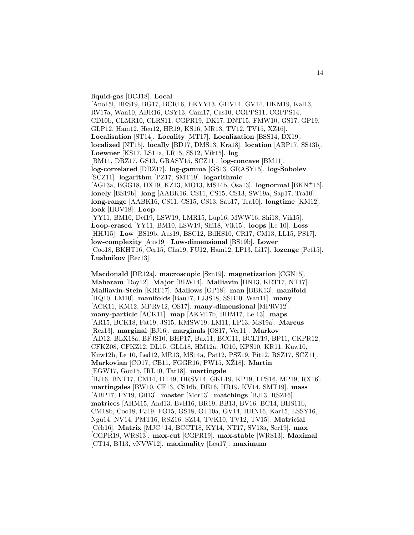#### **liquid-gas** [BCJ18]. **Local**

[Ano15l, BES19, BG17, BCR16, EKYY13, GHV14, GV14, HKM19, Kal13, RV17a, Wan10, ABR16, CSY13, Cam17, Cas10, CGPPS11, CGPPS14, CD10b, CLMR10, CLRS11, CGPR19, DK17, DNT15, FMW10, GS17, GP19, GLP12, Ham12, Heu12, HR19, KS16, MR13, TV12, TV15, XZ16]. **Localisation** [ST14]. **Locality** [MT17]. **Localization** [BSS14, DX19]. **localized** [NT15]. **locally** [BD17, DMS13, Kra18]. **location** [ABP17, SS13b]. **Loewner** [KS17, LS11a, LR15, SS12, Vik15]. **log** [BM11, DRZ17, GS13, GRASY15, SCZ11]. **log-concave** [BM11]. **log-correlated** [DRZ17]. **log-gamma** [GS13, GRASY15]. **log-Sobolev** [SCZ11]. **logarithm** [PZ17, SMT19]. **logarithmic** [AG13a, BGG18, DX19, KZ13, MO13, MS14b, Osa13]. **lognormal** [BKN<sup>+</sup>15]. **lonely** [BS19b]. **long** [AABK16, CS11, CS15, CS13, SW19a, Sap17, Tra10]. **long-range** [AABK16, CS11, CS15, CS13, Sap17, Tra10]. **longtime** [KM12]. **look** [HOV18]. **Loop** [YY11, BM10, Def19, LSW19, LMR15, Lup16, MWW16, Shi18, Vik15]. **Loop-erased** [YY11, BM10, LSW19, Shi18, Vik15]. **loops** [Le 10]. **Loss** [HHJ15]. **Low** [BS19b, Aus19, BSC12, BdHS10, CR17, CM13, LL15, PS17]. **low-complexity** [Aus19]. **Low-dimensional** [BS19b]. **Lower** [Coo18, BKHT16, Cer15, Cha19, FU12, Ham12, LP13, Li17]. **lozenge** [Pet15]. **Lushnikov** [Rez13].

**Macdonald** [DR12a]. **macroscopic** [Szn19]. **magnetization** [CGN15]. **Maharam** [Roy12]. **Major** [BLW14]. **Malliavin** [HN13, KRT17, NT17]. **Malliavin-Stein** [KRT17]. **Mallows** [GP18]. **man** [BBK13]. **manifold** [HQ10, LM10]. **manifolds** [Bau17, FJJS18, SSB10, Wan11]. **many** [ACK11, KM12, MPRV12, OS17]. **many-dimensional** [MPRV12]. **many-particle** [ACK11]. **map** [AKM17b, BHM17, Le 13]. **maps** [AR15, BCK18, Fat19, JS15, KMSW19, LM11, LP13, MS19a]. **Marcus** [Rez13]. **marginal** [BJ16]. **marginals** [OS17, Ver11]. **Markov** [AD12, BLX18a, BFJS10, BHP17, Bax11, BCC11, BCLT19, BP11, CKPR12, CFKZ08, CFKZ12, DL15, GLL18, HM12a, JO10, KPS10, KR11, Kuw10, Kuw12b, Le 10, Led12, MR13, MS14a, Pat12, PSZ19, Pit12, RSZ17, SCZ11]. **Markovian** [CO17, CB11, FGGR16, PW15, XZ18]. **Martin** [EGW17, Gou15, IRL10, Tar18]. **martingale** [BJ16, BNT17, CM14, DT19, DRSV14, GKL19, KP19, LPS16, MP19, RX16]. **martingales** [BW10, CF13, CS16b, DE16, HR19, KV14, SMT19]. **mass** [ABP17, FY19, Gil13]. **master** [Mor13]. **matchings** [BJ13, RSZ16]. **matrices** [AHM15, And13, BvH16, BR19, BB13, BV16, BC14, BHS11b, CM18b, Coo18, FJ19, FG15, GS18, GT10a, GV14, HHN16, Kar15, LSSY16, Ngu14, NV14, PMT16, RSZ16, SZ14, TVK10, TV12, TV15]. **Matricial** [C´eb16]. **Matrix** [MJC<sup>+</sup>14, BCCT18, KY14, NT17, SV13a, Ser19]. **max** [CGPR19, WRS13]. **max-cut** [CGPR19]. **max-stable** [WRS13]. **Maximal** [CT14, BJ13, vNVW12]. **maximality** [Leu17]. **maximum**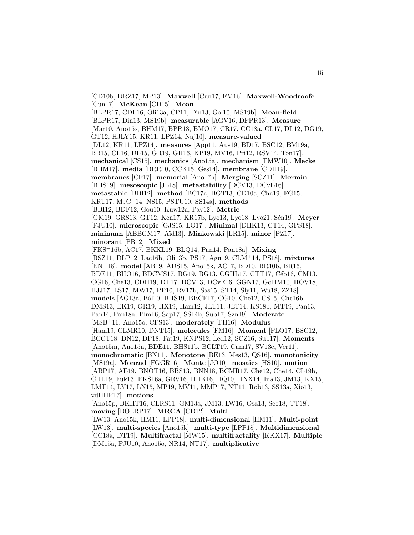[CD10b, DRZ17, MP13]. **Maxwell** [Cun17, FM16]. **Maxwell-Woodroofe** [Cun17]. **McKean** [CD15]. **Mean** [BLPR17, CDL16, Oli13a, CP11, Din13, Gol10, MS19b]. **Mean-field** [BLPR17, Din13, MS19b]. **measurable** [AGV16, DFPR13]. **Measure** [Mar10, Ano15s, BHM17, BPR13, BMO17, CR17, CC18a, CL17, DL12, DG19, GT12, HJLY15, KR11, LPZ14, Naj10]. **measure-valued** [DL12, KR11, LPZ14]. **measures** [App11, Aus19, BD17, BSC12, BM19a, BB15, CL16, DL15, GR19, GH16, KP19, MV16, Pri12, RSV14, Ton17]. **mechanical** [CS15]. **mechanics** [Ano15a]. **mechanism** [FMW10]. **Mecke** [BHM17]. **media** [BRR10, CCK15, Ges14]. **membrane** [CDH19]. **membranes** [CF17]. **memorial** [Ano17h]. **Merging** [SCZ11]. **Mermin** [BHS19]. **mesoscopic** [JL18]. **metastability** [DCV13, DCvE16]. **metastable** [BBI12]. **method** [BC17a, BGT13, CD10a, Cha19, FG15, KRT17, MJC<sup>+</sup>14, NS15, PSTU10, SS14a]. **methods** [BBI12, BDF12, Gou10, Kuw12a, Pav12]. **Metric** [GM19, GRS13, GT12, Ken17, KR17b, Lyo13, Lyo18, Lyo21, S´en19]. **Meyer** [FJU10]. **microscopic** [GJS15, LO17]. **Minimal** [DHK13, CT14, GPS18]. **minimum** [ABBGM17, A¨ıd13]. **Minkowski** [LR15]. **minor** [PZ17]. **minorant** [PB12]. **Mixed** [FKS<sup>+</sup>16b, AC17, BKKL19, BLQ14, Pan14, Pan18a]. **Mixing** [BSZ11, DLP12, Lac16b, Oli13b, PS17, Agu19, CLM<sup>+</sup>14, PS18]. **mixtures** [ENT18]. **model** [AB19, ADS15, Ano15k, AC17, BD10, BR10b, BR16, BDE11, BHO16, BDCMS17, BG19, BG13, CGHL17, CTT17, Céb16, CM13, CG16, Che13, CDH19, DT17, DCV13, DCvE16, GGN17, GdHM10, HOV18, HJJ17, LS17, MW17, PP10, RV17b, Sas15, ST14, Sly11, Wu18, ZZ18]. **models** [AG13a, B´al10, BHS19, BBCF17, CG10, Che12, CS15, Che16b, DMS13, EK19, GR19, HX19, Ham12, JLT11, JLT14, KS18b, MT19, Pan13, Pan14, Pan18a, Pim16, Sap17, SS14b, Sub17, Szn19]. **Moderate** [MSB<sup>+</sup>16, Ano15o, CFS13]. **moderately** [FH16]. **Modulus** [Ham19, CLMR10, DNT15]. **molecules** [FM16]. **Moment** [FLO17, BSC12, BCCT18, DN12, DP18, Fat19, KNPS12, Led12, SCZ16, Sub17]. **Moments** [Ano15m, Ano15n, BDE11, BHS11b, BCLT19, Cam17, SV13c, Ver11]. **monochromatic** [BN11]. **Monotone** [BE13, Mes13, QS16]. **monotonicity** [MS19a]. **Monrad** [FGGR16]. **Monte** [JO10]. **mosaics** [HS10]. **motion** [ABP17, AE19, BNOT16, BBS13, BNN18, BCMR17, Che12, Che14, CL19b, CHL19, Fuk13, FKS16a, GRV16, HHK16, HQ10, HNX14, Ina13, JM13, KX15, LMT14, LY17, LN15, MP19, MV11, MMP17, NT11, Rob13, SS13a, Xio13, vdHHP17]. **motions** [Ano15p, BKHT16, CLRS11, GM13a, JM13, LW16, Osa13, Seo18, TT18]. **moving** [BOLRP17]. **MRCA** [CD12]. **Multi** [LW13, Ano15k, HM11, LPP18]. **multi-dimensional** [HM11]. **Multi-point** [LW13]. **multi-species** [Ano15k]. **multi-type** [LPP18]. **Multidimensional** [CC18a, DT19]. **Multifractal** [MW15]. **multifractality** [KKX17]. **Multiple** [DM15a, FJU10, Ano15o, NR14, NT17]. **multiplicative**

15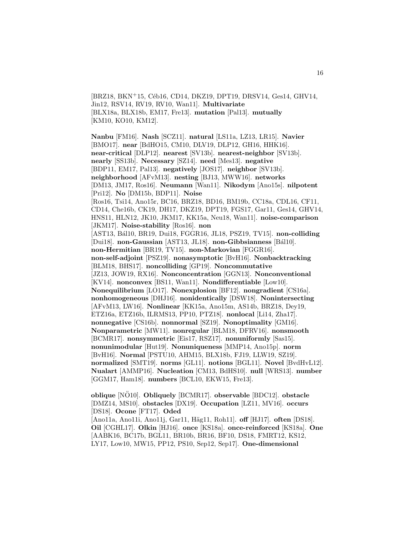[BRZ18, BKN+15, Céb16, CD14, DKZ19, DPT19, DRSV14, Ges14, GHV14, Jin12, RSV14, RV19, RV10, Wan11]. **Multivariate** [BLX18a, BLX18b, EM17, Fre13]. **mutation** [Pal13]. **mutually** [KM10, KO10, KM12].

**Nanbu** [FM16]. **Nash** [SCZ11]. **natural** [LS11a, LZ13, LR15]. **Navier** [BMO17]. **near** [BdHO15, CM10, DLV19, DLP12, GH16, HHK16]. **near-critical** [DLP12]. **nearest** [SV13b]. **nearest-neighbor** [SV13b]. **nearly** [SS13b]. **Necessary** [SZ14]. **need** [Mes13]. **negative** [BDP11, EM17, Pal13]. **negatively** [JOS17]. **neighbor** [SV13b]. **neighborhood** [AFvM13]. **nesting** [BJ13, MWW16]. **networks** [DM13, JM17, Ros16]. **Neumann** [Wan11]. **Nikodym** [Ano15s]. **nilpotent** [Pri12]. **No** [DM15b, BDP11]. **Noise** [Ros16, Tsi14, Ano15r, BC16, BRZ18, BD16, BM19b, CC18a, CDL16, CF11, CD14, Che16b, CK19, DH17, DKZ19, DPT19, FGS17, Gar11, Ges14, GHV14, HNS11, HLN12, JK10, JKM17, KK15a, Neu18, Wan11]. **noise-comparison** [JKM17]. **Noise-stability** [Ros16]. **non** [AST13, B´al10, BR19, Dui18, FGGR16, JL18, PSZ19, TV15]. **non-colliding** [Dui18]. **non-Gaussian** [AST13, JL18]. **non-Gibbsianness** [B´al10]. **non-Hermitian** [BR19, TV15]. **non-Markovian** [FGGR16]. **non-self-adjoint** [PSZ19]. **nonasymptotic** [BvH16]. **Nonbacktracking** [BLM18, BHS17]. **noncolliding** [GP19]. **Noncommutative** [JZ13, JOW19, RX16]. **Nonconcentration** [GGN13]. **Nonconventional** [KV14]. **nonconvex** [BS11, Wan11]. **Nondifferentiable** [Low10]. **Nonequilibrium** [LO17]. **Nonexplosion** [BF12]. **nongradient** [CS16a]. **nonhomogeneous** [DHJ16]. **nonidentically** [DSW18]. **Nonintersecting** [AFvM13, LW16]. **Nonlinear** [KK15a, Ano15m, AS14b, BRZ18, Dey19, ETZ16a, ETZ16b, ILRMS13, PP10, PTZ18]. **nonlocal** [Li14, Zha17]. **nonnegative** [CS16b]. **nonnormal** [SZ19]. **Nonoptimality** [GM16]. **Nonparametric** [MW11]. **nonregular** [BLM18, DFRV16]. **nonsmooth** [BCMR17]. **nonsymmetric** [Eis17, RSZ17]. **nonuniformly** [Sas15]. **nonunimodular** [Hut19]. **Nonuniqueness** [MMP14, Ano15p]. **norm** [BvH16]. **Normal** [PSTU10, AHM15, BLX18b, FJ19, LLW19, SZ19]. **normalized** [SMT19]. **norms** [GL11]. **notions** [BGL11]. **Novel** [BvdHvL12]. **Nualart** [AMMP16]. **Nucleation** [CM13, BdHS10]. **null** [WRS13]. **number** [GGM17, Ham18]. **numbers** [BCL10, EKW15, Fre13].

**oblique** [NO10]. ¨ **Obliquely** [BCMR17]. **observable** [BDC12]. **obstacle** [DMZ14, MS10]. **obstacles** [DX19]. **Occupation** [LZ11, MV16]. **occurs** [DS18]. **Ocone** [FT17]. **Oded** [Ano11a, Ano11i, Ano11j, Gar11, Häg11, Roh11]. **off** [HJ17]. **often** [DS18]. **Oil** [CGHL17]. **Olkin** [HJ16]. **once** [KS18a]. **once-reinforced** [KS18a]. **One** [AABK16, BC17b, BGL11, BR10b, BR16, BF10, DS18, FMRT12, KS12, LY17, Low10, MW15, PP12, PS10, Sep12, Sep17]. **One-dimensional**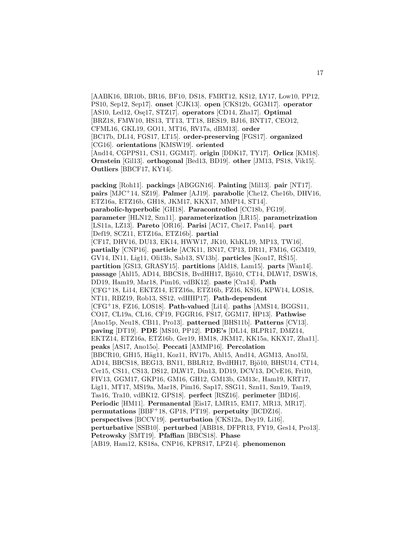[AABK16, BR10b, BR16, BF10, DS18, FMRT12, KS12, LY17, Low10, PP12, PS10, Sep12, Sep17]. **onset** [CJK13]. **open** [CKS12b, GGM17]. **operator** [AS10, Led12, Ose17, STZ17]. **operators** [CD14, Zha17]. **Optimal** [BRZ18, FMW10, HS13, TT13, TT18, BES19, BJ16, BNT17, CEO12, CFML16, GKL19, GO11, MT16, RV17a, dBM13]. **order** [BC17b, DL14, FGS17, LT15]. **order-preserving** [FGS17]. **organized** [CG16]. **orientations** [KMSW19]. **oriented** [And14, CGPPS11, CS11, GGM17]. **origin** [DDK17, TY17]. **Orlicz** [KM18]. **Ornstein** [Gil13]. **orthogonal** [Bed13, BD19]. **other** [JM13, PS18, Vik15]. **Outliers** [BBCF17, KY14].

**packing** [Roh11]. **packings** [ABGGN16]. **Painting** [Mil13]. **pair** [NT17]. **pairs** [MJC<sup>+</sup>14, SZ19]. **Palmer** [AJ19]. **parabolic** [Che12, Che16b, DHV16, ETZ16a, ETZ16b, GH18, JKM17, KKX17, MMP14, ST14]. **parabolic-hyperbolic** [GH18]. **Paracontrolled** [CC18b, FG19]. **parameter** [HLN12, Szn11]. **parameterization** [LR15]. **parametrization** [LS11a, LZ13]. **Pareto** [OR16]. **Parisi** [AC17, Che17, Pan14]. **part** [Def19, SCZ11, ETZ16a, ETZ16b]. **partial** [CF17, DHV16, DU13, EK14, HWW17, JK10, KhKL19, MP13, TW16]. **partially** [CNP16]. **particle** [ACK11, BN17, CP13, DR11, FM16, GGM19, GV14, IN11, Lig11, Oli13b, Sab13, SV13b]. **particles** [Kon17, RS15]. ´ **partition** [GS13, GRASY15]. **partitions** [Ald18, Lam15]. **parts** [Wan14]. **passage** [Ahl15, AD14, BBCS18, BvdHH17, Bjö10, CT14, DLW17, DSW18, DD19, Ham19, Mar18, Pim16, vdBK12]. **paste** [Cra14]. **Path** [CFG<sup>+</sup>18, Li14, EKTZ14, ETZ16a, ETZ16b, FZ16, KS16, KPW14, LOS18, NT11, RBZ19, Rob13, SS12, vdHHP17]. **Path-dependent** [CFG<sup>+</sup>18, FZ16, LOS18]. **Path-valued** [Li14]. **paths** [AMS14, BGGS11, CO17, CL19a, CL16, CF19, FGGR16, FS17, GGM17, HP13]. **Pathwise** [Ano15p, Neu18, CB11, Pro13]. **patterned** [BHS11b]. **Patterns** [CV13]. **paving** [DT19]. **PDE** [MS10, PP12]. **PDE's** [DL14, BLPR17, DMZ14, EKTZ14, ETZ16a, ETZ16b, Ger19, HM18, JKM17, KK15a, KKX17, Zha11]. **peaks** [AS17, Ano15o]. **Peccati** [AMMP16]. **Percolation** [BBCR10, GH15, Häg11, Koz11, RV17b, Ahl15, And14, AGM13, Ano15l, AD14, BBCS18, BEG13, BN11, BBLR12, BvdHH17, Bjö10, BHSU14, CT14, Cer15, CS11, CS13, DS12, DLW17, Din13, DD19, DCV13, DCvE16, Fri10, FIV13, GGM17, GKP16, GM16, GH12, GM13b, GM13c, Ham19, KRT17, Lig11, MT17, MS19a, Mar18, Pim16, Sap17, SSG11, Szn11, Szn19, Tan19, Tas16, Tra10, vdBK12, GPS18]. **perfect** [RSZ16]. **perimeter** [BD16]. **Periodic** [HM11]. **Permanental** [Eis17, LMR15, EM17, MR13, MR17]. **permutations** [BBF<sup>+</sup>18, GP18, PT19]. **perpetuity** [BCDZ16]. **perspectives** [BCCV19]. **perturbation** [CKS12a, Dey19, Li16]. **perturbative** [SSB10]. **perturbed** [ABB18, DFPR13, FY19, Ges14, Pro13]. **Petrowsky** [SMT19]. **Pfaffian** [BBCS18]. **Phase** [AB19, Ham12, KS18a, CNP16, KPRS17, LPZ14]. **phenomenon**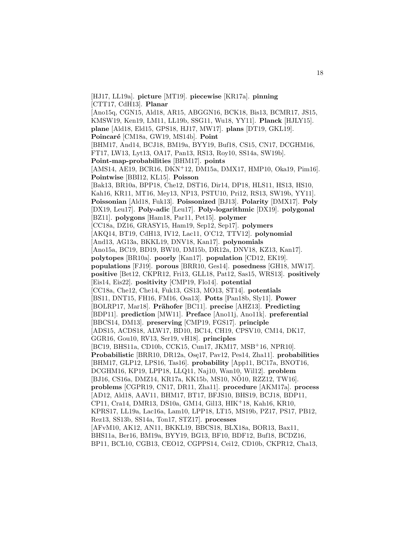[HJ17, LL19a]. **picture** [MT19]. **piecewise** [KR17a]. **pinning** [CTT17, CdH13]. **Planar** [Ano15q, CGN15, Ald18, AR15, ABGGN16, BCK18, Bis13, BCMR17, JS15, KMSW19, Ken19, LM11, LL19b, SSG11, Wu18, YY11]. **Planck** [HJLY15]. **plane** [Ald18, Eld15, GPS18, HJ17, MW17]. **plans** [DT19, GKL19]. Poincaré [CM18a, GW19, MS14b]. Point [BHM17, And14, BCJ18, BM19a, BYY19, Buf18, CS15, CN17, DCGHM16, FT17, LW13, Lyt13, OA17, Pan13, RS13, Roy10, SS14a, SW19b]. **Point-map-probabilities** [BHM17]. **points** [AMS14, AE19, BCR16, DKN<sup>+</sup>12, DM15a, DMX17, HMP10, Oka19, Pim16]. **Pointwise** [BBI12, KL15]. **Poisson** [Bak13, BR10a, BPP18, Che12, DST16, Dir14, DP18, HLS11, HS13, HS10, Kah16, KR11, MT16, Mey13, NP13, PSTU10, Pri12, RS13, SW19b, YY11]. **Poissonian** [Ald18, Fuk13]. **Poissonized** [BJ13]. **Polarity** [DMX17]. **Poly** [DX19, Leu17]. **Poly-adic** [Leu17]. **Poly-logarithmic** [DX19]. **polygonal** [BZ11]. **polygons** [Ham18, Par11, Pet15]. **polymer** [CC18a, DZ16, GRASY15, Ham19, Sep12, Sep17]. **polymers** [AKQ14, BT19, CdH13, IV12, Lac11, O'C12, TTV12]. **polynomial** [And13, AG13a, BKKL19, DNV18, Kan17]. **polynomials** [Ano15a, BC19, BD19, BW10, DM15b, DR12a, DNV18, KZ13, Kan17]. **polytopes** [BR10a]. **poorly** [Kan17]. **population** [CD12, EK19]. **populations** [FJ19]. **porous** [BRR10, Ges14]. **posedness** [GH18, MW17]. **positive** [Bet12, CKPR12, Fri13, GLL18, Pat12, Sas15, WRS13]. **positively** [Eis14, Eis22]. **positivity** [CMP19, Flo14]. **potential** [CC18a, Che12, Che14, Fuk13, GS13, MO13, ST14]. **potentials** [BS11, DNT15, FH16, FM16, Osa13]. **Potts** [Pan18b, Sly11]. **Power** [BOLRP17, Mar18]. **Prähofer** [BC11]. **precise** [AHZ13]. **Predicting** [BDP11]. **prediction** [MW11]. **Preface** [Ano11j, Ano11k]. **preferential** [BBCS14, DM13]. **preserving** [CMP19, FGS17]. **principle** [ADS15, ACDS18, ALW17, BD10, BC14, CH19, CPSV10, CM14, DK17, GGR16, Gou10, RV13, Ser19, vH18]. **principles** [BC19, BHS11a, CD10b, CCK15, Cun17, JKM17, MSB<sup>+</sup>16, NPR10]. **Probabilistic** [BRR10, DR12a, Ose17, Pav12, Pes14, Zha11]. **probabilities** [BHM17, GLP12, LPS16, Tas16]. **probability** [App11, BC17a, BNOT16, DCGHM16, KP19, LPP18, LLQ11, Naj10, Wan10, Wil12]. **problem** [BJ16, CS16a, DMZ14, KR17a, KK15b, MS10, NÖ10, RZZ12, TW16]. **problems** [CGPR19, CN17, DR11, Zha11]. **procedure** [AKM17a]. **process** [AD12, Ald18, AAV11, BHM17, BT17, BFJS10, BHS19, BCJ18, BDP11, CP11, Cra14, DMR13, DS10a, GM14, Gil13, HIK<sup>+</sup>18, Kah16, KR10, KPRS17, LL19a, Lac16a, Lam10, LPP18, LT15, MS19b, PZ17, PS17, PB12, Rez13, SS13b, SS14a, Ton17, STZ17]. **processes** [AFvM10, AK12, AN11, BKKL19, BBCS18, BLX18a, BOR13, Bax11, BHS11a, Ber16, BM19a, BYY19, BG13, BF10, BDF12, Buf18, BCDZ16, BP11, BCL10, CGB13, CEO12, CGPPS14, Cei12, CD10b, CKPR12, Cha13,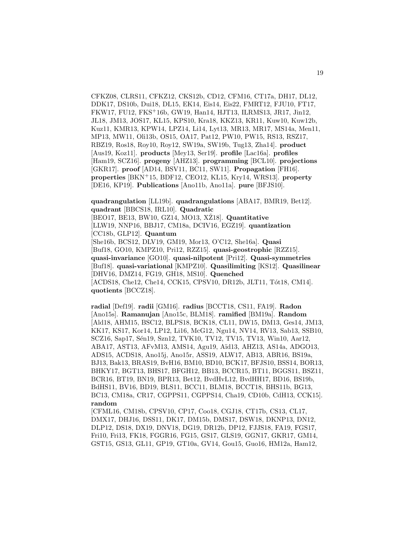CFKZ08, CLRS11, CFKZ12, CKS12b, CD12, CFM16, CT17a, DH17, DL12, DDK17, DS10b, Dui18, DL15, EK14, Eis14, Eis22, FMRT12, FJU10, FT17, FKW17, FU12, FKS<sup>+</sup>16b, GW19, Han14, HJT13, ILRMS13, JR17, Jin12, JL18, JM13, JOS17, KL15, KPS10, Kra18, KKZ13, KR11, Kuw10, Kuw12b, Kuz11, KMR13, KPW14, LPZ14, Li14, Lyt13, MR13, MR17, MS14a, Men11, MP13, MW11, Oli13b, OS15, OA17, Pat12, PW10, PW15, RS13, RSZ17, RBZ19, Ros18, Roy10, Roy12, SW19a, SW19b, Tug13, Zha14]. **product** [Aus19, Koz11]. **products** [Mey13, Ser19]. **profile** [Lac16a]. **profiles** [Ham19, SCZ16]. **progeny** [AHZ13]. **programming** [BCL10]. **projections** [GKR17]. **proof** [AD14, BSV11, BC11, SW11]. **Propagation** [FH16]. **properties** [BKN<sup>+</sup>15, BDF12, CEO12, KL15, Kry14, WRS13]. **property** [DE16, KP19]. **Publications** [Ano11b, Ano11a]. **pure** [BFJS10].

**quadrangulation** [LL19b]. **quadrangulations** [ABA17, BMR19, Bet12]. **quadrant** [BBCS18, IRL10]. **Quadratic** [BEO17, BE13, BW10, GZ14, MO13, XZ18]. **Quantitative** [LLW19, NNP16, BBJ17, CM18a, DCIV16, EGZ19]. **quantization** [CC18b, GLP12]. **Quantum** [She16b, BCS12, DLV19, GM19, Mor13, O'C12, She16a]. **Quasi** [Buf18, GO10, KMPZ10, Pri12, RZZ15]. **quasi-geostrophic** [RZZ15]. **quasi-invariance** [GO10]. **quasi-nilpotent** [Pri12]. **Quasi-symmetries** [Buf18]. **quasi-variational** [KMPZ10]. **Quasilimiting** [KS12]. **Quasilinear** [DHV16, DMZ14, FG19, GH18, MS10]. **Quenched** [ACDS18, Che12, Che14, CCK15, CPSV10, DR12b, JLT11, Tót18, CM14]. **quotients** [BCCZ18].

**radial** [Def19]. **radii** [GM16]. **radius** [BCCT18, CS11, FA19]. **Radon** [Ano15s]. **Ramanujan** [Ano15c, BLM18]. **ramified** [BM19a]. **Random** [Ald18, AHM15, BSC12, BLPS18, BCK18, CL11, DW15, DM13, Ges14, JM13, KK17, KS17, Kor14, LP12, Li16, McG12, Ngu14, NV14, RV13, Sab13, SSB10, SCZ16, Sap17, Sén19, Szn12, TVK10, TV12, TV15, TV13, Win10, Aar12, ABA17, AST13, AFvM13, AMS14, Agu19, A¨ıd13, AHZ13, AS14a, ADGO13, ADS15, ACDS18, Ano15j, Ano15r, ASS19, ALW17, AB13, ABR16, BS19a, BJ13, Bak13, BRAS19, BvH16, BM10, BD10, BCK17, BFJS10, BSS14, BOR13, BHKY17, BGT13, BHS17, BFGH12, BB13, BCCR15, BT11, BGGS11, BSZ11, BCR16, BT19, BN19, BPR13, Bet12, BvdHvL12, BvdHH17, BD16, BS19b, BdHS11, BV16, BD19, BLS11, BCC11, BLM18, BCCT18, BHS11b, BG13, BC13, CM18a, CR17, CGPPS11, CGPPS14, Cha19, CD10b, CdH13, CCK15]. **random**

[CFML16, CM18b, CPSV10, CP17, Coo18, CGJ18, CT17b, CS13, CL17, DMX17, DHJ16, DSS11, DK17, DM15b, DMS17, DSW18, DKNP13, DN12, DLP12, DS18, DX19, DNV18, DG19, DR12b, DP12, FJJS18, FA19, FGS17, Fri10, Fri13, FK18, FGGR16, FG15, GS17, GLS19, GGN17, GKR17, GM14, GST15, GS13, GL11, GP19, GT10a, GV14, Gou15, Guo16, HM12a, Ham12,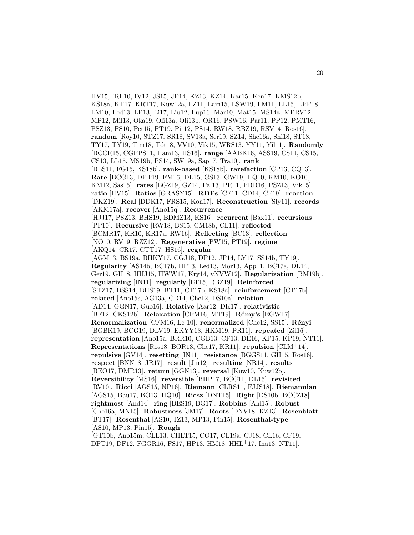HV15, IRL10, IV12, JS15, JP14, KZ13, KZ14, Kar15, Ken17, KMS12b, KS18a, KT17, KRT17, Kuw12a, LZ11, Lam15, LSW19, LM11, LL15, LPP18, LM10, Led13, LP13, Li17, Liu12, Lup16, Mar10, Mat15, MS14a, MPRV12, MP12, Mil13, Oka19, Oli13a, Oli13b, OR16, PSW16, Par11, PP12, PMT16, PSZ13, PS10, Pet15, PT19, Pit12, PS14, RW18, RBZ19, RSV14, Ros16]. **random** [Roy10, STZ17, SR18, SV13a, Ser19, SZ14, She16a, Shi18, ST18, TY17, TY19, Tim18, Tót18, VV10, Vik15, WRS13, YY11, Yil11]. **Randomly** [BCCR15, CGPPS11, Ham13, HS16]. **range** [AABK16, ASS19, CS11, CS15, CS13, LL15, MS19b, PS14, SW19a, Sap17, Tra10]. **rank** [BLS11, FG15, KS18b]. **rank-based** [KS18b]. **rarefaction** [CP13, CQ13]. **Rate** [BCG13, DPT19, FM16, DL15, GS13, GW19, HQ10, KM10, KO10, KM12, Sas15]. **rates** [EGZ19, GZ14, Pal13, PR11, PRR16, PSZ13, Vik15]. **ratio** [HV15]. **Ratios** [GRASY15]. **RDEs** [CF11, CD14, CF19]. **reaction** [DKZ19]. **Real** [DDK17, FRS15, Kon17]. **Reconstruction** [Sly11]. **records** [AKM17a]. **recover** [Ano15q]. **Recurrence** [HJJ17, PSZ13, BHS19, BDMZ13, KS16]. **recurrent** [Bax11]. **recursions** [PP10]. **Recursive** [RW18, BS15, CM18b, CL11]. **reflected** [BCMR17, KR10, KR17a, RW16]. **Reflecting** [BC13]. **reflection** [NO10, RV19, RZZ12]. ¨ **Regenerative** [PW15, PT19]. **regime** [AKQ14, CR17, CTT17, HS16]. **regular** [AGM13, BS19a, BHKY17, CGJ18, DP12, JP14, LY17, SS14b, TY19]. **Regularity** [AS14b, BC17b, HP13, Led13, Mor13, App11, BC17a, DL14, Ger19, GH18, HHJ15, HWW17, Kry14, vNVW12]. **Regularization** [BM19b]. **regularizing** [IN11]. **regularly** [LT15, RBZ19]. **Reinforced** [STZ17, BSS14, BHS19, BT11, CT17b, KS18a]. **reinforcement** [CT17b]. **related** [Ano15s, AG13a, CD14, Che12, DS10a]. **relation** [AD14, GGN17, Guo16]. **Relative** [Aar12, DK17]. **relativistic** [BF12, CKS12b]. **Relaxation** [CFM16, MT19]. **R´emy's** [EGW17]. **Renormalization** [CFM16, Le 10]. **renormalized** [Che12, SS15]. **R´enyi** [BGBK19, BCG19, DLV19, EKYY13, HKM19, PR11]. **repeated** [Zil16]. **representation** [Ano15a, BRR10, CGB13, CF13, DE16, KP15, KP19, NT11]. **Representations** [Ros18, BOR13, Che17, KR11]. **repulsion** [CLM<sup>+</sup>14]. **repulsive** [GV14]. **resetting** [IN11]. **resistance** [BGGS11, GH15, Ros16]. **respect** [BNN18, JR17]. **result** [Jin12]. **resulting** [NR14]. **results** [BEO17, DMR13]. **return** [GGN13]. **reversal** [Kuw10, Kuw12b]. **Reversibility** [MS16]. **reversible** [BHP17, BCC11, DL15]. **revisited** [RV10]. **Ricci** [AGS15, NP16]. **Riemann** [CLRS11, FJJS18]. **Riemannian** [AGS15, Bau17, BO13, HQ10]. **Riesz** [DNT15]. **Right** [DS10b, BCCZ18]. **rightmost** [And14]. **ring** [BES19, BG17]. **Robbins** [Ahl15]. **Robust** [Che16a, MN15]. **Robustness** [JM17]. **Roots** [DNV18, KZ13]. **Rosenblatt** [BT17]. **Rosenthal** [AS10, JZ13, MP13, Pin15]. **Rosenthal-type** [AS10, MP13, Pin15]. **Rough** [GT10b, Ano15m, CLL13, CHLT15, CO17, CL19a, CJ18, CL16, CF19,

DPT19, DF12, FGGR16, FS17, HP13, HM18, HHL<sup>+</sup>17, Ina13, NT11].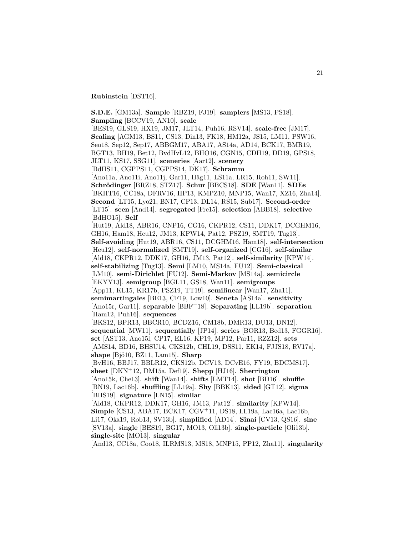**Rubinstein** [DST16].

**S.D.E.** [GM13a]. **Sample** [RBZ19, FJ19]. **samplers** [MS13, PS18]. **Sampling** [BCCV19, AN10]. **scale** [BES19, GLS19, HX19, JM17, JLT14, Puh16, RSV14]. **scale-free** [JM17]. **Scaling** [AGM13, BS11, CS13, Din13, FK18, HM12a, JS15, LM11, PSW16, Seo18, Sep12, Sep17, ABBGM17, ABA17, AS14a, AD14, BCK17, BMR19, BGT13, BH19, Bet12, BvdHvL12, BHO16, CGN15, CDH19, DD19, GPS18, JLT11, KS17, SSG11]. **sceneries** [Aar12]. **scenery** [BdHS11, CGPPS11, CGPPS14, DK17]. **Schramm** [Ano11a, Ano11i, Ano11j, Gar11, Häg11, LS11a, LR15, Roh11, SW11]. **Schr¨odinger** [BRZ18, STZ17]. **Schur** [BBCS18]. **SDE** [Wan11]. **SDEs** [BKHT16, CC18a, DFRV16, HP13, KMPZ10, MNP15, Wan17, XZ16, Zha14]. **Second** [LT15, Lyo21, BN17, CP13, DL14, RS15, Sub17]. **Second-order** [LT15]. **seen** [And14]. **segregated** [Fre15]. **selection** [ABB18]. **selective** [BdHO15]. **Self** [Hut19, Ald18, ABR16, CNP16, CG16, CKPR12, CS11, DDK17, DCGHM16, GH16, Ham18, Heu12, JM13, KPW14, Pat12, PSZ19, SMT19, Tug13]. **Self-avoiding** [Hut19, ABR16, CS11, DCGHM16, Ham18]. **self-intersection** [Heu12]. **self-normalized** [SMT19]. **self-organized** [CG16]. **self-similar** [Ald18, CKPR12, DDK17, GH16, JM13, Pat12]. **self-similarity** [KPW14]. **self-stabilizing** [Tug13]. **Semi** [LM10, MS14a, FU12]. **Semi-classical** [LM10]. **semi-Dirichlet** [FU12]. **Semi-Markov** [MS14a]. **semicircle** [EKYY13]. **semigroup** [BGL11, GS18, Wan11]. **semigroups** [App11, KL15, KR17b, PSZ19, TT19]. **semilinear** [Wan17, Zha11]. **semimartingales** [BE13, CF19, Low10]. **Seneta** [AS14a]. **sensitivity** [Ano15r, Gar11]. **separable** [BBF<sup>+</sup>18]. **Separating** [LL19b]. **separation** [Ham12, Puh16]. **sequences** [BKS12, BPR13, BBCR10, BCDZ16, CM18b, DMR13, DU13, DN12]. **sequential** [MW11]. **sequentially** [JP14]. **series** [BOR13, Bed13, FGGR16]. **set** [AST13, Ano15l, CP17, EL16, KP19, MP12, Par11, RZZ12]. **sets** [AMS14, BD16, BHSU14, CKS12b, CHL19, DSS11, EK14, FJJS18, RV17a]. **shape** [Bjö10, BZ11, Lam15]. **Sharp** [BvH16, BBJ17, BBLR12, CKS12b, DCV13, DCvE16, FY19, BDCMS17]. **sheet** [DKN<sup>+</sup>12, DM15a, Def19]. **Shepp** [HJ16]. **Sherrington** [Ano15k, Che13]. **shift** [Wan14]. **shifts** [LMT14]. **shot** [BD16]. **shuffle** [BN19, Lac16b]. **shuffling** [LL19a]. **Shy** [BBK13]. **sided** [GT12]. **sigma** [BHS19]. **signature** [LN15]. **similar** [Ald18, CKPR12, DDK17, GH16, JM13, Pat12]. **similarity** [KPW14]. **Simple** [CS13, ABA17, BCK17, CGV<sup>+</sup>11, DS18, LL19a, Lac16a, Lac16b, Li17, Oka19, Rob13, SV13b]. **simplified** [AD14]. **Sinai** [CV13, QS16]. **sine** [SV13a]. **single** [BES19, BG17, MO13, Oli13b]. **single-particle** [Oli13b]. **single-site** [MO13]. **singular** [And13, CC18a, Coo18, ILRMS13, MS18, MNP15, PP12, Zha11]. **singularity**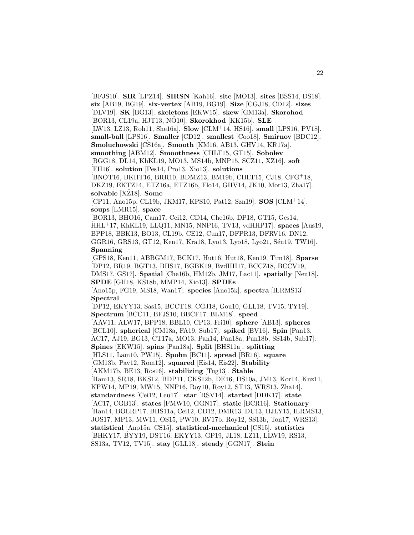[BFJS10]. **SIR** [LPZ14]. **SIRSN** [Kah16]. **site** [MO13]. **sites** [BSS14, DS18]. **six** [AB19, BG19]. **six-vertex** [AB19, BG19]. **Size** [CGJ18, CD12]. **sizes** [DLV19]. **SK** [BG13]. **skeletons** [EKW15]. **skew** [GM13a]. **Skorohod** [BOR13, CL19a, HJT13, NÖ10]. **Skorokhod** [KK15b]. **SLE** [LW13, LZ13, Roh11, She16a]. **Slow** [CLM<sup>+</sup>14, HS16]. **small** [LPS16, PV18]. **small-ball** [LPS16]. **Smaller** [CD12]. **smallest** [Coo18]. **Smirnov** [BDC12]. **Smoluchowski** [CS16a]. **Smooth** [KM16, AB13, GHV14, KR17a]. **smoothing** [ABM12]. **Smoothness** [CHLT15, GT15]. **Sobolev** [BGG18, DL14, KhKL19, MO13, MS14b, MNP15, SCZ11, XZ16]. **soft** [FH16]. **solution** [Pes14, Pro13, Xio13]. **solutions** [BNOT16, BKHT16, BRR10, BDMZ13, BM19b, CHLT15, CJ18, CFG<sup>+</sup>18, DKZ19, EKTZ14, ETZ16a, ETZ16b, Flo14, GHV14, JK10, Mor13, Zha17]. solvable<sup>[XŽ18]</sup>. Some [CP11, Ano15p, CL19b, JKM17, KPS10, Pat12, Szn19]. **SOS** [CLM<sup>+</sup>14]. **soups** [LMR15]. **space** [BOR13, BHO16, Cam17, Cei12, CD14, Che16b, DP18, GT15, Ges14, HHL<sup>+</sup>17, KhKL19, LLQ11, MN15, NNP16, TV13, vdHHP17]. **spaces** [Aus19, BPP18, BBK13, BO13, CL19b, CE12, Cun17, DFPR13, DFRV16, DN12, GGR16, GRS13, GT12, Ken17, Kra18, Lyo13, Lyo18, Lyo21, Sén19, TW16]. **Spanning** [GPS18, Ken11, ABBGM17, BCK17, Hut16, Hut18, Ken19, Tim18]. **Sparse** [DP12, BR19, BGT13, BHS17, BGBK19, BvdHH17, BCCZ18, BCCV19, DMS17, GS17]. **Spatial** [Che16b, HM12b, JM17, Lac11]. **spatially** [Neu18]. **SPDE** [GH18, KS18b, MMP14, Xio13]. **SPDEs** [Ano15p, FG19, MS18, Wan17]. **species** [Ano15k]. **spectra** [ILRMS13]. **Spectral** [DP12, EKYY13, Sas15, BCCT18, CGJ18, Gou10, GLL18, TV15, TY19]. **Spectrum** [BCC11, BFJS10, BBCF17, BLM18]. **speed** [AAV11, ALW17, BPP18, BBL10, CP13, Fri10]. **sphere** [AB13]. **spheres** [BCL10]. **spherical** [CM18a, FA19, Sub17]. **spiked** [BV16]. **Spin** [Pan13, AC17, AJ19, BG13, CT17a, MO13, Pan14, Pan18a, Pan18b, SS14b, Sub17]. **Spines** [EKW15]. **spins** [Pan18a]. **Split** [BHS11a]. **splitting** [HLS11, Lam10, PW15]. **Spohn** [BC11]. **spread** [BR16]. **square** [GM13b, Pav12, Rom12]. **squared** [Eis14, Eis22]. **Stability** [AKM17b, BE13, Ros16]. **stabilizing** [Tug13]. **Stable** [Ham13, SR18, BKS12, BDP11, CKS12b, DE16, DS10a, JM13, Kor14, Kuz11, KPW14, MP19, MW15, NNP16, Roy10, Roy12, ST13, WRS13, Zha14]. **standardness** [Cei12, Leu17]. **star** [RSV14]. **started** [DDK17]. **state** [AC17, CGB13]. **states** [FMW10, GGN17]. **static** [BCR16]. **Stationary** [Han14, BOLRP17, BHS11a, Cei12, CD12, DMR13, DU13, HJLY15, ILRMS13, JOS17, MP13, MW11, OS15, PW10, RV17b, Roy12, SS13b, Ton17, WRS13]. **statistical** [Ano15a, CS15]. **statistical-mechanical** [CS15]. **statistics** [BHKY17, BYY19, DST16, EKYY13, GP19, JL18, LZ11, LLW19, RS13, SS13a, TV12, TV15]. **stay** [GLL18]. **steady** [GGN17]. **Stein**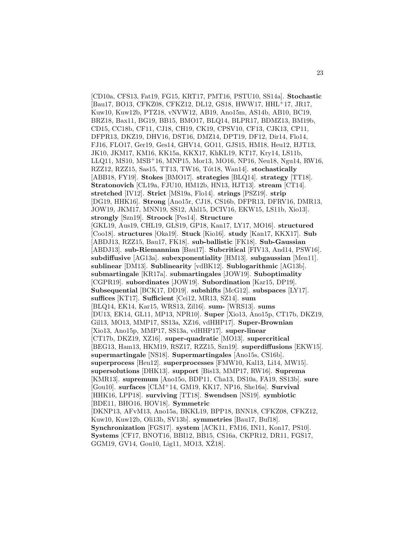[CD10a, CFS13, Fat19, FG15, KRT17, PMT16, PSTU10, SS14a]. **Stochastic** [Bau17, BO13, CFKZ08, CFKZ12, DL12, GS18, HWW17, HHL<sup>+</sup>17, JR17, Kuw10, Kuw12b, PTZ18, vNVW12, AB19, Ano15m, AS14b, AB10, BC19, BRZ18, Bax11, BG19, BB15, BMO17, BLQ14, BLPR17, BDMZ13, BM19b, CD15, CC18b, CF11, CJ18, CH19, CK19, CPSV10, CF13, CJK13, CP11, DFPR13, DKZ19, DHV16, DST16, DMZ14, DPT19, DF12, Dir14, Flo14, FJ16, FLO17, Ger19, Ges14, GHV14, GO11, GJS15, HM18, Heu12, HJT13, JK10, JKM17, KM16, KK15a, KKX17, KhKL19, KT17, Kry14, LS11b, LLQ11, MS10, MSB<sup>+</sup>16, MNP15, Mor13, MO16, NP16, Neu18, Ngu14, RW16, RZZ12, RZZ15, Sas15, TT13, TW16, Tót18, Wan14]. **stochastically** [ABB18, FY19]. **Stokes** [BMO17]. **strategies** [BLQ14]. **strategy** [TT18]. **Stratonovich** [CL19a, FJU10, HM12b, HN13, HJT13]. **stream** [CT14]. **stretched** [IV12]. **Strict** [MS19a, Flo14]. **strings** [PSZ19]. **strip** [DG19, HHK16]. **Strong** [Ano15r, CJ18, CS16b, DFPR13, DFRV16, DMR13, JOW19, JKM17, MNN19, SS12, Ahl15, DCIV16, EKW15, LS11b, Xio13]. **strongly** [Szn19]. **Stroock** [Pes14]. **Structure** [GKL19, Aus19, CHL19, GLS19, GP18, Kan17, LY17, MO16]. **structured** [Coo18]. **structures** [Oka19]. **Stuck** [Kio16]. **study** [Kan17, KKX17]. **Sub** [ABDJ13, RZZ15, Bau17, FK18]. **sub-ballistic** [FK18]. **Sub-Gaussian** [ABDJ13]. **sub-Riemannian** [Bau17]. **Subcritical** [FIV13, And14, PSW16]. **subdiffusive** [AG13a]. **subexponentiality** [HM13]. **subgaussian** [Men11]. **sublinear** [DM13]. **Sublinearity** [vdBK12]. **Sublogarithmic** [AG13b]. **submartingale** [KR17a]. **submartingales** [JOW19]. **Suboptimality** [CGPR19]. **subordinates** [JOW19]. **Subordination** [Kar15, DP19]. **Subsequential** [BCK17, DD19]. **subshifts** [McG12]. **subspaces** [LY17]. **suffices** [KT17]. **Sufficient** [Cei12, MR13, SZ14]. **sum** [BLQ14, EK14, Kar15, WRS13, Zil16]. **sum-** [WRS13]. **sums** [DU13, EK14, GL11, MP13, NPR10]. **Super** [Xio13, Ano15p, CT17b, DKZ19, Gil13, MO13, MMP17, SS13a, XZ16, vdHHP17]. **Super-Brownian** [Xio13, Ano15p, MMP17, SS13a, vdHHP17]. **super-linear** [CT17b, DKZ19, XZ16]. **super-quadratic** [MO13]. **supercritical** [BEG13, Ham13, HKM19, RSZ17, RZZ15, Szn19]. **superdiffusions** [EKW15]. **supermartingale** [NS18]. **Supermartingales** [Ano15s, CS16b]. **superprocess** [Heu12]. **superprocesses** [FMW10, Kal13, Li14, MW15]. **supersolutions** [DHK13]. **support** [Bis13, MMP17, RW16]. **Suprema** [KMR13]. **supremum** [Ano15o, BDP11, Cha13, DS10a, FA19, SS13b]. **sure** [Gou10]. **surfaces** [CLM<sup>+</sup>14, GM19, KK17, NP16, She16a]. **Survival** [HHK16, LPP18]. **surviving** [TT18]. **Swendsen** [NS19]. **symbiotic** [BDE11, BHO16, HOV18]. **Symmetric** [DKNP13, AFvM13, Ano15a, BKKL19, BPP18, BNN18, CFKZ08, CFKZ12, Kuw10, Kuw12b, Oli13b, SV13b]. **symmetries** [Bau17, Buf18]. **Synchronization** [FGS17]. **system** [ACK11, FM16, IN11, Kon17, PS10]. **Systems** [CF17, BNOT16, BBI12, BB15, CS16a, CKPR12, DR11, FGS17,  $GGM19, GV14, Gou10, Lig11, MO13, XZ18$ .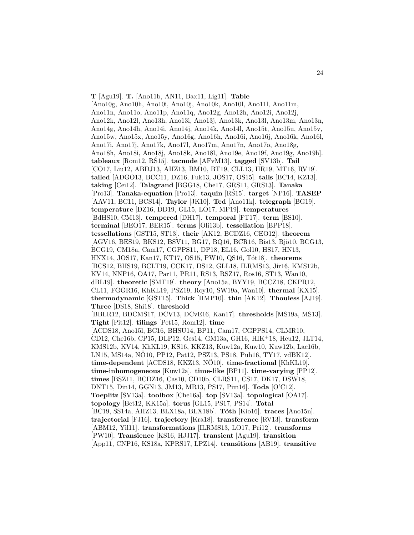**T** [Agu19]. **T.** [Ano11b, AN11, Bax11, Lig11]. **Table** [Ano10g, Ano10h, Ano10i, Ano10j, Ano10k, Ano10l, Ano11l, Ano11m, Ano11n, Ano11o, Ano11p, Ano11q, Ano12g, Ano12h, Ano12i, Ano12j, Ano12k, Ano12l, Ano13h, Ano13i, Ano13j, Ano13k, Ano13l, Ano13m, Ano13n, Ano14g, Ano14h, Ano14i, Ano14j, Ano14k, Ano14l, Ano15t, Ano15u, Ano15v, Ano15w, Ano15x, Ano15y, Ano16g, Ano16h, Ano16i, Ano16j, Ano16k, Ano16l, Ano17i, Ano17j, Ano17k, Ano17l, Ano17m, Ano17n, Ano17o, Ano18g, Ano18h, Ano18i, Ano18j, Ano18k, Ano18l, Ano19e, Ano19f, Ano19g, Ano19h]. **tableaux** [Rom12, RS15]. ´ **tacnode** [AFvM13]. **tagged** [SV13b]. **Tail** [CO17, Liu12, ABDJ13, AHZ13, BM10, BT19, CLL13, HR19, MT16, RV19]. **tailed** [ADGO13, BCC11, DZ16, Fuk13, JOS17, OS15]. **tails** [BC14, KZ13]. **taking** [Cei12]. **Talagrand** [BGG18, Che17, GRS11, GRS13]. **Tanaka** [Pro13]. **Tanaka-equation** [Pro13]. **taquin** [RS15]. ´ **target** [NP16]. **TASEP** [AAV11, BC11, BCS14]. **Taylor** [JK10]. **Ted** [Ano11k]. **telegraph** [BG19]. **temperature** [DZ16, DD19, GL15, LO17, MP19]. **temperatures** [BdHS10, CM13]. **tempered** [DH17]. **temporal** [FT17]. **term** [BS10]. **terminal** [BEO17, BER15]. **terms** [Oli13b]. **tessellation** [BPP18]. **tessellations** [GST15, ST13]. **their** [AK12, BCDZ16, CEO12]. **theorem** [AGV16, BES19, BKS12, BSV11, BG17, BQ16, BCR16, Bis13, Bjö10, BCG13, BCG19, CM18a, Cam17, CGPPS11, DP18, EL16, Gol10, HS17, HN13, HNX14, JOS17, Kan17, KT17, OS15, PW10, QS16, T´ot18]. **theorems** [BCS12, BHS19, BCLT19, CCK17, DS12, GLL18, ILRMS13, Jir16, KMS12b, KV14, NNP16, OA17, Par11, PR11, RS13, RSZ17, Ros16, ST13, Wan10, dBL19]. **theoretic** [SMT19]. **theory** [Ano15a, BYY19, BCCZ18, CKPR12, CL11, FGGR16, KhKL19, PSZ19, Roy10, SW19a, Wan10]. **thermal** [KX15]. **thermodynamic** [GST15]. **Thick** [HMP10]. **thin** [AK12]. **Thouless** [AJ19]. **Three** [DS18, Shi18]. **threshold** [BBLR12, BDCMS17, DCV13, DCvE16, Kan17]. **thresholds** [MS19a, MS13]. **Tight** [Pit12]. **tilings** [Pet15, Rom12]. **time** [ACDS18, Ano15l, BC16, BHSU14, BP11, Cam17, CGPPS14, CLMR10, CD12, Che16b, CP15, DLP12, Ges14, GM13a, GH16, HIK<sup>+</sup>18, Heu12, JLT14, KMS12b, KV14, KhKL19, KS16, KKZ13, Kuw12a, Kuw10, Kuw12b, Lac16b, LN15, MS14a, NO10, PP12, Pat12, PSZ13, PS18, Puh16, TY17, vdBK12]. ¨ **time-dependent** [ACDS18, KKZ13, NO10]. **time-fractional** [KhKL19]. **time-inhomogeneous** [Kuw12a]. **time-like** [BP11]. **time-varying** [PP12]. **times** [BSZ11, BCDZ16, Cas10, CD10b, CLRS11, CS17, DK17, DSW18, DNT15, Din14, GGN13, JM13, MR13, PS17, Pim16]. **Toda** [O'C12]. **Toeplitz** [SV13a]. **toolbox** [Che16a]. **top** [SV13a]. **topological** [OA17]. **topology** [Bet12, KK15a]. **torus** [GL15, PS17, PS14]. **Total** [BC19, SS14a, AHZ13, BLX18a, BLX18b]. **T´oth** [Kio16]. **traces** [Ano15n]. **trajectorial** [FJ16]. **trajectory** [Kra18]. **transference** [RV13]. **transform** [ABM12, Yil11]. **transformations** [ILRMS13, LO17, Pri12]. **transforms** [PW10]. **Transience** [KS16, HJJ17]. **transient** [Agu19]. **transition** [App11, CNP16, KS18a, KPRS17, LPZ14]. **transitions** [AB19]. **transitive**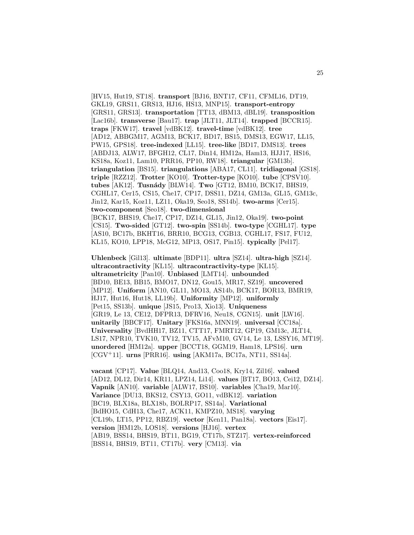[HV15, Hut19, ST18]. **transport** [BJ16, BNT17, CF11, CFML16, DT19, GKL19, GRS11, GRS13, HJ16, HS13, MNP15]. **transport-entropy** [GRS11, GRS13]. **transportation** [TT13, dBM13, dBL19]. **transposition** [Lac16b]. **transverse** [Bau17]. **trap** [JLT11, JLT14]. **trapped** [BCCR15]. **traps** [FKW17]. **travel** [vdBK12]. **travel-time** [vdBK12]. **tree** [AD12, ABBGM17, AGM13, BCK17, BD17, BS15, DMS13, EGW17, LL15, PW15, GPS18]. **tree-indexed** [LL15]. **tree-like** [BD17, DMS13]. **trees** [ABDJ13, ALW17, BFGH12, CL17, Din14, HM12a, Ham13, HJJ17, HS16, KS18a, Koz11, Lam10, PRR16, PP10, RW18]. **triangular** [GM13b]. **triangulation** [BS15]. **triangulations** [ABA17, CL11]. **tridiagonal** [GS18]. **triple** [RZZ12]. **Trotter** [KO10]. **Trotter-type** [KO10]. **tube** [CPSV10]. **tubes** [AK12]. **Tusn´ady** [BLW14]. **Two** [GT12, BM10, BCK17, BHS19, CGHL17, Cer15, CS15, Che17, CP17, DSS11, DZ14, GM13a, GL15, GM13c, Jin12, Kar15, Koz11, LZ11, Oka19, Seo18, SS14b]. **two-arms** [Cer15]. **two-component** [Seo18]. **two-dimensional** [BCK17, BHS19, Che17, CP17, DZ14, GL15, Jin12, Oka19]. **two-point** [CS15]. **Two-sided** [GT12]. **two-spin** [SS14b]. **two-type** [CGHL17]. **type** [AS10, BC17b, BKHT16, BRR10, BCG13, CGB13, CGHL17, FS17, FU12, KL15, KO10, LPP18, McG12, MP13, OS17, Pin15]. **typically** [Pel17].

**Uhlenbeck** [Gil13]. **ultimate** [BDP11]. **ultra** [SZ14]. **ultra-high** [SZ14]. **ultracontractivity** [KL15]. **ultracontractivity-type** [KL15]. **ultrametricity** [Pan10]. **Unbiased** [LMT14]. **unbounded** [BD10, BE13, BB15, BMO17, DN12, Gou15, MR17, SZ19]. **uncovered** [MP12]. **Uniform** [AN10, GL11, MO13, AS14b, BCK17, BOR13, BMR19, HJ17, Hut16, Hut18, LL19b]. **Uniformity** [MP12]. **uniformly** [Pet15, SS13b]. **unique** [JS15, Pro13, Xio13]. **Uniqueness** [GR19, Le 13, CE12, DFPR13, DFRV16, Neu18, CGN15]. **unit** [LW16]. **unitarily** [BBCF17]. **Unitary** [FKS16a, MNN19]. **universal** [CC18a]. **Universality** [BvdHH17, BZ11, CTT17, FMRT12, GP19, GM13c, JLT14, LS17, NPR10, TVK10, TV12, TV15, AFvM10, GV14, Le 13, LSSY16, MT19]. **unordered** [HM12a]. **upper** [BCCT18, GGM19, Ham18, LPS16]. **urn** [CGV<sup>+</sup>11]. **urns** [PRR16]. **using** [AKM17a, BC17a, NT11, SS14a].

**vacant** [CP17]. **Value** [BLQ14, And13, Coo18, Kry14, Zil16]. **valued** [AD12, DL12, Dir14, KR11, LPZ14, Li14]. **values** [BT17, BO13, Cei12, DZ14]. **Vapnik** [AN10]. **variable** [ALW17, BS10]. **variables** [Cha19, Mar10]. **Variance** [DU13, BKS12, CSY13, GO11, vdBK12]. **variation** [BC19, BLX18a, BLX18b, BOLRP17, SS14a]. **Variational** [BdHO15, CdH13, Che17, ACK11, KMPZ10, MS18]. **varying** [CL19b, LT15, PP12, RBZ19]. **vector** [Ken11, Pan18a]. **vectors** [Eis17]. **version** [HM12b, LOS18]. **versions** [HJ16]. **vertex** [AB19, BSS14, BHS19, BT11, BG19, CT17b, STZ17]. **vertex-reinforced** [BSS14, BHS19, BT11, CT17b]. **very** [CM13]. **via**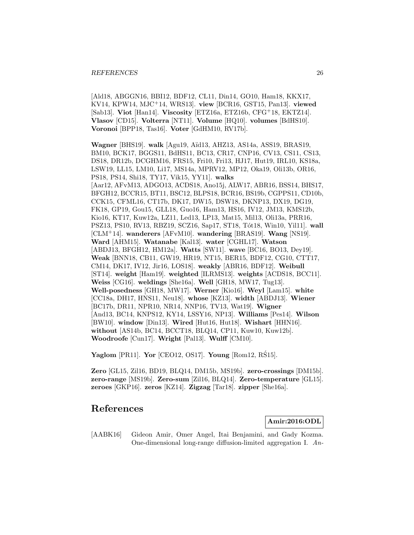[Ald18, ABGGN16, BBI12, BDF12, CL11, Din14, GO10, Ham18, KKX17, KV14, KPW14, MJC<sup>+</sup>14, WRS13]. **view** [BCR16, GST15, Pan13]. **viewed** [Sab13]. **Viot** [Han14]. **Viscosity** [ETZ16a, ETZ16b, CFG<sup>+</sup>18, EKTZ14]. **Vlasov** [CD15]. **Volterra** [NT11]. **Volume** [HQ10]. **volumes** [BdHS10]. **Voronoi** [BPP18, Tas16]. **Voter** [GdHM10, RV17b].

**Wagner** [BHS19]. **walk** [Agu19, A¨ıd13, AHZ13, AS14a, ASS19, BRAS19, BM10, BCK17, BGGS11, BdHS11, BC13, CR17, CNP16, CV13, CS11, CS13, DS18, DR12b, DCGHM16, FRS15, Fri10, Fri13, HJ17, Hut19, IRL10, KS18a, LSW19, LL15, LM10, Li17, MS14a, MPRV12, MP12, Oka19, Oli13b, OR16, PS18, PS14, Shi18, TY17, Vik15, YY11]. **walks** [Aar12, AFvM13, ADGO13, ACDS18, Ano15j, ALW17, ABR16, BSS14, BHS17, BFGH12, BCCR15, BT11, BSC12, BLPS18, BCR16, BS19b, CGPPS11, CD10b, CCK15, CFML16, CT17b, DK17, DW15, DSW18, DKNP13, DX19, DG19, FK18, GP19, Gou15, GLL18, Guo16, Ham13, HS16, IV12, JM13, KMS12b, Kio16, KT17, Kuw12a, LZ11, Led13, LP13, Mat15, Mil13, Oli13a, PRR16, PSZ13, PS10, RV13, RBZ19, SCZ16, Sap17, ST18, Tót18, Win10, Yil11]. wall [CLM<sup>+</sup>14]. **wanderers** [AFvM10]. **wandering** [BRAS19]. **Wang** [NS19]. **Ward** [AHM15]. **Watanabe** [Kal13]. **water** [CGHL17]. **Watson** [ABDJ13, BFGH12, HM12a]. **Watts** [SW11]. **wave** [BC16, BO13, Dey19]. **Weak** [BNN18, CB11, GW19, HR19, NT15, BER15, BDF12, CG10, CTT17, CM14, DK17, IV12, Jir16, LOS18]. **weakly** [ABR16, BDF12]. **Weibull** [ST14]. **weight** [Ham19]. **weighted** [ILRMS13]. **weights** [ACDS18, BCC11]. **Weiss** [CG16]. **weldings** [She16a]. **Well** [GH18, MW17, Tug13]. **Well-posedness** [GH18, MW17]. **Werner** [Kio16]. **Weyl** [Lam15]. **white** [CC18a, DH17, HNS11, Neu18]. **whose** [KZ13]. **width** [ABDJ13]. **Wiener** [BC17b, DR11, NPR10, NR14, NNP16, TV13, Wat19]. **Wigner** [And13, BC14, KNPS12, KY14, LSSY16, NP13]. **Williams** [Pes14]. **Wilson** [BW10]. **window** [Din13]. **Wired** [Hut16, Hut18]. **Wishart** [HHN16]. **without** [AS14b, BC14, BCCT18, BLQ14, CP11, Kuw10, Kuw12b]. **Woodroofe** [Cun17]. **Wright** [Pal13]. **Wulff** [CM10].

**Yaglom** [PR11]. **Yor** [CEO12, OS17]. **Young** [Rom12, RS15].

**Zero** [GL15, Zil16, BD19, BLQ14, DM15b, MS19b]. **zero-crossings** [DM15b]. **zero-range** [MS19b]. **Zero-sum** [Zil16, BLQ14]. **Zero-temperature** [GL15]. **zeroes** [GKP16]. **zeros** [KZ14]. **Zigzag** [Tar18]. **zipper** [She16a].

## **References**

**Amir:2016:ODL**

[AABK16] Gideon Amir, Omer Angel, Itai Benjamini, and Gady Kozma. One-dimensional long-range diffusion-limited aggregation I. An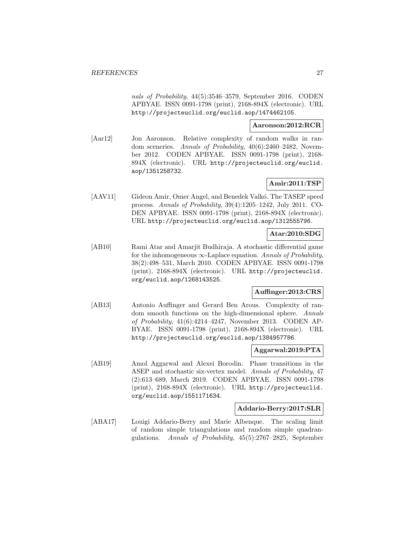nals of Probability, 44(5):3546–3579, September 2016. CODEN APBYAE. ISSN 0091-1798 (print), 2168-894X (electronic). URL http://projecteuclid.org/euclid.aop/1474462105.

### **Aaronson:2012:RCR**

[Aar12] Jon Aaronson. Relative complexity of random walks in random sceneries. Annals of Probability, 40(6):2460–2482, November 2012. CODEN APBYAE. ISSN 0091-1798 (print), 2168- 894X (electronic). URL http://projecteuclid.org/euclid. aop/1351258732.

### **Amir:2011:TSP**

[AAV11] Gideon Amir, Omer Angel, and Benedek Valkó. The TASEP speed process. Annals of Probability, 39(4):1205–1242, July 2011. CO-DEN APBYAE. ISSN 0091-1798 (print), 2168-894X (electronic). URL http://projecteuclid.org/euclid.aop/1312555796.

### **Atar:2010:SDG**

[AB10] Rami Atar and Amarjit Budhiraja. A stochastic differential game for the inhomogeneous  $\infty$ -Laplace equation. Annals of Probability, 38(2):498–531, March 2010. CODEN APBYAE. ISSN 0091-1798 (print), 2168-894X (electronic). URL http://projecteuclid. org/euclid.aop/1268143525.

### **Auffinger:2013:CRS**

[AB13] Antonio Auffinger and Gerard Ben Arous. Complexity of random smooth functions on the high-dimensional sphere. Annals of Probability, 41(6):4214–4247, November 2013. CODEN AP-BYAE. ISSN 0091-1798 (print), 2168-894X (electronic). URL http://projecteuclid.org/euclid.aop/1384957786.

#### **Aggarwal:2019:PTA**

[AB19] Amol Aggarwal and Alexei Borodin. Phase transitions in the ASEP and stochastic six-vertex model. Annals of Probability, 47 (2):613–689, March 2019. CODEN APBYAE. ISSN 0091-1798 (print), 2168-894X (electronic). URL http://projecteuclid. org/euclid.aop/1551171634.

### **Addario-Berry:2017:SLR**

[ABA17] Louigi Addario-Berry and Marie Albenque. The scaling limit of random simple triangulations and random simple quadrangulations. Annals of Probability, 45(5):2767–2825, September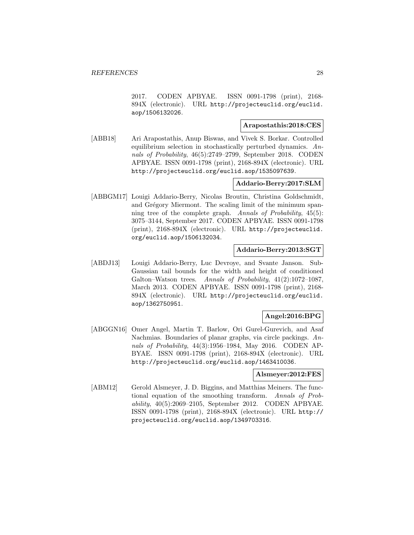2017. CODEN APBYAE. ISSN 0091-1798 (print), 2168- 894X (electronic). URL http://projecteuclid.org/euclid. aop/1506132026.

### **Arapostathis:2018:CES**

[ABB18] Ari Arapostathis, Anup Biswas, and Vivek S. Borkar. Controlled equilibrium selection in stochastically perturbed dynamics. Annals of Probability, 46(5):2749–2799, September 2018. CODEN APBYAE. ISSN 0091-1798 (print), 2168-894X (electronic). URL http://projecteuclid.org/euclid.aop/1535097639.

### **Addario-Berry:2017:SLM**

[ABBGM17] Louigi Addario-Berry, Nicolas Broutin, Christina Goldschmidt, and Grégory Miermont. The scaling limit of the minimum spanning tree of the complete graph. Annals of Probability, 45(5): 3075–3144, September 2017. CODEN APBYAE. ISSN 0091-1798 (print), 2168-894X (electronic). URL http://projecteuclid. org/euclid.aop/1506132034.

### **Addario-Berry:2013:SGT**

[ABDJ13] Louigi Addario-Berry, Luc Devroye, and Svante Janson. Sub-Gaussian tail bounds for the width and height of conditioned Galton–Watson trees. Annals of Probability, 41(2):1072–1087, March 2013. CODEN APBYAE. ISSN 0091-1798 (print), 2168- 894X (electronic). URL http://projecteuclid.org/euclid. aop/1362750951.

### **Angel:2016:BPG**

[ABGGN16] Omer Angel, Martin T. Barlow, Ori Gurel-Gurevich, and Asaf Nachmias. Boundaries of planar graphs, via circle packings. Annals of Probability, 44(3):1956–1984, May 2016. CODEN AP-BYAE. ISSN 0091-1798 (print), 2168-894X (electronic). URL http://projecteuclid.org/euclid.aop/1463410036.

### **Alsmeyer:2012:FES**

[ABM12] Gerold Alsmeyer, J. D. Biggins, and Matthias Meiners. The functional equation of the smoothing transform. Annals of Probability, 40(5):2069–2105, September 2012. CODEN APBYAE. ISSN 0091-1798 (print), 2168-894X (electronic). URL http:// projecteuclid.org/euclid.aop/1349703316.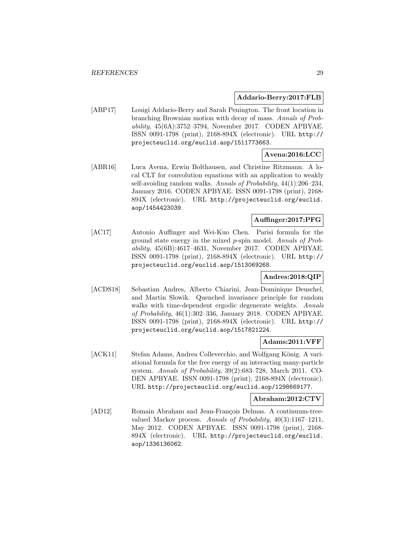### **Addario-Berry:2017:FLB**

[ABP17] Louigi Addario-Berry and Sarah Penington. The front location in branching Brownian motion with decay of mass. Annals of Probability, 45(6A):3752–3794, November 2017. CODEN APBYAE. ISSN 0091-1798 (print), 2168-894X (electronic). URL http:// projecteuclid.org/euclid.aop/1511773663.

### **Avena:2016:LCC**

[ABR16] Luca Avena, Erwin Bolthausen, and Christine Ritzmann. A local CLT for convolution equations with an application to weakly self-avoiding random walks. Annals of Probability, 44(1):206–234, January 2016. CODEN APBYAE. ISSN 0091-1798 (print), 2168- 894X (electronic). URL http://projecteuclid.org/euclid. aop/1454423039.

### **Auffinger:2017:PFG**

[AC17] Antonio Auffinger and Wei-Kuo Chen. Parisi formula for the ground state energy in the mixed p-spin model. Annals of Probability, 45(6B):4617–4631, November 2017. CODEN APBYAE. ISSN 0091-1798 (print), 2168-894X (electronic). URL http:// projecteuclid.org/euclid.aop/1513069268.

### **Andres:2018:QIP**

[ACDS18] Sebastian Andres, Alberto Chiarini, Jean-Dominique Deuschel, and Martin Slowik. Quenched invariance principle for random walks with time-dependent ergodic degenerate weights. Annals of Probability, 46(1):302–336, January 2018. CODEN APBYAE. ISSN 0091-1798 (print), 2168-894X (electronic). URL http:// projecteuclid.org/euclid.aop/1517821224.

### **Adams:2011:VFF**

[ACK11] Stefan Adams, Andrea Collevecchio, and Wolfgang König. A variational formula for the free energy of an interacting many-particle system. Annals of Probability, 39(2):683–728, March 2011. CO-DEN APBYAE. ISSN 0091-1798 (print), 2168-894X (electronic). URL http://projecteuclid.org/euclid.aop/1298669177.

### **Abraham:2012:CTV**

[AD12] Romain Abraham and Jean-François Delmas. A continuum-treevalued Markov process. Annals of Probability, 40(3):1167–1211, May 2012. CODEN APBYAE. ISSN 0091-1798 (print), 2168- 894X (electronic). URL http://projecteuclid.org/euclid. aop/1336136062.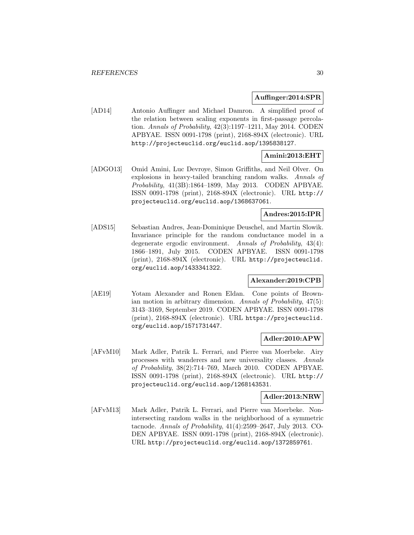#### **Auffinger:2014:SPR**

[AD14] Antonio Auffinger and Michael Damron. A simplified proof of the relation between scaling exponents in first-passage percolation. Annals of Probability, 42(3):1197–1211, May 2014. CODEN APBYAE. ISSN 0091-1798 (print), 2168-894X (electronic). URL http://projecteuclid.org/euclid.aop/1395838127.

### **Amini:2013:EHT**

[ADGO13] Omid Amini, Luc Devroye, Simon Griffiths, and Neil Olver. On explosions in heavy-tailed branching random walks. Annals of Probability, 41(3B):1864–1899, May 2013. CODEN APBYAE. ISSN 0091-1798 (print), 2168-894X (electronic). URL http:// projecteuclid.org/euclid.aop/1368637061.

### **Andres:2015:IPR**

[ADS15] Sebastian Andres, Jean-Dominique Deuschel, and Martin Slowik. Invariance principle for the random conductance model in a degenerate ergodic environment. Annals of Probability, 43(4): 1866–1891, July 2015. CODEN APBYAE. ISSN 0091-1798 (print), 2168-894X (electronic). URL http://projecteuclid. org/euclid.aop/1433341322.

### **Alexander:2019:CPB**

[AE19] Yotam Alexander and Ronen Eldan. Cone points of Brownian motion in arbitrary dimension. Annals of Probability, 47(5): 3143–3169, September 2019. CODEN APBYAE. ISSN 0091-1798 (print), 2168-894X (electronic). URL https://projecteuclid. org/euclid.aop/1571731447.

### **Adler:2010:APW**

[AFvM10] Mark Adler, Patrik L. Ferrari, and Pierre van Moerbeke. Airy processes with wanderers and new universality classes. Annals of Probability, 38(2):714–769, March 2010. CODEN APBYAE. ISSN 0091-1798 (print), 2168-894X (electronic). URL http:// projecteuclid.org/euclid.aop/1268143531.

### **Adler:2013:NRW**

[AFvM13] Mark Adler, Patrik L. Ferrari, and Pierre van Moerbeke. Nonintersecting random walks in the neighborhood of a symmetric tacnode. Annals of Probability, 41(4):2599–2647, July 2013. CO-DEN APBYAE. ISSN 0091-1798 (print), 2168-894X (electronic). URL http://projecteuclid.org/euclid.aop/1372859761.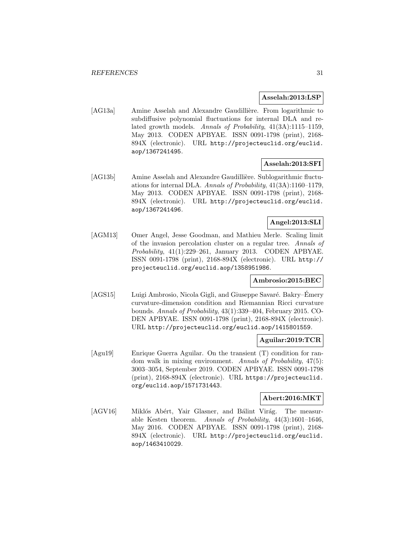#### **Asselah:2013:LSP**

[AG13a] Amine Asselah and Alexandre Gaudillière. From logarithmic to subdiffusive polynomial fluctuations for internal DLA and related growth models. Annals of Probability, 41(3A):1115–1159, May 2013. CODEN APBYAE. ISSN 0091-1798 (print), 2168- 894X (electronic). URL http://projecteuclid.org/euclid. aop/1367241495.

### **Asselah:2013:SFI**

[AG13b] Amine Asselah and Alexandre Gaudillière. Sublogarithmic fluctuations for internal DLA. Annals of Probability, 41(3A):1160–1179, May 2013. CODEN APBYAE. ISSN 0091-1798 (print), 2168- 894X (electronic). URL http://projecteuclid.org/euclid. aop/1367241496.

### **Angel:2013:SLI**

[AGM13] Omer Angel, Jesse Goodman, and Mathieu Merle. Scaling limit of the invasion percolation cluster on a regular tree. Annals of Probability, 41(1):229–261, January 2013. CODEN APBYAE. ISSN 0091-1798 (print), 2168-894X (electronic). URL http:// projecteuclid.org/euclid.aop/1358951986.

### **Ambrosio:2015:BEC**

[AGS15] Luigi Ambrosio, Nicola Gigli, and Giuseppe Savaré. Bakry–Émery curvature-dimension condition and Riemannian Ricci curvature bounds. Annals of Probability, 43(1):339–404, February 2015. CO-DEN APBYAE. ISSN 0091-1798 (print), 2168-894X (electronic). URL http://projecteuclid.org/euclid.aop/1415801559.

### **Aguilar:2019:TCR**

[Agu19] Enrique Guerra Aguilar. On the transient (T) condition for random walk in mixing environment. Annals of Probability, 47(5): 3003–3054, September 2019. CODEN APBYAE. ISSN 0091-1798 (print), 2168-894X (electronic). URL https://projecteuclid. org/euclid.aop/1571731443.

#### **Abert:2016:MKT**

[AGV16] Miklós Abért, Yair Glasner, and Bálint Virág. The measurable Kesten theorem. Annals of Probability, 44(3):1601–1646, May 2016. CODEN APBYAE. ISSN 0091-1798 (print), 2168- 894X (electronic). URL http://projecteuclid.org/euclid. aop/1463410029.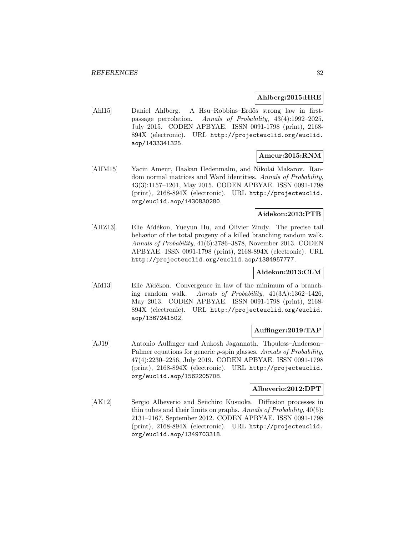### **Ahlberg:2015:HRE**

[Ahl15] Daniel Ahlberg. A Hsu–Robbins–Erdős strong law in firstpassage percolation. Annals of Probability, 43(4):1992–2025, July 2015. CODEN APBYAE. ISSN 0091-1798 (print), 2168- 894X (electronic). URL http://projecteuclid.org/euclid. aop/1433341325.

### **Ameur:2015:RNM**

[AHM15] Yacin Ameur, Haakan Hedenmalm, and Nikolai Makarov. Random normal matrices and Ward identities. Annals of Probability, 43(3):1157–1201, May 2015. CODEN APBYAE. ISSN 0091-1798 (print), 2168-894X (electronic). URL http://projecteuclid. org/euclid.aop/1430830280.

### **Aidekon:2013:PTB**

[AHZ13] Elie Aïdékon, Yueyun Hu, and Olivier Zindy. The precise tail behavior of the total progeny of a killed branching random walk. Annals of Probability, 41(6):3786–3878, November 2013. CODEN APBYAE. ISSN 0091-1798 (print), 2168-894X (electronic). URL http://projecteuclid.org/euclid.aop/1384957777.

### **Aidekon:2013:CLM**

[Aïd13] Elie Aïdékon. Convergence in law of the minimum of a branching random walk. Annals of Probability, 41(3A):1362–1426, May 2013. CODEN APBYAE. ISSN 0091-1798 (print), 2168- 894X (electronic). URL http://projecteuclid.org/euclid. aop/1367241502.

### **Auffinger:2019:TAP**

[AJ19] Antonio Auffinger and Aukosh Jagannath. Thouless–Anderson– Palmer equations for generic *p*-spin glasses. Annals of Probability, 47(4):2230–2256, July 2019. CODEN APBYAE. ISSN 0091-1798 (print), 2168-894X (electronic). URL http://projecteuclid. org/euclid.aop/1562205708.

### **Albeverio:2012:DPT**

[AK12] Sergio Albeverio and Seiichiro Kusuoka. Diffusion processes in thin tubes and their limits on graphs. Annals of Probability, 40(5): 2131–2167, September 2012. CODEN APBYAE. ISSN 0091-1798 (print), 2168-894X (electronic). URL http://projecteuclid. org/euclid.aop/1349703318.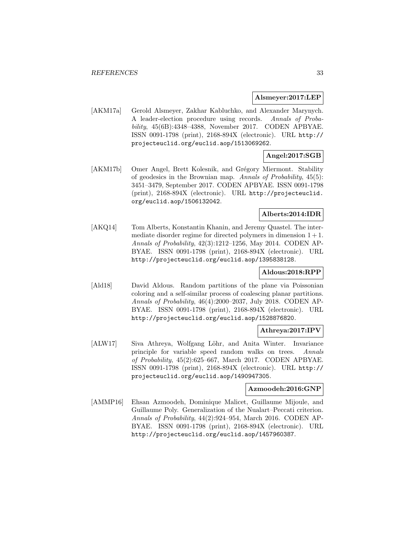#### **Alsmeyer:2017:LEP**

[AKM17a] Gerold Alsmeyer, Zakhar Kabluchko, and Alexander Marynych. A leader-election procedure using records. Annals of Probability, 45(6B):4348–4388, November 2017. CODEN APBYAE. ISSN 0091-1798 (print), 2168-894X (electronic). URL http:// projecteuclid.org/euclid.aop/1513069262.

### **Angel:2017:SGB**

[AKM17b] Omer Angel, Brett Kolesnik, and Grégory Miermont. Stability of geodesics in the Brownian map. Annals of Probability, 45(5): 3451–3479, September 2017. CODEN APBYAE. ISSN 0091-1798 (print), 2168-894X (electronic). URL http://projecteuclid. org/euclid.aop/1506132042.

### **Alberts:2014:IDR**

[AKQ14] Tom Alberts, Konstantin Khanin, and Jeremy Quastel. The intermediate disorder regime for directed polymers in dimension  $1 + 1$ . Annals of Probability, 42(3):1212–1256, May 2014. CODEN AP-BYAE. ISSN 0091-1798 (print), 2168-894X (electronic). URL http://projecteuclid.org/euclid.aop/1395838128.

### **Aldous:2018:RPP**

[Ald18] David Aldous. Random partitions of the plane via Poissonian coloring and a self-similar process of coalescing planar partitions. Annals of Probability, 46(4):2000–2037, July 2018. CODEN AP-BYAE. ISSN 0091-1798 (print), 2168-894X (electronic). URL http://projecteuclid.org/euclid.aop/1528876820.

### **Athreya:2017:IPV**

[ALW17] Siva Athreya, Wolfgang Löhr, and Anita Winter. Invariance principle for variable speed random walks on trees. Annals of Probability, 45(2):625–667, March 2017. CODEN APBYAE. ISSN 0091-1798 (print), 2168-894X (electronic). URL http:// projecteuclid.org/euclid.aop/1490947305.

### **Azmoodeh:2016:GNP**

[AMMP16] Ehsan Azmoodeh, Dominique Malicet, Guillaume Mijoule, and Guillaume Poly. Generalization of the Nualart–Peccati criterion. Annals of Probability, 44(2):924–954, March 2016. CODEN AP-BYAE. ISSN 0091-1798 (print), 2168-894X (electronic). URL http://projecteuclid.org/euclid.aop/1457960387.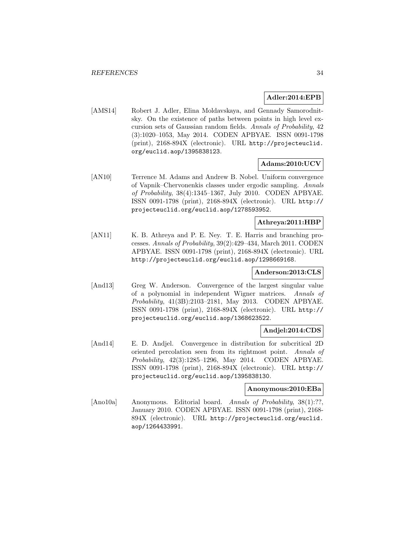### **Adler:2014:EPB**

[AMS14] Robert J. Adler, Elina Moldavskaya, and Gennady Samorodnitsky. On the existence of paths between points in high level excursion sets of Gaussian random fields. Annals of Probability, 42 (3):1020–1053, May 2014. CODEN APBYAE. ISSN 0091-1798 (print), 2168-894X (electronic). URL http://projecteuclid. org/euclid.aop/1395838123.

### **Adams:2010:UCV**

[AN10] Terrence M. Adams and Andrew B. Nobel. Uniform convergence of Vapnik–Chervonenkis classes under ergodic sampling. Annals of Probability, 38(4):1345–1367, July 2010. CODEN APBYAE. ISSN 0091-1798 (print), 2168-894X (electronic). URL http:// projecteuclid.org/euclid.aop/1278593952.

### **Athreya:2011:HBP**

[AN11] K. B. Athreya and P. E. Ney. T. E. Harris and branching processes. Annals of Probability, 39(2):429–434, March 2011. CODEN APBYAE. ISSN 0091-1798 (print), 2168-894X (electronic). URL http://projecteuclid.org/euclid.aop/1298669168.

### **Anderson:2013:CLS**

[And13] Greg W. Anderson. Convergence of the largest singular value of a polynomial in independent Wigner matrices. Annals of Probability, 41(3B):2103–2181, May 2013. CODEN APBYAE. ISSN 0091-1798 (print), 2168-894X (electronic). URL http:// projecteuclid.org/euclid.aop/1368623522.

### **Andjel:2014:CDS**

[And14] E. D. Andjel. Convergence in distribution for subcritical 2D oriented percolation seen from its rightmost point. Annals of Probability, 42(3):1285–1296, May 2014. CODEN APBYAE. ISSN 0091-1798 (print), 2168-894X (electronic). URL http:// projecteuclid.org/euclid.aop/1395838130.

### **Anonymous:2010:EBa**

[Ano10a] Anonymous. Editorial board. Annals of Probability, 38(1):??, January 2010. CODEN APBYAE. ISSN 0091-1798 (print), 2168- 894X (electronic). URL http://projecteuclid.org/euclid. aop/1264433991.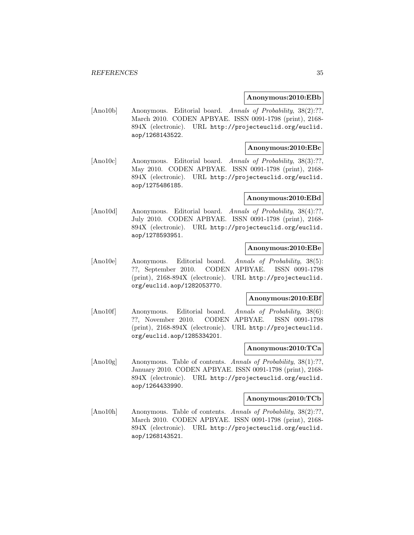#### **Anonymous:2010:EBb**

[Ano10b] Anonymous. Editorial board. Annals of Probability, 38(2):??, March 2010. CODEN APBYAE. ISSN 0091-1798 (print), 2168- 894X (electronic). URL http://projecteuclid.org/euclid. aop/1268143522.

### **Anonymous:2010:EBc**

[Ano10c] Anonymous. Editorial board. Annals of Probability, 38(3):??, May 2010. CODEN APBYAE. ISSN 0091-1798 (print), 2168- 894X (electronic). URL http://projecteuclid.org/euclid. aop/1275486185.

#### **Anonymous:2010:EBd**

[Ano10d] Anonymous. Editorial board. Annals of Probability, 38(4):??, July 2010. CODEN APBYAE. ISSN 0091-1798 (print), 2168- 894X (electronic). URL http://projecteuclid.org/euclid. aop/1278593951.

### **Anonymous:2010:EBe**

[Ano10e] Anonymous. Editorial board. Annals of Probability, 38(5): ??, September 2010. CODEN APBYAE. ISSN 0091-1798 (print), 2168-894X (electronic). URL http://projecteuclid. org/euclid.aop/1282053770.

#### **Anonymous:2010:EBf**

[Ano10f] Anonymous. Editorial board. Annals of Probability, 38(6): ??, November 2010. CODEN APBYAE. ISSN 0091-1798 (print), 2168-894X (electronic). URL http://projecteuclid. org/euclid.aop/1285334201.

### **Anonymous:2010:TCa**

[Ano10g] Anonymous. Table of contents. Annals of Probability, 38(1):??, January 2010. CODEN APBYAE. ISSN 0091-1798 (print), 2168- 894X (electronic). URL http://projecteuclid.org/euclid. aop/1264433990.

#### **Anonymous:2010:TCb**

[Ano10h] Anonymous. Table of contents. Annals of Probability, 38(2):??, March 2010. CODEN APBYAE. ISSN 0091-1798 (print), 2168- 894X (electronic). URL http://projecteuclid.org/euclid. aop/1268143521.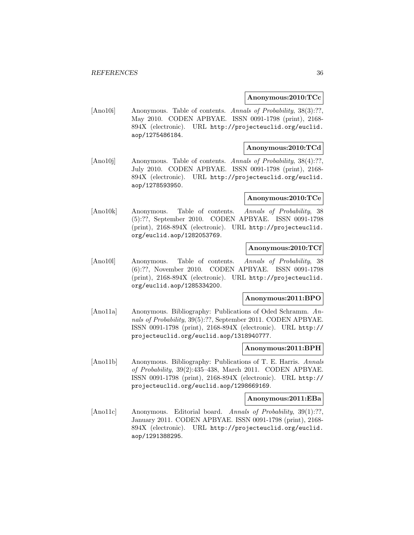#### **Anonymous:2010:TCc**

[Ano10i] Anonymous. Table of contents. Annals of Probability, 38(3):??, May 2010. CODEN APBYAE. ISSN 0091-1798 (print), 2168- 894X (electronic). URL http://projecteuclid.org/euclid. aop/1275486184.

### **Anonymous:2010:TCd**

[Ano10j] Anonymous. Table of contents. Annals of Probability, 38(4):??, July 2010. CODEN APBYAE. ISSN 0091-1798 (print), 2168- 894X (electronic). URL http://projecteuclid.org/euclid. aop/1278593950.

#### **Anonymous:2010:TCe**

[Ano10k] Anonymous. Table of contents. Annals of Probability, 38 (5):??, September 2010. CODEN APBYAE. ISSN 0091-1798 (print), 2168-894X (electronic). URL http://projecteuclid. org/euclid.aop/1282053769.

### **Anonymous:2010:TCf**

[Ano10l] Anonymous. Table of contents. Annals of Probability, 38 (6):??, November 2010. CODEN APBYAE. ISSN 0091-1798 (print), 2168-894X (electronic). URL http://projecteuclid. org/euclid.aop/1285334200.

### **Anonymous:2011:BPO**

[Ano11a] Anonymous. Bibliography: Publications of Oded Schramm. Annals of Probability, 39(5):??, September 2011. CODEN APBYAE. ISSN 0091-1798 (print), 2168-894X (electronic). URL http:// projecteuclid.org/euclid.aop/1318940777.

#### **Anonymous:2011:BPH**

[Ano11b] Anonymous. Bibliography: Publications of T. E. Harris. Annals of Probability, 39(2):435–438, March 2011. CODEN APBYAE. ISSN 0091-1798 (print), 2168-894X (electronic). URL http:// projecteuclid.org/euclid.aop/1298669169.

#### **Anonymous:2011:EBa**

[Ano11c] Anonymous. Editorial board. Annals of Probability, 39(1):??, January 2011. CODEN APBYAE. ISSN 0091-1798 (print), 2168- 894X (electronic). URL http://projecteuclid.org/euclid. aop/1291388295.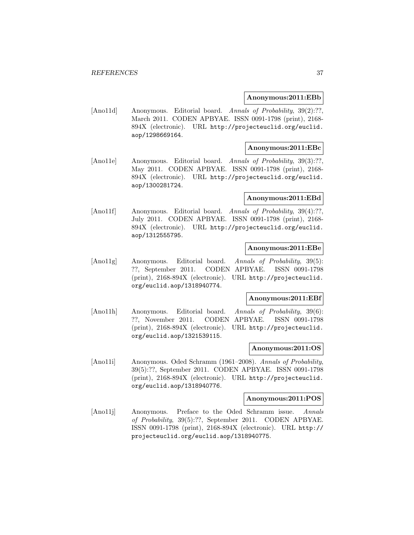#### **Anonymous:2011:EBb**

[Ano11d] Anonymous. Editorial board. Annals of Probability, 39(2):??, March 2011. CODEN APBYAE. ISSN 0091-1798 (print), 2168- 894X (electronic). URL http://projecteuclid.org/euclid. aop/1298669164.

## **Anonymous:2011:EBc**

[Ano11e] Anonymous. Editorial board. Annals of Probability, 39(3):??, May 2011. CODEN APBYAE. ISSN 0091-1798 (print), 2168- 894X (electronic). URL http://projecteuclid.org/euclid. aop/1300281724.

#### **Anonymous:2011:EBd**

[Ano11f] Anonymous. Editorial board. Annals of Probability, 39(4):??, July 2011. CODEN APBYAE. ISSN 0091-1798 (print), 2168- 894X (electronic). URL http://projecteuclid.org/euclid. aop/1312555795.

## **Anonymous:2011:EBe**

[Ano11g] Anonymous. Editorial board. Annals of Probability, 39(5): ??, September 2011. CODEN APBYAE. ISSN 0091-1798 (print), 2168-894X (electronic). URL http://projecteuclid. org/euclid.aop/1318940774.

#### **Anonymous:2011:EBf**

[Ano11h] Anonymous. Editorial board. Annals of Probability, 39(6): ??, November 2011. CODEN APBYAE. ISSN 0091-1798 (print), 2168-894X (electronic). URL http://projecteuclid. org/euclid.aop/1321539115.

## **Anonymous:2011:OS**

[Ano11i] Anonymous. Oded Schramm (1961–2008). Annals of Probability, 39(5):??, September 2011. CODEN APBYAE. ISSN 0091-1798 (print), 2168-894X (electronic). URL http://projecteuclid. org/euclid.aop/1318940776.

#### **Anonymous:2011:POS**

[Ano11j] Anonymous. Preface to the Oded Schramm issue. Annals of Probability, 39(5):??, September 2011. CODEN APBYAE. ISSN 0091-1798 (print), 2168-894X (electronic). URL http:// projecteuclid.org/euclid.aop/1318940775.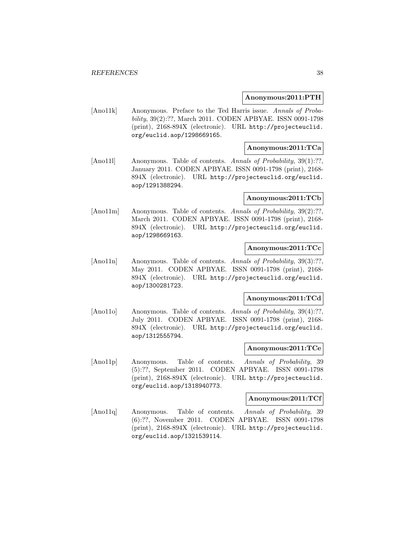#### **Anonymous:2011:PTH**

[Ano11k] Anonymous. Preface to the Ted Harris issue. Annals of Probability, 39(2):??, March 2011. CODEN APBYAE. ISSN 0091-1798 (print), 2168-894X (electronic). URL http://projecteuclid. org/euclid.aop/1298669165.

# **Anonymous:2011:TCa**

[Ano111] Anonymous. Table of contents. Annals of Probability, 39(1):??, January 2011. CODEN APBYAE. ISSN 0091-1798 (print), 2168- 894X (electronic). URL http://projecteuclid.org/euclid. aop/1291388294.

#### **Anonymous:2011:TCb**

[Ano11m] Anonymous. Table of contents. Annals of Probability, 39(2):??, March 2011. CODEN APBYAE. ISSN 0091-1798 (print), 2168- 894X (electronic). URL http://projecteuclid.org/euclid. aop/1298669163.

# **Anonymous:2011:TCc**

[Ano11n] Anonymous. Table of contents. Annals of Probability, 39(3):??, May 2011. CODEN APBYAE. ISSN 0091-1798 (print), 2168- 894X (electronic). URL http://projecteuclid.org/euclid. aop/1300281723.

## **Anonymous:2011:TCd**

[Ano11o] Anonymous. Table of contents. Annals of Probability, 39(4):??, July 2011. CODEN APBYAE. ISSN 0091-1798 (print), 2168- 894X (electronic). URL http://projecteuclid.org/euclid. aop/1312555794.

#### **Anonymous:2011:TCe**

[Ano11p] Anonymous. Table of contents. Annals of Probability, 39 (5):??, September 2011. CODEN APBYAE. ISSN 0091-1798 (print), 2168-894X (electronic). URL http://projecteuclid. org/euclid.aop/1318940773.

#### **Anonymous:2011:TCf**

[Ano11q] Anonymous. Table of contents. Annals of Probability, 39 (6):??, November 2011. CODEN APBYAE. ISSN 0091-1798 (print), 2168-894X (electronic). URL http://projecteuclid. org/euclid.aop/1321539114.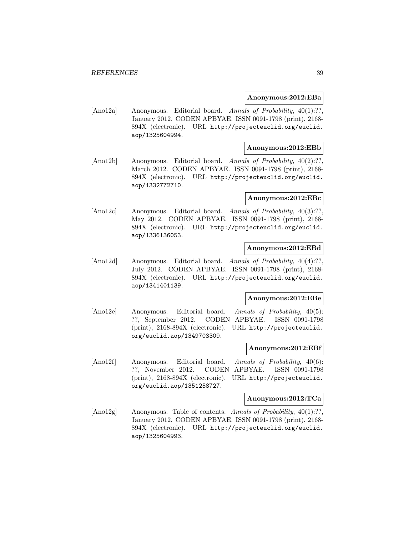#### **Anonymous:2012:EBa**

[Ano12a] Anonymous. Editorial board. Annals of Probability, 40(1):??, January 2012. CODEN APBYAE. ISSN 0091-1798 (print), 2168- 894X (electronic). URL http://projecteuclid.org/euclid. aop/1325604994.

## **Anonymous:2012:EBb**

[Ano12b] Anonymous. Editorial board. Annals of Probability, 40(2):??, March 2012. CODEN APBYAE. ISSN 0091-1798 (print), 2168- 894X (electronic). URL http://projecteuclid.org/euclid. aop/1332772710.

## **Anonymous:2012:EBc**

[Ano12c] Anonymous. Editorial board. Annals of Probability, 40(3):??, May 2012. CODEN APBYAE. ISSN 0091-1798 (print), 2168- 894X (electronic). URL http://projecteuclid.org/euclid. aop/1336136053.

## **Anonymous:2012:EBd**

[Ano12d] Anonymous. Editorial board. Annals of Probability, 40(4):??, July 2012. CODEN APBYAE. ISSN 0091-1798 (print), 2168- 894X (electronic). URL http://projecteuclid.org/euclid. aop/1341401139.

#### **Anonymous:2012:EBe**

[Ano12e] Anonymous. Editorial board. Annals of Probability, 40(5): ??, September 2012. CODEN APBYAE. ISSN 0091-1798 (print), 2168-894X (electronic). URL http://projecteuclid. org/euclid.aop/1349703309.

#### **Anonymous:2012:EBf**

[Ano12f] Anonymous. Editorial board. Annals of Probability, 40(6): ??, November 2012. CODEN APBYAE. ISSN 0091-1798 (print), 2168-894X (electronic). URL http://projecteuclid. org/euclid.aop/1351258727.

#### **Anonymous:2012:TCa**

[Ano12g] Anonymous. Table of contents. Annals of Probability, 40(1):??, January 2012. CODEN APBYAE. ISSN 0091-1798 (print), 2168- 894X (electronic). URL http://projecteuclid.org/euclid. aop/1325604993.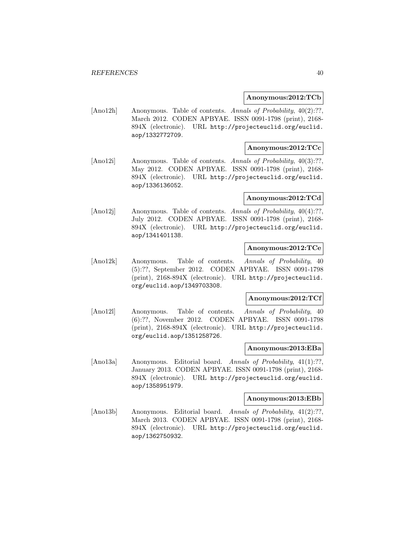#### **Anonymous:2012:TCb**

[Ano12h] Anonymous. Table of contents. Annals of Probability, 40(2):??, March 2012. CODEN APBYAE. ISSN 0091-1798 (print), 2168- 894X (electronic). URL http://projecteuclid.org/euclid. aop/1332772709.

## **Anonymous:2012:TCc**

[Ano12i] Anonymous. Table of contents. Annals of Probability, 40(3):??, May 2012. CODEN APBYAE. ISSN 0091-1798 (print), 2168- 894X (electronic). URL http://projecteuclid.org/euclid. aop/1336136052.

#### **Anonymous:2012:TCd**

[Ano12j] Anonymous. Table of contents. Annals of Probability, 40(4):??, July 2012. CODEN APBYAE. ISSN 0091-1798 (print), 2168- 894X (electronic). URL http://projecteuclid.org/euclid. aop/1341401138.

# **Anonymous:2012:TCe**

[Ano12k] Anonymous. Table of contents. Annals of Probability, 40 (5):??, September 2012. CODEN APBYAE. ISSN 0091-1798 (print), 2168-894X (electronic). URL http://projecteuclid. org/euclid.aop/1349703308.

#### **Anonymous:2012:TCf**

[Ano12l] Anonymous. Table of contents. Annals of Probability, 40 (6):??, November 2012. CODEN APBYAE. ISSN 0091-1798 (print), 2168-894X (electronic). URL http://projecteuclid. org/euclid.aop/1351258726.

#### **Anonymous:2013:EBa**

[Ano13a] Anonymous. Editorial board. Annals of Probability, 41(1):??, January 2013. CODEN APBYAE. ISSN 0091-1798 (print), 2168- 894X (electronic). URL http://projecteuclid.org/euclid. aop/1358951979.

#### **Anonymous:2013:EBb**

[Ano13b] Anonymous. Editorial board. Annals of Probability, 41(2):??, March 2013. CODEN APBYAE. ISSN 0091-1798 (print), 2168- 894X (electronic). URL http://projecteuclid.org/euclid. aop/1362750932.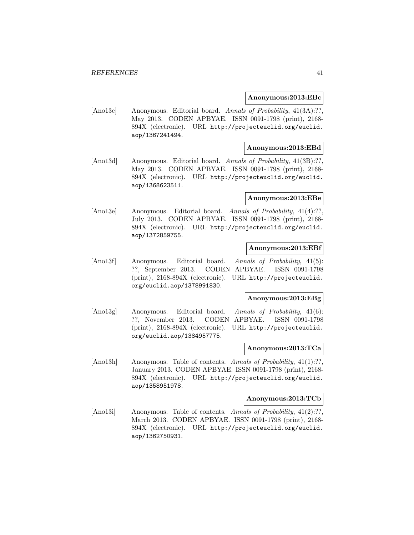#### **Anonymous:2013:EBc**

[Ano13c] Anonymous. Editorial board. Annals of Probability, 41(3A):??, May 2013. CODEN APBYAE. ISSN 0091-1798 (print), 2168- 894X (electronic). URL http://projecteuclid.org/euclid. aop/1367241494.

## **Anonymous:2013:EBd**

[Ano13d] Anonymous. Editorial board. Annals of Probability, 41(3B):??, May 2013. CODEN APBYAE. ISSN 0091-1798 (print), 2168- 894X (electronic). URL http://projecteuclid.org/euclid. aop/1368623511.

## **Anonymous:2013:EBe**

[Ano13e] Anonymous. Editorial board. Annals of Probability, 41(4):??, July 2013. CODEN APBYAE. ISSN 0091-1798 (print), 2168- 894X (electronic). URL http://projecteuclid.org/euclid. aop/1372859755.

## **Anonymous:2013:EBf**

[Ano13f] Anonymous. Editorial board. Annals of Probability, 41(5): ??, September 2013. CODEN APBYAE. ISSN 0091-1798 (print), 2168-894X (electronic). URL http://projecteuclid. org/euclid.aop/1378991830.

#### **Anonymous:2013:EBg**

[Ano13g] Anonymous. Editorial board. Annals of Probability, 41(6): ??, November 2013. CODEN APBYAE. ISSN 0091-1798 (print), 2168-894X (electronic). URL http://projecteuclid. org/euclid.aop/1384957775.

## **Anonymous:2013:TCa**

[Ano13h] Anonymous. Table of contents. Annals of Probability, 41(1):??, January 2013. CODEN APBYAE. ISSN 0091-1798 (print), 2168- 894X (electronic). URL http://projecteuclid.org/euclid. aop/1358951978.

#### **Anonymous:2013:TCb**

[Ano13i] Anonymous. Table of contents. Annals of Probability, 41(2):??, March 2013. CODEN APBYAE. ISSN 0091-1798 (print), 2168- 894X (electronic). URL http://projecteuclid.org/euclid. aop/1362750931.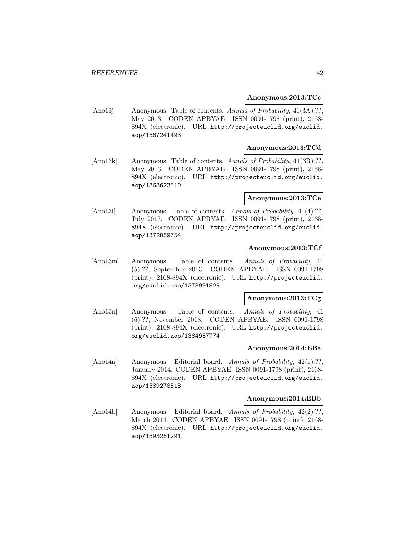#### **Anonymous:2013:TCc**

[Ano13] Anonymous. Table of contents. Annals of Probability, 41(3A):??, May 2013. CODEN APBYAE. ISSN 0091-1798 (print), 2168- 894X (electronic). URL http://projecteuclid.org/euclid. aop/1367241493.

# **Anonymous:2013:TCd**

[Ano13k] Anonymous. Table of contents. Annals of Probability, 41(3B):??, May 2013. CODEN APBYAE. ISSN 0091-1798 (print), 2168- 894X (electronic). URL http://projecteuclid.org/euclid. aop/1368623510.

#### **Anonymous:2013:TCe**

[Ano131] Anonymous. Table of contents. Annals of Probability, 41(4):??, July 2013. CODEN APBYAE. ISSN 0091-1798 (print), 2168- 894X (electronic). URL http://projecteuclid.org/euclid. aop/1372859754.

# **Anonymous:2013:TCf**

[Ano13m] Anonymous. Table of contents. Annals of Probability, 41 (5):??, September 2013. CODEN APBYAE. ISSN 0091-1798 (print), 2168-894X (electronic). URL http://projecteuclid. org/euclid.aop/1378991829.

#### **Anonymous:2013:TCg**

[Ano13n] Anonymous. Table of contents. Annals of Probability, 41 (6):??, November 2013. CODEN APBYAE. ISSN 0091-1798 (print), 2168-894X (electronic). URL http://projecteuclid. org/euclid.aop/1384957774.

#### **Anonymous:2014:EBa**

[Ano14a] Anonymous. Editorial board. Annals of Probability, 42(1):??, January 2014. CODEN APBYAE. ISSN 0091-1798 (print), 2168- 894X (electronic). URL http://projecteuclid.org/euclid. aop/1389278518.

#### **Anonymous:2014:EBb**

[Ano14b] Anonymous. Editorial board. Annals of Probability, 42(2):??, March 2014. CODEN APBYAE. ISSN 0091-1798 (print), 2168- 894X (electronic). URL http://projecteuclid.org/euclid. aop/1393251291.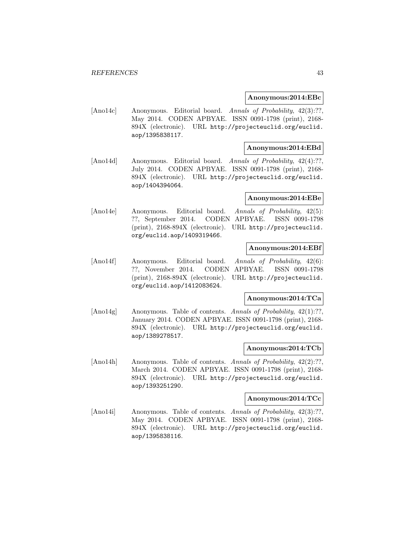#### **Anonymous:2014:EBc**

[Ano14c] Anonymous. Editorial board. Annals of Probability, 42(3):??, May 2014. CODEN APBYAE. ISSN 0091-1798 (print), 2168- 894X (electronic). URL http://projecteuclid.org/euclid. aop/1395838117.

#### **Anonymous:2014:EBd**

[Ano14d] Anonymous. Editorial board. Annals of Probability, 42(4):??, July 2014. CODEN APBYAE. ISSN 0091-1798 (print), 2168- 894X (electronic). URL http://projecteuclid.org/euclid. aop/1404394064.

#### **Anonymous:2014:EBe**

[Ano14e] Anonymous. Editorial board. Annals of Probability, 42(5): ??, September 2014. CODEN APBYAE. ISSN 0091-1798 (print), 2168-894X (electronic). URL http://projecteuclid. org/euclid.aop/1409319466.

## **Anonymous:2014:EBf**

[Ano14f] Anonymous. Editorial board. Annals of Probability, 42(6): ??, November 2014. CODEN APBYAE. ISSN 0091-1798 (print), 2168-894X (electronic). URL http://projecteuclid. org/euclid.aop/1412083624.

#### **Anonymous:2014:TCa**

[Ano14g] Anonymous. Table of contents. Annals of Probability, 42(1):??, January 2014. CODEN APBYAE. ISSN 0091-1798 (print), 2168- 894X (electronic). URL http://projecteuclid.org/euclid. aop/1389278517.

#### **Anonymous:2014:TCb**

[Ano14h] Anonymous. Table of contents. Annals of Probability, 42(2):??, March 2014. CODEN APBYAE. ISSN 0091-1798 (print), 2168- 894X (electronic). URL http://projecteuclid.org/euclid. aop/1393251290.

#### **Anonymous:2014:TCc**

[Ano14i] Anonymous. Table of contents. Annals of Probability, 42(3):??, May 2014. CODEN APBYAE. ISSN 0091-1798 (print), 2168- 894X (electronic). URL http://projecteuclid.org/euclid. aop/1395838116.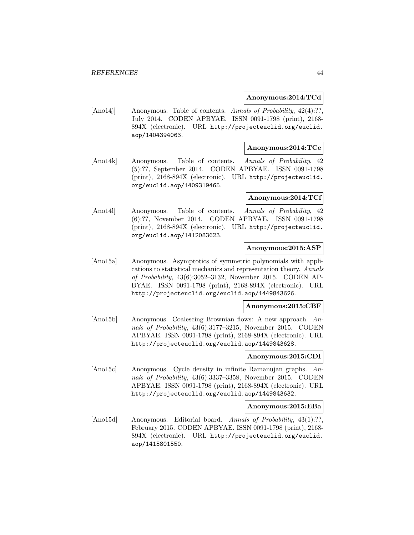### **Anonymous:2014:TCd**

[Ano14j] Anonymous. Table of contents. Annals of Probability, 42(4):??, July 2014. CODEN APBYAE. ISSN 0091-1798 (print), 2168- 894X (electronic). URL http://projecteuclid.org/euclid. aop/1404394063.

## **Anonymous:2014:TCe**

[Ano14k] Anonymous. Table of contents. Annals of Probability, 42 (5):??, September 2014. CODEN APBYAE. ISSN 0091-1798 (print), 2168-894X (electronic). URL http://projecteuclid. org/euclid.aop/1409319465.

#### **Anonymous:2014:TCf**

[Ano14l] Anonymous. Table of contents. Annals of Probability, 42 (6):??, November 2014. CODEN APBYAE. ISSN 0091-1798 (print), 2168-894X (electronic). URL http://projecteuclid. org/euclid.aop/1412083623.

# **Anonymous:2015:ASP**

[Ano15a] Anonymous. Asymptotics of symmetric polynomials with applications to statistical mechanics and representation theory. Annals of Probability, 43(6):3052–3132, November 2015. CODEN AP-BYAE. ISSN 0091-1798 (print), 2168-894X (electronic). URL http://projecteuclid.org/euclid.aop/1449843626.

#### **Anonymous:2015:CBF**

[Ano15b] Anonymous. Coalescing Brownian flows: A new approach. Annals of Probability, 43(6):3177–3215, November 2015. CODEN APBYAE. ISSN 0091-1798 (print), 2168-894X (electronic). URL http://projecteuclid.org/euclid.aop/1449843628.

# **Anonymous:2015:CDI**

[Ano15c] Anonymous. Cycle density in infinite Ramanujan graphs. Annals of Probability, 43(6):3337–3358, November 2015. CODEN APBYAE. ISSN 0091-1798 (print), 2168-894X (electronic). URL http://projecteuclid.org/euclid.aop/1449843632.

#### **Anonymous:2015:EBa**

[Ano15d] Anonymous. Editorial board. Annals of Probability, 43(1):??, February 2015. CODEN APBYAE. ISSN 0091-1798 (print), 2168- 894X (electronic). URL http://projecteuclid.org/euclid. aop/1415801550.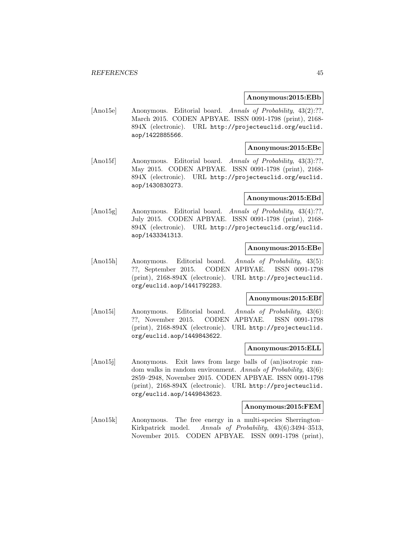#### **Anonymous:2015:EBb**

[Ano15e] Anonymous. Editorial board. Annals of Probability, 43(2):??, March 2015. CODEN APBYAE. ISSN 0091-1798 (print), 2168- 894X (electronic). URL http://projecteuclid.org/euclid. aop/1422885566.

## **Anonymous:2015:EBc**

[Ano15f] Anonymous. Editorial board. Annals of Probability, 43(3):??, May 2015. CODEN APBYAE. ISSN 0091-1798 (print), 2168- 894X (electronic). URL http://projecteuclid.org/euclid. aop/1430830273.

#### **Anonymous:2015:EBd**

[Ano15g] Anonymous. Editorial board. Annals of Probability, 43(4):??, July 2015. CODEN APBYAE. ISSN 0091-1798 (print), 2168- 894X (electronic). URL http://projecteuclid.org/euclid. aop/1433341313.

## **Anonymous:2015:EBe**

[Ano15h] Anonymous. Editorial board. Annals of Probability, 43(5): ??, September 2015. CODEN APBYAE. ISSN 0091-1798 (print), 2168-894X (electronic). URL http://projecteuclid. org/euclid.aop/1441792283.

#### **Anonymous:2015:EBf**

[Ano15i] Anonymous. Editorial board. Annals of Probability, 43(6): ??, November 2015. CODEN APBYAE. ISSN 0091-1798 (print), 2168-894X (electronic). URL http://projecteuclid. org/euclid.aop/1449843622.

## **Anonymous:2015:ELL**

[Ano15j] Anonymous. Exit laws from large balls of (an)isotropic random walks in random environment. Annals of Probability, 43(6): 2859–2948, November 2015. CODEN APBYAE. ISSN 0091-1798 (print), 2168-894X (electronic). URL http://projecteuclid. org/euclid.aop/1449843623.

# **Anonymous:2015:FEM**

[Ano15k] Anonymous. The free energy in a multi-species Sherrington– Kirkpatrick model. Annals of Probability, 43(6):3494–3513, November 2015. CODEN APBYAE. ISSN 0091-1798 (print),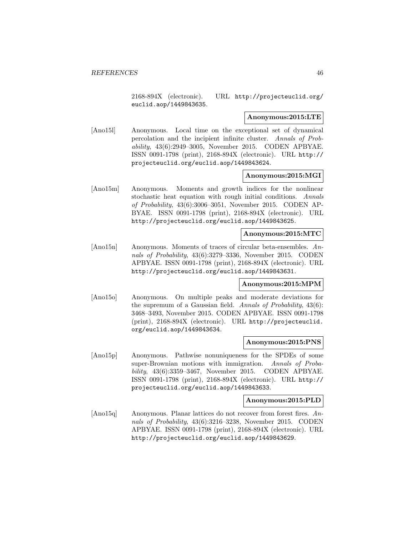2168-894X (electronic). URL http://projecteuclid.org/ euclid.aop/1449843635.

### **Anonymous:2015:LTE**

[Ano15l] Anonymous. Local time on the exceptional set of dynamical percolation and the incipient infinite cluster. Annals of Probability, 43(6):2949–3005, November 2015. CODEN APBYAE. ISSN 0091-1798 (print), 2168-894X (electronic). URL http:// projecteuclid.org/euclid.aop/1449843624.

## **Anonymous:2015:MGI**

[Ano15m] Anonymous. Moments and growth indices for the nonlinear stochastic heat equation with rough initial conditions. Annals of Probability, 43(6):3006–3051, November 2015. CODEN AP-BYAE. ISSN 0091-1798 (print), 2168-894X (electronic). URL http://projecteuclid.org/euclid.aop/1449843625.

### **Anonymous:2015:MTC**

[Ano15n] Anonymous. Moments of traces of circular beta-ensembles. Annals of Probability, 43(6):3279–3336, November 2015. CODEN APBYAE. ISSN 0091-1798 (print), 2168-894X (electronic). URL http://projecteuclid.org/euclid.aop/1449843631.

## **Anonymous:2015:MPM**

[Ano15o] Anonymous. On multiple peaks and moderate deviations for the supremum of a Gaussian field. Annals of Probability, 43(6): 3468–3493, November 2015. CODEN APBYAE. ISSN 0091-1798 (print), 2168-894X (electronic). URL http://projecteuclid. org/euclid.aop/1449843634.

#### **Anonymous:2015:PNS**

[Ano15p] Anonymous. Pathwise nonuniqueness for the SPDEs of some super-Brownian motions with immigration. Annals of Probability, 43(6):3359–3467, November 2015. CODEN APBYAE. ISSN 0091-1798 (print), 2168-894X (electronic). URL http:// projecteuclid.org/euclid.aop/1449843633.

### **Anonymous:2015:PLD**

[Ano15q] Anonymous. Planar lattices do not recover from forest fires. Annals of Probability, 43(6):3216–3238, November 2015. CODEN APBYAE. ISSN 0091-1798 (print), 2168-894X (electronic). URL http://projecteuclid.org/euclid.aop/1449843629.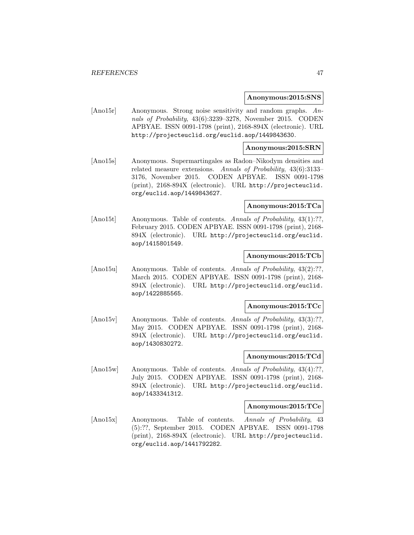#### **Anonymous:2015:SNS**

[Ano15r] Anonymous. Strong noise sensitivity and random graphs. Annals of Probability, 43(6):3239–3278, November 2015. CODEN APBYAE. ISSN 0091-1798 (print), 2168-894X (electronic). URL http://projecteuclid.org/euclid.aop/1449843630.

#### **Anonymous:2015:SRN**

[Ano15s] Anonymous. Supermartingales as Radon–Nikodym densities and related measure extensions. Annals of Probability, 43(6):3133– 3176, November 2015. CODEN APBYAE. ISSN 0091-1798 (print), 2168-894X (electronic). URL http://projecteuclid. org/euclid.aop/1449843627.

#### **Anonymous:2015:TCa**

[Ano15t] Anonymous. Table of contents. Annals of Probability, 43(1):??, February 2015. CODEN APBYAE. ISSN 0091-1798 (print), 2168- 894X (electronic). URL http://projecteuclid.org/euclid. aop/1415801549.

#### **Anonymous:2015:TCb**

[Ano15u] Anonymous. Table of contents. Annals of Probability, 43(2):??, March 2015. CODEN APBYAE. ISSN 0091-1798 (print), 2168- 894X (electronic). URL http://projecteuclid.org/euclid. aop/1422885565.

#### **Anonymous:2015:TCc**

[Ano15v] Anonymous. Table of contents. Annals of Probability, 43(3):??, May 2015. CODEN APBYAE. ISSN 0091-1798 (print), 2168- 894X (electronic). URL http://projecteuclid.org/euclid. aop/1430830272.

## **Anonymous:2015:TCd**

[Ano15w] Anonymous. Table of contents. Annals of Probability, 43(4):??, July 2015. CODEN APBYAE. ISSN 0091-1798 (print), 2168- 894X (electronic). URL http://projecteuclid.org/euclid. aop/1433341312.

#### **Anonymous:2015:TCe**

[Ano15x] Anonymous. Table of contents. Annals of Probability, 43 (5):??, September 2015. CODEN APBYAE. ISSN 0091-1798 (print), 2168-894X (electronic). URL http://projecteuclid. org/euclid.aop/1441792282.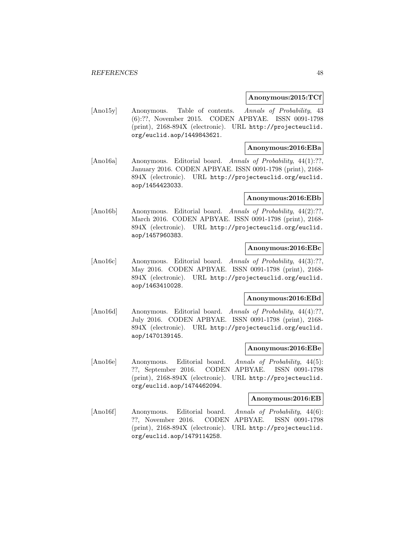#### **Anonymous:2015:TCf**

[Ano15y] Anonymous. Table of contents. Annals of Probability, 43 (6):??, November 2015. CODEN APBYAE. ISSN 0091-1798 (print), 2168-894X (electronic). URL http://projecteuclid. org/euclid.aop/1449843621.

## **Anonymous:2016:EBa**

[Ano16a] Anonymous. Editorial board. Annals of Probability, 44(1):??, January 2016. CODEN APBYAE. ISSN 0091-1798 (print), 2168- 894X (electronic). URL http://projecteuclid.org/euclid. aop/1454423033.

#### **Anonymous:2016:EBb**

[Ano16b] Anonymous. Editorial board. Annals of Probability, 44(2):??, March 2016. CODEN APBYAE. ISSN 0091-1798 (print), 2168- 894X (electronic). URL http://projecteuclid.org/euclid. aop/1457960383.

## **Anonymous:2016:EBc**

[Ano16c] Anonymous. Editorial board. Annals of Probability, 44(3):??, May 2016. CODEN APBYAE. ISSN 0091-1798 (print), 2168- 894X (electronic). URL http://projecteuclid.org/euclid. aop/1463410028.

#### **Anonymous:2016:EBd**

[Ano16d] Anonymous. Editorial board. Annals of Probability, 44(4):??, July 2016. CODEN APBYAE. ISSN 0091-1798 (print), 2168- 894X (electronic). URL http://projecteuclid.org/euclid. aop/1470139145.

#### **Anonymous:2016:EBe**

[Ano16e] Anonymous. Editorial board. Annals of Probability, 44(5): ??, September 2016. CODEN APBYAE. ISSN 0091-1798 (print), 2168-894X (electronic). URL http://projecteuclid. org/euclid.aop/1474462094.

#### **Anonymous:2016:EB**

[Ano16f] Anonymous. Editorial board. Annals of Probability, 44(6): ??, November 2016. CODEN APBYAE. ISSN 0091-1798 (print), 2168-894X (electronic). URL http://projecteuclid. org/euclid.aop/1479114258.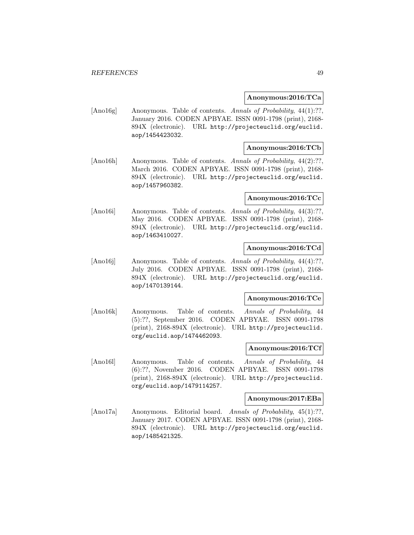#### **Anonymous:2016:TCa**

[Ano16g] Anonymous. Table of contents. Annals of Probability, 44(1):??, January 2016. CODEN APBYAE. ISSN 0091-1798 (print), 2168- 894X (electronic). URL http://projecteuclid.org/euclid. aop/1454423032.

# **Anonymous:2016:TCb**

[Ano16h] Anonymous. Table of contents. Annals of Probability, 44(2):??, March 2016. CODEN APBYAE. ISSN 0091-1798 (print), 2168- 894X (electronic). URL http://projecteuclid.org/euclid. aop/1457960382.

## **Anonymous:2016:TCc**

[Ano16i] Anonymous. Table of contents. Annals of Probability, 44(3):??, May 2016. CODEN APBYAE. ISSN 0091-1798 (print), 2168- 894X (electronic). URL http://projecteuclid.org/euclid. aop/1463410027.

# **Anonymous:2016:TCd**

[Ano16j] Anonymous. Table of contents. Annals of Probability, 44(4):??, July 2016. CODEN APBYAE. ISSN 0091-1798 (print), 2168- 894X (electronic). URL http://projecteuclid.org/euclid. aop/1470139144.

#### **Anonymous:2016:TCe**

[Ano16k] Anonymous. Table of contents. Annals of Probability, 44 (5):??, September 2016. CODEN APBYAE. ISSN 0091-1798 (print), 2168-894X (electronic). URL http://projecteuclid. org/euclid.aop/1474462093.

## **Anonymous:2016:TCf**

[Ano16l] Anonymous. Table of contents. Annals of Probability, 44 (6):??, November 2016. CODEN APBYAE. ISSN 0091-1798 (print), 2168-894X (electronic). URL http://projecteuclid. org/euclid.aop/1479114257.

#### **Anonymous:2017:EBa**

[Ano17a] Anonymous. Editorial board. Annals of Probability, 45(1):??, January 2017. CODEN APBYAE. ISSN 0091-1798 (print), 2168- 894X (electronic). URL http://projecteuclid.org/euclid. aop/1485421325.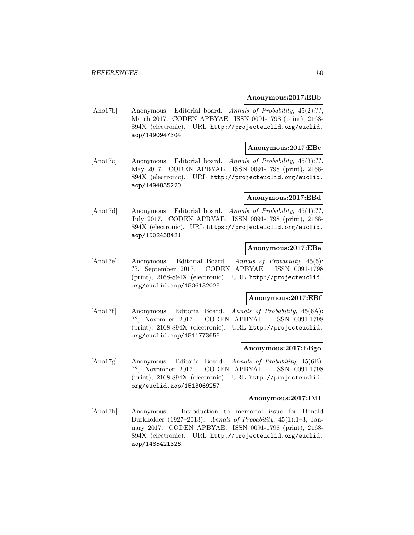#### **Anonymous:2017:EBb**

[Ano17b] Anonymous. Editorial board. Annals of Probability, 45(2):??, March 2017. CODEN APBYAE. ISSN 0091-1798 (print), 2168- 894X (electronic). URL http://projecteuclid.org/euclid. aop/1490947304.

## **Anonymous:2017:EBc**

[Ano17c] Anonymous. Editorial board. Annals of Probability, 45(3):??, May 2017. CODEN APBYAE. ISSN 0091-1798 (print), 2168- 894X (electronic). URL http://projecteuclid.org/euclid. aop/1494835220.

#### **Anonymous:2017:EBd**

[Ano17d] Anonymous. Editorial board. Annals of Probability, 45(4):??, July 2017. CODEN APBYAE. ISSN 0091-1798 (print), 2168- 894X (electronic). URL https://projecteuclid.org/euclid. aop/1502438421.

## **Anonymous:2017:EBe**

[Ano17e] Anonymous. Editorial Board. Annals of Probability, 45(5): ??, September 2017. CODEN APBYAE. ISSN 0091-1798 (print), 2168-894X (electronic). URL http://projecteuclid. org/euclid.aop/1506132025.

#### **Anonymous:2017:EBf**

[Ano17f] Anonymous. Editorial Board. Annals of Probability, 45(6A): ??, November 2017. CODEN APBYAE. ISSN 0091-1798 (print), 2168-894X (electronic). URL http://projecteuclid. org/euclid.aop/1511773656.

#### **Anonymous:2017:EBgo**

[Ano17g] Anonymous. Editorial Board. Annals of Probability, 45(6B): ??, November 2017. CODEN APBYAE. ISSN 0091-1798 (print), 2168-894X (electronic). URL http://projecteuclid. org/euclid.aop/1513069257.

#### **Anonymous:2017:IMI**

[Ano17h] Anonymous. Introduction to memorial issue for Donald Burkholder (1927–2013). Annals of Probability, 45(1):1–3, January 2017. CODEN APBYAE. ISSN 0091-1798 (print), 2168- 894X (electronic). URL http://projecteuclid.org/euclid. aop/1485421326.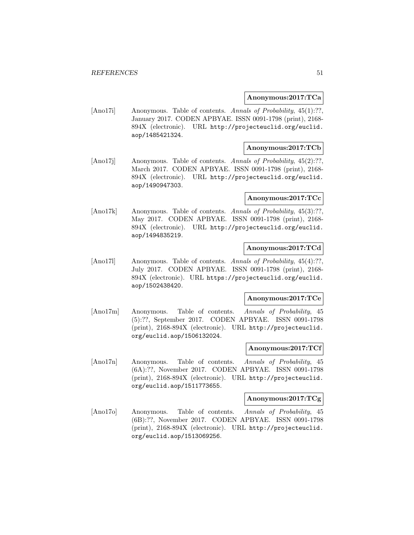#### **Anonymous:2017:TCa**

[Ano17i] Anonymous. Table of contents. Annals of Probability, 45(1):??, January 2017. CODEN APBYAE. ISSN 0091-1798 (print), 2168- 894X (electronic). URL http://projecteuclid.org/euclid. aop/1485421324.

# **Anonymous:2017:TCb**

[Ano17] Anonymous. Table of contents. Annals of Probability, 45(2):??, March 2017. CODEN APBYAE. ISSN 0091-1798 (print), 2168- 894X (electronic). URL http://projecteuclid.org/euclid. aop/1490947303.

## **Anonymous:2017:TCc**

[Ano17k] Anonymous. Table of contents. Annals of Probability, 45(3):??, May 2017. CODEN APBYAE. ISSN 0091-1798 (print), 2168- 894X (electronic). URL http://projecteuclid.org/euclid. aop/1494835219.

# **Anonymous:2017:TCd**

[Ano17l] Anonymous. Table of contents. Annals of Probability, 45(4):??, July 2017. CODEN APBYAE. ISSN 0091-1798 (print), 2168- 894X (electronic). URL https://projecteuclid.org/euclid. aop/1502438420.

#### **Anonymous:2017:TCe**

[Ano17m] Anonymous. Table of contents. Annals of Probability, 45 (5):??, September 2017. CODEN APBYAE. ISSN 0091-1798 (print), 2168-894X (electronic). URL http://projecteuclid. org/euclid.aop/1506132024.

#### **Anonymous:2017:TCf**

[Ano17n] Anonymous. Table of contents. Annals of Probability, 45 (6A):??, November 2017. CODEN APBYAE. ISSN 0091-1798 (print), 2168-894X (electronic). URL http://projecteuclid. org/euclid.aop/1511773655.

#### **Anonymous:2017:TCg**

[Ano17o] Anonymous. Table of contents. Annals of Probability, 45 (6B):??, November 2017. CODEN APBYAE. ISSN 0091-1798 (print), 2168-894X (electronic). URL http://projecteuclid. org/euclid.aop/1513069256.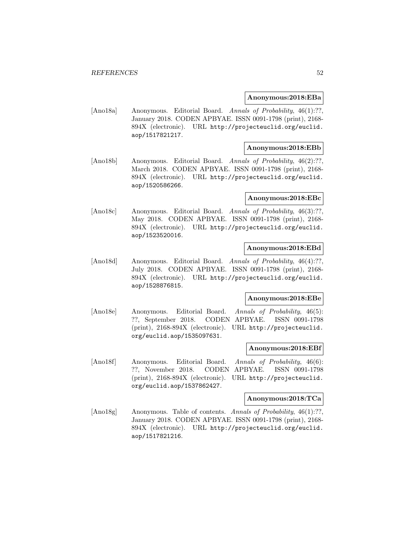#### **Anonymous:2018:EBa**

[Ano18a] Anonymous. Editorial Board. Annals of Probability, 46(1):??, January 2018. CODEN APBYAE. ISSN 0091-1798 (print), 2168- 894X (electronic). URL http://projecteuclid.org/euclid. aop/1517821217.

## **Anonymous:2018:EBb**

[Ano18b] Anonymous. Editorial Board. Annals of Probability, 46(2):??, March 2018. CODEN APBYAE. ISSN 0091-1798 (print), 2168- 894X (electronic). URL http://projecteuclid.org/euclid. aop/1520586266.

## **Anonymous:2018:EBc**

[Ano18c] Anonymous. Editorial Board. Annals of Probability, 46(3):??, May 2018. CODEN APBYAE. ISSN 0091-1798 (print), 2168- 894X (electronic). URL http://projecteuclid.org/euclid. aop/1523520016.

## **Anonymous:2018:EBd**

[Ano18d] Anonymous. Editorial Board. Annals of Probability, 46(4):??, July 2018. CODEN APBYAE. ISSN 0091-1798 (print), 2168- 894X (electronic). URL http://projecteuclid.org/euclid. aop/1528876815.

#### **Anonymous:2018:EBe**

[Ano18e] Anonymous. Editorial Board. Annals of Probability, 46(5): ??, September 2018. CODEN APBYAE. ISSN 0091-1798 (print), 2168-894X (electronic). URL http://projecteuclid. org/euclid.aop/1535097631.

#### **Anonymous:2018:EBf**

[Ano18f] Anonymous. Editorial Board. Annals of Probability, 46(6): ??, November 2018. CODEN APBYAE. ISSN 0091-1798 (print), 2168-894X (electronic). URL http://projecteuclid. org/euclid.aop/1537862427.

#### **Anonymous:2018:TCa**

[Ano18g] Anonymous. Table of contents. Annals of Probability, 46(1):??, January 2018. CODEN APBYAE. ISSN 0091-1798 (print), 2168- 894X (electronic). URL http://projecteuclid.org/euclid. aop/1517821216.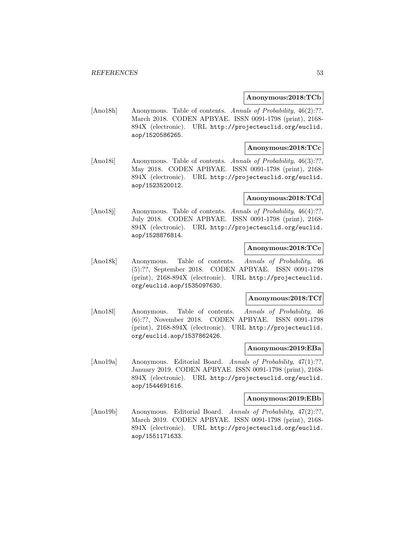#### **Anonymous:2018:TCb**

[Ano18h] Anonymous. Table of contents. Annals of Probability, 46(2):??, March 2018. CODEN APBYAE. ISSN 0091-1798 (print), 2168- 894X (electronic). URL http://projecteuclid.org/euclid. aop/1520586265.

## **Anonymous:2018:TCc**

[Ano18i] Anonymous. Table of contents. Annals of Probability, 46(3):??, May 2018. CODEN APBYAE. ISSN 0091-1798 (print), 2168- 894X (electronic). URL http://projecteuclid.org/euclid. aop/1523520012.

#### **Anonymous:2018:TCd**

[Ano18]] Anonymous. Table of contents. Annals of Probability, 46(4):??, July 2018. CODEN APBYAE. ISSN 0091-1798 (print), 2168- 894X (electronic). URL http://projecteuclid.org/euclid. aop/1528876814.

## **Anonymous:2018:TCe**

[Ano18k] Anonymous. Table of contents. Annals of Probability, 46 (5):??, September 2018. CODEN APBYAE. ISSN 0091-1798 (print), 2168-894X (electronic). URL http://projecteuclid. org/euclid.aop/1535097630.

#### **Anonymous:2018:TCf**

[Ano18l] Anonymous. Table of contents. Annals of Probability, 46 (6):??, November 2018. CODEN APBYAE. ISSN 0091-1798 (print), 2168-894X (electronic). URL http://projecteuclid. org/euclid.aop/1537862426.

#### **Anonymous:2019:EBa**

[Ano19a] Anonymous. Editorial Board. Annals of Probability, 47(1):??, January 2019. CODEN APBYAE. ISSN 0091-1798 (print), 2168- 894X (electronic). URL http://projecteuclid.org/euclid. aop/1544691616.

#### **Anonymous:2019:EBb**

[Ano19b] Anonymous. Editorial Board. Annals of Probability, 47(2):??, March 2019. CODEN APBYAE. ISSN 0091-1798 (print), 2168- 894X (electronic). URL http://projecteuclid.org/euclid. aop/1551171633.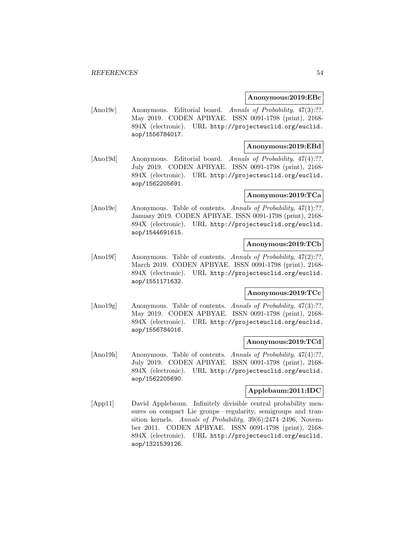### **Anonymous:2019:EBc**

[Ano19c] Anonymous. Editorial board. Annals of Probability, 47(3):??, May 2019. CODEN APBYAE. ISSN 0091-1798 (print), 2168- 894X (electronic). URL http://projecteuclid.org/euclid. aop/1556784017.

## **Anonymous:2019:EBd**

[Ano19d] Anonymous. Editorial board. Annals of Probability, 47(4):??, July 2019. CODEN APBYAE. ISSN 0091-1798 (print), 2168- 894X (electronic). URL http://projecteuclid.org/euclid. aop/1562205691.

#### **Anonymous:2019:TCa**

[Ano19e] Anonymous. Table of contents. Annals of Probability, 47(1):??, January 2019. CODEN APBYAE. ISSN 0091-1798 (print), 2168- 894X (electronic). URL http://projecteuclid.org/euclid. aop/1544691615.

# **Anonymous:2019:TCb**

[Ano19f] Anonymous. Table of contents. Annals of Probability, 47(2):??, March 2019. CODEN APBYAE. ISSN 0091-1798 (print), 2168- 894X (electronic). URL http://projecteuclid.org/euclid. aop/1551171632.

# **Anonymous:2019:TCc**

[Ano19g] Anonymous. Table of contents. Annals of Probability, 47(3):??, May 2019. CODEN APBYAE. ISSN 0091-1798 (print), 2168- 894X (electronic). URL http://projecteuclid.org/euclid. aop/1556784016.

#### **Anonymous:2019:TCd**

[Ano19h] Anonymous. Table of contents. Annals of Probability, 47(4):??, July 2019. CODEN APBYAE. ISSN 0091-1798 (print), 2168- 894X (electronic). URL http://projecteuclid.org/euclid. aop/1562205690.

# **Applebaum:2011:IDC**

[App11] David Applebaum. Infinitely divisible central probability measures on compact Lie groups—regularity, semigroups and transition kernels. Annals of Probability, 39(6):2474–2496, November 2011. CODEN APBYAE. ISSN 0091-1798 (print), 2168- 894X (electronic). URL http://projecteuclid.org/euclid. aop/1321539126.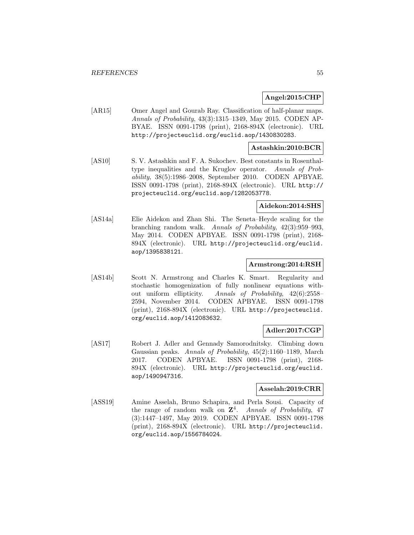## **Angel:2015:CHP**

[AR15] Omer Angel and Gourab Ray. Classification of half-planar maps. Annals of Probability, 43(3):1315–1349, May 2015. CODEN AP-BYAE. ISSN 0091-1798 (print), 2168-894X (electronic). URL http://projecteuclid.org/euclid.aop/1430830283.

## **Astashkin:2010:BCR**

[AS10] S. V. Astashkin and F. A. Sukochev. Best constants in Rosenthaltype inequalities and the Kruglov operator. Annals of Probability, 38(5):1986–2008, September 2010. CODEN APBYAE. ISSN 0091-1798 (print), 2168-894X (electronic). URL http:// projecteuclid.org/euclid.aop/1282053778.

#### **Aidekon:2014:SHS**

[AS14a] Elie Aidekon and Zhan Shi. The Seneta–Heyde scaling for the branching random walk. Annals of Probability, 42(3):959–993, May 2014. CODEN APBYAE. ISSN 0091-1798 (print), 2168- 894X (electronic). URL http://projecteuclid.org/euclid. aop/1395838121.

### **Armstrong:2014:RSH**

[AS14b] Scott N. Armstrong and Charles K. Smart. Regularity and stochastic homogenization of fully nonlinear equations without uniform ellipticity. Annals of Probability, 42(6):2558– 2594, November 2014. CODEN APBYAE. ISSN 0091-1798 (print), 2168-894X (electronic). URL http://projecteuclid. org/euclid.aop/1412083632.

# **Adler:2017:CGP**

[AS17] Robert J. Adler and Gennady Samorodnitsky. Climbing down Gaussian peaks. Annals of Probability, 45(2):1160–1189, March 2017. CODEN APBYAE. ISSN 0091-1798 (print), 2168- 894X (electronic). URL http://projecteuclid.org/euclid. aop/1490947316.

## **Asselah:2019:CRR**

[ASS19] Amine Asselah, Bruno Schapira, and Perla Sousi. Capacity of the range of random walk on **Z**<sup>4</sup>. Annals of Probability, 47 (3):1447–1497, May 2019. CODEN APBYAE. ISSN 0091-1798 (print), 2168-894X (electronic). URL http://projecteuclid. org/euclid.aop/1556784024.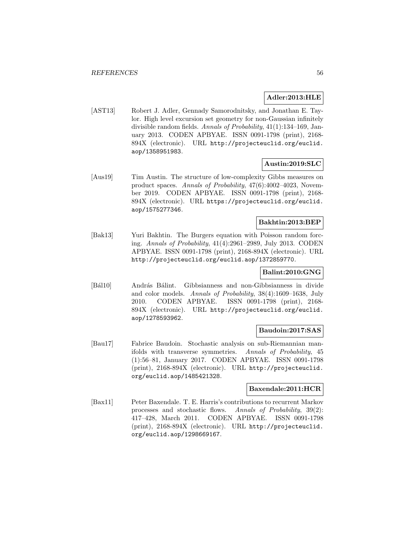# **Adler:2013:HLE**

[AST13] Robert J. Adler, Gennady Samorodnitsky, and Jonathan E. Taylor. High level excursion set geometry for non-Gaussian infinitely divisible random fields. Annals of Probability, 41(1):134–169, January 2013. CODEN APBYAE. ISSN 0091-1798 (print), 2168- 894X (electronic). URL http://projecteuclid.org/euclid. aop/1358951983.

# **Austin:2019:SLC**

[Aus19] Tim Austin. The structure of low-complexity Gibbs measures on product spaces. Annals of Probability, 47(6):4002–4023, November 2019. CODEN APBYAE. ISSN 0091-1798 (print), 2168- 894X (electronic). URL https://projecteuclid.org/euclid. aop/1575277346.

# **Bakhtin:2013:BEP**

[Bak13] Yuri Bakhtin. The Burgers equation with Poisson random forcing. Annals of Probability, 41(4):2961–2989, July 2013. CODEN APBYAE. ISSN 0091-1798 (print), 2168-894X (electronic). URL http://projecteuclid.org/euclid.aop/1372859770.

# **Balint:2010:GNG**

[Bál10] András Bálint. Gibbsianness and non-Gibbsianness in divide and color models. Annals of Probability, 38(4):1609–1638, July 2010. CODEN APBYAE. ISSN 0091-1798 (print), 2168- 894X (electronic). URL http://projecteuclid.org/euclid. aop/1278593962.

## **Baudoin:2017:SAS**

[Bau17] Fabrice Baudoin. Stochastic analysis on sub-Riemannian manifolds with transverse symmetries. Annals of Probability, 45 (1):56–81, January 2017. CODEN APBYAE. ISSN 0091-1798 (print), 2168-894X (electronic). URL http://projecteuclid. org/euclid.aop/1485421328.

# **Baxendale:2011:HCR**

[Bax11] Peter Baxendale. T. E. Harris's contributions to recurrent Markov processes and stochastic flows. Annals of Probability, 39(2): 417–428, March 2011. CODEN APBYAE. ISSN 0091-1798 (print), 2168-894X (electronic). URL http://projecteuclid. org/euclid.aop/1298669167.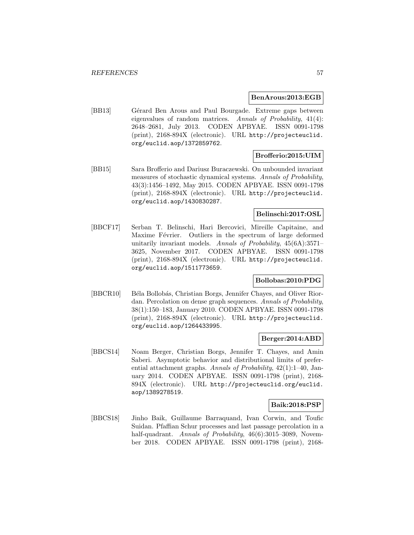#### **BenArous:2013:EGB**

[BB13] Gérard Ben Arous and Paul Bourgade. Extreme gaps between eigenvalues of random matrices. Annals of Probability, 41(4): 2648–2681, July 2013. CODEN APBYAE. ISSN 0091-1798 (print), 2168-894X (electronic). URL http://projecteuclid. org/euclid.aop/1372859762.

# **Brofferio:2015:UIM**

[BB15] Sara Brofferio and Dariusz Buraczewski. On unbounded invariant measures of stochastic dynamical systems. Annals of Probability, 43(3):1456–1492, May 2015. CODEN APBYAE. ISSN 0091-1798 (print), 2168-894X (electronic). URL http://projecteuclid. org/euclid.aop/1430830287.

# **Belinschi:2017:OSL**

[BBCF17] Serban T. Belinschi, Hari Bercovici, Mireille Capitaine, and Maxime Février. Outliers in the spectrum of large deformed unitarily invariant models. Annals of Probability, 45(6A):3571– 3625, November 2017. CODEN APBYAE. ISSN 0091-1798 (print), 2168-894X (electronic). URL http://projecteuclid. org/euclid.aop/1511773659.

# **Bollobas:2010:PDG**

[BBCR10] Béla Bollobás, Christian Borgs, Jennifer Chayes, and Oliver Riordan. Percolation on dense graph sequences. Annals of Probability, 38(1):150–183, January 2010. CODEN APBYAE. ISSN 0091-1798 (print), 2168-894X (electronic). URL http://projecteuclid. org/euclid.aop/1264433995.

#### **Berger:2014:ABD**

[BBCS14] Noam Berger, Christian Borgs, Jennifer T. Chayes, and Amin Saberi. Asymptotic behavior and distributional limits of preferential attachment graphs. Annals of Probability, 42(1):1–40, January 2014. CODEN APBYAE. ISSN 0091-1798 (print), 2168- 894X (electronic). URL http://projecteuclid.org/euclid. aop/1389278519.

## **Baik:2018:PSP**

[BBCS18] Jinho Baik, Guillaume Barraquand, Ivan Corwin, and Toufic Suidan. Pfaffian Schur processes and last passage percolation in a half-quadrant. Annals of Probability, 46(6):3015-3089, November 2018. CODEN APBYAE. ISSN 0091-1798 (print), 2168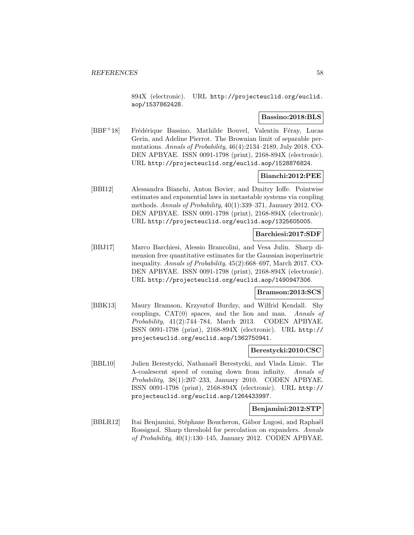894X (electronic). URL http://projecteuclid.org/euclid. aop/1537862428.

## **Bassino:2018:BLS**

[BBF<sup>+</sup>18] Frédérique Bassino, Mathilde Bouvel, Valentin Féray, Lucas Gerin, and Adeline Pierrot. The Brownian limit of separable permutations. Annals of Probability, 46(4):2134–2189, July 2018. CO-DEN APBYAE. ISSN 0091-1798 (print), 2168-894X (electronic). URL http://projecteuclid.org/euclid.aop/1528876824.

## **Bianchi:2012:PEE**

[BBI12] Alessandra Bianchi, Anton Bovier, and Dmitry Ioffe. Pointwise estimates and exponential laws in metastable systems via coupling methods. Annals of Probability, 40(1):339–371, January 2012. CO-DEN APBYAE. ISSN 0091-1798 (print), 2168-894X (electronic). URL http://projecteuclid.org/euclid.aop/1325605005.

# **Barchiesi:2017:SDF**

[BBJ17] Marco Barchiesi, Alessio Brancolini, and Vesa Julin. Sharp dimension free quantitative estimates for the Gaussian isoperimetric inequality. Annals of Probability, 45(2):668–697, March 2017. CO-DEN APBYAE. ISSN 0091-1798 (print), 2168-894X (electronic). URL http://projecteuclid.org/euclid.aop/1490947306.

## **Bramson:2013:SCS**

[BBK13] Maury Bramson, Krzysztof Burdzy, and Wilfrid Kendall. Shy couplings,  $CAT(0)$  spaces, and the lion and man. Annals of Probability, 41(2):744–784, March 2013. CODEN APBYAE. ISSN 0091-1798 (print), 2168-894X (electronic). URL http:// projecteuclid.org/euclid.aop/1362750941.

#### **Berestycki:2010:CSC**

[BBL10] Julien Berestycki, Nathanaël Berestycki, and Vlada Limic. The Λ-coalescent speed of coming down from infinity. Annals of Probability, 38(1):207–233, January 2010. CODEN APBYAE. ISSN 0091-1798 (print), 2168-894X (electronic). URL http:// projecteuclid.org/euclid.aop/1264433997.

#### **Benjamini:2012:STP**

[BBLR12] Itai Benjamini, Stéphane Boucheron, Gábor Lugosi, and Raphaël Rossignol. Sharp threshold for percolation on expanders. Annals of Probability, 40(1):130–145, January 2012. CODEN APBYAE.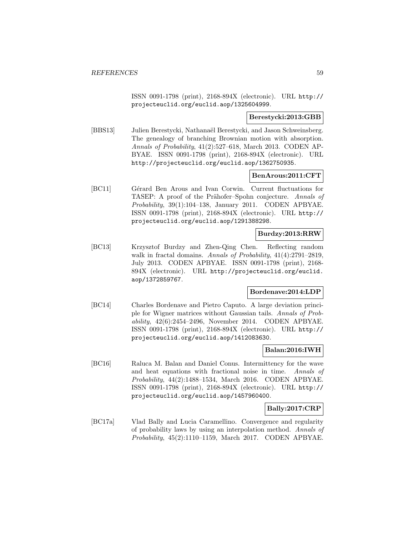ISSN 0091-1798 (print), 2168-894X (electronic). URL http:// projecteuclid.org/euclid.aop/1325604999.

#### **Berestycki:2013:GBB**

[BBS13] Julien Berestycki, Nathanaël Berestycki, and Jason Schweinsberg. The genealogy of branching Brownian motion with absorption. Annals of Probability, 41(2):527–618, March 2013. CODEN AP-BYAE. ISSN 0091-1798 (print), 2168-894X (electronic). URL http://projecteuclid.org/euclid.aop/1362750935.

#### **BenArous:2011:CFT**

[BC11] Gérard Ben Arous and Ivan Corwin. Current fluctuations for TASEP: A proof of the Prähofer–Spohn conjecture. Annals of Probability, 39(1):104–138, January 2011. CODEN APBYAE. ISSN 0091-1798 (print), 2168-894X (electronic). URL http:// projecteuclid.org/euclid.aop/1291388298.

# **Burdzy:2013:RRW**

[BC13] Krzysztof Burdzy and Zhen-Qing Chen. Reflecting random walk in fractal domains. Annals of Probability,  $41(4):2791-2819$ , July 2013. CODEN APBYAE. ISSN 0091-1798 (print), 2168- 894X (electronic). URL http://projecteuclid.org/euclid. aop/1372859767.

## **Bordenave:2014:LDP**

[BC14] Charles Bordenave and Pietro Caputo. A large deviation principle for Wigner matrices without Gaussian tails. Annals of Probability, 42(6):2454–2496, November 2014. CODEN APBYAE. ISSN 0091-1798 (print), 2168-894X (electronic). URL http:// projecteuclid.org/euclid.aop/1412083630.

## **Balan:2016:IWH**

[BC16] Raluca M. Balan and Daniel Conus. Intermittency for the wave and heat equations with fractional noise in time. Annals of Probability, 44(2):1488–1534, March 2016. CODEN APBYAE. ISSN 0091-1798 (print), 2168-894X (electronic). URL http:// projecteuclid.org/euclid.aop/1457960400.

# **Bally:2017:CRP**

[BC17a] Vlad Bally and Lucia Caramellino. Convergence and regularity of probability laws by using an interpolation method. Annals of Probability, 45(2):1110–1159, March 2017. CODEN APBYAE.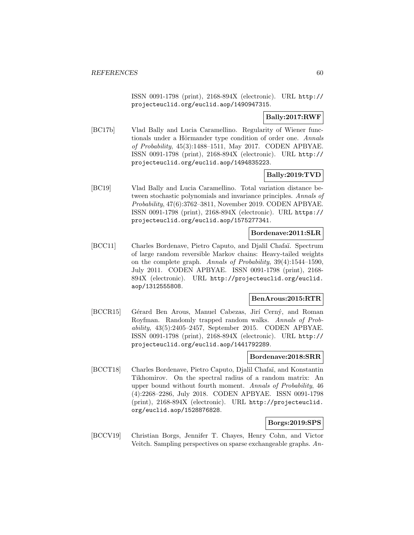ISSN 0091-1798 (print), 2168-894X (electronic). URL http:// projecteuclid.org/euclid.aop/1490947315.

# **Bally:2017:RWF**

[BC17b] Vlad Bally and Lucia Caramellino. Regularity of Wiener functionals under a Hörmander type condition of order one. Annals of Probability, 45(3):1488–1511, May 2017. CODEN APBYAE. ISSN 0091-1798 (print), 2168-894X (electronic). URL http:// projecteuclid.org/euclid.aop/1494835223.

# **Bally:2019:TVD**

[BC19] Vlad Bally and Lucia Caramellino. Total variation distance between stochastic polynomials and invariance principles. Annals of Probability, 47(6):3762–3811, November 2019. CODEN APBYAE. ISSN 0091-1798 (print), 2168-894X (electronic). URL https:// projecteuclid.org/euclid.aop/1575277341.

# **Bordenave:2011:SLR**

[BCC11] Charles Bordenave, Pietro Caputo, and Djalil Chafa¨ı. Spectrum of large random reversible Markov chains: Heavy-tailed weights on the complete graph. Annals of Probability, 39(4):1544–1590, July 2011. CODEN APBYAE. ISSN 0091-1798 (print), 2168- 894X (electronic). URL http://projecteuclid.org/euclid. aop/1312555808.

## **BenArous:2015:RTR**

[BCCR15] Gérard Ben Arous, Manuel Cabezas, Jirí Cerný, and Roman Royfman. Randomly trapped random walks. Annals of Probability, 43(5):2405–2457, September 2015. CODEN APBYAE. ISSN 0091-1798 (print), 2168-894X (electronic). URL http:// projecteuclid.org/euclid.aop/1441792289.

# **Bordenave:2018:SRR**

[BCCT18] Charles Bordenave, Pietro Caputo, Djalil Chafaï, and Konstantin Tikhomirov. On the spectral radius of a random matrix: An upper bound without fourth moment. Annals of Probability, 46 (4):2268–2286, July 2018. CODEN APBYAE. ISSN 0091-1798 (print), 2168-894X (electronic). URL http://projecteuclid. org/euclid.aop/1528876828.

# **Borgs:2019:SPS**

[BCCV19] Christian Borgs, Jennifer T. Chayes, Henry Cohn, and Victor Veitch. Sampling perspectives on sparse exchangeable graphs. An-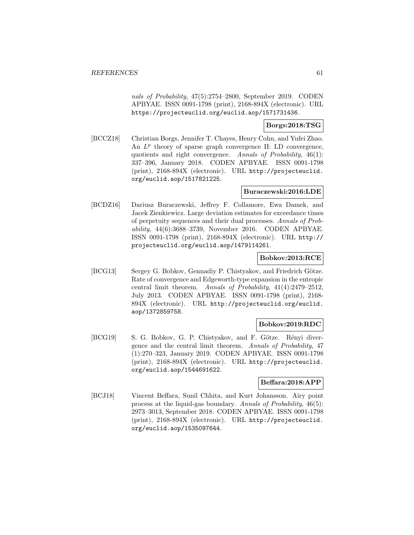nals of Probability, 47(5):2754–2800, September 2019. CODEN APBYAE. ISSN 0091-1798 (print), 2168-894X (electronic). URL https://projecteuclid.org/euclid.aop/1571731436.

# **Borgs:2018:TSG**

[BCCZ18] Christian Borgs, Jennifer T. Chayes, Henry Cohn, and Yufei Zhao. An  $L^p$  theory of sparse graph convergence II: LD convergence, quotients and right convergence. Annals of Probability, 46(1): 337–396, January 2018. CODEN APBYAE. ISSN 0091-1798 (print), 2168-894X (electronic). URL http://projecteuclid. org/euclid.aop/1517821225.

# **Buraczewski:2016:LDE**

[BCDZ16] Dariusz Buraczewski, Jeffrey F. Collamore, Ewa Damek, and Jacek Zienkiewicz. Large deviation estimates for exceedance times of perpetuity sequences and their dual processes. Annals of Probability, 44(6):3688–3739, November 2016. CODEN APBYAE. ISSN 0091-1798 (print), 2168-894X (electronic). URL http:// projecteuclid.org/euclid.aop/1479114261.

## **Bobkov:2013:RCE**

[BCG13] Sergey G. Bobkov, Gennadiy P. Chistyakov, and Friedrich Götze. Rate of convergence and Edgeworth-type expansion in the entropic central limit theorem. Annals of Probability, 41(4):2479–2512, July 2013. CODEN APBYAE. ISSN 0091-1798 (print), 2168- 894X (electronic). URL http://projecteuclid.org/euclid. aop/1372859758.

## **Bobkov:2019:RDC**

[BCG19] S. G. Bobkov, G. P. Chistyakov, and F. Götze. Rényi divergence and the central limit theorem. Annals of Probability, 47 (1):270–323, January 2019. CODEN APBYAE. ISSN 0091-1798 (print), 2168-894X (electronic). URL http://projecteuclid. org/euclid.aop/1544691622.

# **Beffara:2018:APP**

[BCJ18] Vincent Beffara, Sunil Chhita, and Kurt Johansson. Airy point process at the liquid-gas boundary. Annals of Probability, 46(5): 2973–3013, September 2018. CODEN APBYAE. ISSN 0091-1798 (print), 2168-894X (electronic). URL http://projecteuclid. org/euclid.aop/1535097644.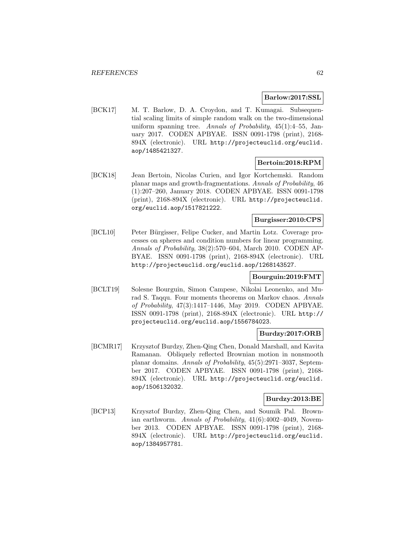### **Barlow:2017:SSL**

[BCK17] M. T. Barlow, D. A. Croydon, and T. Kumagai. Subsequential scaling limits of simple random walk on the two-dimensional uniform spanning tree. Annals of Probability,  $45(1):4-55$ , January 2017. CODEN APBYAE. ISSN 0091-1798 (print), 2168- 894X (electronic). URL http://projecteuclid.org/euclid. aop/1485421327.

# **Bertoin:2018:RPM**

[BCK18] Jean Bertoin, Nicolas Curien, and Igor Kortchemski. Random planar maps and growth-fragmentations. Annals of Probability, 46 (1):207–260, January 2018. CODEN APBYAE. ISSN 0091-1798 (print), 2168-894X (electronic). URL http://projecteuclid. org/euclid.aop/1517821222.

# **Burgisser:2010:CPS**

[BCL10] Peter Bürgisser, Felipe Cucker, and Martin Lotz. Coverage processes on spheres and condition numbers for linear programming. Annals of Probability, 38(2):570–604, March 2010. CODEN AP-BYAE. ISSN 0091-1798 (print), 2168-894X (electronic). URL http://projecteuclid.org/euclid.aop/1268143527.

# **Bourguin:2019:FMT**

[BCLT19] Solesne Bourguin, Simon Campese, Nikolai Leonenko, and Murad S. Taqqu. Four moments theorems on Markov chaos. Annals of Probability, 47(3):1417–1446, May 2019. CODEN APBYAE. ISSN 0091-1798 (print), 2168-894X (electronic). URL http:// projecteuclid.org/euclid.aop/1556784023.

# **Burdzy:2017:ORB**

[BCMR17] Krzysztof Burdzy, Zhen-Qing Chen, Donald Marshall, and Kavita Ramanan. Obliquely reflected Brownian motion in nonsmooth planar domains. Annals of Probability, 45(5):2971–3037, September 2017. CODEN APBYAE. ISSN 0091-1798 (print), 2168- 894X (electronic). URL http://projecteuclid.org/euclid. aop/1506132032.

## **Burdzy:2013:BE**

[BCP13] Krzysztof Burdzy, Zhen-Qing Chen, and Soumik Pal. Brownian earthworm. Annals of Probability, 41(6):4002–4049, November 2013. CODEN APBYAE. ISSN 0091-1798 (print), 2168- 894X (electronic). URL http://projecteuclid.org/euclid. aop/1384957781.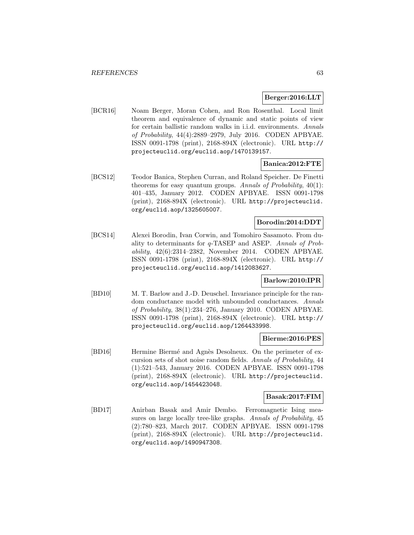### **Berger:2016:LLT**

[BCR16] Noam Berger, Moran Cohen, and Ron Rosenthal. Local limit theorem and equivalence of dynamic and static points of view for certain ballistic random walks in i.i.d. environments. Annals of Probability, 44(4):2889–2979, July 2016. CODEN APBYAE. ISSN 0091-1798 (print), 2168-894X (electronic). URL http:// projecteuclid.org/euclid.aop/1470139157.

## **Banica:2012:FTE**

[BCS12] Teodor Banica, Stephen Curran, and Roland Speicher. De Finetti theorems for easy quantum groups. Annals of Probability, 40(1): 401–435, January 2012. CODEN APBYAE. ISSN 0091-1798 (print), 2168-894X (electronic). URL http://projecteuclid. org/euclid.aop/1325605007.

# **Borodin:2014:DDT**

[BCS14] Alexei Borodin, Ivan Corwin, and Tomohiro Sasamoto. From duality to determinants for q-TASEP and ASEP. Annals of Probability, 42(6):2314–2382, November 2014. CODEN APBYAE. ISSN 0091-1798 (print), 2168-894X (electronic). URL http:// projecteuclid.org/euclid.aop/1412083627.

# **Barlow:2010:IPR**

[BD10] M. T. Barlow and J.-D. Deuschel. Invariance principle for the random conductance model with unbounded conductances. Annals of Probability, 38(1):234–276, January 2010. CODEN APBYAE. ISSN 0091-1798 (print), 2168-894X (electronic). URL http:// projecteuclid.org/euclid.aop/1264433998.

#### **Bierme:2016:PES**

[BD16] Hermine Biermé and Agnès Desolneux. On the perimeter of excursion sets of shot noise random fields. Annals of Probability, 44 (1):521–543, January 2016. CODEN APBYAE. ISSN 0091-1798 (print), 2168-894X (electronic). URL http://projecteuclid. org/euclid.aop/1454423048.

#### **Basak:2017:FIM**

[BD17] Anirban Basak and Amir Dembo. Ferromagnetic Ising measures on large locally tree-like graphs. Annals of Probability, 45 (2):780–823, March 2017. CODEN APBYAE. ISSN 0091-1798 (print), 2168-894X (electronic). URL http://projecteuclid. org/euclid.aop/1490947308.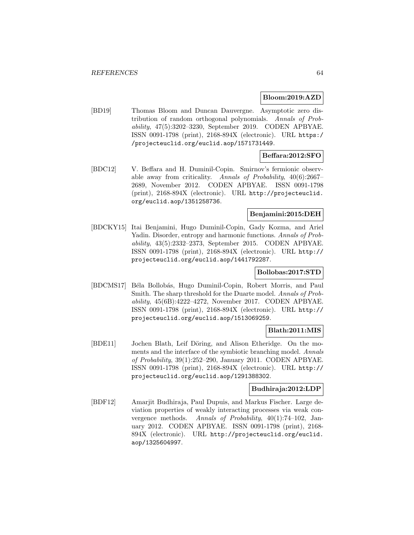### **Bloom:2019:AZD**

[BD19] Thomas Bloom and Duncan Dauvergne. Asymptotic zero distribution of random orthogonal polynomials. Annals of Probability, 47(5):3202–3230, September 2019. CODEN APBYAE. ISSN 0091-1798 (print), 2168-894X (electronic). URL https:/ /projecteuclid.org/euclid.aop/1571731449.

# **Beffara:2012:SFO**

[BDC12] V. Beffara and H. Duminil-Copin. Smirnov's fermionic observable away from criticality. Annals of Probability, 40(6):2667– 2689, November 2012. CODEN APBYAE. ISSN 0091-1798 (print), 2168-894X (electronic). URL http://projecteuclid. org/euclid.aop/1351258736.

## **Benjamini:2015:DEH**

[BDCKY15] Itai Benjamini, Hugo Duminil-Copin, Gady Kozma, and Ariel Yadin. Disorder, entropy and harmonic functions. Annals of Probability, 43(5):2332–2373, September 2015. CODEN APBYAE. ISSN 0091-1798 (print), 2168-894X (electronic). URL http:// projecteuclid.org/euclid.aop/1441792287.

## **Bollobas:2017:STD**

[BDCMS17] Béla Bollobás, Hugo Duminil-Copin, Robert Morris, and Paul Smith. The sharp threshold for the Duarte model. Annals of Probability, 45(6B):4222–4272, November 2017. CODEN APBYAE. ISSN 0091-1798 (print), 2168-894X (electronic). URL http:// projecteuclid.org/euclid.aop/1513069259.

## **Blath:2011:MIS**

[BDE11] Jochen Blath, Leif Döring, and Alison Etheridge. On the moments and the interface of the symbiotic branching model. Annals of Probability, 39(1):252–290, January 2011. CODEN APBYAE. ISSN 0091-1798 (print), 2168-894X (electronic). URL http:// projecteuclid.org/euclid.aop/1291388302.

## **Budhiraja:2012:LDP**

[BDF12] Amarjit Budhiraja, Paul Dupuis, and Markus Fischer. Large deviation properties of weakly interacting processes via weak convergence methods. Annals of Probability, 40(1):74–102, January 2012. CODEN APBYAE. ISSN 0091-1798 (print), 2168- 894X (electronic). URL http://projecteuclid.org/euclid. aop/1325604997.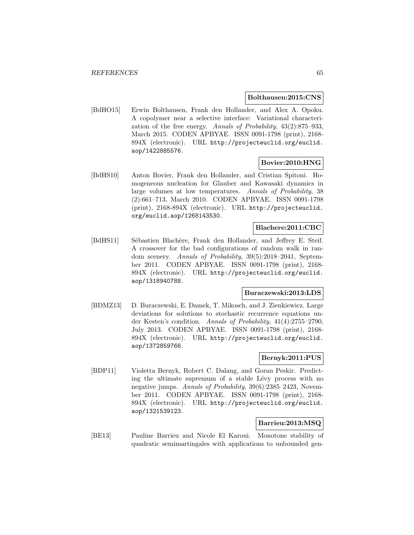## **Bolthausen:2015:CNS**

[BdHO15] Erwin Bolthausen, Frank den Hollander, and Alex A. Opoku. A copolymer near a selective interface: Variational characterization of the free energy. Annals of Probability, 43(2):875–933, March 2015. CODEN APBYAE. ISSN 0091-1798 (print), 2168- 894X (electronic). URL http://projecteuclid.org/euclid. aop/1422885576.

# **Bovier:2010:HNG**

[BdHS10] Anton Bovier, Frank den Hollander, and Cristian Spitoni. Homogeneous nucleation for Glauber and Kawasaki dynamics in large volumes at low temperatures. Annals of Probability, 38 (2):661–713, March 2010. CODEN APBYAE. ISSN 0091-1798 (print), 2168-894X (electronic). URL http://projecteuclid. org/euclid.aop/1268143530.

#### **Blachere:2011:CBC**

[BdHS11] Sébastien Blachère, Frank den Hollander, and Jeffrey E. Steif. A crossover for the bad configurations of random walk in random scenery. Annals of Probability, 39(5):2018–2041, September 2011. CODEN APBYAE. ISSN 0091-1798 (print), 2168- 894X (electronic). URL http://projecteuclid.org/euclid. aop/1318940788.

### **Buraczewski:2013:LDS**

[BDMZ13] D. Buraczewski, E. Damek, T. Mikosch, and J. Zienkiewicz. Large deviations for solutions to stochastic recurrence equations under Kesten's condition. Annals of Probability, 41(4):2755–2790, July 2013. CODEN APBYAE. ISSN 0091-1798 (print), 2168- 894X (electronic). URL http://projecteuclid.org/euclid. aop/1372859766.

# **Bernyk:2011:PUS**

[BDP11] Violetta Bernyk, Robert C. Dalang, and Goran Peskir. Predicting the ultimate supremum of a stable Lévy process with no negative jumps. Annals of Probability, 39(6):2385–2423, November 2011. CODEN APBYAE. ISSN 0091-1798 (print), 2168- 894X (electronic). URL http://projecteuclid.org/euclid. aop/1321539123.

# **Barrieu:2013:MSQ**

[BE13] Pauline Barrieu and Nicole El Karoui. Monotone stability of quadratic semimartingales with applications to unbounded gen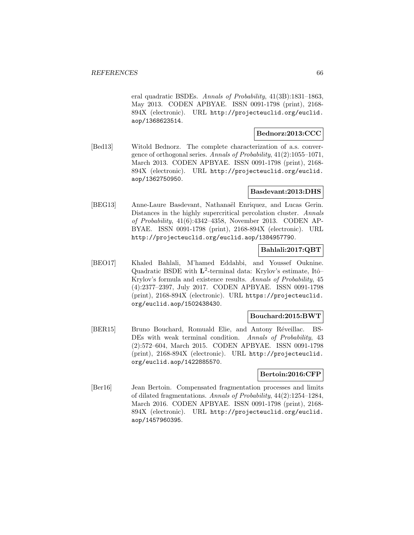eral quadratic BSDEs. Annals of Probability, 41(3B):1831–1863, May 2013. CODEN APBYAE. ISSN 0091-1798 (print), 2168- 894X (electronic). URL http://projecteuclid.org/euclid. aop/1368623514.

# **Bednorz:2013:CCC**

[Bed13] Witold Bednorz. The complete characterization of a.s. convergence of orthogonal series. Annals of Probability, 41(2):1055–1071, March 2013. CODEN APBYAE. ISSN 0091-1798 (print), 2168- 894X (electronic). URL http://projecteuclid.org/euclid. aop/1362750950.

## **Basdevant:2013:DHS**

[BEG13] Anne-Laure Basdevant, Nathanaël Enriquez, and Lucas Gerin. Distances in the highly supercritical percolation cluster. Annals of Probability, 41(6):4342–4358, November 2013. CODEN AP-BYAE. ISSN 0091-1798 (print), 2168-894X (electronic). URL http://projecteuclid.org/euclid.aop/1384957790.

# **Bahlali:2017:QBT**

[BEO17] Khaled Bahlali, M'hamed Eddahbi, and Youssef Ouknine. Quadratic BSDE with **L**<sup>2</sup>-terminal data: Krylov's estimate, Itô– Krylov's formula and existence results. Annals of Probability, 45 (4):2377–2397, July 2017. CODEN APBYAE. ISSN 0091-1798 (print), 2168-894X (electronic). URL https://projecteuclid. org/euclid.aop/1502438430.

## **Bouchard:2015:BWT**

[BER15] Bruno Bouchard, Romuald Elie, and Antony Réveillac. BS-DEs with weak terminal condition. Annals of Probability, 43 (2):572–604, March 2015. CODEN APBYAE. ISSN 0091-1798 (print), 2168-894X (electronic). URL http://projecteuclid. org/euclid.aop/1422885570.

## **Bertoin:2016:CFP**

[Ber16] Jean Bertoin. Compensated fragmentation processes and limits of dilated fragmentations. Annals of Probability, 44(2):1254–1284, March 2016. CODEN APBYAE. ISSN 0091-1798 (print), 2168- 894X (electronic). URL http://projecteuclid.org/euclid. aop/1457960395.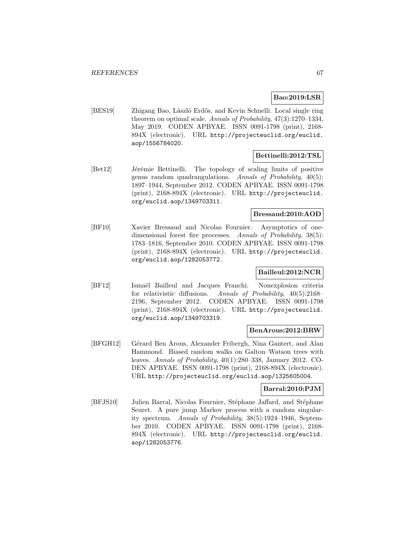# **Bao:2019:LSR**

[BES19] Zhigang Bao, László Erdős, and Kevin Schnelli. Local single ring theorem on optimal scale. Annals of Probability, 47(3):1270–1334, May 2019. CODEN APBYAE. ISSN 0091-1798 (print), 2168- 894X (electronic). URL http://projecteuclid.org/euclid. aop/1556784020.

# **Bettinelli:2012:TSL**

[Bet12] Jérémie Bettinelli. The topology of scaling limits of positive genus random quadrangulations. Annals of Probability, 40(5): 1897–1944, September 2012. CODEN APBYAE. ISSN 0091-1798 (print), 2168-894X (electronic). URL http://projecteuclid. org/euclid.aop/1349703311.

# **Bressaud:2010:AOD**

[BF10] Xavier Bressaud and Nicolas Fournier. Asymptotics of onedimensional forest fire processes. Annals of Probability, 38(5): 1783–1816, September 2010. CODEN APBYAE. ISSN 0091-1798 (print), 2168-894X (electronic). URL http://projecteuclid. org/euclid.aop/1282053772.

# **Bailleul:2012:NCR**

[BF12] Ismaël Bailleul and Jacques Franchi. Nonexplosion criteria for relativistic diffusions. Annals of Probability, 40(5):2168– 2196, September 2012. CODEN APBYAE. ISSN 0091-1798 (print), 2168-894X (electronic). URL http://projecteuclid. org/euclid.aop/1349703319.

#### **BenArous:2012:BRW**

[BFGH12] Gérard Ben Arous, Alexander Fribergh, Nina Gantert, and Alan Hammond. Biased random walks on Galton–Watson trees with leaves. Annals of Probability, 40(1):280–338, January 2012. CO-DEN APBYAE. ISSN 0091-1798 (print), 2168-894X (electronic). URL http://projecteuclid.org/euclid.aop/1325605004.

## **Barral:2010:PJM**

[BFJS10] Julien Barral, Nicolas Fournier, Stéphane Jaffard, and Stéphane Seuret. A pure jump Markov process with a random singularity spectrum. Annals of Probability, 38(5):1924–1946, September 2010. CODEN APBYAE. ISSN 0091-1798 (print), 2168- 894X (electronic). URL http://projecteuclid.org/euclid. aop/1282053776.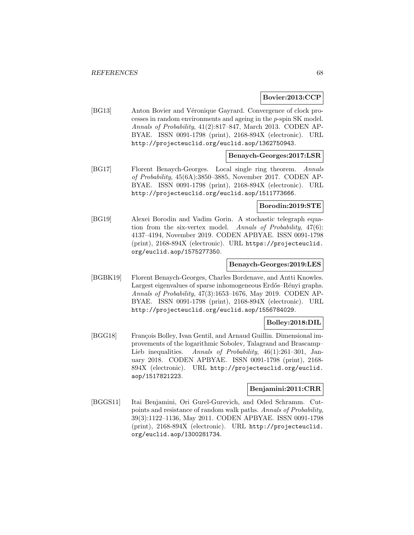#### **Bovier:2013:CCP**

[BG13] Anton Bovier and Véronique Gayrard. Convergence of clock processes in random environments and ageing in the p-spin SK model. Annals of Probability, 41(2):817–847, March 2013. CODEN AP-BYAE. ISSN 0091-1798 (print), 2168-894X (electronic). URL http://projecteuclid.org/euclid.aop/1362750943.

## **Benaych-Georges:2017:LSR**

[BG17] Florent Benaych-Georges. Local single ring theorem. Annals of Probability, 45(6A):3850–3885, November 2017. CODEN AP-BYAE. ISSN 0091-1798 (print), 2168-894X (electronic). URL http://projecteuclid.org/euclid.aop/1511773666.

#### **Borodin:2019:STE**

[BG19] Alexei Borodin and Vadim Gorin. A stochastic telegraph equation from the six-vertex model. Annals of Probability, 47(6): 4137–4194, November 2019. CODEN APBYAE. ISSN 0091-1798 (print), 2168-894X (electronic). URL https://projecteuclid. org/euclid.aop/1575277350.

## **Benaych-Georges:2019:LES**

[BGBK19] Florent Benaych-Georges, Charles Bordenave, and Antti Knowles. Largest eigenvalues of sparse inhomogeneous Erdős–Rényi graphs. Annals of Probability, 47(3):1653–1676, May 2019. CODEN AP-BYAE. ISSN 0091-1798 (print), 2168-894X (electronic). URL http://projecteuclid.org/euclid.aop/1556784029.

## **Bolley:2018:DIL**

[BGG18] François Bolley, Ivan Gentil, and Arnaud Guillin. Dimensional improvements of the logarithmic Sobolev, Talagrand and Brascamp– Lieb inequalities. Annals of Probability, 46(1):261-301, January 2018. CODEN APBYAE. ISSN 0091-1798 (print), 2168- 894X (electronic). URL http://projecteuclid.org/euclid. aop/1517821223.

## **Benjamini:2011:CRR**

[BGGS11] Itai Benjamini, Ori Gurel-Gurevich, and Oded Schramm. Cutpoints and resistance of random walk paths. Annals of Probability, 39(3):1122–1136, May 2011. CODEN APBYAE. ISSN 0091-1798 (print), 2168-894X (electronic). URL http://projecteuclid. org/euclid.aop/1300281734.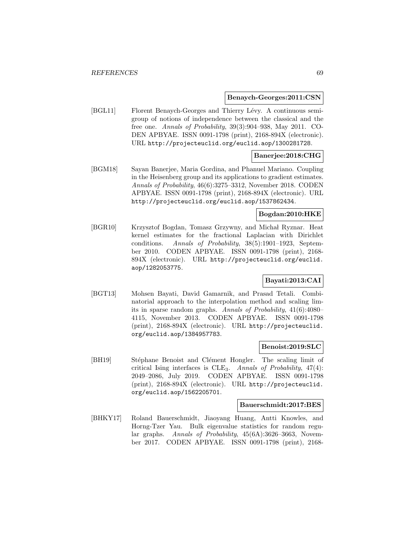#### **Benaych-Georges:2011:CSN**

[BGL11] Florent Benaych-Georges and Thierry Lévy. A continuous semigroup of notions of independence between the classical and the free one. Annals of Probability, 39(3):904–938, May 2011. CO-DEN APBYAE. ISSN 0091-1798 (print), 2168-894X (electronic). URL http://projecteuclid.org/euclid.aop/1300281728.

# **Banerjee:2018:CHG**

[BGM18] Sayan Banerjee, Maria Gordina, and Phanuel Mariano. Coupling in the Heisenberg group and its applications to gradient estimates. Annals of Probability, 46(6):3275–3312, November 2018. CODEN APBYAE. ISSN 0091-1798 (print), 2168-894X (electronic). URL http://projecteuclid.org/euclid.aop/1537862434.

# **Bogdan:2010:HKE**

[BGR10] Krzysztof Bogdan, Tomasz Grzywny, and Michał Ryznar. Heat kernel estimates for the fractional Laplacian with Dirichlet conditions. Annals of Probability, 38(5):1901–1923, September 2010. CODEN APBYAE. ISSN 0091-1798 (print), 2168- 894X (electronic). URL http://projecteuclid.org/euclid. aop/1282053775.

# **Bayati:2013:CAI**

[BGT13] Mohsen Bayati, David Gamarnik, and Prasad Tetali. Combinatorial approach to the interpolation method and scaling limits in sparse random graphs. Annals of Probability, 41(6):4080– 4115, November 2013. CODEN APBYAE. ISSN 0091-1798 (print), 2168-894X (electronic). URL http://projecteuclid. org/euclid.aop/1384957783.

#### **Benoist:2019:SLC**

[BH19] Stéphane Benoist and Clément Hongler. The scaling limit of critical Ising interfaces is  $CLE<sub>3</sub>$ . Annals of Probability,  $47(4)$ : 2049–2086, July 2019. CODEN APBYAE. ISSN 0091-1798 (print), 2168-894X (electronic). URL http://projecteuclid. org/euclid.aop/1562205701.

#### **Bauerschmidt:2017:BES**

[BHKY17] Roland Bauerschmidt, Jiaoyang Huang, Antti Knowles, and Horng-Tzer Yau. Bulk eigenvalue statistics for random regular graphs. Annals of Probability, 45(6A):3626–3663, November 2017. CODEN APBYAE. ISSN 0091-1798 (print), 2168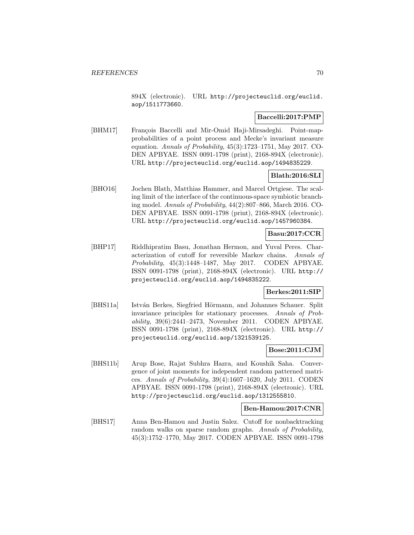894X (electronic). URL http://projecteuclid.org/euclid. aop/1511773660.

# **Baccelli:2017:PMP**

[BHM17] François Baccelli and Mir-Omid Haji-Mirsadeghi. Point-mapprobabilities of a point process and Mecke's invariant measure equation. Annals of Probability, 45(3):1723–1751, May 2017. CO-DEN APBYAE. ISSN 0091-1798 (print), 2168-894X (electronic). URL http://projecteuclid.org/euclid.aop/1494835229.

# **Blath:2016:SLI**

[BHO16] Jochen Blath, Matthias Hammer, and Marcel Ortgiese. The scaling limit of the interface of the continuous-space symbiotic branching model. Annals of Probability, 44(2):807–866, March 2016. CO-DEN APBYAE. ISSN 0091-1798 (print), 2168-894X (electronic). URL http://projecteuclid.org/euclid.aop/1457960384.

# **Basu:2017:CCR**

[BHP17] Riddhipratim Basu, Jonathan Hermon, and Yuval Peres. Characterization of cutoff for reversible Markov chains. Annals of Probability, 45(3):1448–1487, May 2017. CODEN APBYAE. ISSN 0091-1798 (print), 2168-894X (electronic). URL http:// projecteuclid.org/euclid.aop/1494835222.

## **Berkes:2011:SIP**

[BHS11a] István Berkes, Siegfried Hörmann, and Johannes Schauer. Split invariance principles for stationary processes. Annals of Probability, 39(6):2441–2473, November 2011. CODEN APBYAE. ISSN 0091-1798 (print), 2168-894X (electronic). URL http:// projecteuclid.org/euclid.aop/1321539125.

## **Bose:2011:CJM**

[BHS11b] Arup Bose, Rajat Subhra Hazra, and Koushik Saha. Convergence of joint moments for independent random patterned matrices. Annals of Probability, 39(4):1607–1620, July 2011. CODEN APBYAE. ISSN 0091-1798 (print), 2168-894X (electronic). URL http://projecteuclid.org/euclid.aop/1312555810.

## **Ben-Hamou:2017:CNR**

[BHS17] Anna Ben-Hamou and Justin Salez. Cutoff for nonbacktracking random walks on sparse random graphs. Annals of Probability, 45(3):1752–1770, May 2017. CODEN APBYAE. ISSN 0091-1798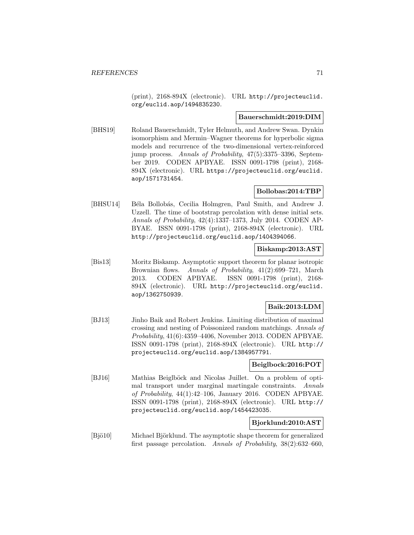(print), 2168-894X (electronic). URL http://projecteuclid. org/euclid.aop/1494835230.

## **Bauerschmidt:2019:DIM**

[BHS19] Roland Bauerschmidt, Tyler Helmuth, and Andrew Swan. Dynkin isomorphism and Mermin–Wagner theorems for hyperbolic sigma models and recurrence of the two-dimensional vertex-reinforced jump process. Annals of Probability, 47(5):3375–3396, September 2019. CODEN APBYAE. ISSN 0091-1798 (print), 2168- 894X (electronic). URL https://projecteuclid.org/euclid. aop/1571731454.

# **Bollobas:2014:TBP**

[BHSU14] Béla Bollobás, Cecilia Holmgren, Paul Smith, and Andrew J. Uzzell. The time of bootstrap percolation with dense initial sets. Annals of Probability, 42(4):1337–1373, July 2014. CODEN AP-BYAE. ISSN 0091-1798 (print), 2168-894X (electronic). URL http://projecteuclid.org/euclid.aop/1404394066.

# **Biskamp:2013:AST**

[Bis13] Moritz Biskamp. Asymptotic support theorem for planar isotropic Brownian flows. Annals of Probability, 41(2):699–721, March 2013. CODEN APBYAE. ISSN 0091-1798 (print), 2168- 894X (electronic). URL http://projecteuclid.org/euclid. aop/1362750939.

# **Baik:2013:LDM**

[BJ13] Jinho Baik and Robert Jenkins. Limiting distribution of maximal crossing and nesting of Poissonized random matchings. Annals of Probability, 41(6):4359–4406, November 2013. CODEN APBYAE. ISSN 0091-1798 (print), 2168-894X (electronic). URL http:// projecteuclid.org/euclid.aop/1384957791.

## **Beiglbock:2016:POT**

[BJ16] Mathias Beiglböck and Nicolas Juillet. On a problem of optimal transport under marginal martingale constraints. Annals of Probability, 44(1):42–106, January 2016. CODEN APBYAE. ISSN 0091-1798 (print), 2168-894X (electronic). URL http:// projecteuclid.org/euclid.aop/1454423035.

# **Bjorklund:2010:AST**

[Bjö10] Michael Björklund. The asymptotic shape theorem for generalized first passage percolation. Annals of Probability, 38(2):632–660,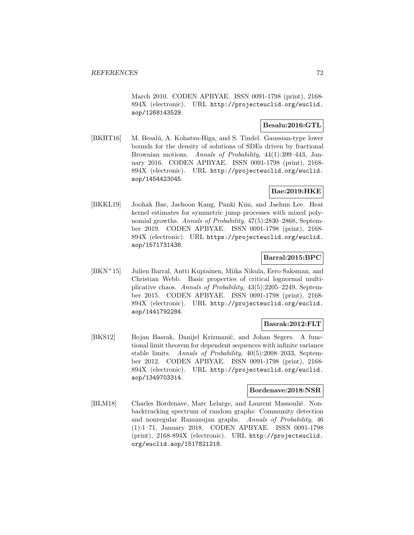March 2010. CODEN APBYAE. ISSN 0091-1798 (print), 2168- 894X (electronic). URL http://projecteuclid.org/euclid. aop/1268143529.

# **Besalu:2016:GTL**

[BKHT16] M. Besalú, A. Kohatsu-Higa, and S. Tindel. Gaussian-type lower bounds for the density of solutions of SDEs driven by fractional Brownian motions. Annals of Probability, 44(1):399–443, January 2016. CODEN APBYAE. ISSN 0091-1798 (print), 2168- 894X (electronic). URL http://projecteuclid.org/euclid. aop/1454423045.

# **Bae:2019:HKE**

[BKKL19] Joohak Bae, Jaehoon Kang, Panki Kim, and Jaehun Lee. Heat kernel estimates for symmetric jump processes with mixed polynomial growths. Annals of Probability, 47(5):2830–2868, September 2019. CODEN APBYAE. ISSN 0091-1798 (print), 2168- 894X (electronic). URL https://projecteuclid.org/euclid. aop/1571731438.

# **Barral:2015:BPC**

[BKN<sup>+</sup>15] Julien Barral, Antti Kupiainen, Miika Nikula, Eero Saksman, and Christian Webb. Basic properties of critical lognormal multiplicative chaos. Annals of Probability, 43(5):2205–2249, September 2015. CODEN APBYAE. ISSN 0091-1798 (print), 2168- 894X (electronic). URL http://projecteuclid.org/euclid. aop/1441792284.

# **Basrak:2012:FLT**

[BKS12] Bojan Basrak, Danijel Krizmanić, and Johan Segers. A functional limit theorem for dependent sequences with infinite variance stable limits. Annals of Probability, 40(5):2008–2033, September 2012. CODEN APBYAE. ISSN 0091-1798 (print), 2168- 894X (electronic). URL http://projecteuclid.org/euclid. aop/1349703314.

# **Bordenave:2018:NSR**

[BLM18] Charles Bordenave, Marc Lelarge, and Laurent Massoulié. Nonbacktracking spectrum of random graphs: Community detection and nonregular Ramanujan graphs. Annals of Probability, 46 (1):1–71, January 2018. CODEN APBYAE. ISSN 0091-1798 (print), 2168-894X (electronic). URL http://projecteuclid. org/euclid.aop/1517821218.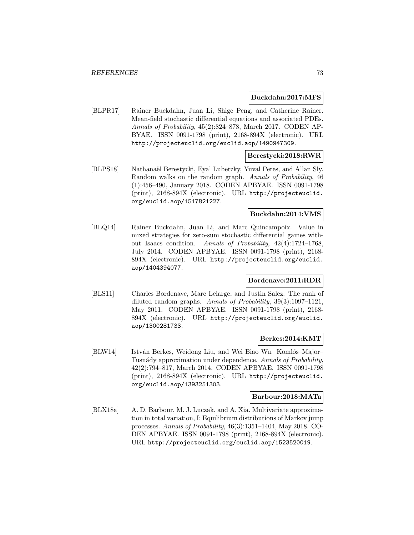#### **Buckdahn:2017:MFS**

[BLPR17] Rainer Buckdahn, Juan Li, Shige Peng, and Catherine Rainer. Mean-field stochastic differential equations and associated PDEs. Annals of Probability, 45(2):824–878, March 2017. CODEN AP-BYAE. ISSN 0091-1798 (print), 2168-894X (electronic). URL http://projecteuclid.org/euclid.aop/1490947309.

# **Berestycki:2018:RWR**

[BLPS18] Nathanaël Berestycki, Eyal Lubetzky, Yuval Peres, and Allan Sly. Random walks on the random graph. Annals of Probability, 46 (1):456–490, January 2018. CODEN APBYAE. ISSN 0091-1798 (print), 2168-894X (electronic). URL http://projecteuclid. org/euclid.aop/1517821227.

# **Buckdahn:2014:VMS**

[BLQ14] Rainer Buckdahn, Juan Li, and Marc Quincampoix. Value in mixed strategies for zero-sum stochastic differential games without Isaacs condition. Annals of Probability, 42(4):1724–1768, July 2014. CODEN APBYAE. ISSN 0091-1798 (print), 2168- 894X (electronic). URL http://projecteuclid.org/euclid. aop/1404394077.

## **Bordenave:2011:RDR**

[BLS11] Charles Bordenave, Marc Lelarge, and Justin Salez. The rank of diluted random graphs. Annals of Probability, 39(3):1097–1121, May 2011. CODEN APBYAE. ISSN 0091-1798 (print), 2168- 894X (electronic). URL http://projecteuclid.org/euclid. aop/1300281733.

#### **Berkes:2014:KMT**

[BLW14] István Berkes, Weidong Liu, and Wei Biao Wu. Komlós–Major– Tusnády approximation under dependence. Annals of Probability, 42(2):794–817, March 2014. CODEN APBYAE. ISSN 0091-1798 (print), 2168-894X (electronic). URL http://projecteuclid. org/euclid.aop/1393251303.

#### **Barbour:2018:MATa**

[BLX18a] A. D. Barbour, M. J. Luczak, and A. Xia. Multivariate approximation in total variation, I: Equilibrium distributions of Markov jump processes. Annals of Probability, 46(3):1351–1404, May 2018. CO-DEN APBYAE. ISSN 0091-1798 (print), 2168-894X (electronic). URL http://projecteuclid.org/euclid.aop/1523520019.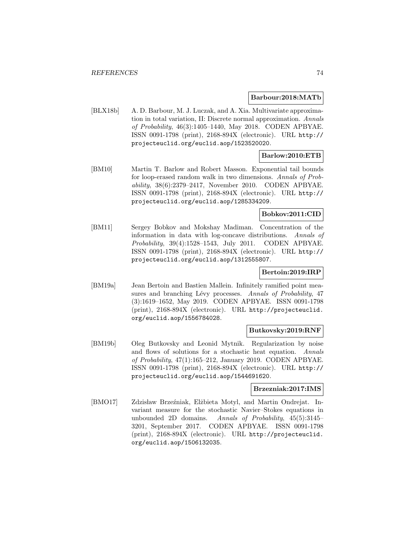#### **Barbour:2018:MATb**

[BLX18b] A. D. Barbour, M. J. Luczak, and A. Xia. Multivariate approximation in total variation, II: Discrete normal approximation. Annals of Probability, 46(3):1405–1440, May 2018. CODEN APBYAE. ISSN 0091-1798 (print), 2168-894X (electronic). URL http:// projecteuclid.org/euclid.aop/1523520020.

# **Barlow:2010:ETB**

[BM10] Martin T. Barlow and Robert Masson. Exponential tail bounds for loop-erased random walk in two dimensions. Annals of Probability, 38(6):2379–2417, November 2010. CODEN APBYAE. ISSN 0091-1798 (print), 2168-894X (electronic). URL http:// projecteuclid.org/euclid.aop/1285334209.

### **Bobkov:2011:CID**

[BM11] Sergey Bobkov and Mokshay Madiman. Concentration of the information in data with log-concave distributions. Annals of Probability, 39(4):1528–1543, July 2011. CODEN APBYAE. ISSN 0091-1798 (print), 2168-894X (electronic). URL http:// projecteuclid.org/euclid.aop/1312555807.

### **Bertoin:2019:IRP**

[BM19a] Jean Bertoin and Bastien Mallein. Infinitely ramified point measures and branching Lévy processes. Annals of Probability, 47 (3):1619–1652, May 2019. CODEN APBYAE. ISSN 0091-1798 (print), 2168-894X (electronic). URL http://projecteuclid. org/euclid.aop/1556784028.

### **Butkovsky:2019:RNF**

[BM19b] Oleg Butkovsky and Leonid Mytnik. Regularization by noise and flows of solutions for a stochastic heat equation. Annals of Probability, 47(1):165–212, January 2019. CODEN APBYAE. ISSN 0091-1798 (print), 2168-894X (electronic). URL http:// projecteuclid.org/euclid.aop/1544691620.

# **Brzezniak:2017:IMS**

[BMO17] Zdzisław Brzeźniak, Elżbieta Motyl, and Martin Ondrejat. Invariant measure for the stochastic Navier–Stokes equations in unbounded 2D domains. Annals of Probability, 45(5):3145– 3201, September 2017. CODEN APBYAE. ISSN 0091-1798 (print), 2168-894X (electronic). URL http://projecteuclid. org/euclid.aop/1506132035.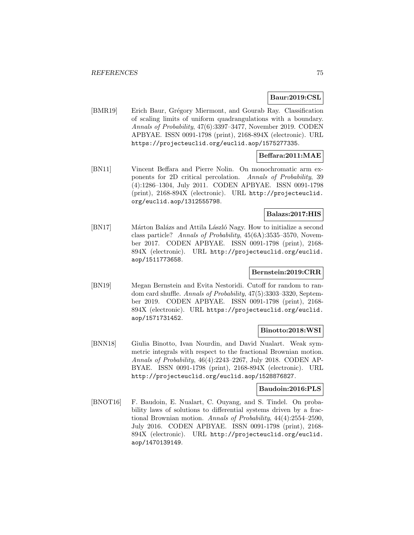## **Baur:2019:CSL**

[BMR19] Erich Baur, Grégory Miermont, and Gourab Ray. Classification of scaling limits of uniform quadrangulations with a boundary. Annals of Probability, 47(6):3397–3477, November 2019. CODEN APBYAE. ISSN 0091-1798 (print), 2168-894X (electronic). URL https://projecteuclid.org/euclid.aop/1575277335.

## **Beffara:2011:MAE**

[BN11] Vincent Beffara and Pierre Nolin. On monochromatic arm exponents for 2D critical percolation. Annals of Probability, 39 (4):1286–1304, July 2011. CODEN APBYAE. ISSN 0091-1798 (print), 2168-894X (electronic). URL http://projecteuclid. org/euclid.aop/1312555798.

# **Balazs:2017:HIS**

[BN17] Márton Balázs and Attila László Nagy. How to initialize a second class particle? Annals of Probability, 45(6A):3535–3570, November 2017. CODEN APBYAE. ISSN 0091-1798 (print), 2168- 894X (electronic). URL http://projecteuclid.org/euclid. aop/1511773658.

### **Bernstein:2019:CRR**

[BN19] Megan Bernstein and Evita Nestoridi. Cutoff for random to random card shuffle. Annals of Probability, 47(5):3303–3320, September 2019. CODEN APBYAE. ISSN 0091-1798 (print), 2168- 894X (electronic). URL https://projecteuclid.org/euclid. aop/1571731452.

### **Binotto:2018:WSI**

[BNN18] Giulia Binotto, Ivan Nourdin, and David Nualart. Weak symmetric integrals with respect to the fractional Brownian motion. Annals of Probability, 46(4):2243–2267, July 2018. CODEN AP-BYAE. ISSN 0091-1798 (print), 2168-894X (electronic). URL http://projecteuclid.org/euclid.aop/1528876827.

## **Baudoin:2016:PLS**

[BNOT16] F. Baudoin, E. Nualart, C. Ouyang, and S. Tindel. On probability laws of solutions to differential systems driven by a fractional Brownian motion. Annals of Probability, 44(4):2554–2590, July 2016. CODEN APBYAE. ISSN 0091-1798 (print), 2168- 894X (electronic). URL http://projecteuclid.org/euclid. aop/1470139149.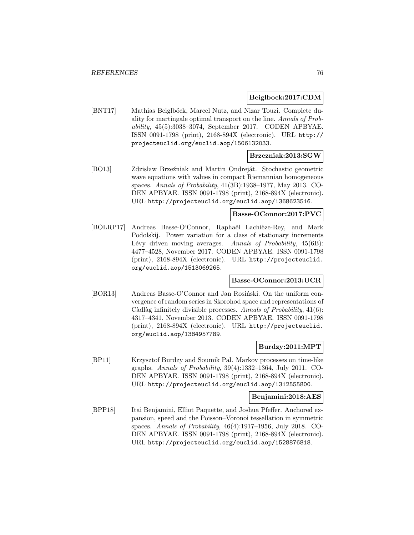#### **Beiglbock:2017:CDM**

[BNT17] Mathias Beiglböck, Marcel Nutz, and Nizar Touzi. Complete duality for martingale optimal transport on the line. Annals of Probability, 45(5):3038–3074, September 2017. CODEN APBYAE. ISSN 0091-1798 (print), 2168-894X (electronic). URL http:// projecteuclid.org/euclid.aop/1506132033.

## **Brzezniak:2013:SGW**

[BO13] Zdzisław Brzeźniak and Martin Ondreját. Stochastic geometric wave equations with values in compact Riemannian homogeneous spaces. Annals of Probability, 41(3B):1938–1977, May 2013. CO-DEN APBYAE. ISSN 0091-1798 (print), 2168-894X (electronic). URL http://projecteuclid.org/euclid.aop/1368623516.

## **Basse-OConnor:2017:PVC**

[BOLRP17] Andreas Basse-O'Connor, Raphaël Lachièze-Rey, and Mark Podolskij. Power variation for a class of stationary increments Lévy driven moving averages. Annals of Probability,  $45(6B)$ : 4477–4528, November 2017. CODEN APBYAE. ISSN 0091-1798 (print), 2168-894X (electronic). URL http://projecteuclid. org/euclid.aop/1513069265.

### **Basse-OConnor:2013:UCR**

[BOR13] Andreas Basse-O'Connor and Jan Rosiński. On the uniform convergence of random series in Skorohod space and representations of Càdlàg infinitely divisible processes. Annals of Probability,  $41(6)$ : 4317–4341, November 2013. CODEN APBYAE. ISSN 0091-1798 (print), 2168-894X (electronic). URL http://projecteuclid. org/euclid.aop/1384957789.

#### **Burdzy:2011:MPT**

[BP11] Krzysztof Burdzy and Soumik Pal. Markov processes on time-like graphs. Annals of Probability, 39(4):1332–1364, July 2011. CO-DEN APBYAE. ISSN 0091-1798 (print), 2168-894X (electronic). URL http://projecteuclid.org/euclid.aop/1312555800.

#### **Benjamini:2018:AES**

[BPP18] Itai Benjamini, Elliot Paquette, and Joshua Pfeffer. Anchored expansion, speed and the Poisson–Voronoi tessellation in symmetric spaces. Annals of Probability, 46(4):1917–1956, July 2018. CO-DEN APBYAE. ISSN 0091-1798 (print), 2168-894X (electronic). URL http://projecteuclid.org/euclid.aop/1528876818.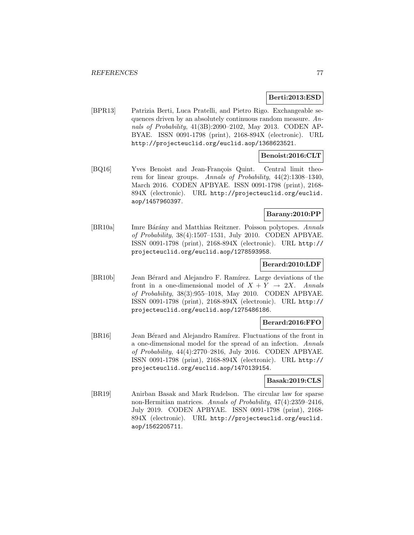### **Berti:2013:ESD**

[BPR13] Patrizia Berti, Luca Pratelli, and Pietro Rigo. Exchangeable sequences driven by an absolutely continuous random measure. Annals of Probability, 41(3B):2090–2102, May 2013. CODEN AP-BYAE. ISSN 0091-1798 (print), 2168-894X (electronic). URL http://projecteuclid.org/euclid.aop/1368623521.

## **Benoist:2016:CLT**

[BQ16] Yves Benoist and Jean-François Quint. Central limit theorem for linear groups. Annals of Probability, 44(2):1308–1340, March 2016. CODEN APBYAE. ISSN 0091-1798 (print), 2168- 894X (electronic). URL http://projecteuclid.org/euclid. aop/1457960397.

# **Barany:2010:PP**

[BR10a] Imre Bárány and Matthias Reitzner. Poisson polytopes. Annals of Probability, 38(4):1507–1531, July 2010. CODEN APBYAE. ISSN 0091-1798 (print), 2168-894X (electronic). URL http:// projecteuclid.org/euclid.aop/1278593958.

#### **Berard:2010:LDF**

[BR10b] Jean Bérard and Alejandro F. Ramírez. Large deviations of the front in a one-dimensional model of  $X + Y \rightarrow 2X$ . Annals of Probability, 38(3):955–1018, May 2010. CODEN APBYAE. ISSN 0091-1798 (print), 2168-894X (electronic). URL http:// projecteuclid.org/euclid.aop/1275486186.

### **Berard:2016:FFO**

[BR16] Jean Bérard and Alejandro Ramírez. Fluctuations of the front in a one-dimensional model for the spread of an infection. Annals of Probability, 44(4):2770–2816, July 2016. CODEN APBYAE. ISSN 0091-1798 (print), 2168-894X (electronic). URL http:// projecteuclid.org/euclid.aop/1470139154.

### **Basak:2019:CLS**

[BR19] Anirban Basak and Mark Rudelson. The circular law for sparse non-Hermitian matrices. Annals of Probability, 47(4):2359–2416, July 2019. CODEN APBYAE. ISSN 0091-1798 (print), 2168- 894X (electronic). URL http://projecteuclid.org/euclid. aop/1562205711.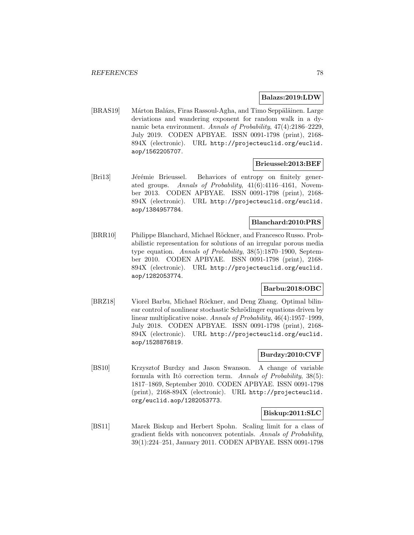#### **Balazs:2019:LDW**

[BRAS19] Márton Balázs, Firas Rassoul-Agha, and Timo Seppäläinen. Large deviations and wandering exponent for random walk in a dynamic beta environment. Annals of Probability, 47(4):2186–2229, July 2019. CODEN APBYAE. ISSN 0091-1798 (print), 2168- 894X (electronic). URL http://projecteuclid.org/euclid. aop/1562205707.

#### **Brieussel:2013:BEF**

[Bri13] Jérémie Brieussel. Behaviors of entropy on finitely generated groups. Annals of Probability, 41(6):4116–4161, November 2013. CODEN APBYAE. ISSN 0091-1798 (print), 2168- 894X (electronic). URL http://projecteuclid.org/euclid. aop/1384957784.

### **Blanchard:2010:PRS**

[BRR10] Philippe Blanchard, Michael Röckner, and Francesco Russo. Probabilistic representation for solutions of an irregular porous media type equation. Annals of Probability, 38(5):1870–1900, September 2010. CODEN APBYAE. ISSN 0091-1798 (print), 2168- 894X (electronic). URL http://projecteuclid.org/euclid. aop/1282053774.

### **Barbu:2018:OBC**

[BRZ18] Viorel Barbu, Michael Röckner, and Deng Zhang. Optimal bilinear control of nonlinear stochastic Schrödinger equations driven by linear multiplicative noise. Annals of Probability, 46(4):1957–1999, July 2018. CODEN APBYAE. ISSN 0091-1798 (print), 2168- 894X (electronic). URL http://projecteuclid.org/euclid. aop/1528876819.

### **Burdzy:2010:CVF**

[BS10] Krzysztof Burdzy and Jason Swanson. A change of variable formula with Itô correction term. Annals of Probability,  $38(5)$ : 1817–1869, September 2010. CODEN APBYAE. ISSN 0091-1798 (print), 2168-894X (electronic). URL http://projecteuclid. org/euclid.aop/1282053773.

#### **Biskup:2011:SLC**

[BS11] Marek Biskup and Herbert Spohn. Scaling limit for a class of gradient fields with nonconvex potentials. Annals of Probability, 39(1):224–251, January 2011. CODEN APBYAE. ISSN 0091-1798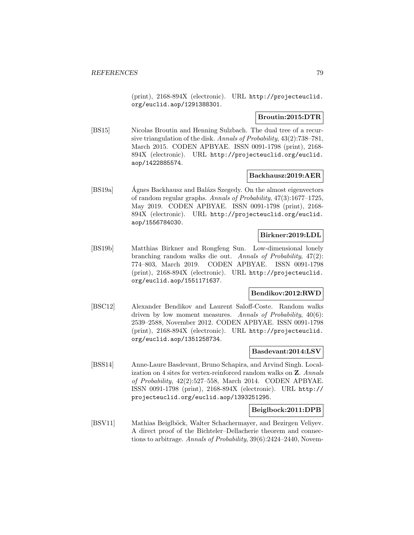(print), 2168-894X (electronic). URL http://projecteuclid. org/euclid.aop/1291388301.

## **Broutin:2015:DTR**

[BS15] Nicolas Broutin and Henning Sulzbach. The dual tree of a recursive triangulation of the disk. Annals of Probability, 43(2):738–781, March 2015. CODEN APBYAE. ISSN 0091-1798 (print), 2168- 894X (electronic). URL http://projecteuclid.org/euclid. aop/1422885574.

### **Backhausz:2019:AER**

[BS19a] Agnes Backhausz and Balázs Szegedy. On the almost eigenvectors of random regular graphs. Annals of Probability, 47(3):1677–1725, May 2019. CODEN APBYAE. ISSN 0091-1798 (print), 2168- 894X (electronic). URL http://projecteuclid.org/euclid. aop/1556784030.

## **Birkner:2019:LDL**

[BS19b] Matthias Birkner and Rongfeng Sun. Low-dimensional lonely branching random walks die out. Annals of Probability, 47(2): 774–803, March 2019. CODEN APBYAE. ISSN 0091-1798 (print), 2168-894X (electronic). URL http://projecteuclid. org/euclid.aop/1551171637.

# **Bendikov:2012:RWD**

[BSC12] Alexander Bendikov and Laurent Saloff-Coste. Random walks driven by low moment measures. Annals of Probability,  $40(6)$ : 2539–2588, November 2012. CODEN APBYAE. ISSN 0091-1798 (print), 2168-894X (electronic). URL http://projecteuclid. org/euclid.aop/1351258734.

#### **Basdevant:2014:LSV**

[BSS14] Anne-Laure Basdevant, Bruno Schapira, and Arvind Singh. Localization on 4 sites for vertex-reinforced random walks on **Z**. Annals of Probability, 42(2):527–558, March 2014. CODEN APBYAE. ISSN 0091-1798 (print), 2168-894X (electronic). URL http:// projecteuclid.org/euclid.aop/1393251295.

## **Beiglbock:2011:DPB**

[BSV11] Mathias Beiglböck, Walter Schachermayer, and Bezirgen Veliyev. A direct proof of the Bichteler–Dellacherie theorem and connections to arbitrage. Annals of Probability, 39(6):2424–2440, Novem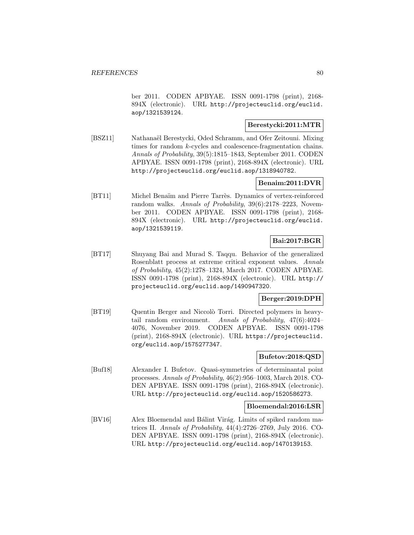ber 2011. CODEN APBYAE. ISSN 0091-1798 (print), 2168- 894X (electronic). URL http://projecteuclid.org/euclid. aop/1321539124.

# **Berestycki:2011:MTR**

[BSZ11] Nathanaël Berestycki, Oded Schramm, and Ofer Zeitouni. Mixing times for random k-cycles and coalescence-fragmentation chains. Annals of Probability, 39(5):1815–1843, September 2011. CODEN APBYAE. ISSN 0091-1798 (print), 2168-894X (electronic). URL http://projecteuclid.org/euclid.aop/1318940782.

## **Benaim:2011:DVR**

[BT11] Michel Benaïm and Pierre Tarrès. Dynamics of vertex-reinforced random walks. Annals of Probability, 39(6):2178–2223, November 2011. CODEN APBYAE. ISSN 0091-1798 (print), 2168- 894X (electronic). URL http://projecteuclid.org/euclid. aop/1321539119.

# **Bai:2017:BGR**

[BT17] Shuyang Bai and Murad S. Taqqu. Behavior of the generalized Rosenblatt process at extreme critical exponent values. Annals of Probability, 45(2):1278–1324, March 2017. CODEN APBYAE. ISSN 0091-1798 (print), 2168-894X (electronic). URL http:// projecteuclid.org/euclid.aop/1490947320.

# **Berger:2019:DPH**

[BT19] Quentin Berger and Niccolò Torri. Directed polymers in heavytail random environment. Annals of Probability, 47(6):4024– 4076, November 2019. CODEN APBYAE. ISSN 0091-1798 (print), 2168-894X (electronic). URL https://projecteuclid. org/euclid.aop/1575277347.

### **Bufetov:2018:QSD**

[Buf18] Alexander I. Bufetov. Quasi-symmetries of determinantal point processes. Annals of Probability, 46(2):956–1003, March 2018. CO-DEN APBYAE. ISSN 0091-1798 (print), 2168-894X (electronic). URL http://projecteuclid.org/euclid.aop/1520586273.

#### **Bloemendal:2016:LSR**

[BV16] Alex Bloemendal and Bálint Virág. Limits of spiked random matrices II. Annals of Probability, 44(4):2726–2769, July 2016. CO-DEN APBYAE. ISSN 0091-1798 (print), 2168-894X (electronic). URL http://projecteuclid.org/euclid.aop/1470139153.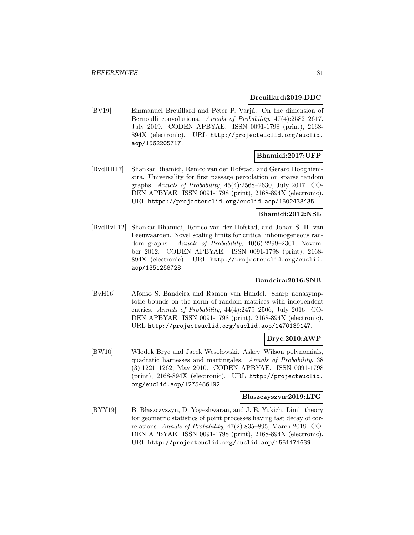#### **Breuillard:2019:DBC**

[BV19] Emmanuel Breuillard and Péter P. Varjú. On the dimension of Bernoulli convolutions. Annals of Probability, 47(4):2582–2617, July 2019. CODEN APBYAE. ISSN 0091-1798 (print), 2168- 894X (electronic). URL http://projecteuclid.org/euclid. aop/1562205717.

# **Bhamidi:2017:UFP**

[BvdHH17] Shankar Bhamidi, Remco van der Hofstad, and Gerard Hooghiemstra. Universality for first passage percolation on sparse random graphs. Annals of Probability, 45(4):2568–2630, July 2017. CO-DEN APBYAE. ISSN 0091-1798 (print), 2168-894X (electronic). URL https://projecteuclid.org/euclid.aop/1502438435.

## **Bhamidi:2012:NSL**

[BvdHvL12] Shankar Bhamidi, Remco van der Hofstad, and Johan S. H. van Leeuwaarden. Novel scaling limits for critical inhomogeneous random graphs. Annals of Probability, 40(6):2299–2361, November 2012. CODEN APBYAE. ISSN 0091-1798 (print), 2168- 894X (electronic). URL http://projecteuclid.org/euclid. aop/1351258728.

## **Bandeira:2016:SNB**

[BvH16] Afonso S. Bandeira and Ramon van Handel. Sharp nonasymptotic bounds on the norm of random matrices with independent entries. Annals of Probability, 44(4):2479–2506, July 2016. CO-DEN APBYAE. ISSN 0091-1798 (print), 2168-894X (electronic). URL http://projecteuclid.org/euclid.aop/1470139147.

### **Bryc:2010:AWP**

[BW10] Włodek Bryc and Jacek Wesołowski. Askey–Wilson polynomials, quadratic harnesses and martingales. Annals of Probability, 38 (3):1221–1262, May 2010. CODEN APBYAE. ISSN 0091-1798 (print), 2168-894X (electronic). URL http://projecteuclid. org/euclid.aop/1275486192.

#### **Blaszczyszyn:2019:LTG**

[BYY19] B. Blaszczyszyn, D. Yogeshwaran, and J. E. Yukich. Limit theory for geometric statistics of point processes having fast decay of correlations. Annals of Probability, 47(2):835–895, March 2019. CO-DEN APBYAE. ISSN 0091-1798 (print), 2168-894X (electronic). URL http://projecteuclid.org/euclid.aop/1551171639.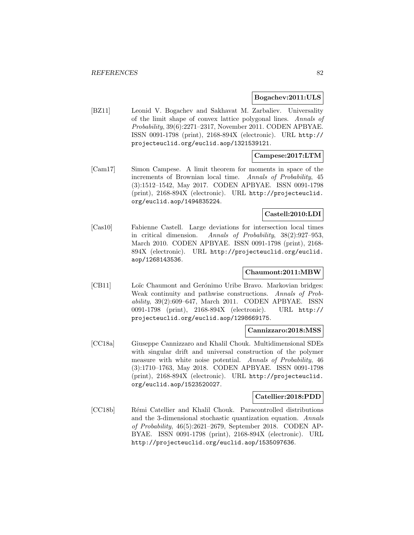#### **Bogachev:2011:ULS**

[BZ11] Leonid V. Bogachev and Sakhavat M. Zarbaliev. Universality of the limit shape of convex lattice polygonal lines. Annals of Probability, 39(6):2271–2317, November 2011. CODEN APBYAE. ISSN 0091-1798 (print), 2168-894X (electronic). URL http:// projecteuclid.org/euclid.aop/1321539121.

## **Campese:2017:LTM**

[Cam17] Simon Campese. A limit theorem for moments in space of the increments of Brownian local time. Annals of Probability, 45 (3):1512–1542, May 2017. CODEN APBYAE. ISSN 0091-1798 (print), 2168-894X (electronic). URL http://projecteuclid. org/euclid.aop/1494835224.

# **Castell:2010:LDI**

[Cas10] Fabienne Castell. Large deviations for intersection local times in critical dimension. Annals of Probability, 38(2):927–953, March 2010. CODEN APBYAE. ISSN 0091-1798 (print), 2168- 894X (electronic). URL http://projecteuclid.org/euclid. aop/1268143536.

# **Chaumont:2011:MBW**

[CB11] Loïc Chaumont and Gerónimo Uribe Bravo. Markovian bridges: Weak continuity and pathwise constructions. Annals of Probability, 39(2):609–647, March 2011. CODEN APBYAE. ISSN 0091-1798 (print), 2168-894X (electronic). URL http:// projecteuclid.org/euclid.aop/1298669175.

#### **Cannizzaro:2018:MSS**

[CC18a] Giuseppe Cannizzaro and Khalil Chouk. Multidimensional SDEs with singular drift and universal construction of the polymer measure with white noise potential. Annals of Probability, 46 (3):1710–1763, May 2018. CODEN APBYAE. ISSN 0091-1798 (print), 2168-894X (electronic). URL http://projecteuclid. org/euclid.aop/1523520027.

#### **Catellier:2018:PDD**

[CC18b] Rémi Catellier and Khalil Chouk. Paracontrolled distributions and the 3-dimensional stochastic quantization equation. Annals of Probability, 46(5):2621–2679, September 2018. CODEN AP-BYAE. ISSN 0091-1798 (print), 2168-894X (electronic). URL http://projecteuclid.org/euclid.aop/1535097636.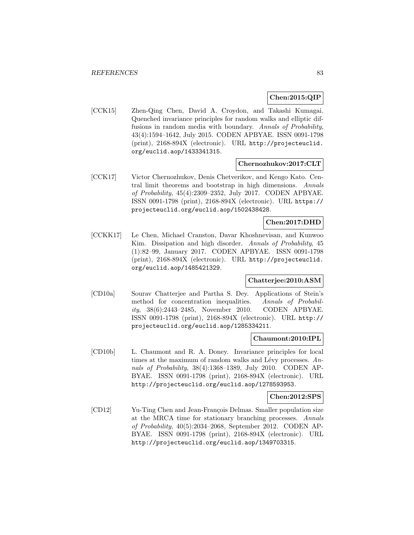### **Chen:2015:QIP**

[CCK15] Zhen-Qing Chen, David A. Croydon, and Takashi Kumagai. Quenched invariance principles for random walks and elliptic diffusions in random media with boundary. Annals of Probability, 43(4):1594–1642, July 2015. CODEN APBYAE. ISSN 0091-1798 (print), 2168-894X (electronic). URL http://projecteuclid. org/euclid.aop/1433341315.

### **Chernozhukov:2017:CLT**

[CCK17] Victor Chernozhukov, Denis Chetverikov, and Kengo Kato. Central limit theorems and bootstrap in high dimensions. Annals of Probability, 45(4):2309–2352, July 2017. CODEN APBYAE. ISSN 0091-1798 (print), 2168-894X (electronic). URL https:// projecteuclid.org/euclid.aop/1502438428.

# **Chen:2017:DHD**

[CCKK17] Le Chen, Michael Cranston, Davar Khoshnevisan, and Kunwoo Kim. Dissipation and high disorder. Annals of Probability, 45 (1):82–99, January 2017. CODEN APBYAE. ISSN 0091-1798 (print), 2168-894X (electronic). URL http://projecteuclid. org/euclid.aop/1485421329.

# **Chatterjee:2010:ASM**

[CD10a] Sourav Chatterjee and Partha S. Dey. Applications of Stein's method for concentration inequalities. Annals of Probability, 38(6):2443–2485, November 2010. CODEN APBYAE. ISSN 0091-1798 (print), 2168-894X (electronic). URL http:// projecteuclid.org/euclid.aop/1285334211.

### **Chaumont:2010:IPL**

[CD10b] L. Chaumont and R. A. Doney. Invariance principles for local times at the maximum of random walks and Lévy processes.  $An$ nals of Probability, 38(4):1368–1389, July 2010. CODEN AP-BYAE. ISSN 0091-1798 (print), 2168-894X (electronic). URL http://projecteuclid.org/euclid.aop/1278593953.

#### **Chen:2012:SPS**

[CD12] Yu-Ting Chen and Jean-François Delmas. Smaller population size at the MRCA time for stationary branching processes. Annals of Probability, 40(5):2034–2068, September 2012. CODEN AP-BYAE. ISSN 0091-1798 (print), 2168-894X (electronic). URL http://projecteuclid.org/euclid.aop/1349703315.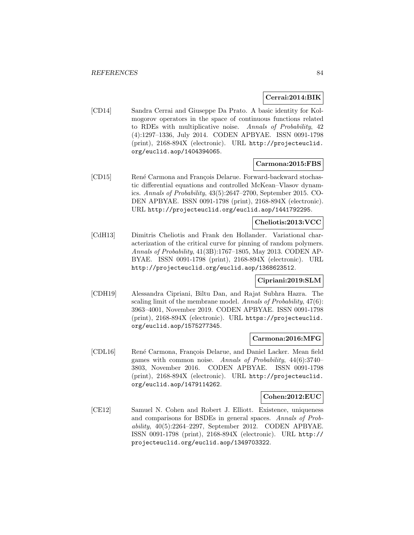### **Cerrai:2014:BIK**

[CD14] Sandra Cerrai and Giuseppe Da Prato. A basic identity for Kolmogorov operators in the space of continuous functions related to RDEs with multiplicative noise. Annals of Probability, 42 (4):1297–1336, July 2014. CODEN APBYAE. ISSN 0091-1798 (print), 2168-894X (electronic). URL http://projecteuclid. org/euclid.aop/1404394065.

### **Carmona:2015:FBS**

[CD15] René Carmona and François Delarue. Forward-backward stochastic differential equations and controlled McKean–Vlasov dynamics. Annals of Probability, 43(5):2647–2700, September 2015. CO-DEN APBYAE. ISSN 0091-1798 (print), 2168-894X (electronic). URL http://projecteuclid.org/euclid.aop/1441792295.

## **Cheliotis:2013:VCC**

[CdH13] Dimitris Cheliotis and Frank den Hollander. Variational characterization of the critical curve for pinning of random polymers. Annals of Probability, 41(3B):1767–1805, May 2013. CODEN AP-BYAE. ISSN 0091-1798 (print), 2168-894X (electronic). URL http://projecteuclid.org/euclid.aop/1368623512.

# **Cipriani:2019:SLM**

[CDH19] Alessandra Cipriani, Biltu Dan, and Rajat Subhra Hazra. The scaling limit of the membrane model. Annals of Probability, 47(6): 3963–4001, November 2019. CODEN APBYAE. ISSN 0091-1798 (print), 2168-894X (electronic). URL https://projecteuclid. org/euclid.aop/1575277345.

#### **Carmona:2016:MFG**

[CDL16] René Carmona, François Delarue, and Daniel Lacker. Mean field games with common noise. Annals of Probability, 44(6):3740– 3803, November 2016. CODEN APBYAE. ISSN 0091-1798 (print), 2168-894X (electronic). URL http://projecteuclid. org/euclid.aop/1479114262.

#### **Cohen:2012:EUC**

[CE12] Samuel N. Cohen and Robert J. Elliott. Existence, uniqueness and comparisons for BSDEs in general spaces. Annals of Probability, 40(5):2264–2297, September 2012. CODEN APBYAE. ISSN 0091-1798 (print), 2168-894X (electronic). URL http:// projecteuclid.org/euclid.aop/1349703322.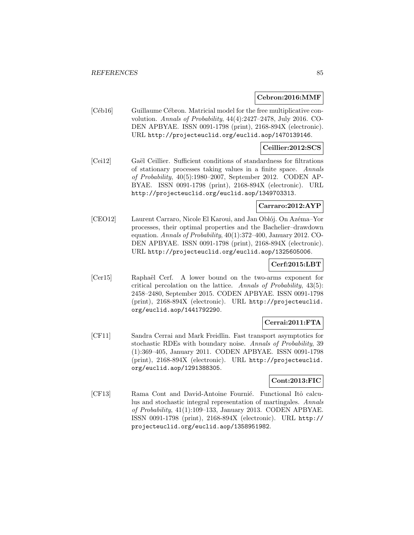#### **Cebron:2016:MMF**

[Céb16] Guillaume Cébron. Matricial model for the free multiplicative convolution. Annals of Probability, 44(4):2427–2478, July 2016. CO-DEN APBYAE. ISSN 0091-1798 (print), 2168-894X (electronic). URL http://projecteuclid.org/euclid.aop/1470139146.

### **Ceillier:2012:SCS**

[Cei12] Gaël Ceillier. Sufficient conditions of standardness for filtrations of stationary processes taking values in a finite space. Annals of Probability, 40(5):1980–2007, September 2012. CODEN AP-BYAE. ISSN 0091-1798 (print), 2168-894X (electronic). URL http://projecteuclid.org/euclid.aop/1349703313.

### **Carraro:2012:AYP**

[CEO12] Laurent Carraro, Nicole El Karoui, and Jan Obłój. On Azéma–Yor processes, their optimal properties and the Bachelier–drawdown equation. Annals of Probability, 40(1):372–400, January 2012. CO-DEN APBYAE. ISSN 0091-1798 (print), 2168-894X (electronic). URL http://projecteuclid.org/euclid.aop/1325605006.

# **Cerf:2015:LBT**

[Cer15] Raphaël Cerf. A lower bound on the two-arms exponent for critical percolation on the lattice. Annals of Probability, 43(5): 2458–2480, September 2015. CODEN APBYAE. ISSN 0091-1798 (print), 2168-894X (electronic). URL http://projecteuclid. org/euclid.aop/1441792290.

# **Cerrai:2011:FTA**

[CF11] Sandra Cerrai and Mark Freidlin. Fast transport asymptotics for stochastic RDEs with boundary noise. Annals of Probability, 39 (1):369–405, January 2011. CODEN APBYAE. ISSN 0091-1798 (print), 2168-894X (electronic). URL http://projecteuclid. org/euclid.aop/1291388305.

### **Cont:2013:FIC**

[CF13] Rama Cont and David-Antoine Fournié. Functional Itô calculus and stochastic integral representation of martingales. Annals of Probability, 41(1):109–133, January 2013. CODEN APBYAE. ISSN 0091-1798 (print), 2168-894X (electronic). URL http:// projecteuclid.org/euclid.aop/1358951982.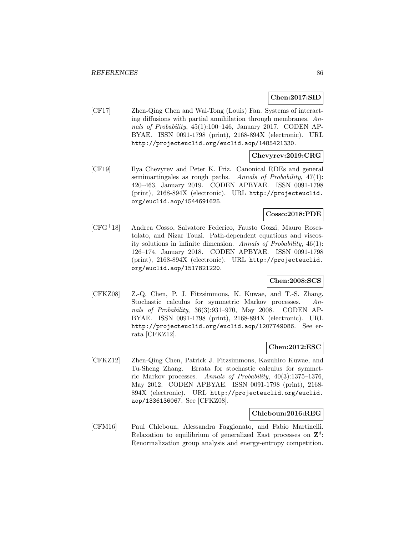## **Chen:2017:SID**

[CF17] Zhen-Qing Chen and Wai-Tong (Louis) Fan. Systems of interacting diffusions with partial annihilation through membranes. Annals of Probability, 45(1):100–146, January 2017. CODEN AP-BYAE. ISSN 0091-1798 (print), 2168-894X (electronic). URL http://projecteuclid.org/euclid.aop/1485421330.

### **Chevyrev:2019:CRG**

[CF19] Ilya Chevyrev and Peter K. Friz. Canonical RDEs and general semimartingales as rough paths. Annals of Probability,  $47(1)$ : 420–463, January 2019. CODEN APBYAE. ISSN 0091-1798 (print), 2168-894X (electronic). URL http://projecteuclid. org/euclid.aop/1544691625.

## **Cosso:2018:PDE**

[CFG<sup>+</sup>18] Andrea Cosso, Salvatore Federico, Fausto Gozzi, Mauro Rosestolato, and Nizar Touzi. Path-dependent equations and viscosity solutions in infinite dimension. Annals of Probability, 46(1): 126–174, January 2018. CODEN APBYAE. ISSN 0091-1798 (print), 2168-894X (electronic). URL http://projecteuclid. org/euclid.aop/1517821220.

### **Chen:2008:SCS**

[CFKZ08] Z.-Q. Chen, P. J. Fitzsimmons, K. Kuwae, and T.-S. Zhang. Stochastic calculus for symmetric Markov processes. Annals of Probability, 36(3):931–970, May 2008. CODEN AP-BYAE. ISSN 0091-1798 (print), 2168-894X (electronic). URL http://projecteuclid.org/euclid.aop/1207749086. See errata [CFKZ12].

### **Chen:2012:ESC**

[CFKZ12] Zhen-Qing Chen, Patrick J. Fitzsimmons, Kazuhiro Kuwae, and Tu-Sheng Zhang. Errata for stochastic calculus for symmetric Markov processes. Annals of Probability, 40(3):1375–1376, May 2012. CODEN APBYAE. ISSN 0091-1798 (print), 2168- 894X (electronic). URL http://projecteuclid.org/euclid. aop/1336136067. See [CFKZ08].

#### **Chleboun:2016:REG**

[CFM16] Paul Chleboun, Alessandra Faggionato, and Fabio Martinelli. Relaxation to equilibrium of generalized East processes on **Z**<sup>d</sup>: Renormalization group analysis and energy-entropy competition.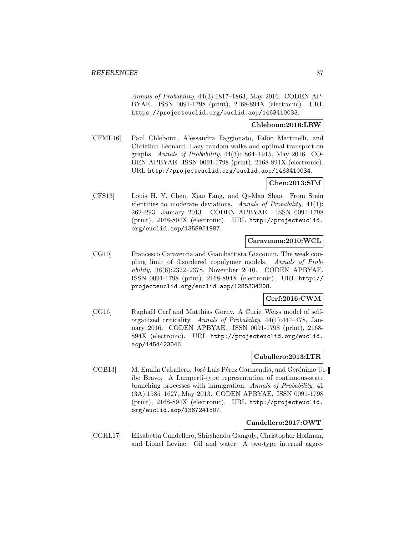Annals of Probability, 44(3):1817–1863, May 2016. CODEN AP-BYAE. ISSN 0091-1798 (print), 2168-894X (electronic). URL https://projecteuclid.org/euclid.aop/1463410033.

# **Chleboun:2016:LRW**

[CFML16] Paul Chleboun, Alessandra Faggionato, Fabio Martinelli, and Christian Léonard. Lazy random walks and optimal transport on graphs. Annals of Probability, 44(3):1864–1915, May 2016. CO-DEN APBYAE. ISSN 0091-1798 (print), 2168-894X (electronic). URL http://projecteuclid.org/euclid.aop/1463410034.

#### **Chen:2013:SIM**

[CFS13] Louis H. Y. Chen, Xiao Fang, and Qi-Man Shao. From Stein identities to moderate deviations. Annals of Probability, 41(1): 262–293, January 2013. CODEN APBYAE. ISSN 0091-1798 (print), 2168-894X (electronic). URL http://projecteuclid. org/euclid.aop/1358951987.

#### **Caravenna:2010:WCL**

[CG10] Francesco Caravenna and Giambattista Giacomin. The weak coupling limit of disordered copolymer models. Annals of Probability, 38(6):2322–2378, November 2010. CODEN APBYAE. ISSN 0091-1798 (print), 2168-894X (electronic). URL http:// projecteuclid.org/euclid.aop/1285334208.

# **Cerf:2016:CWM**

[CG16] Raphaël Cerf and Matthias Gorny. A Curie–Weiss model of selforganized criticality. Annals of Probability, 44(1):444–478, January 2016. CODEN APBYAE. ISSN 0091-1798 (print), 2168- 894X (electronic). URL http://projecteuclid.org/euclid. aop/1454423046.

# **Caballero:2013:LTR**

[CGB13] M. Emilia Caballero, José Luis Pérez Garmendia, and Gerónimo Uribe Bravo. A Lamperti-type representation of continuous-state branching processes with immigration. Annals of Probability, 41 (3A):1585–1627, May 2013. CODEN APBYAE. ISSN 0091-1798 (print), 2168-894X (electronic). URL http://projecteuclid. org/euclid.aop/1367241507.

## **Candellero:2017:OWT**

[CGHL17] Elisabetta Candellero, Shirshendu Ganguly, Christopher Hoffman, and Lionel Levine. Oil and water: A two-type internal aggre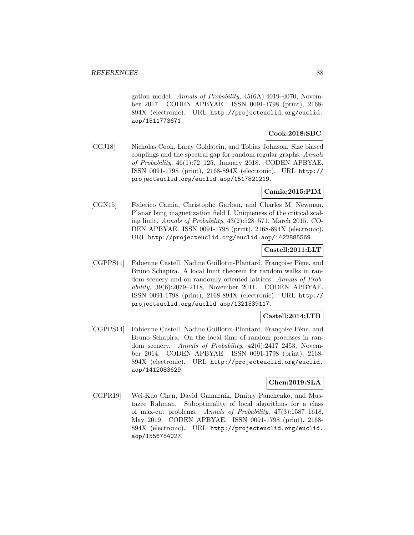gation model. Annals of Probability, 45(6A):4019–4070, November 2017. CODEN APBYAE. ISSN 0091-1798 (print), 2168- 894X (electronic). URL http://projecteuclid.org/euclid. aop/1511773671.

# **Cook:2018:SBC**

[CGJ18] Nicholas Cook, Larry Goldstein, and Tobias Johnson. Size biased couplings and the spectral gap for random regular graphs. Annals of Probability, 46(1):72–125, January 2018. CODEN APBYAE. ISSN 0091-1798 (print), 2168-894X (electronic). URL http:// projecteuclid.org/euclid.aop/1517821219.

## **Camia:2015:PIM**

[CGN15] Federico Camia, Christophe Garban, and Charles M. Newman. Planar Ising magnetization field I. Uniqueness of the critical scaling limit. Annals of Probability, 43(2):528–571, March 2015. CO-DEN APBYAE. ISSN 0091-1798 (print), 2168-894X (electronic). URL http://projecteuclid.org/euclid.aop/1422885569.

# **Castell:2011:LLT**

[CGPPS11] Fabienne Castell, Nadine Guillotin-Plantard, Françoise Pène, and Bruno Schapira. A local limit theorem for random walks in random scenery and on randomly oriented lattices. Annals of Probability, 39(6):2079–2118, November 2011. CODEN APBYAE. ISSN 0091-1798 (print), 2168-894X (electronic). URL http:// projecteuclid.org/euclid.aop/1321539117.

# **Castell:2014:LTR**

[CGPPS14] Fabienne Castell, Nadine Guillotin-Plantard, Françoise Pène, and Bruno Schapira. On the local time of random processes in random scenery. Annals of Probability, 42(6):2417–2453, November 2014. CODEN APBYAE. ISSN 0091-1798 (print), 2168- 894X (electronic). URL http://projecteuclid.org/euclid. aop/1412083629.

### **Chen:2019:SLA**

[CGPR19] Wei-Kuo Chen, David Gamarnik, Dmitry Panchenko, and Mustazee Rahman. Suboptimality of local algorithms for a class of max-cut problems. Annals of Probability, 47(3):1587–1618, May 2019. CODEN APBYAE. ISSN 0091-1798 (print), 2168- 894X (electronic). URL http://projecteuclid.org/euclid. aop/1556784027.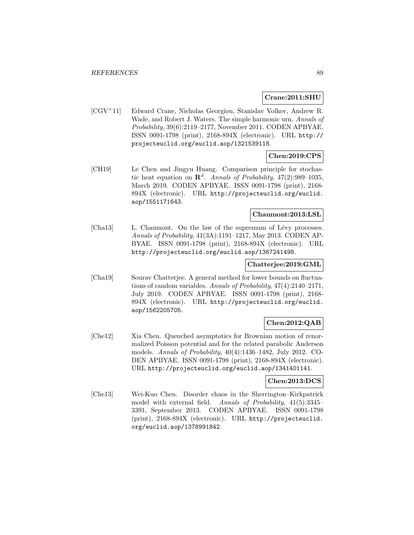#### **Crane:2011:SHU**

[CGV<sup>+</sup>11] Edward Crane, Nicholas Georgiou, Stanislav Volkov, Andrew R. Wade, and Robert J. Waters. The simple harmonic urn. Annals of Probability, 39(6):2119–2177, November 2011. CODEN APBYAE. ISSN 0091-1798 (print), 2168-894X (electronic). URL http:// projecteuclid.org/euclid.aop/1321539118.

# **Chen:2019:CPS**

[CH19] Le Chen and Jingyu Huang. Comparison principle for stochastic heat equation on  $\mathbb{R}^d$ . Annals of Probability, 47(2):989–1035, March 2019. CODEN APBYAE. ISSN 0091-1798 (print), 2168- 894X (electronic). URL http://projecteuclid.org/euclid. aop/1551171643.

# **Chaumont:2013:LSL**

[Cha13] L. Chaumont. On the law of the supremum of Lévy processes. Annals of Probability, 41(3A):1191–1217, May 2013. CODEN AP-BYAE. ISSN 0091-1798 (print), 2168-894X (electronic). URL http://projecteuclid.org/euclid.aop/1367241498.

#### **Chatterjee:2019:GML**

[Cha19] Sourav Chatterjee. A general method for lower bounds on fluctuations of random variables. Annals of Probability, 47(4):2140–2171, July 2019. CODEN APBYAE. ISSN 0091-1798 (print), 2168- 894X (electronic). URL http://projecteuclid.org/euclid. aop/1562205705.

# **Chen:2012:QAB**

[Che12] Xia Chen. Quenched asymptotics for Brownian motion of renormalized Poisson potential and for the related parabolic Anderson models. Annals of Probability, 40(4):1436–1482, July 2012. CO-DEN APBYAE. ISSN 0091-1798 (print), 2168-894X (electronic). URL http://projecteuclid.org/euclid.aop/1341401141.

### **Chen:2013:DCS**

[Che13] Wei-Kuo Chen. Disorder chaos in the Sherrington–Kirkpatrick model with external field. Annals of Probability, 41(5):3345– 3391, September 2013. CODEN APBYAE. ISSN 0091-1798 (print), 2168-894X (electronic). URL http://projecteuclid. org/euclid.aop/1378991842.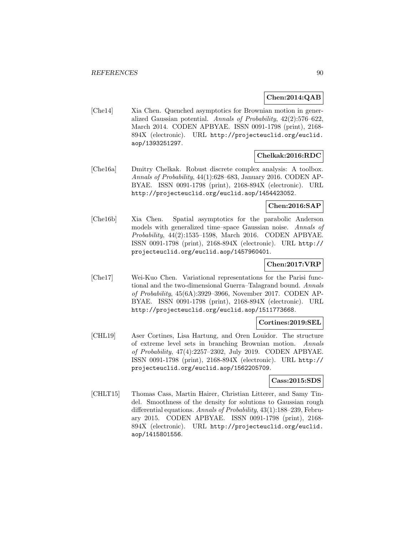## **Chen:2014:QAB**

[Che14] Xia Chen. Quenched asymptotics for Brownian motion in generalized Gaussian potential. Annals of Probability, 42(2):576–622, March 2014. CODEN APBYAE. ISSN 0091-1798 (print), 2168- 894X (electronic). URL http://projecteuclid.org/euclid. aop/1393251297.

## **Chelkak:2016:RDC**

[Che16a] Dmitry Chelkak. Robust discrete complex analysis: A toolbox. Annals of Probability, 44(1):628–683, January 2016. CODEN AP-BYAE. ISSN 0091-1798 (print), 2168-894X (electronic). URL http://projecteuclid.org/euclid.aop/1454423052.

### **Chen:2016:SAP**

[Che16b] Xia Chen. Spatial asymptotics for the parabolic Anderson models with generalized time–space Gaussian noise. Annals of Probability, 44(2):1535–1598, March 2016. CODEN APBYAE. ISSN 0091-1798 (print), 2168-894X (electronic). URL http:// projecteuclid.org/euclid.aop/1457960401.

# **Chen:2017:VRP**

[Che17] Wei-Kuo Chen. Variational representations for the Parisi functional and the two-dimensional Guerra–Talagrand bound. Annals of Probability, 45(6A):3929–3966, November 2017. CODEN AP-BYAE. ISSN 0091-1798 (print), 2168-894X (electronic). URL http://projecteuclid.org/euclid.aop/1511773668.

#### **Cortines:2019:SEL**

[CHL19] Aser Cortines, Lisa Hartung, and Oren Louidor. The structure of extreme level sets in branching Brownian motion. Annals of Probability, 47(4):2257–2302, July 2019. CODEN APBYAE. ISSN 0091-1798 (print), 2168-894X (electronic). URL http:// projecteuclid.org/euclid.aop/1562205709.

### **Cass:2015:SDS**

[CHLT15] Thomas Cass, Martin Hairer, Christian Litterer, and Samy Tindel. Smoothness of the density for solutions to Gaussian rough differential equations. Annals of Probability, 43(1):188–239, February 2015. CODEN APBYAE. ISSN 0091-1798 (print), 2168- 894X (electronic). URL http://projecteuclid.org/euclid. aop/1415801556.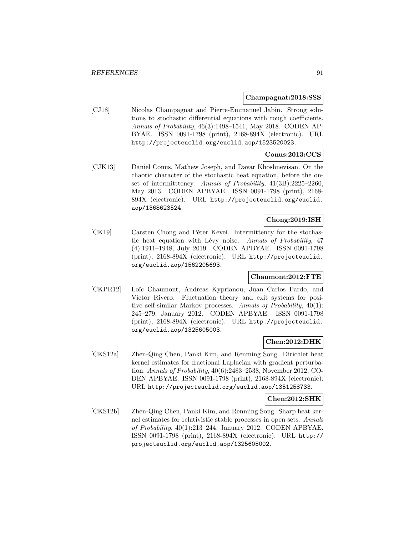#### **Champagnat:2018:SSS**

[CJ18] Nicolas Champagnat and Pierre-Emmanuel Jabin. Strong solutions to stochastic differential equations with rough coefficients. Annals of Probability, 46(3):1498–1541, May 2018. CODEN AP-BYAE. ISSN 0091-1798 (print), 2168-894X (electronic). URL http://projecteuclid.org/euclid.aop/1523520023.

# **Conus:2013:CCS**

[CJK13] Daniel Conus, Mathew Joseph, and Davar Khoshnevisan. On the chaotic character of the stochastic heat equation, before the onset of intermitttency. Annals of Probability, 41(3B):2225–2260, May 2013. CODEN APBYAE. ISSN 0091-1798 (print), 2168- 894X (electronic). URL http://projecteuclid.org/euclid. aop/1368623524.

## **Chong:2019:ISH**

[CK19] Carsten Chong and Péter Kevei. Intermittency for the stochastic heat equation with Lévy noise. Annals of Probability, 47 (4):1911–1948, July 2019. CODEN APBYAE. ISSN 0091-1798 (print), 2168-894X (electronic). URL http://projecteuclid. org/euclid.aop/1562205693.

# **Chaumont:2012:FTE**

[CKPR12] Loïc Chaumont, Andreas Kyprianou, Juan Carlos Pardo, and Víctor Rivero. Fluctuation theory and exit systems for positive self-similar Markov processes. Annals of Probability, 40(1): 245–279, January 2012. CODEN APBYAE. ISSN 0091-1798 (print), 2168-894X (electronic). URL http://projecteuclid. org/euclid.aop/1325605003.

### **Chen:2012:DHK**

[CKS12a] Zhen-Qing Chen, Panki Kim, and Renming Song. Dirichlet heat kernel estimates for fractional Laplacian with gradient perturbation. Annals of Probability, 40(6):2483–2538, November 2012. CO-DEN APBYAE. ISSN 0091-1798 (print), 2168-894X (electronic). URL http://projecteuclid.org/euclid.aop/1351258733.

### **Chen:2012:SHK**

[CKS12b] Zhen-Qing Chen, Panki Kim, and Renming Song. Sharp heat kernel estimates for relativistic stable processes in open sets. Annals of Probability, 40(1):213–244, January 2012. CODEN APBYAE. ISSN 0091-1798 (print), 2168-894X (electronic). URL http:// projecteuclid.org/euclid.aop/1325605002.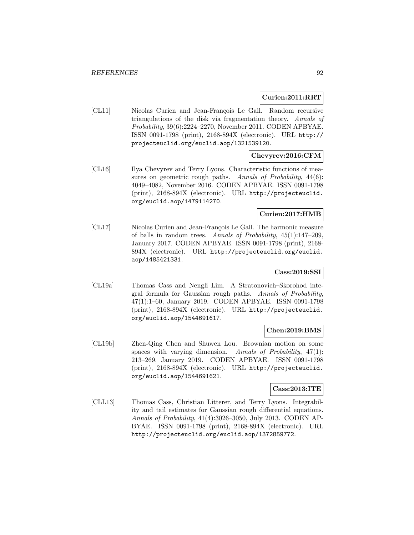#### **Curien:2011:RRT**

[CL11] Nicolas Curien and Jean-François Le Gall. Random recursive triangulations of the disk via fragmentation theory. Annals of Probability, 39(6):2224–2270, November 2011. CODEN APBYAE. ISSN 0091-1798 (print), 2168-894X (electronic). URL http:// projecteuclid.org/euclid.aop/1321539120.

### **Chevyrev:2016:CFM**

[CL16] Ilya Chevyrev and Terry Lyons. Characteristic functions of measures on geometric rough paths. Annals of Probability,  $44(6)$ : 4049–4082, November 2016. CODEN APBYAE. ISSN 0091-1798 (print), 2168-894X (electronic). URL http://projecteuclid. org/euclid.aop/1479114270.

## **Curien:2017:HMB**

[CL17] Nicolas Curien and Jean-François Le Gall. The harmonic measure of balls in random trees. Annals of Probability, 45(1):147–209, January 2017. CODEN APBYAE. ISSN 0091-1798 (print), 2168- 894X (electronic). URL http://projecteuclid.org/euclid. aop/1485421331.

## **Cass:2019:SSI**

[CL19a] Thomas Cass and Nengli Lim. A Stratonovich–Skorohod integral formula for Gaussian rough paths. Annals of Probability, 47(1):1–60, January 2019. CODEN APBYAE. ISSN 0091-1798 (print), 2168-894X (electronic). URL http://projecteuclid. org/euclid.aop/1544691617.

### **Chen:2019:BMS**

[CL19b] Zhen-Qing Chen and Shuwen Lou. Brownian motion on some spaces with varying dimension. Annals of Probability,  $47(1)$ : 213–269, January 2019. CODEN APBYAE. ISSN 0091-1798 (print), 2168-894X (electronic). URL http://projecteuclid. org/euclid.aop/1544691621.

### **Cass:2013:ITE**

[CLL13] Thomas Cass, Christian Litterer, and Terry Lyons. Integrability and tail estimates for Gaussian rough differential equations. Annals of Probability, 41(4):3026–3050, July 2013. CODEN AP-BYAE. ISSN 0091-1798 (print), 2168-894X (electronic). URL http://projecteuclid.org/euclid.aop/1372859772.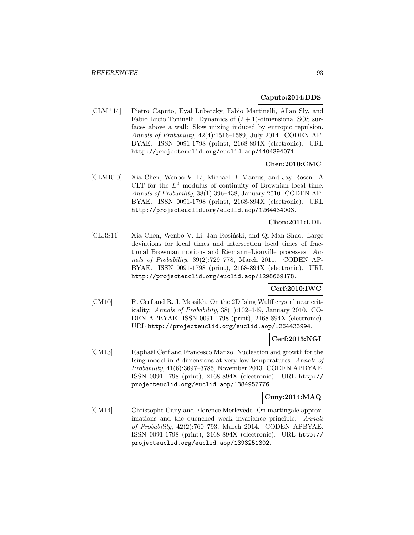#### **Caputo:2014:DDS**

[CLM<sup>+</sup>14] Pietro Caputo, Eyal Lubetzky, Fabio Martinelli, Allan Sly, and Fabio Lucio Toninelli. Dynamics of  $(2 + 1)$ -dimensional SOS surfaces above a wall: Slow mixing induced by entropic repulsion. Annals of Probability, 42(4):1516–1589, July 2014. CODEN AP-BYAE. ISSN 0091-1798 (print), 2168-894X (electronic). URL http://projecteuclid.org/euclid.aop/1404394071.

## **Chen:2010:CMC**

[CLMR10] Xia Chen, Wenbo V. Li, Michael B. Marcus, and Jay Rosen. A CLT for the  $L^2$  modulus of continuity of Brownian local time. Annals of Probability, 38(1):396–438, January 2010. CODEN AP-BYAE. ISSN 0091-1798 (print), 2168-894X (electronic). URL http://projecteuclid.org/euclid.aop/1264434003.

# **Chen:2011:LDL**

[CLRS11] Xia Chen, Wenbo V. Li, Jan Rosiński, and Qi-Man Shao. Large deviations for local times and intersection local times of fractional Brownian motions and Riemann–Liouville processes. Annals of Probability, 39(2):729–778, March 2011. CODEN AP-BYAE. ISSN 0091-1798 (print), 2168-894X (electronic). URL http://projecteuclid.org/euclid.aop/1298669178.

## **Cerf:2010:IWC**

[CM10] R. Cerf and R. J. Messikh. On the 2D Ising Wulff crystal near criticality. Annals of Probability, 38(1):102–149, January 2010. CO-DEN APBYAE. ISSN 0091-1798 (print), 2168-894X (electronic). URL http://projecteuclid.org/euclid.aop/1264433994.

# **Cerf:2013:NGI**

[CM13] Raphaël Cerf and Francesco Manzo. Nucleation and growth for the Ising model in d dimensions at very low temperatures. Annals of Probability, 41(6):3697–3785, November 2013. CODEN APBYAE. ISSN 0091-1798 (print), 2168-894X (electronic). URL http:// projecteuclid.org/euclid.aop/1384957776.

### **Cuny:2014:MAQ**

[CM14] Christophe Cuny and Florence Merlevède. On martingale approximations and the quenched weak invariance principle. Annals of Probability, 42(2):760–793, March 2014. CODEN APBYAE. ISSN 0091-1798 (print), 2168-894X (electronic). URL http:// projecteuclid.org/euclid.aop/1393251302.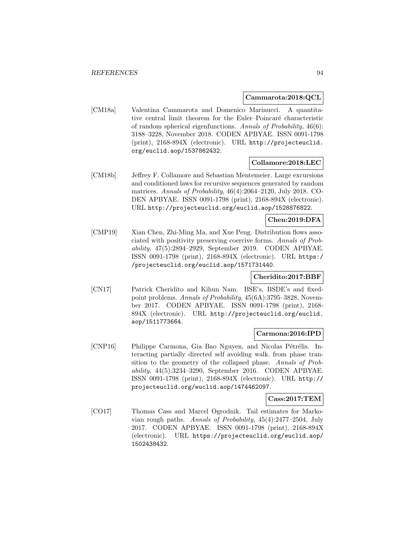### **Cammarota:2018:QCL**

[CM18a] Valentina Cammarota and Domenico Marinucci. A quantitative central limit theorem for the Euler–Poincaré characteristic of random spherical eigenfunctions. Annals of Probability, 46(6): 3188–3228, November 2018. CODEN APBYAE. ISSN 0091-1798 (print), 2168-894X (electronic). URL http://projecteuclid. org/euclid.aop/1537862432.

# **Collamore:2018:LEC**

[CM18b] Jeffrey F. Collamore and Sebastian Mentemeier. Large excursions and conditioned laws for recursive sequences generated by random matrices. Annals of Probability, 46(4):2064–2120, July 2018. CO-DEN APBYAE. ISSN 0091-1798 (print), 2168-894X (electronic). URL http://projecteuclid.org/euclid.aop/1528876822.

## **Chen:2019:DFA**

[CMP19] Xian Chen, Zhi-Ming Ma, and Xue Peng. Distribution flows associated with positivity preserving coercive forms. Annals of Probability, 47(5):2894–2929, September 2019. CODEN APBYAE. ISSN 0091-1798 (print), 2168-894X (electronic). URL https:/ /projecteuclid.org/euclid.aop/1571731440.

# **Cheridito:2017:BBF**

[CN17] Patrick Cheridito and Kihun Nam. BSE's, BSDE's and fixedpoint problems. Annals of Probability, 45(6A):3795–3828, November 2017. CODEN APBYAE. ISSN 0091-1798 (print), 2168- 894X (electronic). URL http://projecteuclid.org/euclid. aop/1511773664.

# **Carmona:2016:IPD**

[CNP16] Philippe Carmona, Gia Bao Nguyen, and Nicolas Pétrélis. Interacting partially directed self avoiding walk. from phase transition to the geometry of the collapsed phase. Annals of Probability, 44(5):3234–3290, September 2016. CODEN APBYAE. ISSN 0091-1798 (print), 2168-894X (electronic). URL http:// projecteuclid.org/euclid.aop/1474462097.

### **Cass:2017:TEM**

[CO17] Thomas Cass and Marcel Ogrodnik. Tail estimates for Markovian rough paths. Annals of Probability, 45(4):2477–2504, July 2017. CODEN APBYAE. ISSN 0091-1798 (print), 2168-894X (electronic). URL https://projecteuclid.org/euclid.aop/ 1502438432.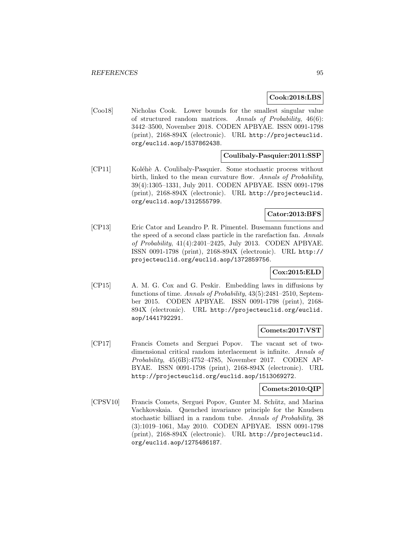#### **Cook:2018:LBS**

[Coo18] Nicholas Cook. Lower bounds for the smallest singular value of structured random matrices. Annals of Probability, 46(6): 3442–3500, November 2018. CODEN APBYAE. ISSN 0091-1798 (print), 2168-894X (electronic). URL http://projecteuclid. org/euclid.aop/1537862438.

### **Coulibaly-Pasquier:2011:SSP**

[CP11] Koléhè A. Coulibaly-Pasquier. Some stochastic process without birth, linked to the mean curvature flow. Annals of Probability, 39(4):1305–1331, July 2011. CODEN APBYAE. ISSN 0091-1798 (print), 2168-894X (electronic). URL http://projecteuclid. org/euclid.aop/1312555799.

## **Cator:2013:BFS**

[CP13] Eric Cator and Leandro P. R. Pimentel. Busemann functions and the speed of a second class particle in the rarefaction fan. Annals of Probability, 41(4):2401–2425, July 2013. CODEN APBYAE. ISSN 0091-1798 (print), 2168-894X (electronic). URL http:// projecteuclid.org/euclid.aop/1372859756.

# **Cox:2015:ELD**

[CP15] A. M. G. Cox and G. Peskir. Embedding laws in diffusions by functions of time. Annals of Probability, 43(5):2481–2510, September 2015. CODEN APBYAE. ISSN 0091-1798 (print), 2168- 894X (electronic). URL http://projecteuclid.org/euclid. aop/1441792291.

### **Comets:2017:VST**

[CP17] Francis Comets and Serguei Popov. The vacant set of twodimensional critical random interlacement is infinite. Annals of Probability, 45(6B):4752–4785, November 2017. CODEN AP-BYAE. ISSN 0091-1798 (print), 2168-894X (electronic). URL http://projecteuclid.org/euclid.aop/1513069272.

#### **Comets:2010:QIP**

[CPSV10] Francis Comets, Serguei Popov, Gunter M. Schütz, and Marina Vachkovskaia. Quenched invariance principle for the Knudsen stochastic billiard in a random tube. Annals of Probability, 38 (3):1019–1061, May 2010. CODEN APBYAE. ISSN 0091-1798 (print), 2168-894X (electronic). URL http://projecteuclid. org/euclid.aop/1275486187.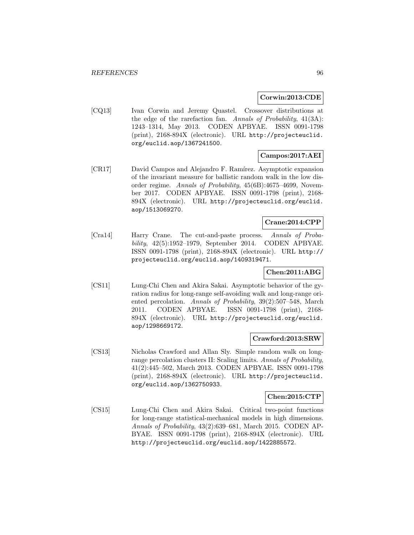#### **Corwin:2013:CDE**

[CQ13] Ivan Corwin and Jeremy Quastel. Crossover distributions at the edge of the rarefaction fan. Annals of Probability, 41(3A): 1243–1314, May 2013. CODEN APBYAE. ISSN 0091-1798 (print), 2168-894X (electronic). URL http://projecteuclid. org/euclid.aop/1367241500.

## **Campos:2017:AEI**

[CR17] David Campos and Alejandro F. Ramírez. Asymptotic expansion of the invariant measure for ballistic random walk in the low disorder regime. Annals of Probability, 45(6B):4675–4699, November 2017. CODEN APBYAE. ISSN 0091-1798 (print), 2168- 894X (electronic). URL http://projecteuclid.org/euclid. aop/1513069270.

# **Crane:2014:CPP**

[Cra14] Harry Crane. The cut-and-paste process. Annals of Probability, 42(5):1952–1979, September 2014. CODEN APBYAE. ISSN 0091-1798 (print), 2168-894X (electronic). URL http:// projecteuclid.org/euclid.aop/1409319471.

# **Chen:2011:ABG**

[CS11] Lung-Chi Chen and Akira Sakai. Asymptotic behavior of the gyration radius for long-range self-avoiding walk and long-range oriented percolation. Annals of Probability, 39(2):507–548, March 2011. CODEN APBYAE. ISSN 0091-1798 (print), 2168- 894X (electronic). URL http://projecteuclid.org/euclid. aop/1298669172.

#### **Crawford:2013:SRW**

[CS13] Nicholas Crawford and Allan Sly. Simple random walk on longrange percolation clusters II: Scaling limits. Annals of Probability, 41(2):445–502, March 2013. CODEN APBYAE. ISSN 0091-1798 (print), 2168-894X (electronic). URL http://projecteuclid. org/euclid.aop/1362750933.

### **Chen:2015:CTP**

[CS15] Lung-Chi Chen and Akira Sakai. Critical two-point functions for long-range statistical-mechanical models in high dimensions. Annals of Probability, 43(2):639–681, March 2015. CODEN AP-BYAE. ISSN 0091-1798 (print), 2168-894X (electronic). URL http://projecteuclid.org/euclid.aop/1422885572.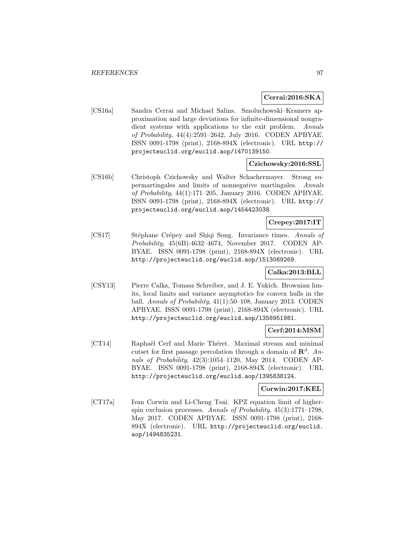### **Cerrai:2016:SKA**

[CS16a] Sandra Cerrai and Michael Salins. Smoluchowski–Kramers approximation and large deviations for infinite-dimensional nongradient systems with applications to the exit problem. Annals of Probability, 44(4):2591–2642, July 2016. CODEN APBYAE. ISSN 0091-1798 (print), 2168-894X (electronic). URL http:// projecteuclid.org/euclid.aop/1470139150.

### **Czichowsky:2016:SSL**

[CS16b] Christoph Czichowsky and Walter Schachermayer. Strong supermartingales and limits of nonnegative martingales. Annals of Probability, 44(1):171–205, January 2016. CODEN APBYAE. ISSN 0091-1798 (print), 2168-894X (electronic). URL http:// projecteuclid.org/euclid.aop/1454423038.

# **Crepey:2017:IT**

[CS17] Stéphane Crépey and Shiqi Song. Invariance times. Annals of Probability, 45(6B):4632–4674, November 2017. CODEN AP-BYAE. ISSN 0091-1798 (print), 2168-894X (electronic). URL http://projecteuclid.org/euclid.aop/1513069269.

### **Calka:2013:BLL**

[CSY13] Pierre Calka, Tomasz Schreiber, and J. E. Yukich. Brownian limits, local limits and variance asymptotics for convex hulls in the ball. Annals of Probability, 41(1):50–108, January 2013. CODEN APBYAE. ISSN 0091-1798 (print), 2168-894X (electronic). URL http://projecteuclid.org/euclid.aop/1358951981.

## **Cerf:2014:MSM**

[CT14] Raphaël Cerf and Marie Théret. Maximal stream and minimal cutset for first passage percolation through a domain of  $\mathbb{R}^d$ . Annals of Probability, 42(3):1054–1120, May 2014. CODEN AP-BYAE. ISSN 0091-1798 (print), 2168-894X (electronic). URL http://projecteuclid.org/euclid.aop/1395838124.

## **Corwin:2017:KEL**

[CT17a] Ivan Corwin and Li-Cheng Tsai. KPZ equation limit of higherspin exclusion processes. Annals of Probability, 45(3):1771–1798, May 2017. CODEN APBYAE. ISSN 0091-1798 (print), 2168- 894X (electronic). URL http://projecteuclid.org/euclid. aop/1494835231.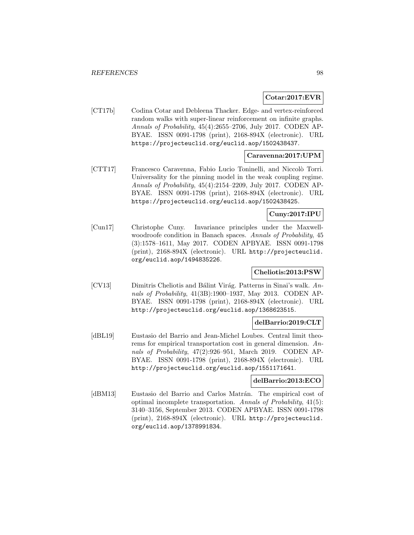### **Cotar:2017:EVR**

[CT17b] Codina Cotar and Debleena Thacker. Edge- and vertex-reinforced random walks with super-linear reinforcement on infinite graphs. Annals of Probability, 45(4):2655–2706, July 2017. CODEN AP-BYAE. ISSN 0091-1798 (print), 2168-894X (electronic). URL https://projecteuclid.org/euclid.aop/1502438437.

# **Caravenna:2017:UPM**

[CTT17] Francesco Caravenna, Fabio Lucio Toninelli, and Niccolò Torri. Universality for the pinning model in the weak coupling regime. Annals of Probability, 45(4):2154–2209, July 2017. CODEN AP-BYAE. ISSN 0091-1798 (print), 2168-894X (electronic). URL https://projecteuclid.org/euclid.aop/1502438425.

## **Cuny:2017:IPU**

[Cun17] Christophe Cuny. Invariance principles under the Maxwellwoodroofe condition in Banach spaces. Annals of Probability, 45 (3):1578–1611, May 2017. CODEN APBYAE. ISSN 0091-1798 (print), 2168-894X (electronic). URL http://projecteuclid. org/euclid.aop/1494835226.

# **Cheliotis:2013:PSW**

[CV13] Dimitris Cheliotis and Bálint Virág. Patterns in Sinai's walk.  $An$ nals of Probability, 41(3B):1900–1937, May 2013. CODEN AP-BYAE. ISSN 0091-1798 (print), 2168-894X (electronic). URL http://projecteuclid.org/euclid.aop/1368623515.

### **delBarrio:2019:CLT**

[dBL19] Eustasio del Barrio and Jean-Michel Loubes. Central limit theorems for empirical transportation cost in general dimension. Annals of Probability, 47(2):926–951, March 2019. CODEN AP-BYAE. ISSN 0091-1798 (print), 2168-894X (electronic). URL http://projecteuclid.org/euclid.aop/1551171641.

### **delBarrio:2013:ECO**

[dBM13] Eustasio del Barrio and Carlos Matrán. The empirical cost of optimal incomplete transportation. Annals of Probability, 41(5): 3140–3156, September 2013. CODEN APBYAE. ISSN 0091-1798 (print), 2168-894X (electronic). URL http://projecteuclid. org/euclid.aop/1378991834.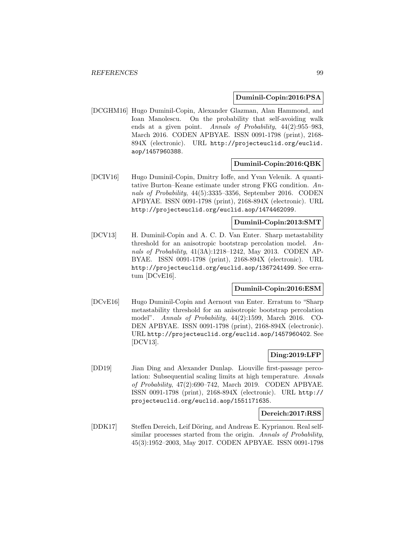#### **Duminil-Copin:2016:PSA**

[DCGHM16] Hugo Duminil-Copin, Alexander Glazman, Alan Hammond, and Ioan Manolescu. On the probability that self-avoiding walk ends at a given point. Annals of Probability, 44(2):955–983, March 2016. CODEN APBYAE. ISSN 0091-1798 (print), 2168- 894X (electronic). URL http://projecteuclid.org/euclid. aop/1457960388.

#### **Duminil-Copin:2016:QBK**

[DCIV16] Hugo Duminil-Copin, Dmitry Ioffe, and Yvan Velenik. A quantitative Burton–Keane estimate under strong FKG condition. Annals of Probability, 44(5):3335–3356, September 2016. CODEN APBYAE. ISSN 0091-1798 (print), 2168-894X (electronic). URL http://projecteuclid.org/euclid.aop/1474462099.

### **Duminil-Copin:2013:SMT**

[DCV13] H. Duminil-Copin and A. C. D. Van Enter. Sharp metastability threshold for an anisotropic bootstrap percolation model. Annals of Probability, 41(3A):1218–1242, May 2013. CODEN AP-BYAE. ISSN 0091-1798 (print), 2168-894X (electronic). URL http://projecteuclid.org/euclid.aop/1367241499. See erratum [DCvE16].

### **Duminil-Copin:2016:ESM**

[DCvE16] Hugo Duminil-Copin and Aernout van Enter. Erratum to "Sharp metastability threshold for an anisotropic bootstrap percolation model". Annals of Probability, 44(2):1599, March 2016. CO-DEN APBYAE. ISSN 0091-1798 (print), 2168-894X (electronic). URL http://projecteuclid.org/euclid.aop/1457960402. See [DCV13].

# **Ding:2019:LFP**

[DD19] Jian Ding and Alexander Dunlap. Liouville first-passage percolation: Subsequential scaling limits at high temperature. Annals of Probability, 47(2):690–742, March 2019. CODEN APBYAE. ISSN 0091-1798 (print), 2168-894X (electronic). URL http:// projecteuclid.org/euclid.aop/1551171635.

#### **Dereich:2017:RSS**

[DDK17] Steffen Dereich, Leif Döring, and Andreas E. Kyprianou. Real selfsimilar processes started from the origin. Annals of Probability, 45(3):1952–2003, May 2017. CODEN APBYAE. ISSN 0091-1798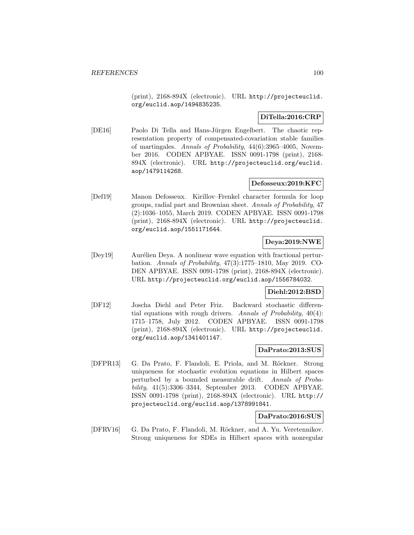(print), 2168-894X (electronic). URL http://projecteuclid. org/euclid.aop/1494835235.

### **DiTella:2016:CRP**

[DE16] Paolo Di Tella and Hans-Jürgen Engelbert. The chaotic representation property of compensated-covariation stable families of martingales. Annals of Probability, 44(6):3965–4005, November 2016. CODEN APBYAE. ISSN 0091-1798 (print), 2168- 894X (electronic). URL http://projecteuclid.org/euclid. aop/1479114268.

## **Defosseux:2019:KFC**

[Def19] Manon Defosseux. Kirillov–Frenkel character formula for loop groups, radial part and Brownian sheet. Annals of Probability, 47 (2):1036–1055, March 2019. CODEN APBYAE. ISSN 0091-1798 (print), 2168-894X (electronic). URL http://projecteuclid. org/euclid.aop/1551171644.

## **Deya:2019:NWE**

[Dey19] Aurélien Deya. A nonlinear wave equation with fractional perturbation. Annals of Probability, 47(3):1775–1810, May 2019. CO-DEN APBYAE. ISSN 0091-1798 (print), 2168-894X (electronic). URL http://projecteuclid.org/euclid.aop/1556784032.

### **Diehl:2012:BSD**

[DF12] Joscha Diehl and Peter Friz. Backward stochastic differential equations with rough drivers. Annals of Probability, 40(4): 1715–1758, July 2012. CODEN APBYAE. ISSN 0091-1798 (print), 2168-894X (electronic). URL http://projecteuclid. org/euclid.aop/1341401147.

### **DaPrato:2013:SUS**

[DFPR13] G. Da Prato, F. Flandoli, E. Priola, and M. Röckner. Strong uniqueness for stochastic evolution equations in Hilbert spaces perturbed by a bounded measurable drift. Annals of Probability, 41(5):3306–3344, September 2013. CODEN APBYAE. ISSN 0091-1798 (print), 2168-894X (electronic). URL http:// projecteuclid.org/euclid.aop/1378991841.

# **DaPrato:2016:SUS**

[DFRV16] G. Da Prato, F. Flandoli, M. Röckner, and A. Yu. Veretennikov. Strong uniqueness for SDEs in Hilbert spaces with nonregular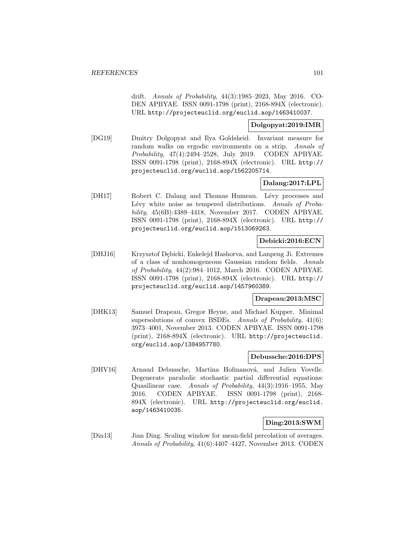drift. Annals of Probability, 44(3):1985–2023, May 2016. CO-DEN APBYAE. ISSN 0091-1798 (print), 2168-894X (electronic). URL http://projecteuclid.org/euclid.aop/1463410037.

# **Dolgopyat:2019:IMR**

[DG19] Dmitry Dolgopyat and Ilya Goldsheid. Invariant measure for random walks on ergodic environments on a strip. Annals of Probability, 47(4):2494–2528, July 2019. CODEN APBYAE. ISSN 0091-1798 (print), 2168-894X (electronic). URL http:// projecteuclid.org/euclid.aop/1562205714.

# **Dalang:2017:LPL**

[DH17] Robert C. Dalang and Thomas Humeau. Lévy processes and Lévy white noise as tempered distributions. Annals of Probability, 45(6B):4389–4418, November 2017. CODEN APBYAE. ISSN 0091-1798 (print), 2168-894X (electronic). URL http:// projecteuclid.org/euclid.aop/1513069263.

## **Debicki:2016:ECN**

[DHJ16] Krzysztof D¸ebicki, Enkelejd Hashorva, and Lanpeng Ji. Extremes of a class of nonhomogeneous Gaussian random fields. Annals of Probability, 44(2):984–1012, March 2016. CODEN APBYAE. ISSN 0091-1798 (print), 2168-894X (electronic). URL http:// projecteuclid.org/euclid.aop/1457960389.

### **Drapeau:2013:MSC**

[DHK13] Samuel Drapeau, Gregor Heyne, and Michael Kupper. Minimal supersolutions of convex BSDEs. Annals of Probability, 41(6): 3973–4001, November 2013. CODEN APBYAE. ISSN 0091-1798 (print), 2168-894X (electronic). URL http://projecteuclid. org/euclid.aop/1384957780.

### **Debussche:2016:DPS**

[DHV16] Arnaud Debussche, Martina Hofmanová, and Julien Vovelle. Degenerate parabolic stochastic partial differential equations: Quasilinear case. Annals of Probability, 44(3):1916–1955, May 2016. CODEN APBYAE. ISSN 0091-1798 (print), 2168- 894X (electronic). URL http://projecteuclid.org/euclid. aop/1463410035.

# **Ding:2013:SWM**

[Din13] Jian Ding. Scaling window for mean-field percolation of averages. Annals of Probability, 41(6):4407–4427, November 2013. CODEN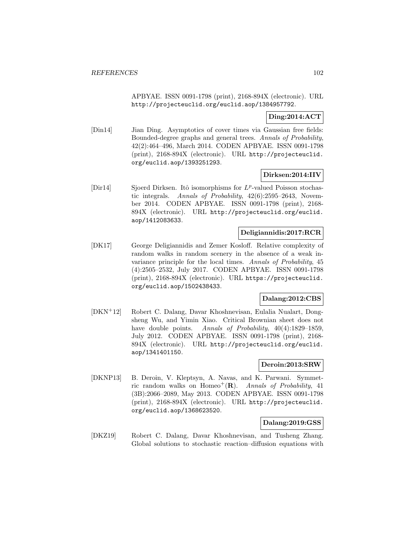APBYAE. ISSN 0091-1798 (print), 2168-894X (electronic). URL http://projecteuclid.org/euclid.aop/1384957792.

# **Ding:2014:ACT**

[Din14] Jian Ding. Asymptotics of cover times via Gaussian free fields: Bounded-degree graphs and general trees. Annals of Probability, 42(2):464–496, March 2014. CODEN APBYAE. ISSN 0091-1798 (print), 2168-894X (electronic). URL http://projecteuclid. org/euclid.aop/1393251293.

## **Dirksen:2014:IIV**

[Dir14] Sjoerd Dirksen. Itô isomorphisms for  $L^p$ -valued Poisson stochastic integrals. Annals of Probability, 42(6):2595–2643, November 2014. CODEN APBYAE. ISSN 0091-1798 (print), 2168- 894X (electronic). URL http://projecteuclid.org/euclid. aop/1412083633.

## **Deligiannidis:2017:RCR**

[DK17] George Deligiannidis and Zemer Kosloff. Relative complexity of random walks in random scenery in the absence of a weak invariance principle for the local times. Annals of Probability, 45 (4):2505–2532, July 2017. CODEN APBYAE. ISSN 0091-1798 (print), 2168-894X (electronic). URL https://projecteuclid. org/euclid.aop/1502438433.

# **Dalang:2012:CBS**

[DKN<sup>+</sup>12] Robert C. Dalang, Davar Khoshnevisan, Eulalia Nualart, Dongsheng Wu, and Yimin Xiao. Critical Brownian sheet does not have double points. Annals of Probability,  $40(4):1829-1859$ , July 2012. CODEN APBYAE. ISSN 0091-1798 (print), 2168- 894X (electronic). URL http://projecteuclid.org/euclid. aop/1341401150.

#### **Deroin:2013:SRW**

[DKNP13] B. Deroin, V. Kleptsyn, A. Navas, and K. Parwani. Symmetric random walks on Homeo<sup>+</sup> $(R)$ . Annals of Probability, 41 (3B):2066–2089, May 2013. CODEN APBYAE. ISSN 0091-1798 (print), 2168-894X (electronic). URL http://projecteuclid. org/euclid.aop/1368623520.

## **Dalang:2019:GSS**

[DKZ19] Robert C. Dalang, Davar Khoshnevisan, and Tusheng Zhang. Global solutions to stochastic reaction–diffusion equations with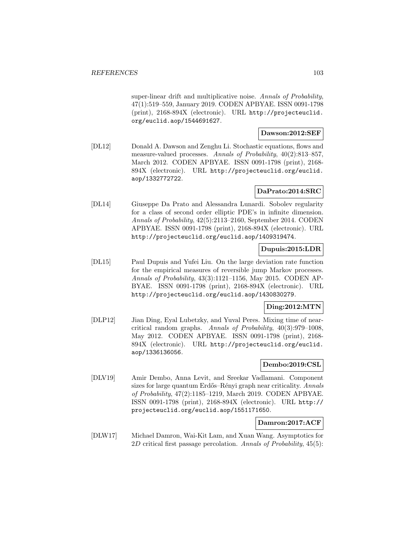super-linear drift and multiplicative noise. Annals of Probability, 47(1):519–559, January 2019. CODEN APBYAE. ISSN 0091-1798 (print), 2168-894X (electronic). URL http://projecteuclid. org/euclid.aop/1544691627.

### **Dawson:2012:SEF**

[DL12] Donald A. Dawson and Zenghu Li. Stochastic equations, flows and measure-valued processes. Annals of Probability, 40(2):813–857, March 2012. CODEN APBYAE. ISSN 0091-1798 (print), 2168- 894X (electronic). URL http://projecteuclid.org/euclid. aop/1332772722.

# **DaPrato:2014:SRC**

[DL14] Giuseppe Da Prato and Alessandra Lunardi. Sobolev regularity for a class of second order elliptic PDE's in infinite dimension. Annals of Probability, 42(5):2113–2160, September 2014. CODEN APBYAE. ISSN 0091-1798 (print), 2168-894X (electronic). URL http://projecteuclid.org/euclid.aop/1409319474.

# **Dupuis:2015:LDR**

[DL15] Paul Dupuis and Yufei Liu. On the large deviation rate function for the empirical measures of reversible jump Markov processes. Annals of Probability, 43(3):1121–1156, May 2015. CODEN AP-BYAE. ISSN 0091-1798 (print), 2168-894X (electronic). URL http://projecteuclid.org/euclid.aop/1430830279.

# **Ding:2012:MTN**

[DLP12] Jian Ding, Eyal Lubetzky, and Yuval Peres. Mixing time of nearcritical random graphs. Annals of Probability, 40(3):979–1008, May 2012. CODEN APBYAE. ISSN 0091-1798 (print), 2168- 894X (electronic). URL http://projecteuclid.org/euclid. aop/1336136056.

### **Dembo:2019:CSL**

[DLV19] Amir Dembo, Anna Levit, and Sreekar Vadlamani. Component sizes for large quantum Erdős–Rényi graph near criticality. Annals of Probability, 47(2):1185–1219, March 2019. CODEN APBYAE. ISSN 0091-1798 (print), 2168-894X (electronic). URL http:// projecteuclid.org/euclid.aop/1551171650.

# **Damron:2017:ACF**

[DLW17] Michael Damron, Wai-Kit Lam, and Xuan Wang. Asymptotics for 2D critical first passage percolation. Annals of Probability,  $45(5)$ :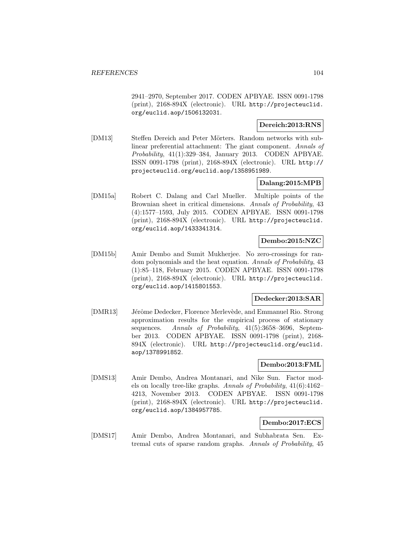2941–2970, September 2017. CODEN APBYAE. ISSN 0091-1798 (print), 2168-894X (electronic). URL http://projecteuclid. org/euclid.aop/1506132031.

# **Dereich:2013:RNS**

[DM13] Steffen Dereich and Peter Mörters. Random networks with sublinear preferential attachment: The giant component. Annals of Probability, 41(1):329–384, January 2013. CODEN APBYAE. ISSN 0091-1798 (print), 2168-894X (electronic). URL http:// projecteuclid.org/euclid.aop/1358951989.

## **Dalang:2015:MPB**

[DM15a] Robert C. Dalang and Carl Mueller. Multiple points of the Brownian sheet in critical dimensions. Annals of Probability, 43 (4):1577–1593, July 2015. CODEN APBYAE. ISSN 0091-1798 (print), 2168-894X (electronic). URL http://projecteuclid. org/euclid.aop/1433341314.

# **Dembo:2015:NZC**

[DM15b] Amir Dembo and Sumit Mukherjee. No zero-crossings for random polynomials and the heat equation. Annals of Probability, 43 (1):85–118, February 2015. CODEN APBYAE. ISSN 0091-1798 (print), 2168-894X (electronic). URL http://projecteuclid. org/euclid.aop/1415801553.

### **Dedecker:2013:SAR**

[DMR13] Jérôme Dedecker, Florence Merlevède, and Emmanuel Rio. Strong approximation results for the empirical process of stationary sequences. Annals of Probability, 41(5):3658-3696, September 2013. CODEN APBYAE. ISSN 0091-1798 (print), 2168- 894X (electronic). URL http://projecteuclid.org/euclid. aop/1378991852.

### **Dembo:2013:FML**

[DMS13] Amir Dembo, Andrea Montanari, and Nike Sun. Factor models on locally tree-like graphs. Annals of Probability, 41(6):4162– 4213, November 2013. CODEN APBYAE. ISSN 0091-1798 (print), 2168-894X (electronic). URL http://projecteuclid. org/euclid.aop/1384957785.

## **Dembo:2017:ECS**

[DMS17] Amir Dembo, Andrea Montanari, and Subhabrata Sen. Extremal cuts of sparse random graphs. Annals of Probability, 45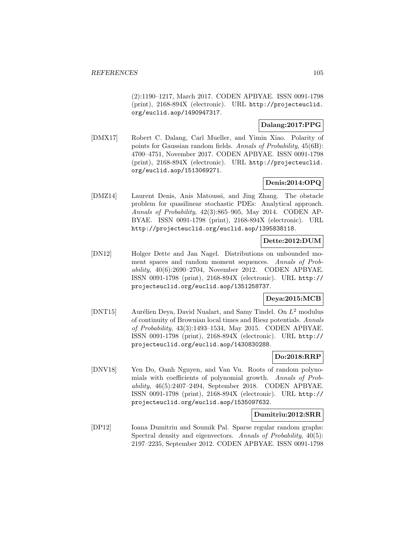(2):1190–1217, March 2017. CODEN APBYAE. ISSN 0091-1798 (print), 2168-894X (electronic). URL http://projecteuclid. org/euclid.aop/1490947317.

# **Dalang:2017:PPG**

[DMX17] Robert C. Dalang, Carl Mueller, and Yimin Xiao. Polarity of points for Gaussian random fields. Annals of Probability, 45(6B): 4700–4751, November 2017. CODEN APBYAE. ISSN 0091-1798 (print), 2168-894X (electronic). URL http://projecteuclid. org/euclid.aop/1513069271.

# **Denis:2014:OPQ**

[DMZ14] Laurent Denis, Anis Matoussi, and Jing Zhang. The obstacle problem for quasilinear stochastic PDEs: Analytical approach. Annals of Probability, 42(3):865–905, May 2014. CODEN AP-BYAE. ISSN 0091-1798 (print), 2168-894X (electronic). URL http://projecteuclid.org/euclid.aop/1395838118.

## **Dette:2012:DUM**

[DN12] Holger Dette and Jan Nagel. Distributions on unbounded moment spaces and random moment sequences. Annals of Probability, 40(6):2690–2704, November 2012. CODEN APBYAE. ISSN 0091-1798 (print), 2168-894X (electronic). URL http:// projecteuclid.org/euclid.aop/1351258737.

# **Deya:2015:MCB**

[DNT15] Aurélien Deya, David Nualart, and Samy Tindel. On  $L^2$  modulus of continuity of Brownian local times and Riesz potentials. Annals of Probability, 43(3):1493–1534, May 2015. CODEN APBYAE. ISSN 0091-1798 (print), 2168-894X (electronic). URL http:// projecteuclid.org/euclid.aop/1430830288.

# **Do:2018:RRP**

[DNV18] Yen Do, Oanh Nguyen, and Van Vu. Roots of random polynomials with coefficients of polynomial growth. Annals of Probability, 46(5):2407–2494, September 2018. CODEN APBYAE. ISSN 0091-1798 (print), 2168-894X (electronic). URL http:// projecteuclid.org/euclid.aop/1535097632.

### **Dumitriu:2012:SRR**

[DP12] Ioana Dumitriu and Soumik Pal. Sparse regular random graphs: Spectral density and eigenvectors. Annals of Probability,  $40(5)$ : 2197–2235, September 2012. CODEN APBYAE. ISSN 0091-1798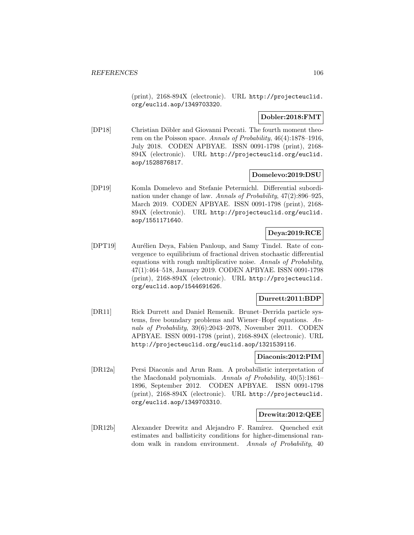(print), 2168-894X (electronic). URL http://projecteuclid. org/euclid.aop/1349703320.

### **Dobler:2018:FMT**

[DP18] Christian Döbler and Giovanni Peccati. The fourth moment theorem on the Poisson space. Annals of Probability, 46(4):1878–1916, July 2018. CODEN APBYAE. ISSN 0091-1798 (print), 2168- 894X (electronic). URL http://projecteuclid.org/euclid. aop/1528876817.

### **Domelevo:2019:DSU**

[DP19] Komla Domelevo and Stefanie Petermichl. Differential subordination under change of law. Annals of Probability, 47(2):896–925, March 2019. CODEN APBYAE. ISSN 0091-1798 (print), 2168- 894X (electronic). URL http://projecteuclid.org/euclid. aop/1551171640.

# **Deya:2019:RCE**

[DPT19] Aurélien Deya, Fabien Panloup, and Samy Tindel. Rate of convergence to equilibrium of fractional driven stochastic differential equations with rough multiplicative noise. Annals of Probability, 47(1):464–518, January 2019. CODEN APBYAE. ISSN 0091-1798 (print), 2168-894X (electronic). URL http://projecteuclid. org/euclid.aop/1544691626.

### **Durrett:2011:BDP**

[DR11] Rick Durrett and Daniel Remenik. Brunet–Derrida particle systems, free boundary problems and Wiener–Hopf equations. Annals of Probability, 39(6):2043–2078, November 2011. CODEN APBYAE. ISSN 0091-1798 (print), 2168-894X (electronic). URL http://projecteuclid.org/euclid.aop/1321539116.

# **Diaconis:2012:PIM**

[DR12a] Persi Diaconis and Arun Ram. A probabilistic interpretation of the Macdonald polynomials. Annals of Probability, 40(5):1861– 1896, September 2012. CODEN APBYAE. ISSN 0091-1798 (print), 2168-894X (electronic). URL http://projecteuclid. org/euclid.aop/1349703310.

### **Drewitz:2012:QEE**

[DR12b] Alexander Drewitz and Alejandro F. Ramírez. Quenched exit estimates and ballisticity conditions for higher-dimensional random walk in random environment. Annals of Probability, 40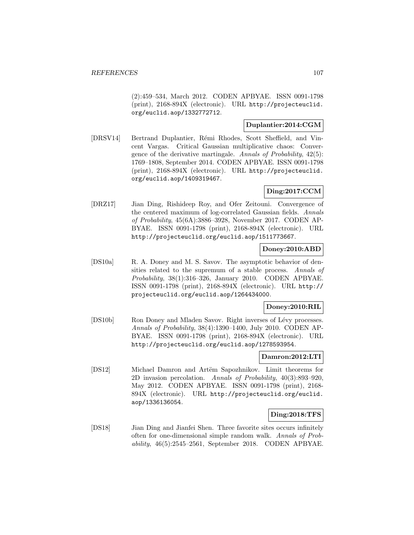(2):459–534, March 2012. CODEN APBYAE. ISSN 0091-1798 (print), 2168-894X (electronic). URL http://projecteuclid. org/euclid.aop/1332772712.

# **Duplantier:2014:CGM**

[DRSV14] Bertrand Duplantier, R´emi Rhodes, Scott Sheffield, and Vincent Vargas. Critical Gaussian multiplicative chaos: Convergence of the derivative martingale. Annals of Probability, 42(5): 1769–1808, September 2014. CODEN APBYAE. ISSN 0091-1798 (print), 2168-894X (electronic). URL http://projecteuclid. org/euclid.aop/1409319467.

# **Ding:2017:CCM**

[DRZ17] Jian Ding, Rishideep Roy, and Ofer Zeitouni. Convergence of the centered maximum of log-correlated Gaussian fields. Annals of Probability, 45(6A):3886–3928, November 2017. CODEN AP-BYAE. ISSN 0091-1798 (print), 2168-894X (electronic). URL http://projecteuclid.org/euclid.aop/1511773667.

# **Doney:2010:ABD**

[DS10a] R. A. Doney and M. S. Savov. The asymptotic behavior of densities related to the supremum of a stable process. Annals of Probability, 38(1):316–326, January 2010. CODEN APBYAE. ISSN 0091-1798 (print), 2168-894X (electronic). URL http:// projecteuclid.org/euclid.aop/1264434000.

# **Doney:2010:RIL**

[DS10b] Ron Doney and Mladen Savov. Right inverses of Lévy processes. Annals of Probability, 38(4):1390–1400, July 2010. CODEN AP-BYAE. ISSN 0091-1798 (print), 2168-894X (electronic). URL http://projecteuclid.org/euclid.aop/1278593954.

# **Damron:2012:LTI**

[DS12] Michael Damron and Artëm Sapozhnikov. Limit theorems for 2D invasion percolation. Annals of Probability, 40(3):893–920, May 2012. CODEN APBYAE. ISSN 0091-1798 (print), 2168- 894X (electronic). URL http://projecteuclid.org/euclid. aop/1336136054.

# **Ding:2018:TFS**

[DS18] Jian Ding and Jianfei Shen. Three favorite sites occurs infinitely often for one-dimensional simple random walk. Annals of Probability, 46(5):2545–2561, September 2018. CODEN APBYAE.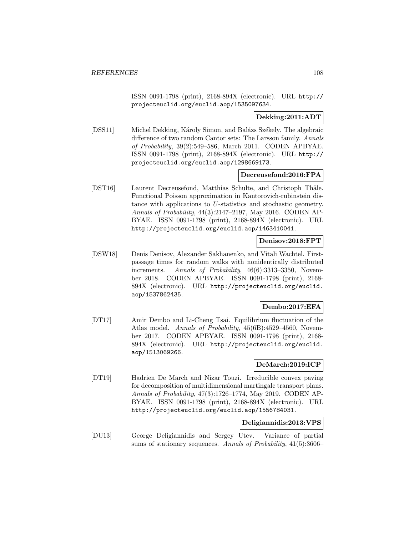ISSN 0091-1798 (print), 2168-894X (electronic). URL http:// projecteuclid.org/euclid.aop/1535097634.

## **Dekking:2011:ADT**

[DSS11] Michel Dekking, Károly Simon, and Balázs Székely. The algebraic difference of two random Cantor sets: The Larsson family. Annals of Probability, 39(2):549–586, March 2011. CODEN APBYAE. ISSN 0091-1798 (print), 2168-894X (electronic). URL http:// projecteuclid.org/euclid.aop/1298669173.

### **Decreusefond:2016:FPA**

[DST16] Laurent Decreusefond, Matthias Schulte, and Christoph Thäle. Functional Poisson approximation in Kantorovich-rubinstein distance with applications to U-statistics and stochastic geometry. Annals of Probability, 44(3):2147–2197, May 2016. CODEN AP-BYAE. ISSN 0091-1798 (print), 2168-894X (electronic). URL http://projecteuclid.org/euclid.aop/1463410041.

#### **Denisov:2018:FPT**

[DSW18] Denis Denisov, Alexander Sakhanenko, and Vitali Wachtel. Firstpassage times for random walks with nonidentically distributed increments. Annals of Probability, 46(6):3313–3350, November 2018. CODEN APBYAE. ISSN 0091-1798 (print), 2168- 894X (electronic). URL http://projecteuclid.org/euclid. aop/1537862435.

### **Dembo:2017:EFA**

[DT17] Amir Dembo and Li-Cheng Tsai. Equilibrium fluctuation of the Atlas model. Annals of Probability, 45(6B):4529–4560, November 2017. CODEN APBYAE. ISSN 0091-1798 (print), 2168- 894X (electronic). URL http://projecteuclid.org/euclid. aop/1513069266.

### **DeMarch:2019:ICP**

[DT19] Hadrien De March and Nizar Touzi. Irreducible convex paving for decomposition of multidimensional martingale transport plans. Annals of Probability, 47(3):1726–1774, May 2019. CODEN AP-BYAE. ISSN 0091-1798 (print), 2168-894X (electronic). URL http://projecteuclid.org/euclid.aop/1556784031.

## **Deligiannidis:2013:VPS**

[DU13] George Deligiannidis and Sergey Utev. Variance of partial sums of stationary sequences. Annals of Probability, 41(5):3606–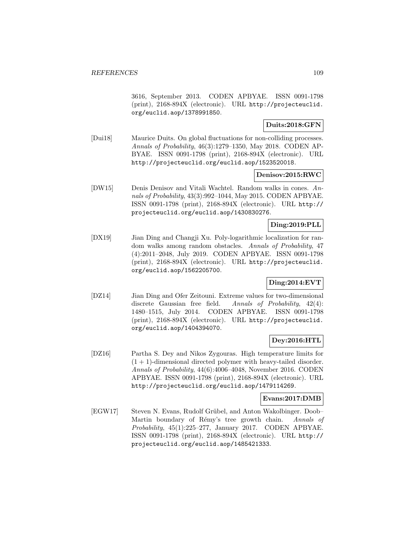3616, September 2013. CODEN APBYAE. ISSN 0091-1798 (print), 2168-894X (electronic). URL http://projecteuclid. org/euclid.aop/1378991850.

## **Duits:2018:GFN**

[Dui18] Maurice Duits. On global fluctuations for non-colliding processes. Annals of Probability, 46(3):1279–1350, May 2018. CODEN AP-BYAE. ISSN 0091-1798 (print), 2168-894X (electronic). URL http://projecteuclid.org/euclid.aop/1523520018.

## **Denisov:2015:RWC**

[DW15] Denis Denisov and Vitali Wachtel. Random walks in cones. Annals of Probability, 43(3):992–1044, May 2015. CODEN APBYAE. ISSN 0091-1798 (print), 2168-894X (electronic). URL http:// projecteuclid.org/euclid.aop/1430830276.

# **Ding:2019:PLL**

[DX19] Jian Ding and Changji Xu. Poly-logarithmic localization for random walks among random obstacles. Annals of Probability, 47 (4):2011–2048, July 2019. CODEN APBYAE. ISSN 0091-1798 (print), 2168-894X (electronic). URL http://projecteuclid. org/euclid.aop/1562205700.

## **Ding:2014:EVT**

[DZ14] Jian Ding and Ofer Zeitouni. Extreme values for two-dimensional discrete Gaussian free field. Annals of Probability, 42(4): 1480–1515, July 2014. CODEN APBYAE. ISSN 0091-1798 (print), 2168-894X (electronic). URL http://projecteuclid. org/euclid.aop/1404394070.

# **Dey:2016:HTL**

[DZ16] Partha S. Dey and Nikos Zygouras. High temperature limits for  $(1 + 1)$ -dimensional directed polymer with heavy-tailed disorder. Annals of Probability, 44(6):4006–4048, November 2016. CODEN APBYAE. ISSN 0091-1798 (print), 2168-894X (electronic). URL http://projecteuclid.org/euclid.aop/1479114269.

### **Evans:2017:DMB**

[EGW17] Steven N. Evans, Rudolf Grübel, and Anton Wakolbinger. Doob– Martin boundary of Rémy's tree growth chain. Annals of Probability, 45(1):225–277, January 2017. CODEN APBYAE. ISSN 0091-1798 (print), 2168-894X (electronic). URL http:// projecteuclid.org/euclid.aop/1485421333.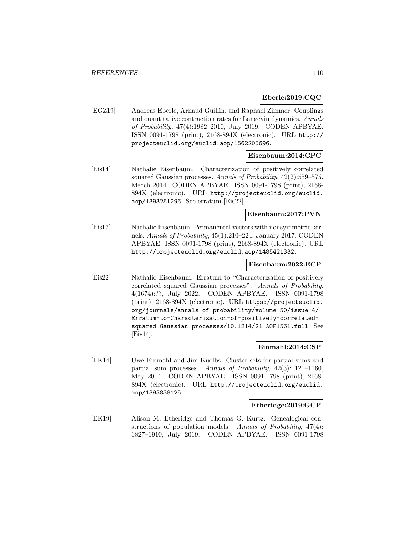### **Eberle:2019:CQC**

[EGZ19] Andreas Eberle, Arnaud Guillin, and Raphael Zimmer. Couplings and quantitative contraction rates for Langevin dynamics. Annals of Probability, 47(4):1982–2010, July 2019. CODEN APBYAE. ISSN 0091-1798 (print), 2168-894X (electronic). URL http:// projecteuclid.org/euclid.aop/1562205696.

## **Eisenbaum:2014:CPC**

[Eis14] Nathalie Eisenbaum. Characterization of positively correlated squared Gaussian processes. Annals of Probability, 42(2):559–575, March 2014. CODEN APBYAE. ISSN 0091-1798 (print), 2168- 894X (electronic). URL http://projecteuclid.org/euclid. aop/1393251296. See erratum [Eis22].

## **Eisenbaum:2017:PVN**

[Eis17] Nathalie Eisenbaum. Permanental vectors with nonsymmetric kernels. Annals of Probability, 45(1):210–224, January 2017. CODEN APBYAE. ISSN 0091-1798 (print), 2168-894X (electronic). URL http://projecteuclid.org/euclid.aop/1485421332.

### **Eisenbaum:2022:ECP**

[Eis22] Nathalie Eisenbaum. Erratum to "Characterization of positively correlated squared Gaussian processes". Annals of Probability, 4(1674):??, July 2022. CODEN APBYAE. ISSN 0091-1798 (print), 2168-894X (electronic). URL https://projecteuclid. org/journals/annals-of-probability/volume-50/issue-4/ Erratum-to-Characterization-of-positively-correlatedsquared-Gaussian-processes/10.1214/21-AOP1561.full. See [Eis14].

### **Einmahl:2014:CSP**

[EK14] Uwe Einmahl and Jim Kuelbs. Cluster sets for partial sums and partial sum processes. Annals of Probability, 42(3):1121–1160, May 2014. CODEN APBYAE. ISSN 0091-1798 (print), 2168- 894X (electronic). URL http://projecteuclid.org/euclid. aop/1395838125.

### **Etheridge:2019:GCP**

[EK19] Alison M. Etheridge and Thomas G. Kurtz. Genealogical constructions of population models. Annals of Probability, 47(4): 1827–1910, July 2019. CODEN APBYAE. ISSN 0091-1798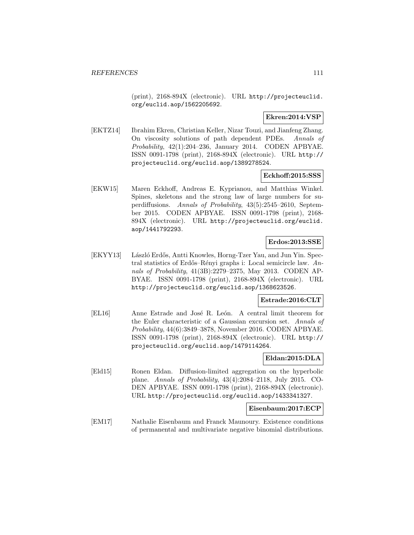(print), 2168-894X (electronic). URL http://projecteuclid. org/euclid.aop/1562205692.

### **Ekren:2014:VSP**

[EKTZ14] Ibrahim Ekren, Christian Keller, Nizar Touzi, and Jianfeng Zhang. On viscosity solutions of path dependent PDEs. Annals of Probability, 42(1):204–236, January 2014. CODEN APBYAE. ISSN 0091-1798 (print), 2168-894X (electronic). URL http:// projecteuclid.org/euclid.aop/1389278524.

### **Eckhoff:2015:SSS**

[EKW15] Maren Eckhoff, Andreas E. Kyprianou, and Matthias Winkel. Spines, skeletons and the strong law of large numbers for superdiffusions. Annals of Probability, 43(5):2545–2610, September 2015. CODEN APBYAE. ISSN 0091-1798 (print), 2168- 894X (electronic). URL http://projecteuclid.org/euclid. aop/1441792293.

### **Erdos:2013:SSE**

[EKYY13] László Erdős, Antti Knowles, Horng-Tzer Yau, and Jun Yin. Spectral statistics of Erdős–Rényi graphs i: Local semicircle law. Annals of Probability, 41(3B):2279–2375, May 2013. CODEN AP-BYAE. ISSN 0091-1798 (print), 2168-894X (electronic). URL http://projecteuclid.org/euclid.aop/1368623526.

## **Estrade:2016:CLT**

[EL16] Anne Estrade and José R. León. A central limit theorem for the Euler characteristic of a Gaussian excursion set. Annals of Probability, 44(6):3849–3878, November 2016. CODEN APBYAE. ISSN 0091-1798 (print), 2168-894X (electronic). URL http:// projecteuclid.org/euclid.aop/1479114264.

### **Eldan:2015:DLA**

[Eld15] Ronen Eldan. Diffusion-limited aggregation on the hyperbolic plane. Annals of Probability, 43(4):2084–2118, July 2015. CO-DEN APBYAE. ISSN 0091-1798 (print), 2168-894X (electronic). URL http://projecteuclid.org/euclid.aop/1433341327.

### **Eisenbaum:2017:ECP**

[EM17] Nathalie Eisenbaum and Franck Maunoury. Existence conditions of permanental and multivariate negative binomial distributions.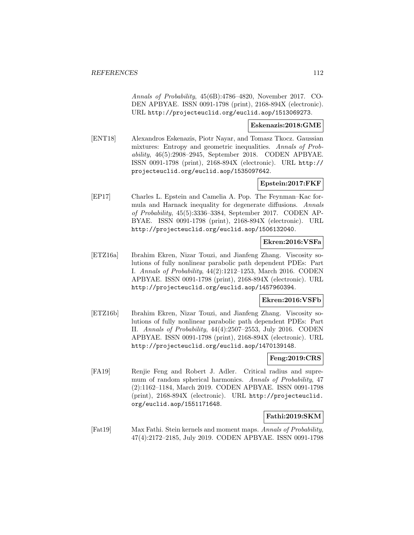Annals of Probability, 45(6B):4786–4820, November 2017. CO-DEN APBYAE. ISSN 0091-1798 (print), 2168-894X (electronic). URL http://projecteuclid.org/euclid.aop/1513069273.

### **Eskenazis:2018:GME**

[ENT18] Alexandros Eskenazis, Piotr Nayar, and Tomasz Tkocz. Gaussian mixtures: Entropy and geometric inequalities. Annals of Probability, 46(5):2908–2945, September 2018. CODEN APBYAE. ISSN 0091-1798 (print), 2168-894X (electronic). URL http:// projecteuclid.org/euclid.aop/1535097642.

## **Epstein:2017:FKF**

[EP17] Charles L. Epstein and Camelia A. Pop. The Feynman–Kac formula and Harnack inequality for degenerate diffusions. Annals of Probability, 45(5):3336–3384, September 2017. CODEN AP-BYAE. ISSN 0091-1798 (print), 2168-894X (electronic). URL http://projecteuclid.org/euclid.aop/1506132040.

## **Ekren:2016:VSFa**

[ETZ16a] Ibrahim Ekren, Nizar Touzi, and Jianfeng Zhang. Viscosity solutions of fully nonlinear parabolic path dependent PDEs: Part I. Annals of Probability, 44(2):1212–1253, March 2016. CODEN APBYAE. ISSN 0091-1798 (print), 2168-894X (electronic). URL http://projecteuclid.org/euclid.aop/1457960394.

## **Ekren:2016:VSFb**

[ETZ16b] Ibrahim Ekren, Nizar Touzi, and Jianfeng Zhang. Viscosity solutions of fully nonlinear parabolic path dependent PDEs: Part II. Annals of Probability, 44(4):2507–2553, July 2016. CODEN APBYAE. ISSN 0091-1798 (print), 2168-894X (electronic). URL http://projecteuclid.org/euclid.aop/1470139148.

### **Feng:2019:CRS**

[FA19] Renjie Feng and Robert J. Adler. Critical radius and supremum of random spherical harmonics. Annals of Probability, 47 (2):1162–1184, March 2019. CODEN APBYAE. ISSN 0091-1798 (print), 2168-894X (electronic). URL http://projecteuclid. org/euclid.aop/1551171648.

## **Fathi:2019:SKM**

[Fat19] Max Fathi. Stein kernels and moment maps. Annals of Probability, 47(4):2172–2185, July 2019. CODEN APBYAE. ISSN 0091-1798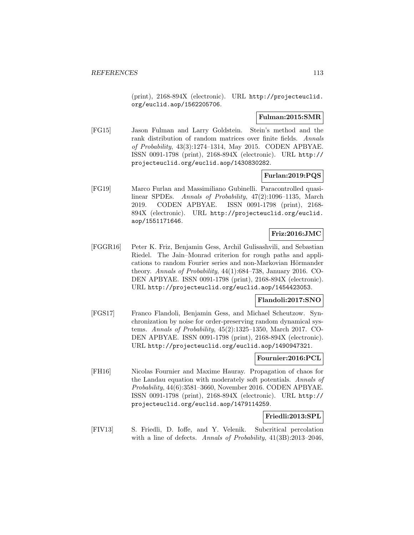(print), 2168-894X (electronic). URL http://projecteuclid. org/euclid.aop/1562205706.

### **Fulman:2015:SMR**

[FG15] Jason Fulman and Larry Goldstein. Stein's method and the rank distribution of random matrices over finite fields. Annals of Probability, 43(3):1274–1314, May 2015. CODEN APBYAE. ISSN 0091-1798 (print), 2168-894X (electronic). URL http:// projecteuclid.org/euclid.aop/1430830282.

## **Furlan:2019:PQS**

[FG19] Marco Furlan and Massimiliano Gubinelli. Paracontrolled quasilinear SPDEs. Annals of Probability, 47(2):1096–1135, March 2019. CODEN APBYAE. ISSN 0091-1798 (print), 2168- 894X (electronic). URL http://projecteuclid.org/euclid. aop/1551171646.

# **Friz:2016:JMC**

[FGGR16] Peter K. Friz, Benjamin Gess, Archil Gulisashvili, and Sebastian Riedel. The Jain–Monrad criterion for rough paths and applications to random Fourier series and non-Markovian Hörmander theory. Annals of Probability, 44(1):684–738, January 2016. CO-DEN APBYAE. ISSN 0091-1798 (print), 2168-894X (electronic). URL http://projecteuclid.org/euclid.aop/1454423053.

## **Flandoli:2017:SNO**

[FGS17] Franco Flandoli, Benjamin Gess, and Michael Scheutzow. Synchronization by noise for order-preserving random dynamical systems. Annals of Probability, 45(2):1325–1350, March 2017. CO-DEN APBYAE. ISSN 0091-1798 (print), 2168-894X (electronic). URL http://projecteuclid.org/euclid.aop/1490947321.

## **Fournier:2016:PCL**

[FH16] Nicolas Fournier and Maxime Hauray. Propagation of chaos for the Landau equation with moderately soft potentials. Annals of Probability, 44(6):3581–3660, November 2016. CODEN APBYAE. ISSN 0091-1798 (print), 2168-894X (electronic). URL http:// projecteuclid.org/euclid.aop/1479114259.

### **Friedli:2013:SPL**

[FIV13] S. Friedli, D. Ioffe, and Y. Velenik. Subcritical percolation with a line of defects. Annals of Probability,  $41(3B):2013-2046$ ,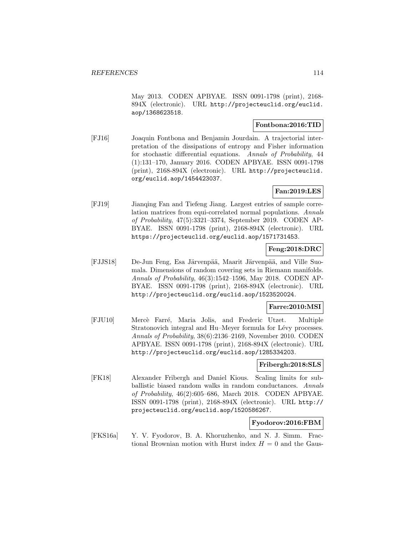May 2013. CODEN APBYAE. ISSN 0091-1798 (print), 2168- 894X (electronic). URL http://projecteuclid.org/euclid. aop/1368623518.

# **Fontbona:2016:TID**

[FJ16] Joaquin Fontbona and Benjamin Jourdain. A trajectorial interpretation of the dissipations of entropy and Fisher information for stochastic differential equations. Annals of Probability, 44 (1):131–170, January 2016. CODEN APBYAE. ISSN 0091-1798 (print), 2168-894X (electronic). URL http://projecteuclid. org/euclid.aop/1454423037.

## **Fan:2019:LES**

[FJ19] Jianqing Fan and Tiefeng Jiang. Largest entries of sample correlation matrices from equi-correlated normal populations. Annals of Probability, 47(5):3321–3374, September 2019. CODEN AP-BYAE. ISSN 0091-1798 (print), 2168-894X (electronic). URL https://projecteuclid.org/euclid.aop/1571731453.

## **Feng:2018:DRC**

[FJJS18] De-Jun Feng, Esa Järvenpää, Maarit Järvenpää, and Ville Suomala. Dimensions of random covering sets in Riemann manifolds. Annals of Probability, 46(3):1542–1596, May 2018. CODEN AP-BYAE. ISSN 0091-1798 (print), 2168-894X (electronic). URL http://projecteuclid.org/euclid.aop/1523520024.

### **Farre:2010:MSI**

[FJU10] Mercè Farré, Maria Jolis, and Frederic Utzet. Multiple Stratonovich integral and Hu–Meyer formula for Lévy processes. Annals of Probability, 38(6):2136–2169, November 2010. CODEN APBYAE. ISSN 0091-1798 (print), 2168-894X (electronic). URL http://projecteuclid.org/euclid.aop/1285334203.

### **Fribergh:2018:SLS**

[FK18] Alexander Fribergh and Daniel Kious. Scaling limits for subballistic biased random walks in random conductances. Annals of Probability, 46(2):605–686, March 2018. CODEN APBYAE. ISSN 0091-1798 (print), 2168-894X (electronic). URL http:// projecteuclid.org/euclid.aop/1520586267.

## **Fyodorov:2016:FBM**

[FKS16a] Y. V. Fyodorov, B. A. Khoruzhenko, and N. J. Simm. Fractional Brownian motion with Hurst index  $H = 0$  and the Gaus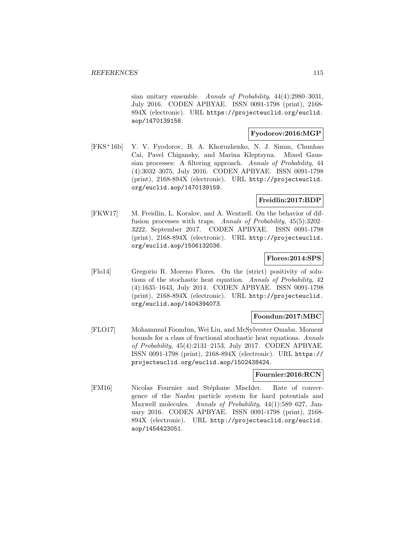sian unitary ensemble. Annals of Probability, 44(4):2980–3031, July 2016. CODEN APBYAE. ISSN 0091-1798 (print), 2168- 894X (electronic). URL https://projecteuclid.org/euclid. aop/1470139158.

## **Fyodorov:2016:MGP**

[FKS<sup>+</sup>16b] Y. V. Fyodorov, B. A. Khoruzhenko, N. J. Simm, Chunhao Cai, Pavel Chigansky, and Marina Kleptsyna. Mixed Gaussian processes: A filtering approach. Annals of Probability, 44 (4):3032–3075, July 2016. CODEN APBYAE. ISSN 0091-1798 (print), 2168-894X (electronic). URL http://projecteuclid. org/euclid.aop/1470139159.

# **Freidlin:2017:BDP**

[FKW17] M. Freidlin, L. Koralov, and A. Wentzell. On the behavior of diffusion processes with traps. Annals of Probability, 45(5):3202– 3222, September 2017. CODEN APBYAE. ISSN 0091-1798 (print), 2168-894X (electronic). URL http://projecteuclid. org/euclid.aop/1506132036.

### **Flores:2014:SPS**

[Flo14] Gregorio R. Moreno Flores. On the (strict) positivity of solutions of the stochastic heat equation. Annals of Probability, 42 (4):1635–1643, July 2014. CODEN APBYAE. ISSN 0091-1798 (print), 2168-894X (electronic). URL http://projecteuclid. org/euclid.aop/1404394073.

### **Foondun:2017:MBC**

[FLO17] Mohammud Foondun, Wei Liu, and McSylvester Omaba. Moment bounds for a class of fractional stochastic heat equations. Annals of Probability, 45(4):2131–2153, July 2017. CODEN APBYAE. ISSN 0091-1798 (print), 2168-894X (electronic). URL https:// projecteuclid.org/euclid.aop/1502438424.

### **Fournier:2016:RCN**

[FM16] Nicolas Fournier and Stéphane Mischler. Rate of convergence of the Nanbu particle system for hard potentials and Maxwell molecules. Annals of Probability, 44(1):589–627, January 2016. CODEN APBYAE. ISSN 0091-1798 (print), 2168- 894X (electronic). URL http://projecteuclid.org/euclid. aop/1454423051.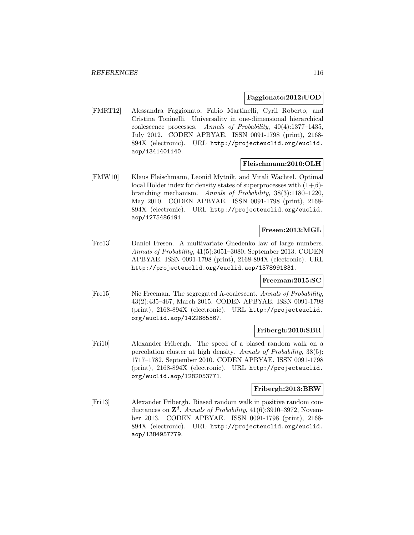### **Faggionato:2012:UOD**

[FMRT12] Alessandra Faggionato, Fabio Martinelli, Cyril Roberto, and Cristina Toninelli. Universality in one-dimensional hierarchical coalescence processes. Annals of Probability, 40(4):1377–1435, July 2012. CODEN APBYAE. ISSN 0091-1798 (print), 2168- 894X (electronic). URL http://projecteuclid.org/euclid. aop/1341401140.

### **Fleischmann:2010:OLH**

[FMW10] Klaus Fleischmann, Leonid Mytnik, and Vitali Wachtel. Optimal local Hölder index for density states of superprocesses with  $(1+\beta)$ branching mechanism. Annals of Probability, 38(3):1180–1220, May 2010. CODEN APBYAE. ISSN 0091-1798 (print), 2168- 894X (electronic). URL http://projecteuclid.org/euclid. aop/1275486191.

## **Fresen:2013:MGL**

[Fre13] Daniel Fresen. A multivariate Gnedenko law of large numbers. Annals of Probability, 41(5):3051–3080, September 2013. CODEN APBYAE. ISSN 0091-1798 (print), 2168-894X (electronic). URL http://projecteuclid.org/euclid.aop/1378991831.

## **Freeman:2015:SC**

[Fre15] Nic Freeman. The segregated Λ-coalescent. Annals of Probability, 43(2):435–467, March 2015. CODEN APBYAE. ISSN 0091-1798 (print), 2168-894X (electronic). URL http://projecteuclid. org/euclid.aop/1422885567.

### **Fribergh:2010:SBR**

[Fri10] Alexander Fribergh. The speed of a biased random walk on a percolation cluster at high density. Annals of Probability, 38(5): 1717–1782, September 2010. CODEN APBYAE. ISSN 0091-1798 (print), 2168-894X (electronic). URL http://projecteuclid. org/euclid.aop/1282053771.

## **Fribergh:2013:BRW**

[Fri13] Alexander Fribergh. Biased random walk in positive random conductances on  $\mathbb{Z}^d$ . Annals of Probability, 41(6):3910–3972, November 2013. CODEN APBYAE. ISSN 0091-1798 (print), 2168- 894X (electronic). URL http://projecteuclid.org/euclid. aop/1384957779.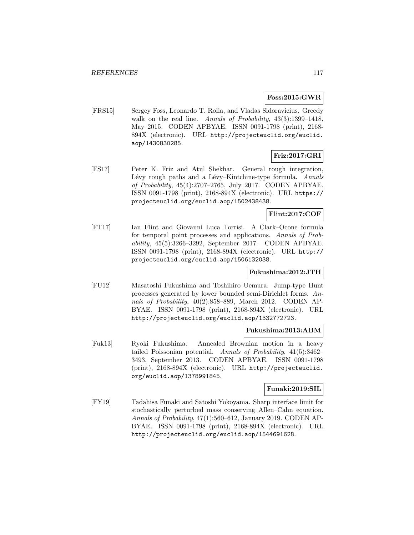### **Foss:2015:GWR**

[FRS15] Sergey Foss, Leonardo T. Rolla, and Vladas Sidoravicius. Greedy walk on the real line. Annals of Probability,  $43(3):1399-1418$ , May 2015. CODEN APBYAE. ISSN 0091-1798 (print), 2168- 894X (electronic). URL http://projecteuclid.org/euclid. aop/1430830285.

# **Friz:2017:GRI**

[FS17] Peter K. Friz and Atul Shekhar. General rough integration, Lévy rough paths and a Lévy–Kintchine-type formula. Annals of Probability, 45(4):2707–2765, July 2017. CODEN APBYAE. ISSN 0091-1798 (print), 2168-894X (electronic). URL https:// projecteuclid.org/euclid.aop/1502438438.

## **Flint:2017:COF**

[FT17] Ian Flint and Giovanni Luca Torrisi. A Clark–Ocone formula for temporal point processes and applications. Annals of Probability, 45(5):3266–3292, September 2017. CODEN APBYAE. ISSN 0091-1798 (print), 2168-894X (electronic). URL http:// projecteuclid.org/euclid.aop/1506132038.

## **Fukushima:2012:JTH**

[FU12] Masatoshi Fukushima and Toshihiro Uemura. Jump-type Hunt processes generated by lower bounded semi-Dirichlet forms. Annals of Probability, 40(2):858–889, March 2012. CODEN AP-BYAE. ISSN 0091-1798 (print), 2168-894X (electronic). URL http://projecteuclid.org/euclid.aop/1332772723.

### **Fukushima:2013:ABM**

[Fuk13] Ryoki Fukushima. Annealed Brownian motion in a heavy tailed Poissonian potential. Annals of Probability, 41(5):3462– 3493, September 2013. CODEN APBYAE. ISSN 0091-1798 (print), 2168-894X (electronic). URL http://projecteuclid. org/euclid.aop/1378991845.

## **Funaki:2019:SIL**

[FY19] Tadahisa Funaki and Satoshi Yokoyama. Sharp interface limit for stochastically perturbed mass conserving Allen–Cahn equation. Annals of Probability, 47(1):560–612, January 2019. CODEN AP-BYAE. ISSN 0091-1798 (print), 2168-894X (electronic). URL http://projecteuclid.org/euclid.aop/1544691628.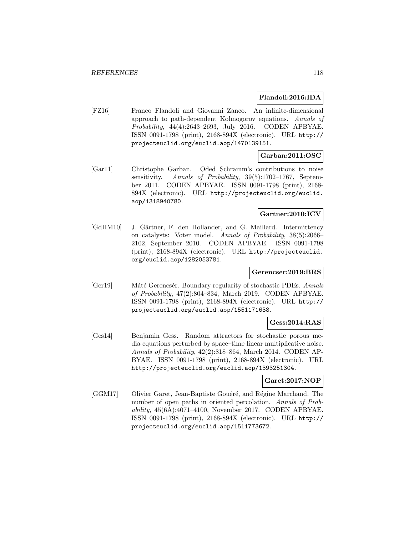### **Flandoli:2016:IDA**

[FZ16] Franco Flandoli and Giovanni Zanco. An infinite-dimensional approach to path-dependent Kolmogorov equations. Annals of Probability, 44(4):2643–2693, July 2016. CODEN APBYAE. ISSN 0091-1798 (print), 2168-894X (electronic). URL http:// projecteuclid.org/euclid.aop/1470139151.

### **Garban:2011:OSC**

[Gar11] Christophe Garban. Oded Schramm's contributions to noise sensitivity. Annals of Probability, 39(5):1702-1767, September 2011. CODEN APBYAE. ISSN 0091-1798 (print), 2168- 894X (electronic). URL http://projecteuclid.org/euclid. aop/1318940780.

## **Gartner:2010:ICV**

[GdHM10] J. Gärtner, F. den Hollander, and G. Maillard. Intermittency on catalysts: Voter model. Annals of Probability, 38(5):2066– 2102, September 2010. CODEN APBYAE. ISSN 0091-1798 (print), 2168-894X (electronic). URL http://projecteuclid. org/euclid.aop/1282053781.

### **Gerencser:2019:BRS**

[Ger19] Máté Gerencsér. Boundary regularity of stochastic PDEs. Annals of Probability, 47(2):804–834, March 2019. CODEN APBYAE. ISSN 0091-1798 (print), 2168-894X (electronic). URL http:// projecteuclid.org/euclid.aop/1551171638.

### **Gess:2014:RAS**

[Ges14] Benjamin Gess. Random attractors for stochastic porous media equations perturbed by space–time linear multiplicative noise. Annals of Probability, 42(2):818–864, March 2014. CODEN AP-BYAE. ISSN 0091-1798 (print), 2168-894X (electronic). URL http://projecteuclid.org/euclid.aop/1393251304.

### **Garet:2017:NOP**

[GGM17] Olivier Garet, Jean-Baptiste Gouéré, and Régine Marchand. The number of open paths in oriented percolation. Annals of Probability, 45(6A):4071–4100, November 2017. CODEN APBYAE. ISSN 0091-1798 (print), 2168-894X (electronic). URL http:// projecteuclid.org/euclid.aop/1511773672.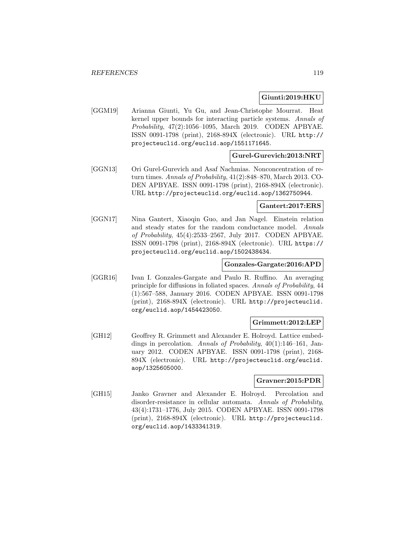### **Giunti:2019:HKU**

[GGM19] Arianna Giunti, Yu Gu, and Jean-Christophe Mourrat. Heat kernel upper bounds for interacting particle systems. Annals of Probability, 47(2):1056–1095, March 2019. CODEN APBYAE. ISSN 0091-1798 (print), 2168-894X (electronic). URL http:// projecteuclid.org/euclid.aop/1551171645.

## **Gurel-Gurevich:2013:NRT**

[GGN13] Ori Gurel-Gurevich and Asaf Nachmias. Nonconcentration of return times. Annals of Probability, 41(2):848–870, March 2013. CO-DEN APBYAE. ISSN 0091-1798 (print), 2168-894X (electronic). URL http://projecteuclid.org/euclid.aop/1362750944.

### **Gantert:2017:ERS**

[GGN17] Nina Gantert, Xiaoqin Guo, and Jan Nagel. Einstein relation and steady states for the random conductance model. Annals of Probability, 45(4):2533–2567, July 2017. CODEN APBYAE. ISSN 0091-1798 (print), 2168-894X (electronic). URL https:// projecteuclid.org/euclid.aop/1502438434.

## **Gonzales-Gargate:2016:APD**

[GGR16] Ivan I. Gonzales-Gargate and Paulo R. Ruffino. An averaging principle for diffusions in foliated spaces. Annals of Probability, 44 (1):567–588, January 2016. CODEN APBYAE. ISSN 0091-1798 (print), 2168-894X (electronic). URL http://projecteuclid. org/euclid.aop/1454423050.

### **Grimmett:2012:LEP**

[GH12] Geoffrey R. Grimmett and Alexander E. Holroyd. Lattice embeddings in percolation. Annals of Probability, 40(1):146–161, January 2012. CODEN APBYAE. ISSN 0091-1798 (print), 2168- 894X (electronic). URL http://projecteuclid.org/euclid. aop/1325605000.

### **Gravner:2015:PDR**

[GH15] Janko Gravner and Alexander E. Holroyd. Percolation and disorder-resistance in cellular automata. Annals of Probability, 43(4):1731–1776, July 2015. CODEN APBYAE. ISSN 0091-1798 (print), 2168-894X (electronic). URL http://projecteuclid. org/euclid.aop/1433341319.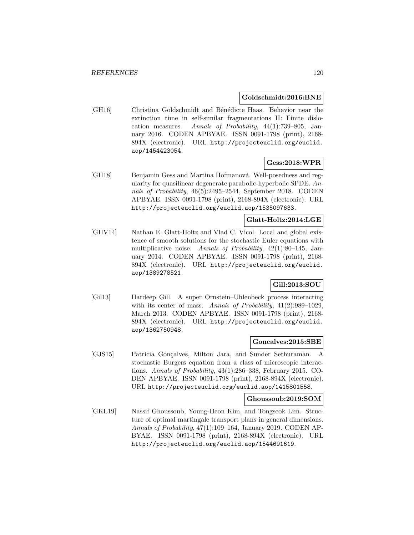### **Goldschmidt:2016:BNE**

[GH16] Christina Goldschmidt and Bénédicte Haas. Behavior near the extinction time in self-similar fragmentations II: Finite dislocation measures. Annals of Probability, 44(1):739–805, January 2016. CODEN APBYAE. ISSN 0091-1798 (print), 2168- 894X (electronic). URL http://projecteuclid.org/euclid. aop/1454423054.

# **Gess:2018:WPR**

[GH18] Benjamin Gess and Martina Hofmanová. Well-posedness and regularity for quasilinear degenerate parabolic-hyperbolic SPDE. Annals of Probability, 46(5):2495–2544, September 2018. CODEN APBYAE. ISSN 0091-1798 (print), 2168-894X (electronic). URL http://projecteuclid.org/euclid.aop/1535097633.

## **Glatt-Holtz:2014:LGE**

[GHV14] Nathan E. Glatt-Holtz and Vlad C. Vicol. Local and global existence of smooth solutions for the stochastic Euler equations with multiplicative noise. Annals of Probability, 42(1):80–145, January 2014. CODEN APBYAE. ISSN 0091-1798 (print), 2168- 894X (electronic). URL http://projecteuclid.org/euclid. aop/1389278521.

## **Gill:2013:SOU**

[Gil13] Hardeep Gill. A super Ornstein–Uhlenbeck process interacting with its center of mass. Annals of Probability,  $41(2):989-1029$ , March 2013. CODEN APBYAE. ISSN 0091-1798 (print), 2168- 894X (electronic). URL http://projecteuclid.org/euclid. aop/1362750948.

### **Goncalves:2015:SBE**

[GJS15] Patrícia Gonçalves, Milton Jara, and Sunder Sethuraman. A stochastic Burgers equation from a class of microscopic interactions. Annals of Probability, 43(1):286–338, February 2015. CO-DEN APBYAE. ISSN 0091-1798 (print), 2168-894X (electronic). URL http://projecteuclid.org/euclid.aop/1415801558.

### **Ghoussoub:2019:SOM**

[GKL19] Nassif Ghoussoub, Young-Heon Kim, and Tongseok Lim. Structure of optimal martingale transport plans in general dimensions. Annals of Probability, 47(1):109–164, January 2019. CODEN AP-BYAE. ISSN 0091-1798 (print), 2168-894X (electronic). URL http://projecteuclid.org/euclid.aop/1544691619.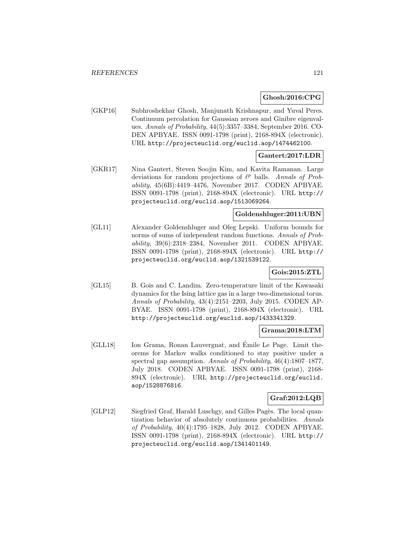### **Ghosh:2016:CPG**

[GKP16] Subhroshekhar Ghosh, Manjunath Krishnapur, and Yuval Peres. Continuum percolation for Gaussian zeroes and Ginibre eigenvalues. Annals of Probability, 44(5):3357–3384, September 2016. CO-DEN APBYAE. ISSN 0091-1798 (print), 2168-894X (electronic). URL http://projecteuclid.org/euclid.aop/1474462100.

## **Gantert:2017:LDR**

[GKR17] Nina Gantert, Steven Soojin Kim, and Kavita Ramanan. Large deviations for random projections of  $\ell^p$  balls. Annals of Probability, 45(6B):4419–4476, November 2017. CODEN APBYAE. ISSN 0091-1798 (print), 2168-894X (electronic). URL http:// projecteuclid.org/euclid.aop/1513069264.

## **Goldenshluger:2011:UBN**

[GL11] Alexander Goldenshluger and Oleg Lepski. Uniform bounds for norms of sums of independent random functions. Annals of Probability, 39(6):2318–2384, November 2011. CODEN APBYAE. ISSN 0091-1798 (print), 2168-894X (electronic). URL http:// projecteuclid.org/euclid.aop/1321539122.

## **Gois:2015:ZTL**

[GL15] B. Gois and C. Landim. Zero-temperature limit of the Kawasaki dynamics for the Ising lattice gas in a large two-dimensional torus. Annals of Probability, 43(4):2151–2203, July 2015. CODEN AP-BYAE. ISSN 0091-1798 (print), 2168-894X (electronic). URL http://projecteuclid.org/euclid.aop/1433341329.

### **Grama:2018:LTM**

[GLL18] Ion Grama, Ronan Lauvergnat, and Émile Le Page. Limit theorems for Markov walks conditioned to stay positive under a spectral gap assumption. Annals of Probability, 46(4):1807–1877, July 2018. CODEN APBYAE. ISSN 0091-1798 (print), 2168- 894X (electronic). URL http://projecteuclid.org/euclid. aop/1528876816.

### **Graf:2012:LQB**

[GLP12] Siegfried Graf, Harald Luschgy, and Gilles Pagès. The local quantization behavior of absolutely continuous probabilities. Annals of Probability, 40(4):1795–1828, July 2012. CODEN APBYAE. ISSN 0091-1798 (print), 2168-894X (electronic). URL http:// projecteuclid.org/euclid.aop/1341401149.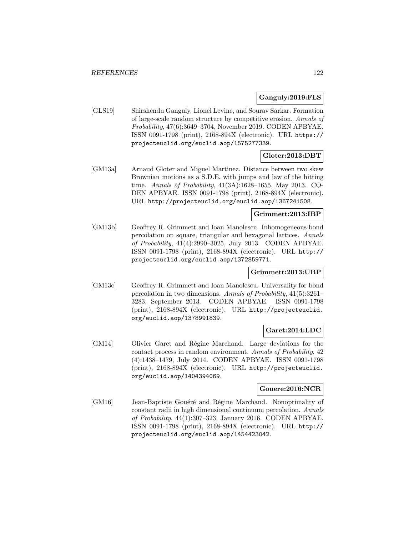### **Ganguly:2019:FLS**

[GLS19] Shirshendu Ganguly, Lionel Levine, and Sourav Sarkar. Formation of large-scale random structure by competitive erosion. Annals of Probability, 47(6):3649–3704, November 2019. CODEN APBYAE. ISSN 0091-1798 (print), 2168-894X (electronic). URL https:// projecteuclid.org/euclid.aop/1575277339.

# **Gloter:2013:DBT**

[GM13a] Arnaud Gloter and Miguel Martinez. Distance between two skew Brownian motions as a S.D.E. with jumps and law of the hitting time. Annals of Probability, 41(3A):1628–1655, May 2013. CO-DEN APBYAE. ISSN 0091-1798 (print), 2168-894X (electronic). URL http://projecteuclid.org/euclid.aop/1367241508.

## **Grimmett:2013:IBP**

[GM13b] Geoffrey R. Grimmett and Ioan Manolescu. Inhomogeneous bond percolation on square, triangular and hexagonal lattices. Annals of Probability, 41(4):2990–3025, July 2013. CODEN APBYAE. ISSN 0091-1798 (print), 2168-894X (electronic). URL http:// projecteuclid.org/euclid.aop/1372859771.

## **Grimmett:2013:UBP**

[GM13c] Geoffrey R. Grimmett and Ioan Manolescu. Universality for bond percolation in two dimensions. Annals of Probability, 41(5):3261– 3283, September 2013. CODEN APBYAE. ISSN 0091-1798 (print), 2168-894X (electronic). URL http://projecteuclid. org/euclid.aop/1378991839.

### **Garet:2014:LDC**

[GM14] Olivier Garet and R´egine Marchand. Large deviations for the contact process in random environment. Annals of Probability, 42 (4):1438–1479, July 2014. CODEN APBYAE. ISSN 0091-1798 (print), 2168-894X (electronic). URL http://projecteuclid. org/euclid.aop/1404394069.

### **Gouere:2016:NCR**

[GM16] Jean-Baptiste Gouéré and Régine Marchand. Nonoptimality of constant radii in high dimensional continuum percolation. Annals of Probability, 44(1):307–323, January 2016. CODEN APBYAE. ISSN 0091-1798 (print), 2168-894X (electronic). URL http:// projecteuclid.org/euclid.aop/1454423042.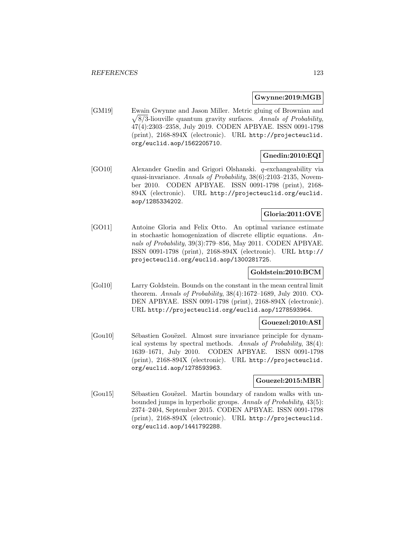### **Gwynne:2019:MGB**

[GM19] Ewain Gwynne and Jason Miller. Metric gluing of Brownian and  $\sqrt{8}/3$ -liouville quantum gravity surfaces. Annals of Probability, 47(4):2303–2358, July 2019. CODEN APBYAE. ISSN 0091-1798 (print), 2168-894X (electronic). URL http://projecteuclid. org/euclid.aop/1562205710.

# **Gnedin:2010:EQI**

[GO10] Alexander Gnedin and Grigori Olshanski. q-exchangeability via quasi-invariance. Annals of Probability, 38(6):2103–2135, November 2010. CODEN APBYAE. ISSN 0091-1798 (print), 2168- 894X (electronic). URL http://projecteuclid.org/euclid. aop/1285334202.

# **Gloria:2011:OVE**

[GO11] Antoine Gloria and Felix Otto. An optimal variance estimate in stochastic homogenization of discrete elliptic equations. Annals of Probability, 39(3):779–856, May 2011. CODEN APBYAE. ISSN 0091-1798 (print), 2168-894X (electronic). URL http:// projecteuclid.org/euclid.aop/1300281725.

## **Goldstein:2010:BCM**

[Gol10] Larry Goldstein. Bounds on the constant in the mean central limit theorem. Annals of Probability, 38(4):1672–1689, July 2010. CO-DEN APBYAE. ISSN 0091-1798 (print), 2168-894X (electronic). URL http://projecteuclid.org/euclid.aop/1278593964.

### **Gouezel:2010:ASI**

[Gou10] Sébastien Gouëzel. Almost sure invariance principle for dynamical systems by spectral methods. Annals of Probability, 38(4): 1639–1671, July 2010. CODEN APBYAE. ISSN 0091-1798 (print), 2168-894X (electronic). URL http://projecteuclid. org/euclid.aop/1278593963.

### **Gouezel:2015:MBR**

[Gou15] Sébastien Gouëzel. Martin boundary of random walks with unbounded jumps in hyperbolic groups. Annals of Probability, 43(5): 2374–2404, September 2015. CODEN APBYAE. ISSN 0091-1798 (print), 2168-894X (electronic). URL http://projecteuclid. org/euclid.aop/1441792288.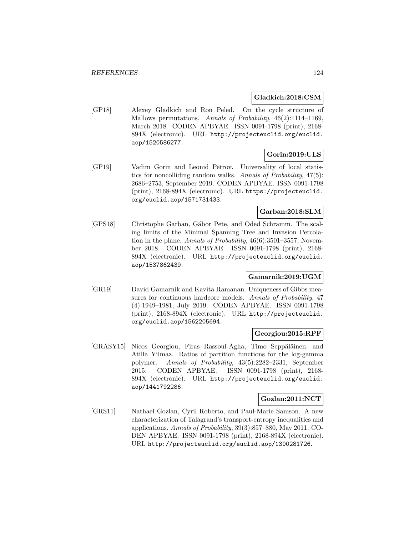### **Gladkich:2018:CSM**

[GP18] Alexey Gladkich and Ron Peled. On the cycle structure of Mallows permutations. Annals of Probability, 46(2):1114–1169, March 2018. CODEN APBYAE. ISSN 0091-1798 (print), 2168- 894X (electronic). URL http://projecteuclid.org/euclid. aop/1520586277.

# **Gorin:2019:ULS**

[GP19] Vadim Gorin and Leonid Petrov. Universality of local statistics for noncolliding random walks. Annals of Probability, 47(5): 2686–2753, September 2019. CODEN APBYAE. ISSN 0091-1798 (print), 2168-894X (electronic). URL https://projecteuclid. org/euclid.aop/1571731433.

## **Garban:2018:SLM**

[GPS18] Christophe Garban, Gábor Pete, and Oded Schramm. The scaling limits of the Minimal Spanning Tree and Invasion Percolation in the plane. Annals of Probability, 46(6):3501–3557, November 2018. CODEN APBYAE. ISSN 0091-1798 (print), 2168- 894X (electronic). URL http://projecteuclid.org/euclid. aop/1537862439.

## **Gamarnik:2019:UGM**

[GR19] David Gamarnik and Kavita Ramanan. Uniqueness of Gibbs measures for continuous hardcore models. Annals of Probability, 47 (4):1949–1981, July 2019. CODEN APBYAE. ISSN 0091-1798 (print), 2168-894X (electronic). URL http://projecteuclid. org/euclid.aop/1562205694.

## **Georgiou:2015:RPF**

[GRASY15] Nicos Georgiou, Firas Rassoul-Agha, Timo Seppäläinen, and Atilla Yilmaz. Ratios of partition functions for the log-gamma polymer. Annals of Probability, 43(5):2282–2331, September 2015. CODEN APBYAE. ISSN 0091-1798 (print), 2168- 894X (electronic). URL http://projecteuclid.org/euclid. aop/1441792286.

### **Gozlan:2011:NCT**

[GRS11] Nathael Gozlan, Cyril Roberto, and Paul-Marie Samson. A new characterization of Talagrand's transport-entropy inequalities and applications. Annals of Probability, 39(3):857–880, May 2011. CO-DEN APBYAE. ISSN 0091-1798 (print), 2168-894X (electronic). URL http://projecteuclid.org/euclid.aop/1300281726.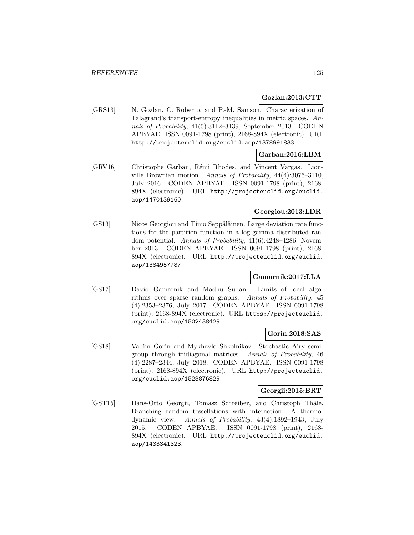### **Gozlan:2013:CTT**

[GRS13] N. Gozlan, C. Roberto, and P.-M. Samson. Characterization of Talagrand's transport-entropy inequalities in metric spaces. Annals of Probability, 41(5):3112–3139, September 2013. CODEN APBYAE. ISSN 0091-1798 (print), 2168-894X (electronic). URL http://projecteuclid.org/euclid.aop/1378991833.

### **Garban:2016:LBM**

[GRV16] Christophe Garban, Rémi Rhodes, and Vincent Vargas. Liouville Brownian motion. Annals of Probability, 44(4):3076–3110, July 2016. CODEN APBYAE. ISSN 0091-1798 (print), 2168- 894X (electronic). URL http://projecteuclid.org/euclid. aop/1470139160.

## **Georgiou:2013:LDR**

[GS13] Nicos Georgiou and Timo Seppäläinen. Large deviation rate functions for the partition function in a log-gamma distributed random potential. Annals of Probability, 41(6):4248–4286, November 2013. CODEN APBYAE. ISSN 0091-1798 (print), 2168- 894X (electronic). URL http://projecteuclid.org/euclid. aop/1384957787.

### **Gamarnik:2017:LLA**

[GS17] David Gamarnik and Madhu Sudan. Limits of local algorithms over sparse random graphs. Annals of Probability, 45 (4):2353–2376, July 2017. CODEN APBYAE. ISSN 0091-1798 (print), 2168-894X (electronic). URL https://projecteuclid. org/euclid.aop/1502438429.

## **Gorin:2018:SAS**

[GS18] Vadim Gorin and Mykhaylo Shkolnikov. Stochastic Airy semigroup through tridiagonal matrices. Annals of Probability, 46 (4):2287–2344, July 2018. CODEN APBYAE. ISSN 0091-1798 (print), 2168-894X (electronic). URL http://projecteuclid. org/euclid.aop/1528876829.

## **Georgii:2015:BRT**

[GST15] Hans-Otto Georgii, Tomasz Schreiber, and Christoph Thäle. Branching random tessellations with interaction: A thermodynamic view. Annals of Probability, 43(4):1892–1943, July 2015. CODEN APBYAE. ISSN 0091-1798 (print), 2168- 894X (electronic). URL http://projecteuclid.org/euclid. aop/1433341323.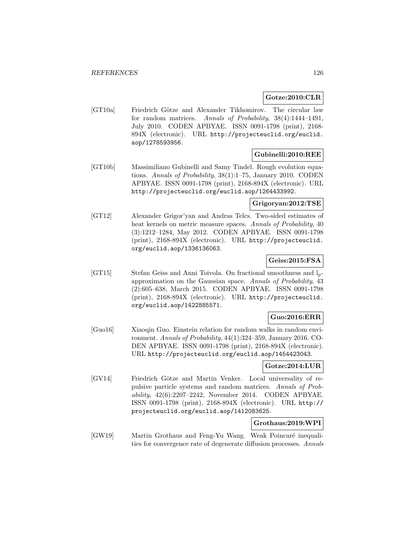## **Gotze:2010:CLR**

[GT10a] Friedrich Götze and Alexander Tikhomirov. The circular law for random matrices. Annals of Probability, 38(4):1444–1491, July 2010. CODEN APBYAE. ISSN 0091-1798 (print), 2168- 894X (electronic). URL http://projecteuclid.org/euclid. aop/1278593956.

## **Gubinelli:2010:REE**

[GT10b] Massimiliano Gubinelli and Samy Tindel. Rough evolution equations. Annals of Probability, 38(1):1–75, January 2010. CODEN APBYAE. ISSN 0091-1798 (print), 2168-894X (electronic). URL http://projecteuclid.org/euclid.aop/1264433992.

## **Grigoryan:2012:TSE**

[GT12] Alexander Grigor'yan and Andras Telcs. Two-sided estimates of heat kernels on metric measure spaces. Annals of Probability, 40 (3):1212–1284, May 2012. CODEN APBYAE. ISSN 0091-1798 (print), 2168-894X (electronic). URL http://projecteuclid. org/euclid.aop/1336136063.

## **Geiss:2015:FSA**

[GT15] Stefan Geiss and Anni Toivola. On fractional smoothness and  $l_p$ approximation on the Gaussian space. Annals of Probability, 43 (2):605–638, March 2015. CODEN APBYAE. ISSN 0091-1798 (print), 2168-894X (electronic). URL http://projecteuclid. org/euclid.aop/1422885571.

### **Guo:2016:ERR**

[Guo16] Xiaoqin Guo. Einstein relation for random walks in random environment. Annals of Probability, 44(1):324–359, January 2016. CO-DEN APBYAE. ISSN 0091-1798 (print), 2168-894X (electronic). URL http://projecteuclid.org/euclid.aop/1454423043.

## **Gotze:2014:LUR**

[GV14] Friedrich Götze and Martin Venker. Local universality of repulsive particle systems and random matrices. Annals of Probability, 42(6):2207–2242, November 2014. CODEN APBYAE. ISSN 0091-1798 (print), 2168-894X (electronic). URL http:// projecteuclid.org/euclid.aop/1412083625.

## **Grothaus:2019:WPI**

[GW19] Martin Grothaus and Feng-Yu Wang. Weak Poincaré inequalities for convergence rate of degenerate diffusion processes. Annals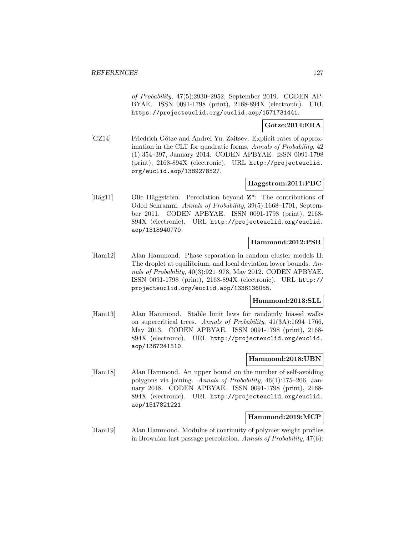of Probability, 47(5):2930–2952, September 2019. CODEN AP-BYAE. ISSN 0091-1798 (print), 2168-894X (electronic). URL https://projecteuclid.org/euclid.aop/1571731441.

### **Gotze:2014:ERA**

[GZ14] Friedrich Götze and Andrei Yu. Zaitsev. Explicit rates of approximation in the CLT for quadratic forms. Annals of Probability, 42 (1):354–397, January 2014. CODEN APBYAE. ISSN 0091-1798 (print), 2168-894X (electronic). URL http://projecteuclid. org/euclid.aop/1389278527.

## **Haggstrom:2011:PBC**

[Häg11] Olle Häggström. Percolation beyond  $\mathbb{Z}^d$ : The contributions of Oded Schramm. Annals of Probability, 39(5):1668–1701, September 2011. CODEN APBYAE. ISSN 0091-1798 (print), 2168- 894X (electronic). URL http://projecteuclid.org/euclid. aop/1318940779.

### **Hammond:2012:PSR**

[Ham12] Alan Hammond. Phase separation in random cluster models II: The droplet at equilibrium, and local deviation lower bounds. Annals of Probability, 40(3):921–978, May 2012. CODEN APBYAE. ISSN 0091-1798 (print), 2168-894X (electronic). URL http:// projecteuclid.org/euclid.aop/1336136055.

## **Hammond:2013:SLL**

[Ham13] Alan Hammond. Stable limit laws for randomly biased walks on supercritical trees. Annals of Probability, 41(3A):1694–1766, May 2013. CODEN APBYAE. ISSN 0091-1798 (print), 2168- 894X (electronic). URL http://projecteuclid.org/euclid. aop/1367241510.

### **Hammond:2018:UBN**

[Ham18] Alan Hammond. An upper bound on the number of self-avoiding polygons via joining. Annals of Probability, 46(1):175–206, January 2018. CODEN APBYAE. ISSN 0091-1798 (print), 2168- 894X (electronic). URL http://projecteuclid.org/euclid. aop/1517821221.

### **Hammond:2019:MCP**

[Ham19] Alan Hammond. Modulus of continuity of polymer weight profiles in Brownian last passage percolation. Annals of Probability, 47(6):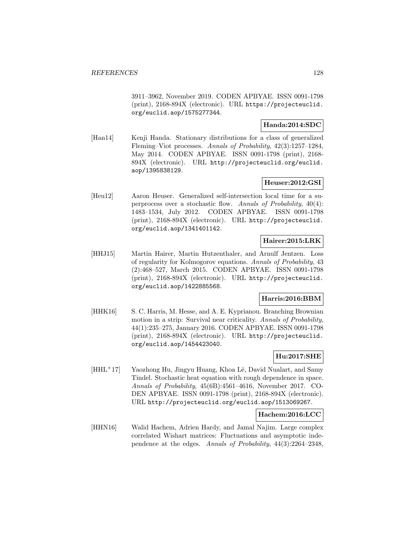3911–3962, November 2019. CODEN APBYAE. ISSN 0091-1798 (print), 2168-894X (electronic). URL https://projecteuclid. org/euclid.aop/1575277344.

## **Handa:2014:SDC**

[Han14] Kenji Handa. Stationary distributions for a class of generalized Fleming–Viot processes. Annals of Probability, 42(3):1257–1284, May 2014. CODEN APBYAE. ISSN 0091-1798 (print), 2168- 894X (electronic). URL http://projecteuclid.org/euclid. aop/1395838129.

## **Heuser:2012:GSI**

[Heu12] Aaron Heuser. Generalized self-intersection local time for a superprocess over a stochastic flow. Annals of Probability, 40(4): 1483–1534, July 2012. CODEN APBYAE. ISSN 0091-1798 (print), 2168-894X (electronic). URL http://projecteuclid. org/euclid.aop/1341401142.

## **Hairer:2015:LRK**

[HHJ15] Martin Hairer, Martin Hutzenthaler, and Arnulf Jentzen. Loss of regularity for Kolmogorov equations. Annals of Probability, 43 (2):468–527, March 2015. CODEN APBYAE. ISSN 0091-1798 (print), 2168-894X (electronic). URL http://projecteuclid. org/euclid.aop/1422885568.

## **Harris:2016:BBM**

[HHK16] S. C. Harris, M. Hesse, and A. E. Kyprianou. Branching Brownian motion in a strip: Survival near criticality. Annals of Probability, 44(1):235–275, January 2016. CODEN APBYAE. ISSN 0091-1798 (print), 2168-894X (electronic). URL http://projecteuclid. org/euclid.aop/1454423040.

# **Hu:2017:SHE**

[HHL<sup>+</sup>17] Yaozhong Hu, Jingyu Huang, Khoa Lê, David Nualart, and Samy Tindel. Stochastic heat equation with rough dependence in space. Annals of Probability, 45(6B):4561–4616, November 2017. CO-DEN APBYAE. ISSN 0091-1798 (print), 2168-894X (electronic). URL http://projecteuclid.org/euclid.aop/1513069267.

## **Hachem:2016:LCC**

[HHN16] Walid Hachem, Adrien Hardy, and Jamal Najim. Large complex correlated Wishart matrices: Fluctuations and asymptotic independence at the edges. Annals of Probability, 44(3):2264–2348,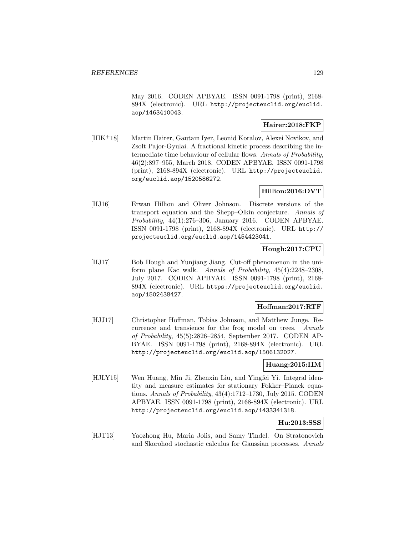May 2016. CODEN APBYAE. ISSN 0091-1798 (print), 2168- 894X (electronic). URL http://projecteuclid.org/euclid. aop/1463410043.

## **Hairer:2018:FKP**

[HIK<sup>+</sup>18] Martin Hairer, Gautam Iyer, Leonid Koralov, Alexei Novikov, and Zsolt Pajor-Gyulai. A fractional kinetic process describing the intermediate time behaviour of cellular flows. Annals of Probability, 46(2):897–955, March 2018. CODEN APBYAE. ISSN 0091-1798 (print), 2168-894X (electronic). URL http://projecteuclid. org/euclid.aop/1520586272.

## **Hillion:2016:DVT**

[HJ16] Erwan Hillion and Oliver Johnson. Discrete versions of the transport equation and the Shepp–Olkin conjecture. Annals of Probability, 44(1):276–306, January 2016. CODEN APBYAE. ISSN 0091-1798 (print), 2168-894X (electronic). URL http:// projecteuclid.org/euclid.aop/1454423041.

## **Hough:2017:CPU**

[HJ17] Bob Hough and Yunjiang Jiang. Cut-off phenomenon in the uniform plane Kac walk. Annals of Probability, 45(4):2248–2308, July 2017. CODEN APBYAE. ISSN 0091-1798 (print), 2168- 894X (electronic). URL https://projecteuclid.org/euclid. aop/1502438427.

### **Hoffman:2017:RTF**

[HJJ17] Christopher Hoffman, Tobias Johnson, and Matthew Junge. Recurrence and transience for the frog model on trees. Annals of Probability, 45(5):2826–2854, September 2017. CODEN AP-BYAE. ISSN 0091-1798 (print), 2168-894X (electronic). URL http://projecteuclid.org/euclid.aop/1506132027.

## **Huang:2015:IIM**

[HJLY15] Wen Huang, Min Ji, Zhenxin Liu, and Yingfei Yi. Integral identity and measure estimates for stationary Fokker–Planck equations. Annals of Probability, 43(4):1712–1730, July 2015. CODEN APBYAE. ISSN 0091-1798 (print), 2168-894X (electronic). URL http://projecteuclid.org/euclid.aop/1433341318.

## **Hu:2013:SSS**

[HJT13] Yaozhong Hu, Maria Jolis, and Samy Tindel. On Stratonovich and Skorohod stochastic calculus for Gaussian processes. Annals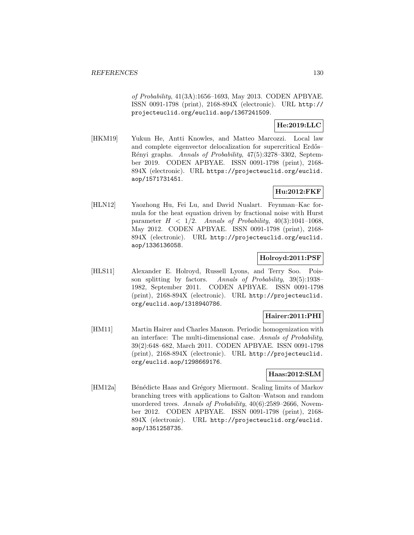of Probability, 41(3A):1656–1693, May 2013. CODEN APBYAE. ISSN 0091-1798 (print), 2168-894X (electronic). URL http:// projecteuclid.org/euclid.aop/1367241509.

## **He:2019:LLC**

[HKM19] Yukun He, Antti Knowles, and Matteo Marcozzi. Local law and complete eigenvector delocalization for supercritical Erdős– Rényi graphs. Annals of Probability, 47(5):3278-3302, September 2019. CODEN APBYAE. ISSN 0091-1798 (print), 2168- 894X (electronic). URL https://projecteuclid.org/euclid. aop/1571731451.

# **Hu:2012:FKF**

[HLN12] Yaozhong Hu, Fei Lu, and David Nualart. Feynman–Kac formula for the heat equation driven by fractional noise with Hurst parameter  $H < 1/2$ . Annals of Probability, 40(3):1041-1068, May 2012. CODEN APBYAE. ISSN 0091-1798 (print), 2168- 894X (electronic). URL http://projecteuclid.org/euclid. aop/1336136058.

## **Holroyd:2011:PSF**

[HLS11] Alexander E. Holroyd, Russell Lyons, and Terry Soo. Poisson splitting by factors. Annals of Probability, 39(5):1938– 1982, September 2011. CODEN APBYAE. ISSN 0091-1798 (print), 2168-894X (electronic). URL http://projecteuclid. org/euclid.aop/1318940786.

## **Hairer:2011:PHI**

[HM11] Martin Hairer and Charles Manson. Periodic homogenization with an interface: The multi-dimensional case. Annals of Probability, 39(2):648–682, March 2011. CODEN APBYAE. ISSN 0091-1798 (print), 2168-894X (electronic). URL http://projecteuclid. org/euclid.aop/1298669176.

## **Haas:2012:SLM**

[HM12a] Bénédicte Haas and Grégory Miermont. Scaling limits of Markov branching trees with applications to Galton–Watson and random unordered trees. Annals of Probability, 40(6):2589–2666, November 2012. CODEN APBYAE. ISSN 0091-1798 (print), 2168- 894X (electronic). URL http://projecteuclid.org/euclid. aop/1351258735.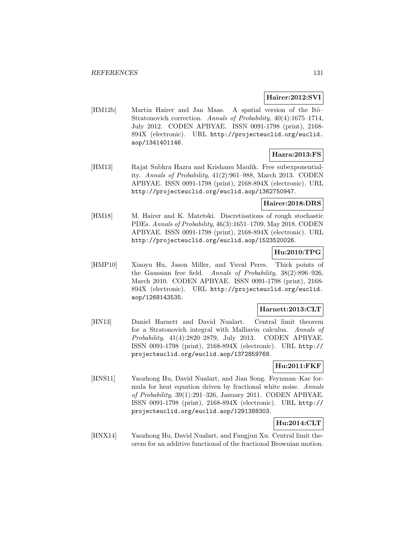## **Hairer:2012:SVI**

[HM12b] Martin Hairer and Jan Maas. A spatial version of the Itô– Stratonovich correction. Annals of Probability, 40(4):1675–1714, July 2012. CODEN APBYAE. ISSN 0091-1798 (print), 2168- 894X (electronic). URL http://projecteuclid.org/euclid. aop/1341401146.

## **Hazra:2013:FS**

[HM13] Rajat Subhra Hazra and Krishanu Maulik. Free subexponentiality. Annals of Probability, 41(2):961–988, March 2013. CODEN APBYAE. ISSN 0091-1798 (print), 2168-894X (electronic). URL http://projecteuclid.org/euclid.aop/1362750947.

## **Hairer:2018:DRS**

[HM18] M. Hairer and K. Matetski. Discretisations of rough stochastic PDEs. Annals of Probability, 46(3):1651–1709, May 2018. CODEN APBYAE. ISSN 0091-1798 (print), 2168-894X (electronic). URL http://projecteuclid.org/euclid.aop/1523520026.

# **Hu:2010:TPG**

[HMP10] Xiaoyu Hu, Jason Miller, and Yuval Peres. Thick points of the Gaussian free field. Annals of Probability, 38(2):896–926, March 2010. CODEN APBYAE. ISSN 0091-1798 (print), 2168- 894X (electronic). URL http://projecteuclid.org/euclid. aop/1268143535.

### **Harnett:2013:CLT**

[HN13] Daniel Harnett and David Nualart. Central limit theorem for a Stratonovich integral with Malliavin calculus. Annals of Probability, 41(4):2820–2879, July 2013. CODEN APBYAE. ISSN 0091-1798 (print), 2168-894X (electronic). URL http:// projecteuclid.org/euclid.aop/1372859768.

# **Hu:2011:FKF**

[HNS11] Yaozhong Hu, David Nualart, and Jian Song. Feynman–Kac formula for heat equation driven by fractional white noise. Annals of Probability, 39(1):291–326, January 2011. CODEN APBYAE. ISSN 0091-1798 (print), 2168-894X (electronic). URL http:// projecteuclid.org/euclid.aop/1291388303.

# **Hu:2014:CLT**

[HNX14] Yaozhong Hu, David Nualart, and Fangjun Xu. Central limit theorem for an additive functional of the fractional Brownian motion.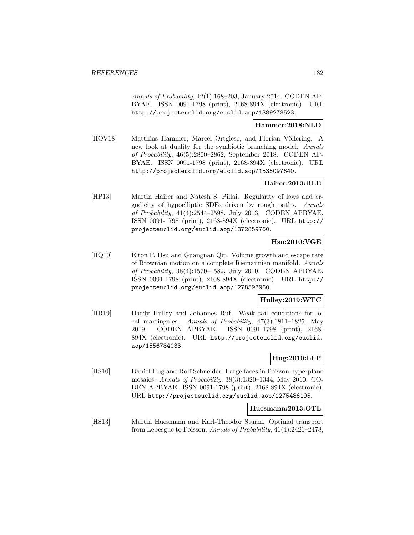Annals of Probability, 42(1):168–203, January 2014. CODEN AP-BYAE. ISSN 0091-1798 (print), 2168-894X (electronic). URL http://projecteuclid.org/euclid.aop/1389278523.

### **Hammer:2018:NLD**

[HOV18] Matthias Hammer, Marcel Ortgiese, and Florian Völlering. A new look at duality for the symbiotic branching model. Annals of Probability, 46(5):2800–2862, September 2018. CODEN AP-BYAE. ISSN 0091-1798 (print), 2168-894X (electronic). URL http://projecteuclid.org/euclid.aop/1535097640.

## **Hairer:2013:RLE**

[HP13] Martin Hairer and Natesh S. Pillai. Regularity of laws and ergodicity of hypoelliptic SDEs driven by rough paths. Annals of Probability, 41(4):2544–2598, July 2013. CODEN APBYAE. ISSN 0091-1798 (print), 2168-894X (electronic). URL http:// projecteuclid.org/euclid.aop/1372859760.

## **Hsu:2010:VGE**

[HQ10] Elton P. Hsu and Guangnan Qin. Volume growth and escape rate of Brownian motion on a complete Riemannian manifold. Annals of Probability, 38(4):1570–1582, July 2010. CODEN APBYAE. ISSN 0091-1798 (print), 2168-894X (electronic). URL http:// projecteuclid.org/euclid.aop/1278593960.

# **Hulley:2019:WTC**

[HR19] Hardy Hulley and Johannes Ruf. Weak tail conditions for local martingales. Annals of Probability, 47(3):1811–1825, May 2019. CODEN APBYAE. ISSN 0091-1798 (print), 2168- 894X (electronic). URL http://projecteuclid.org/euclid. aop/1556784033.

# **Hug:2010:LFP**

[HS10] Daniel Hug and Rolf Schneider. Large faces in Poisson hyperplane mosaics. Annals of Probability, 38(3):1320–1344, May 2010. CO-DEN APBYAE. ISSN 0091-1798 (print), 2168-894X (electronic). URL http://projecteuclid.org/euclid.aop/1275486195.

### **Huesmann:2013:OTL**

[HS13] Martin Huesmann and Karl-Theodor Sturm. Optimal transport from Lebesgue to Poisson. Annals of Probability, 41(4):2426–2478,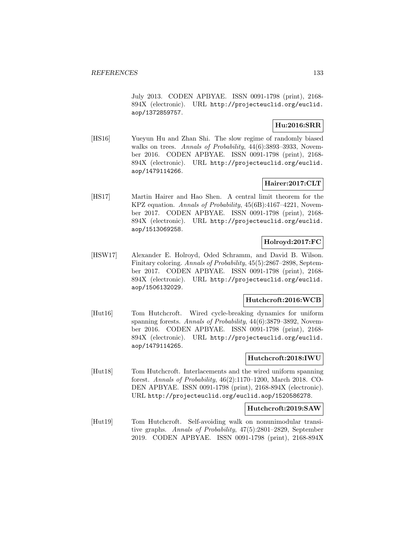July 2013. CODEN APBYAE. ISSN 0091-1798 (print), 2168- 894X (electronic). URL http://projecteuclid.org/euclid. aop/1372859757.

## **Hu:2016:SRR**

[HS16] Yueyun Hu and Zhan Shi. The slow regime of randomly biased walks on trees. Annals of Probability,  $44(6)$ :3893-3933, November 2016. CODEN APBYAE. ISSN 0091-1798 (print), 2168- 894X (electronic). URL http://projecteuclid.org/euclid. aop/1479114266.

# **Hairer:2017:CLT**

[HS17] Martin Hairer and Hao Shen. A central limit theorem for the KPZ equation. Annals of Probability,  $45(6B):4167-4221$ , November 2017. CODEN APBYAE. ISSN 0091-1798 (print), 2168- 894X (electronic). URL http://projecteuclid.org/euclid. aop/1513069258.

## **Holroyd:2017:FC**

[HSW17] Alexander E. Holroyd, Oded Schramm, and David B. Wilson. Finitary coloring. Annals of Probability, 45(5):2867–2898, September 2017. CODEN APBYAE. ISSN 0091-1798 (print), 2168- 894X (electronic). URL http://projecteuclid.org/euclid. aop/1506132029.

## **Hutchcroft:2016:WCB**

[Hut16] Tom Hutchcroft. Wired cycle-breaking dynamics for uniform spanning forests. Annals of Probability, 44(6):3879-3892, November 2016. CODEN APBYAE. ISSN 0091-1798 (print), 2168- 894X (electronic). URL http://projecteuclid.org/euclid. aop/1479114265.

## **Hutchcroft:2018:IWU**

[Hut18] Tom Hutchcroft. Interlacements and the wired uniform spanning forest. Annals of Probability, 46(2):1170–1200, March 2018. CO-DEN APBYAE. ISSN 0091-1798 (print), 2168-894X (electronic). URL http://projecteuclid.org/euclid.aop/1520586278.

### **Hutchcroft:2019:SAW**

[Hut19] Tom Hutchcroft. Self-avoiding walk on nonunimodular transitive graphs. Annals of Probability, 47(5):2801–2829, September 2019. CODEN APBYAE. ISSN 0091-1798 (print), 2168-894X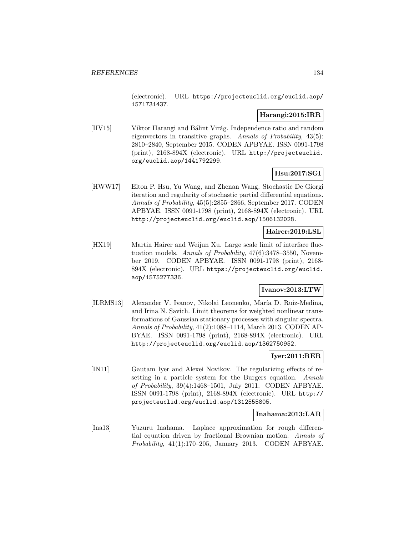(electronic). URL https://projecteuclid.org/euclid.aop/ 1571731437.

## **Harangi:2015:IRR**

[HV15] Viktor Harangi and Bálint Virág. Independence ratio and random eigenvectors in transitive graphs. Annals of Probability, 43(5): 2810–2840, September 2015. CODEN APBYAE. ISSN 0091-1798 (print), 2168-894X (electronic). URL http://projecteuclid. org/euclid.aop/1441792299.

## **Hsu:2017:SGI**

[HWW17] Elton P. Hsu, Yu Wang, and Zhenan Wang. Stochastic De Giorgi iteration and regularity of stochastic partial differential equations. Annals of Probability, 45(5):2855–2866, September 2017. CODEN APBYAE. ISSN 0091-1798 (print), 2168-894X (electronic). URL http://projecteuclid.org/euclid.aop/1506132028.

## **Hairer:2019:LSL**

[HX19] Martin Hairer and Weijun Xu. Large scale limit of interface fluctuation models. Annals of Probability, 47(6):3478–3550, November 2019. CODEN APBYAE. ISSN 0091-1798 (print), 2168- 894X (electronic). URL https://projecteuclid.org/euclid. aop/1575277336.

## **Ivanov:2013:LTW**

[ILRMS13] Alexander V. Ivanov, Nikolai Leonenko, María D. Ruiz-Medina, and Irina N. Savich. Limit theorems for weighted nonlinear transformations of Gaussian stationary processes with singular spectra. Annals of Probability, 41(2):1088–1114, March 2013. CODEN AP-BYAE. ISSN 0091-1798 (print), 2168-894X (electronic). URL http://projecteuclid.org/euclid.aop/1362750952.

# **Iyer:2011:RER**

[IN11] Gautam Iyer and Alexei Novikov. The regularizing effects of resetting in a particle system for the Burgers equation. Annals of Probability, 39(4):1468–1501, July 2011. CODEN APBYAE. ISSN 0091-1798 (print), 2168-894X (electronic). URL http:// projecteuclid.org/euclid.aop/1312555805.

### **Inahama:2013:LAR**

[Ina13] Yuzuru Inahama. Laplace approximation for rough differential equation driven by fractional Brownian motion. Annals of Probability, 41(1):170–205, January 2013. CODEN APBYAE.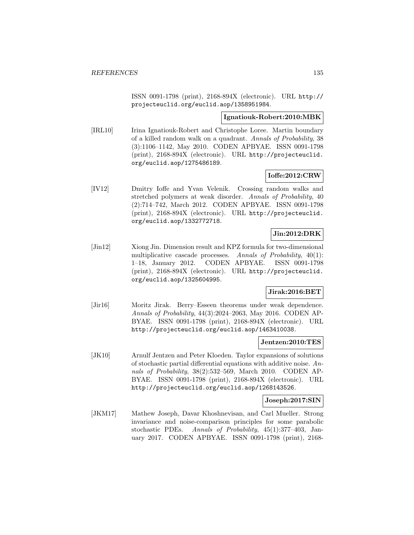ISSN 0091-1798 (print), 2168-894X (electronic). URL http:// projecteuclid.org/euclid.aop/1358951984.

### **Ignatiouk-Robert:2010:MBK**

[IRL10] Irina Ignatiouk-Robert and Christophe Loree. Martin boundary of a killed random walk on a quadrant. Annals of Probability, 38 (3):1106–1142, May 2010. CODEN APBYAE. ISSN 0091-1798 (print), 2168-894X (electronic). URL http://projecteuclid. org/euclid.aop/1275486189.

### **Ioffe:2012:CRW**

[IV12] Dmitry Ioffe and Yvan Velenik. Crossing random walks and stretched polymers at weak disorder. Annals of Probability, 40 (2):714–742, March 2012. CODEN APBYAE. ISSN 0091-1798 (print), 2168-894X (electronic). URL http://projecteuclid. org/euclid.aop/1332772718.

# **Jin:2012:DRK**

[Jin12] Xiong Jin. Dimension result and KPZ formula for two-dimensional multiplicative cascade processes. Annals of Probability, 40(1): 1–18, January 2012. CODEN APBYAE. ISSN 0091-1798 (print), 2168-894X (electronic). URL http://projecteuclid. org/euclid.aop/1325604995.

### **Jirak:2016:BET**

[Jir16] Moritz Jirak. Berry–Esseen theorems under weak dependence. Annals of Probability, 44(3):2024–2063, May 2016. CODEN AP-BYAE. ISSN 0091-1798 (print), 2168-894X (electronic). URL http://projecteuclid.org/euclid.aop/1463410038.

### **Jentzen:2010:TES**

[JK10] Arnulf Jentzen and Peter Kloeden. Taylor expansions of solutions of stochastic partial differential equations with additive noise. Annals of Probability, 38(2):532–569, March 2010. CODEN AP-BYAE. ISSN 0091-1798 (print), 2168-894X (electronic). URL http://projecteuclid.org/euclid.aop/1268143526.

## **Joseph:2017:SIN**

[JKM17] Mathew Joseph, Davar Khoshnevisan, and Carl Mueller. Strong invariance and noise-comparison principles for some parabolic stochastic PDEs. Annals of Probability, 45(1):377–403, January 2017. CODEN APBYAE. ISSN 0091-1798 (print), 2168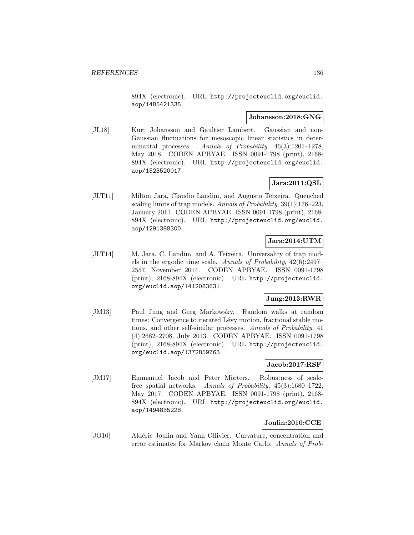894X (electronic). URL http://projecteuclid.org/euclid. aop/1485421335.

### **Johansson:2018:GNG**

[JL18] Kurt Johansson and Gaultier Lambert. Gaussian and non-Gaussian fluctuations for mesoscopic linear statistics in determinantal processes. Annals of Probability, 46(3):1201–1278, May 2018. CODEN APBYAE. ISSN 0091-1798 (print), 2168- 894X (electronic). URL http://projecteuclid.org/euclid. aop/1523520017.

# **Jara:2011:QSL**

[JLT11] Milton Jara, Claudio Landim, and Augusto Teixeira. Quenched scaling limits of trap models. Annals of Probability, 39(1):176–223, January 2011. CODEN APBYAE. ISSN 0091-1798 (print), 2168- 894X (electronic). URL http://projecteuclid.org/euclid. aop/1291388300.

## **Jara:2014:UTM**

[JLT14] M. Jara, C. Landim, and A. Teixeira. Universality of trap models in the ergodic time scale. Annals of Probability, 42(6):2497– 2557, November 2014. CODEN APBYAE. ISSN 0091-1798 (print), 2168-894X (electronic). URL http://projecteuclid. org/euclid.aop/1412083631.

## **Jung:2013:RWR**

[JM13] Paul Jung and Greg Markowsky. Random walks at random times: Convergence to iterated Lévy motion, fractional stable motions, and other self-similar processes. Annals of Probability, 41 (4):2682–2708, July 2013. CODEN APBYAE. ISSN 0091-1798 (print), 2168-894X (electronic). URL http://projecteuclid. org/euclid.aop/1372859763.

### **Jacob:2017:RSF**

[JM17] Emmanuel Jacob and Peter Mörters. Robustness of scalefree spatial networks. Annals of Probability, 45(3):1680–1722, May 2017. CODEN APBYAE. ISSN 0091-1798 (print), 2168- 894X (electronic). URL http://projecteuclid.org/euclid. aop/1494835228.

## **Joulin:2010:CCE**

[JO10] Aldéric Joulin and Yann Ollivier. Curvature, concentration and error estimates for Markov chain Monte Carlo. Annals of Prob-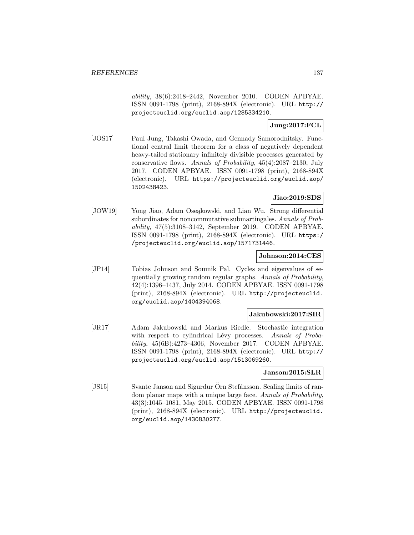ability, 38(6):2418–2442, November 2010. CODEN APBYAE. ISSN 0091-1798 (print), 2168-894X (electronic). URL http:// projecteuclid.org/euclid.aop/1285334210.

## **Jung:2017:FCL**

[JOS17] Paul Jung, Takashi Owada, and Gennady Samorodnitsky. Functional central limit theorem for a class of negatively dependent heavy-tailed stationary infinitely divisible processes generated by conservative flows. Annals of Probability, 45(4):2087–2130, July 2017. CODEN APBYAE. ISSN 0091-1798 (print), 2168-894X (electronic). URL https://projecteuclid.org/euclid.aop/ 1502438423.

### **Jiao:2019:SDS**

[JOW19] Yong Jiao, Adam Oseąkowski, and Lian Wu. Strong differential subordinates for noncommutative submartingales. Annals of Probability, 47(5):3108–3142, September 2019. CODEN APBYAE. ISSN 0091-1798 (print), 2168-894X (electronic). URL https:/ /projecteuclid.org/euclid.aop/1571731446.

### **Johnson:2014:CES**

[JP14] Tobias Johnson and Soumik Pal. Cycles and eigenvalues of sequentially growing random regular graphs. Annals of Probability, 42(4):1396–1437, July 2014. CODEN APBYAE. ISSN 0091-1798 (print), 2168-894X (electronic). URL http://projecteuclid. org/euclid.aop/1404394068.

### **Jakubowski:2017:SIR**

[JR17] Adam Jakubowski and Markus Riedle. Stochastic integration with respect to cylindrical Lévy processes. Annals of Probability, 45(6B):4273–4306, November 2017. CODEN APBYAE. ISSN 0091-1798 (print), 2168-894X (electronic). URL http:// projecteuclid.org/euclid.aop/1513069260.

## **Janson:2015:SLR**

[JS15] Svante Janson and Sigurdur Örn Stefánsson. Scaling limits of random planar maps with a unique large face. Annals of Probability, 43(3):1045–1081, May 2015. CODEN APBYAE. ISSN 0091-1798 (print), 2168-894X (electronic). URL http://projecteuclid. org/euclid.aop/1430830277.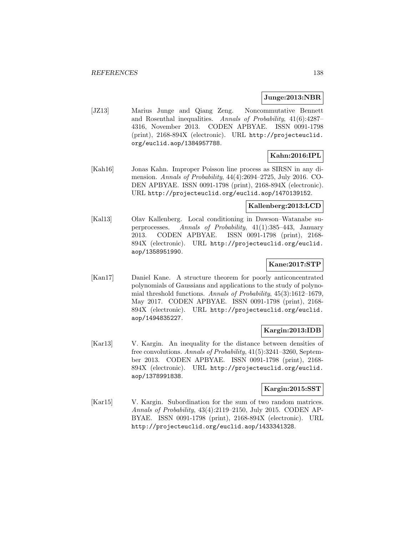### **Junge:2013:NBR**

[JZ13] Marius Junge and Qiang Zeng. Noncommutative Bennett and Rosenthal inequalities. Annals of Probability, 41(6):4287– 4316, November 2013. CODEN APBYAE. ISSN 0091-1798 (print), 2168-894X (electronic). URL http://projecteuclid. org/euclid.aop/1384957788.

# **Kahn:2016:IPL**

[Kah16] Jonas Kahn. Improper Poisson line process as SIRSN in any dimension. Annals of Probability, 44(4):2694–2725, July 2016. CO-DEN APBYAE. ISSN 0091-1798 (print), 2168-894X (electronic). URL http://projecteuclid.org/euclid.aop/1470139152.

## **Kallenberg:2013:LCD**

[Kal13] Olav Kallenberg. Local conditioning in Dawson–Watanabe superprocesses. Annals of Probability, 41(1):385–443, January 2013. CODEN APBYAE. ISSN 0091-1798 (print), 2168- 894X (electronic). URL http://projecteuclid.org/euclid. aop/1358951990.

# **Kane:2017:STP**

[Kan17] Daniel Kane. A structure theorem for poorly anticoncentrated polynomials of Gaussians and applications to the study of polynomial threshold functions. Annals of Probability, 45(3):1612–1679, May 2017. CODEN APBYAE. ISSN 0091-1798 (print), 2168- 894X (electronic). URL http://projecteuclid.org/euclid. aop/1494835227.

## **Kargin:2013:IDB**

[Kar13] V. Kargin. An inequality for the distance between densities of free convolutions. Annals of Probability, 41(5):3241–3260, September 2013. CODEN APBYAE. ISSN 0091-1798 (print), 2168- 894X (electronic). URL http://projecteuclid.org/euclid. aop/1378991838.

## **Kargin:2015:SST**

[Kar15] V. Kargin. Subordination for the sum of two random matrices. Annals of Probability, 43(4):2119–2150, July 2015. CODEN AP-BYAE. ISSN 0091-1798 (print), 2168-894X (electronic). URL http://projecteuclid.org/euclid.aop/1433341328.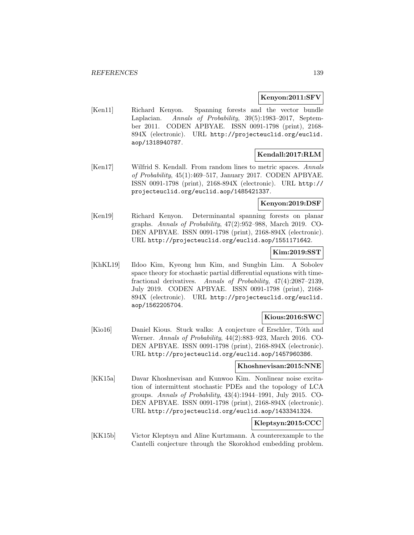### **Kenyon:2011:SFV**

[Ken11] Richard Kenyon. Spanning forests and the vector bundle Laplacian. Annals of Probability, 39(5):1983–2017, September 2011. CODEN APBYAE. ISSN 0091-1798 (print), 2168- 894X (electronic). URL http://projecteuclid.org/euclid. aop/1318940787.

## **Kendall:2017:RLM**

[Ken17] Wilfrid S. Kendall. From random lines to metric spaces. Annals of Probability, 45(1):469–517, January 2017. CODEN APBYAE. ISSN 0091-1798 (print), 2168-894X (electronic). URL http:// projecteuclid.org/euclid.aop/1485421337.

## **Kenyon:2019:DSF**

[Ken19] Richard Kenyon. Determinantal spanning forests on planar graphs. Annals of Probability, 47(2):952–988, March 2019. CO-DEN APBYAE. ISSN 0091-1798 (print), 2168-894X (electronic). URL http://projecteuclid.org/euclid.aop/1551171642.

## **Kim:2019:SST**

[KhKL19] Ildoo Kim, Kyeong hun Kim, and Sungbin Lim. A Sobolev space theory for stochastic partial differential equations with timefractional derivatives. Annals of Probability, 47(4):2087–2139, July 2019. CODEN APBYAE. ISSN 0091-1798 (print), 2168- 894X (electronic). URL http://projecteuclid.org/euclid. aop/1562205704.

### **Kious:2016:SWC**

[Kio16] Daniel Kious. Stuck walks: A conjecture of Erschler, Tóth and Werner. Annals of Probability, 44(2):883–923, March 2016. CO-DEN APBYAE. ISSN 0091-1798 (print), 2168-894X (electronic). URL http://projecteuclid.org/euclid.aop/1457960386.

# **Khoshnevisan:2015:NNE**

[KK15a] Davar Khoshnevisan and Kunwoo Kim. Nonlinear noise excitation of intermittent stochastic PDEs and the topology of LCA groups. Annals of Probability,  $43(4):1944-1991$ , July 2015. CO-DEN APBYAE. ISSN 0091-1798 (print), 2168-894X (electronic). URL http://projecteuclid.org/euclid.aop/1433341324.

## **Kleptsyn:2015:CCC**

[KK15b] Victor Kleptsyn and Aline Kurtzmann. A counterexample to the Cantelli conjecture through the Skorokhod embedding problem.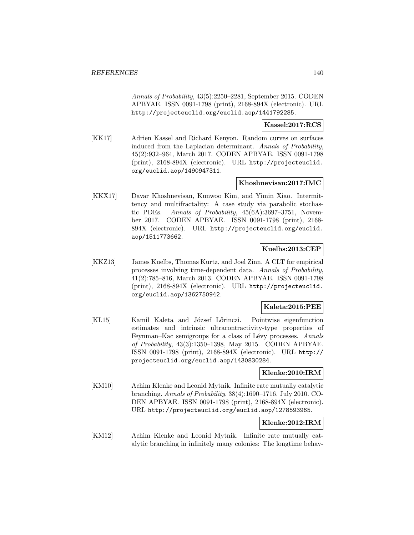Annals of Probability, 43(5):2250–2281, September 2015. CODEN APBYAE. ISSN 0091-1798 (print), 2168-894X (electronic). URL http://projecteuclid.org/euclid.aop/1441792285.

## **Kassel:2017:RCS**

[KK17] Adrien Kassel and Richard Kenyon. Random curves on surfaces induced from the Laplacian determinant. Annals of Probability, 45(2):932–964, March 2017. CODEN APBYAE. ISSN 0091-1798 (print), 2168-894X (electronic). URL http://projecteuclid. org/euclid.aop/1490947311.

## **Khoshnevisan:2017:IMC**

[KKX17] Davar Khoshnevisan, Kunwoo Kim, and Yimin Xiao. Intermittency and multifractality: A case study via parabolic stochastic PDEs. Annals of Probability, 45(6A):3697–3751, November 2017. CODEN APBYAE. ISSN 0091-1798 (print), 2168- 894X (electronic). URL http://projecteuclid.org/euclid. aop/1511773662.

## **Kuelbs:2013:CEP**

[KKZ13] James Kuelbs, Thomas Kurtz, and Joel Zinn. A CLT for empirical processes involving time-dependent data. Annals of Probability, 41(2):785–816, March 2013. CODEN APBYAE. ISSN 0091-1798 (print), 2168-894X (electronic). URL http://projecteuclid. org/euclid.aop/1362750942.

## **Kaleta:2015:PEE**

[KL15] Kamil Kaleta and József Lőrinczi. Pointwise eigenfunction estimates and intrinsic ultracontractivity-type properties of Feynman–Kac semigroups for a class of Lévy processes. Annals of Probability, 43(3):1350–1398, May 2015. CODEN APBYAE. ISSN 0091-1798 (print), 2168-894X (electronic). URL http:// projecteuclid.org/euclid.aop/1430830284.

## **Klenke:2010:IRM**

[KM10] Achim Klenke and Leonid Mytnik. Infinite rate mutually catalytic branching. Annals of Probability, 38(4):1690–1716, July 2010. CO-DEN APBYAE. ISSN 0091-1798 (print), 2168-894X (electronic). URL http://projecteuclid.org/euclid.aop/1278593965.

# **Klenke:2012:IRM**

[KM12] Achim Klenke and Leonid Mytnik. Infinite rate mutually catalytic branching in infinitely many colonies: The longtime behav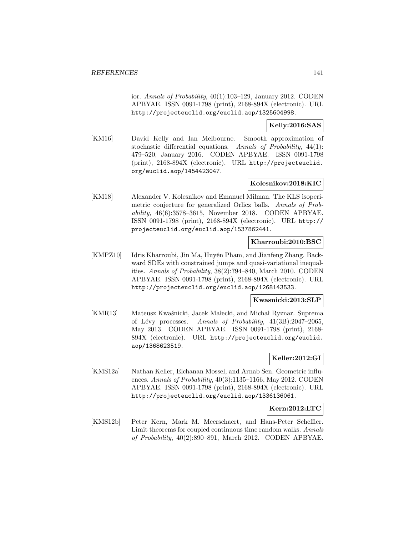ior. Annals of Probability, 40(1):103–129, January 2012. CODEN APBYAE. ISSN 0091-1798 (print), 2168-894X (electronic). URL http://projecteuclid.org/euclid.aop/1325604998.

## **Kelly:2016:SAS**

[KM16] David Kelly and Ian Melbourne. Smooth approximation of stochastic differential equations. Annals of Probability, 44(1): 479–520, January 2016. CODEN APBYAE. ISSN 0091-1798 (print), 2168-894X (electronic). URL http://projecteuclid. org/euclid.aop/1454423047.

# **Kolesnikov:2018:KIC**

[KM18] Alexander V. Kolesnikov and Emanuel Milman. The KLS isoperimetric conjecture for generalized Orlicz balls. Annals of Probability, 46(6):3578–3615, November 2018. CODEN APBYAE. ISSN 0091-1798 (print), 2168-894X (electronic). URL http:// projecteuclid.org/euclid.aop/1537862441.

## **Kharroubi:2010:BSC**

[KMPZ10] Idris Kharroubi, Jin Ma, Huyên Pham, and Jianfeng Zhang. Backward SDEs with constrained jumps and quasi-variational inequalities. Annals of Probability, 38(2):794–840, March 2010. CODEN APBYAE. ISSN 0091-1798 (print), 2168-894X (electronic). URL http://projecteuclid.org/euclid.aop/1268143533.

### **Kwasnicki:2013:SLP**

[KMR13] Mateusz Kwaśnicki, Jacek Małecki, and Michał Ryznar. Suprema of Lévy processes. Annals of Probability, 41(3B):2047-2065, May 2013. CODEN APBYAE. ISSN 0091-1798 (print), 2168- 894X (electronic). URL http://projecteuclid.org/euclid. aop/1368623519.

## **Keller:2012:GI**

[KMS12a] Nathan Keller, Elchanan Mossel, and Arnab Sen. Geometric influences. Annals of Probability, 40(3):1135–1166, May 2012. CODEN APBYAE. ISSN 0091-1798 (print), 2168-894X (electronic). URL http://projecteuclid.org/euclid.aop/1336136061.

## **Kern:2012:LTC**

[KMS12b] Peter Kern, Mark M. Meerschaert, and Hans-Peter Scheffler. Limit theorems for coupled continuous time random walks. Annals of Probability, 40(2):890–891, March 2012. CODEN APBYAE.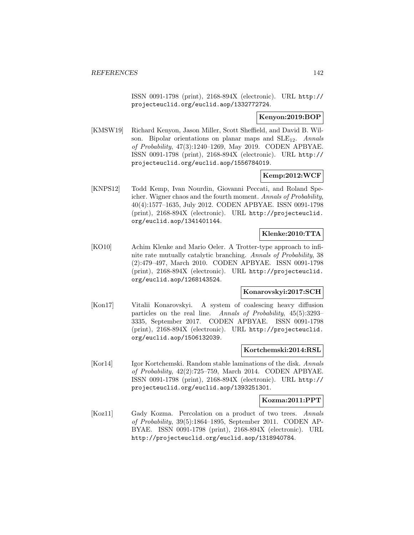ISSN 0091-1798 (print), 2168-894X (electronic). URL http:// projecteuclid.org/euclid.aop/1332772724.

## **Kenyon:2019:BOP**

[KMSW19] Richard Kenyon, Jason Miller, Scott Sheffield, and David B. Wilson. Bipolar orientations on planar maps and  $SLE_{12}$ . Annals of Probability, 47(3):1240–1269, May 2019. CODEN APBYAE. ISSN 0091-1798 (print), 2168-894X (electronic). URL http:// projecteuclid.org/euclid.aop/1556784019.

## **Kemp:2012:WCF**

[KNPS12] Todd Kemp, Ivan Nourdin, Giovanni Peccati, and Roland Speicher. Wigner chaos and the fourth moment. Annals of Probability, 40(4):1577–1635, July 2012. CODEN APBYAE. ISSN 0091-1798 (print), 2168-894X (electronic). URL http://projecteuclid. org/euclid.aop/1341401144.

# **Klenke:2010:TTA**

[KO10] Achim Klenke and Mario Oeler. A Trotter-type approach to infinite rate mutually catalytic branching. Annals of Probability, 38 (2):479–497, March 2010. CODEN APBYAE. ISSN 0091-1798 (print), 2168-894X (electronic). URL http://projecteuclid. org/euclid.aop/1268143524.

### **Konarovskyi:2017:SCH**

[Kon17] Vitalii Konarovskyi. A system of coalescing heavy diffusion particles on the real line. Annals of Probability, 45(5):3293– 3335, September 2017. CODEN APBYAE. ISSN 0091-1798 (print), 2168-894X (electronic). URL http://projecteuclid. org/euclid.aop/1506132039.

### **Kortchemski:2014:RSL**

[Kor14] Igor Kortchemski. Random stable laminations of the disk. Annals of Probability, 42(2):725–759, March 2014. CODEN APBYAE. ISSN 0091-1798 (print), 2168-894X (electronic). URL http:// projecteuclid.org/euclid.aop/1393251301.

### **Kozma:2011:PPT**

[Koz11] Gady Kozma. Percolation on a product of two trees. Annals of Probability, 39(5):1864–1895, September 2011. CODEN AP-BYAE. ISSN 0091-1798 (print), 2168-894X (electronic). URL http://projecteuclid.org/euclid.aop/1318940784.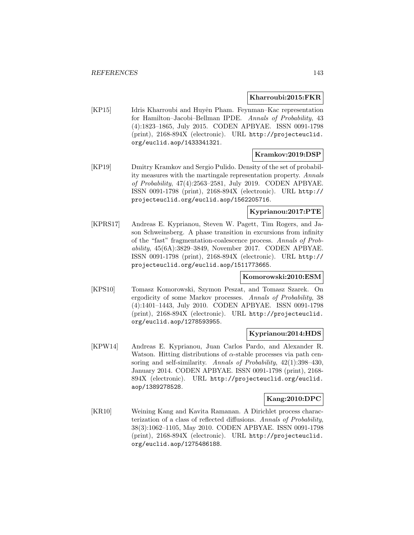### **Kharroubi:2015:FKR**

[KP15] Idris Kharroubi and Huyên Pham. Feynman–Kac representation for Hamilton–Jacobi–Bellman IPDE. Annals of Probability, 43 (4):1823–1865, July 2015. CODEN APBYAE. ISSN 0091-1798 (print), 2168-894X (electronic). URL http://projecteuclid. org/euclid.aop/1433341321.

## **Kramkov:2019:DSP**

[KP19] Dmitry Kramkov and Sergio Pulido. Density of the set of probability measures with the martingale representation property. Annals of Probability, 47(4):2563–2581, July 2019. CODEN APBYAE. ISSN 0091-1798 (print), 2168-894X (electronic). URL http:// projecteuclid.org/euclid.aop/1562205716.

# **Kyprianou:2017:PTE**

[KPRS17] Andreas E. Kyprianou, Steven W. Pagett, Tim Rogers, and Jason Schweinsberg. A phase transition in excursions from infinity of the "fast" fragmentation-coalescence process. Annals of Probability, 45(6A):3829–3849, November 2017. CODEN APBYAE. ISSN 0091-1798 (print), 2168-894X (electronic). URL http:// projecteuclid.org/euclid.aop/1511773665.

### **Komorowski:2010:ESM**

[KPS10] Tomasz Komorowski, Szymon Peszat, and Tomasz Szarek. On ergodicity of some Markov processes. Annals of Probability, 38 (4):1401–1443, July 2010. CODEN APBYAE. ISSN 0091-1798 (print), 2168-894X (electronic). URL http://projecteuclid. org/euclid.aop/1278593955.

## **Kyprianou:2014:HDS**

[KPW14] Andreas E. Kyprianou, Juan Carlos Pardo, and Alexander R. Watson. Hitting distributions of  $\alpha$ -stable processes via path censoring and self-similarity. Annals of Probability,  $42(1):398-430$ , January 2014. CODEN APBYAE. ISSN 0091-1798 (print), 2168- 894X (electronic). URL http://projecteuclid.org/euclid. aop/1389278528.

### **Kang:2010:DPC**

[KR10] Weining Kang and Kavita Ramanan. A Dirichlet process characterization of a class of reflected diffusions. Annals of Probability, 38(3):1062–1105, May 2010. CODEN APBYAE. ISSN 0091-1798 (print), 2168-894X (electronic). URL http://projecteuclid. org/euclid.aop/1275486188.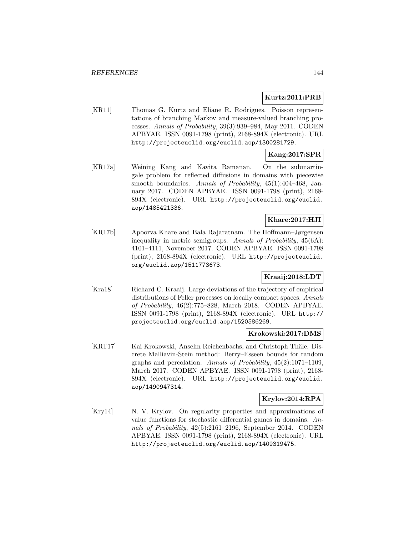### **Kurtz:2011:PRB**

[KR11] Thomas G. Kurtz and Eliane R. Rodrigues. Poisson representations of branching Markov and measure-valued branching processes. Annals of Probability, 39(3):939–984, May 2011. CODEN APBYAE. ISSN 0091-1798 (print), 2168-894X (electronic). URL http://projecteuclid.org/euclid.aop/1300281729.

# **Kang:2017:SPR**

[KR17a] Weining Kang and Kavita Ramanan. On the submartingale problem for reflected diffusions in domains with piecewise smooth boundaries. Annals of Probability, 45(1):404–468, January 2017. CODEN APBYAE. ISSN 0091-1798 (print), 2168- 894X (electronic). URL http://projecteuclid.org/euclid. aop/1485421336.

## **Khare:2017:HJI**

[KR17b] Apoorva Khare and Bala Rajaratnam. The Hoffmann–Jørgensen inequality in metric semigroups. Annals of Probability, 45(6A): 4101–4111, November 2017. CODEN APBYAE. ISSN 0091-1798 (print), 2168-894X (electronic). URL http://projecteuclid. org/euclid.aop/1511773673.

## **Kraaij:2018:LDT**

[Kra18] Richard C. Kraaij. Large deviations of the trajectory of empirical distributions of Feller processes on locally compact spaces. Annals of Probability, 46(2):775–828, March 2018. CODEN APBYAE. ISSN 0091-1798 (print), 2168-894X (electronic). URL http:// projecteuclid.org/euclid.aop/1520586269.

## **Krokowski:2017:DMS**

[KRT17] Kai Krokowski, Anselm Reichenbachs, and Christoph Thäle. Discrete Malliavin-Stein method: Berry–Esseen bounds for random graphs and percolation. Annals of Probability, 45(2):1071–1109, March 2017. CODEN APBYAE. ISSN 0091-1798 (print), 2168- 894X (electronic). URL http://projecteuclid.org/euclid. aop/1490947314.

### **Krylov:2014:RPA**

[Kry14] N. V. Krylov. On regularity properties and approximations of value functions for stochastic differential games in domains. Annals of Probability, 42(5):2161–2196, September 2014. CODEN APBYAE. ISSN 0091-1798 (print), 2168-894X (electronic). URL http://projecteuclid.org/euclid.aop/1409319475.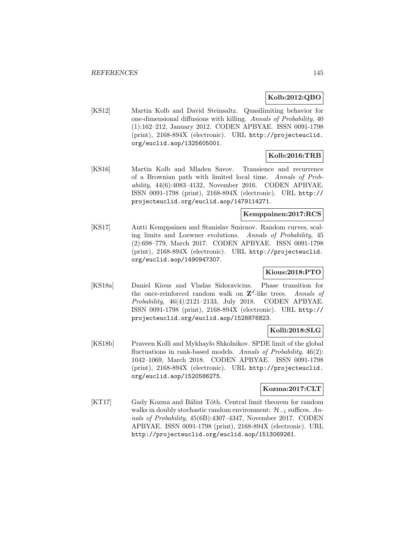### **Kolb:2012:QBO**

[KS12] Martin Kolb and David Steinsaltz. Quasilimiting behavior for one-dimensional diffusions with killing. Annals of Probability, 40 (1):162–212, January 2012. CODEN APBYAE. ISSN 0091-1798 (print), 2168-894X (electronic). URL http://projecteuclid. org/euclid.aop/1325605001.

# **Kolb:2016:TRB**

[KS16] Martin Kolb and Mladen Savov. Transience and recurrence of a Brownian path with limited local time. Annals of Probability, 44(6):4083–4132, November 2016. CODEN APBYAE. ISSN 0091-1798 (print), 2168-894X (electronic). URL http:// projecteuclid.org/euclid.aop/1479114271.

### **Kemppainen:2017:RCS**

[KS17] Antti Kemppainen and Stanislav Smirnov. Random curves, scaling limits and Loewner evolutions. Annals of Probability, 45 (2):698–779, March 2017. CODEN APBYAE. ISSN 0091-1798 (print), 2168-894X (electronic). URL http://projecteuclid. org/euclid.aop/1490947307.

## **Kious:2018:PTO**

[KS18a] Daniel Kious and Vladas Sidoravicius. Phase transition for the once-reinforced random walk on  $\mathbb{Z}^d$ -like trees. Annals of Probability, 46(4):2121–2133, July 2018. CODEN APBYAE. ISSN 0091-1798 (print), 2168-894X (electronic). URL http:// projecteuclid.org/euclid.aop/1528876823.

## **Kolli:2018:SLG**

[KS18b] Praveen Kolli and Mykhaylo Shkolnikov. SPDE limit of the global fluctuations in rank-based models. Annals of Probability,  $46(2)$ : 1042–1069, March 2018. CODEN APBYAE. ISSN 0091-1798 (print), 2168-894X (electronic). URL http://projecteuclid. org/euclid.aop/1520586275.

### **Kozma:2017:CLT**

[KT17] Gady Kozma and Bálint Tóth. Central limit theorem for random walks in doubly stochastic random environment:  $\mathcal{H}_{-1}$  suffices. Annals of Probability, 45(6B):4307–4347, November 2017. CODEN APBYAE. ISSN 0091-1798 (print), 2168-894X (electronic). URL http://projecteuclid.org/euclid.aop/1513069261.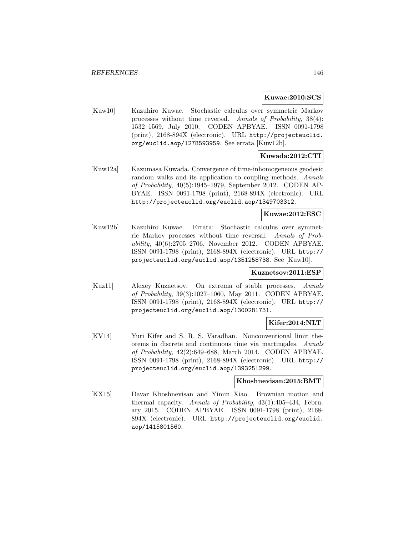#### **Kuwae:2010:SCS**

[Kuw10] Kazuhiro Kuwae. Stochastic calculus over symmetric Markov processes without time reversal. Annals of Probability, 38(4): 1532–1569, July 2010. CODEN APBYAE. ISSN 0091-1798 (print), 2168-894X (electronic). URL http://projecteuclid. org/euclid.aop/1278593959. See errata [Kuw12b].

# **Kuwada:2012:CTI**

[Kuw12a] Kazumasa Kuwada. Convergence of time-inhomogeneous geodesic random walks and its application to coupling methods. Annals of Probability, 40(5):1945–1979, September 2012. CODEN AP-BYAE. ISSN 0091-1798 (print), 2168-894X (electronic). URL http://projecteuclid.org/euclid.aop/1349703312.

### **Kuwae:2012:ESC**

[Kuw12b] Kazuhiro Kuwae. Errata: Stochastic calculus over symmetric Markov processes without time reversal. Annals of Probability, 40(6):2705–2706, November 2012. CODEN APBYAE. ISSN 0091-1798 (print), 2168-894X (electronic). URL http:// projecteuclid.org/euclid.aop/1351258738. See [Kuw10].

### **Kuznetsov:2011:ESP**

[Kuz11] Alexey Kuznetsov. On extrema of stable processes. Annals of Probability, 39(3):1027–1060, May 2011. CODEN APBYAE. ISSN 0091-1798 (print), 2168-894X (electronic). URL http:// projecteuclid.org/euclid.aop/1300281731.

## **Kifer:2014:NLT**

[KV14] Yuri Kifer and S. R. S. Varadhan. Nonconventional limit theorems in discrete and continuous time via martingales. Annals of Probability, 42(2):649–688, March 2014. CODEN APBYAE. ISSN 0091-1798 (print), 2168-894X (electronic). URL http:// projecteuclid.org/euclid.aop/1393251299.

#### **Khoshnevisan:2015:BMT**

[KX15] Davar Khoshnevisan and Yimin Xiao. Brownian motion and thermal capacity. Annals of Probability, 43(1):405–434, February 2015. CODEN APBYAE. ISSN 0091-1798 (print), 2168- 894X (electronic). URL http://projecteuclid.org/euclid. aop/1415801560.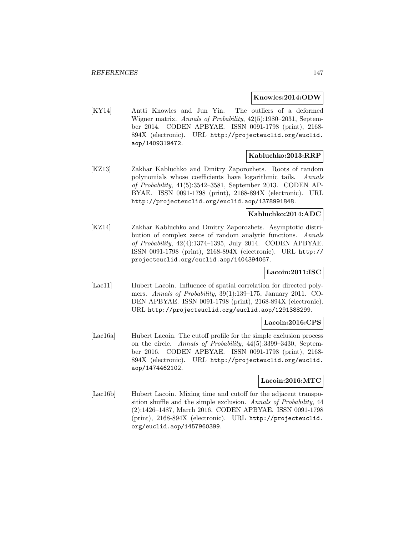#### **Knowles:2014:ODW**

[KY14] Antti Knowles and Jun Yin. The outliers of a deformed Wigner matrix. Annals of Probability, 42(5):1980–2031, September 2014. CODEN APBYAE. ISSN 0091-1798 (print), 2168- 894X (electronic). URL http://projecteuclid.org/euclid. aop/1409319472.

### **Kabluchko:2013:RRP**

[KZ13] Zakhar Kabluchko and Dmitry Zaporozhets. Roots of random polynomials whose coefficients have logarithmic tails. Annals of Probability, 41(5):3542–3581, September 2013. CODEN AP-BYAE. ISSN 0091-1798 (print), 2168-894X (electronic). URL http://projecteuclid.org/euclid.aop/1378991848.

### **Kabluchko:2014:ADC**

[KZ14] Zakhar Kabluchko and Dmitry Zaporozhets. Asymptotic distribution of complex zeros of random analytic functions. Annals of Probability, 42(4):1374–1395, July 2014. CODEN APBYAE. ISSN 0091-1798 (print), 2168-894X (electronic). URL http:// projecteuclid.org/euclid.aop/1404394067.

## **Lacoin:2011:ISC**

[Lac11] Hubert Lacoin. Influence of spatial correlation for directed polymers. Annals of Probability, 39(1):139–175, January 2011. CO-DEN APBYAE. ISSN 0091-1798 (print), 2168-894X (electronic). URL http://projecteuclid.org/euclid.aop/1291388299.

### **Lacoin:2016:CPS**

[Lac16a] Hubert Lacoin. The cutoff profile for the simple exclusion process on the circle. Annals of Probability, 44(5):3399–3430, September 2016. CODEN APBYAE. ISSN 0091-1798 (print), 2168- 894X (electronic). URL http://projecteuclid.org/euclid. aop/1474462102.

### **Lacoin:2016:MTC**

[Lac16b] Hubert Lacoin. Mixing time and cutoff for the adjacent transposition shuffle and the simple exclusion. Annals of Probability, 44 (2):1426–1487, March 2016. CODEN APBYAE. ISSN 0091-1798 (print), 2168-894X (electronic). URL http://projecteuclid. org/euclid.aop/1457960399.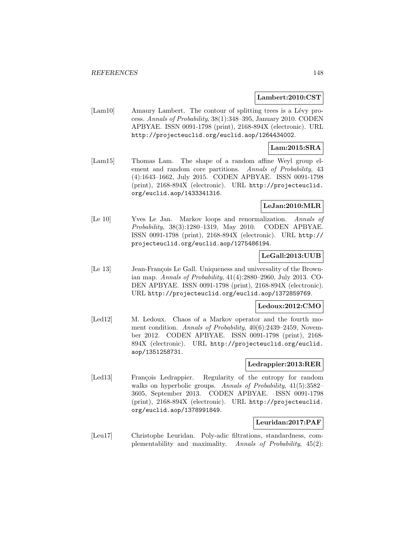#### **Lambert:2010:CST**

[Lam10] Amaury Lambert. The contour of splitting trees is a Lévy process. Annals of Probability, 38(1):348–395, January 2010. CODEN APBYAE. ISSN 0091-1798 (print), 2168-894X (electronic). URL http://projecteuclid.org/euclid.aop/1264434002.

#### **Lam:2015:SRA**

[Lam15] Thomas Lam. The shape of a random affine Weyl group element and random core partitions. Annals of Probability, 43 (4):1643–1662, July 2015. CODEN APBYAE. ISSN 0091-1798 (print), 2168-894X (electronic). URL http://projecteuclid. org/euclid.aop/1433341316.

### **LeJan:2010:MLR**

[Le 10] Yves Le Jan. Markov loops and renormalization. Annals of Probability, 38(3):1280–1319, May 2010. CODEN APBYAE. ISSN 0091-1798 (print), 2168-894X (electronic). URL http:// projecteuclid.org/euclid.aop/1275486194.

### **LeGall:2013:UUB**

[Le 13] Jean-François Le Gall. Uniqueness and universality of the Brownian map. Annals of Probability, 41(4):2880–2960, July 2013. CO-DEN APBYAE. ISSN 0091-1798 (print), 2168-894X (electronic). URL http://projecteuclid.org/euclid.aop/1372859769.

### **Ledoux:2012:CMO**

[Led12] M. Ledoux. Chaos of a Markov operator and the fourth moment condition. Annals of Probability,  $40(6)$ :2439–2459, November 2012. CODEN APBYAE. ISSN 0091-1798 (print), 2168- 894X (electronic). URL http://projecteuclid.org/euclid. aop/1351258731.

### **Ledrappier:2013:RER**

[Led13] François Ledrappier. Regularity of the entropy for random walks on hyperbolic groups. Annals of Probability,  $41(5):3582-$ 3605, September 2013. CODEN APBYAE. ISSN 0091-1798 (print), 2168-894X (electronic). URL http://projecteuclid. org/euclid.aop/1378991849.

### **Leuridan:2017:PAF**

[Leu17] Christophe Leuridan. Poly-adic filtrations, standardness, complementability and maximality. Annals of Probability, 45(2):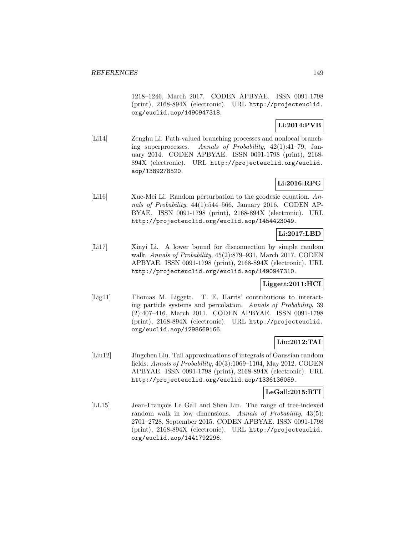1218–1246, March 2017. CODEN APBYAE. ISSN 0091-1798 (print), 2168-894X (electronic). URL http://projecteuclid. org/euclid.aop/1490947318.

# **Li:2014:PVB**

[Li14] Zenghu Li. Path-valued branching processes and nonlocal branching superprocesses. Annals of Probability, 42(1):41–79, January 2014. CODEN APBYAE. ISSN 0091-1798 (print), 2168- 894X (electronic). URL http://projecteuclid.org/euclid. aop/1389278520.

# **Li:2016:RPG**

[Li16] Xue-Mei Li. Random perturbation to the geodesic equation. Annals of Probability, 44(1):544–566, January 2016. CODEN AP-BYAE. ISSN 0091-1798 (print), 2168-894X (electronic). URL http://projecteuclid.org/euclid.aop/1454423049.

# **Li:2017:LBD**

[Li17] Xinyi Li. A lower bound for disconnection by simple random walk. Annals of Probability, 45(2):879–931, March 2017. CODEN APBYAE. ISSN 0091-1798 (print), 2168-894X (electronic). URL http://projecteuclid.org/euclid.aop/1490947310.

# **Liggett:2011:HCI**

[Lig11] Thomas M. Liggett. T. E. Harris' contributions to interacting particle systems and percolation. Annals of Probability, 39 (2):407–416, March 2011. CODEN APBYAE. ISSN 0091-1798 (print), 2168-894X (electronic). URL http://projecteuclid. org/euclid.aop/1298669166.

# **Liu:2012:TAI**

[Liu12] Jingchen Liu. Tail approximations of integrals of Gaussian random fields. Annals of Probability, 40(3):1069–1104, May 2012. CODEN APBYAE. ISSN 0091-1798 (print), 2168-894X (electronic). URL http://projecteuclid.org/euclid.aop/1336136059.

## **LeGall:2015:RTI**

[LL15] Jean-François Le Gall and Shen Lin. The range of tree-indexed random walk in low dimensions. Annals of Probability, 43(5): 2701–2728, September 2015. CODEN APBYAE. ISSN 0091-1798 (print), 2168-894X (electronic). URL http://projecteuclid. org/euclid.aop/1441792296.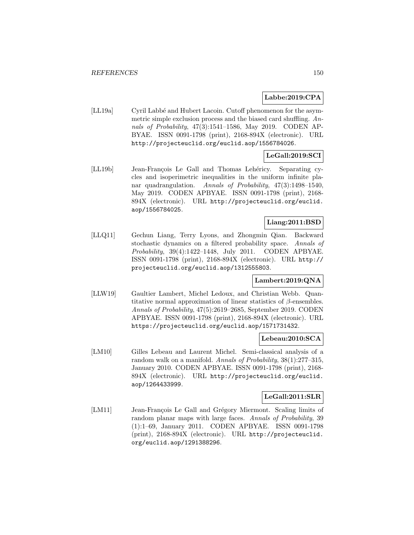### **Labbe:2019:CPA**

[LL19a] Cyril Labbé and Hubert Lacoin. Cutoff phenomenon for the asymmetric simple exclusion process and the biased card shuffling. Annals of Probability, 47(3):1541–1586, May 2019. CODEN AP-BYAE. ISSN 0091-1798 (print), 2168-894X (electronic). URL http://projecteuclid.org/euclid.aop/1556784026.

# **LeGall:2019:SCI**

[LL19b] Jean-François Le Gall and Thomas Lehéricy. Separating cycles and isoperimetric inequalities in the uniform infinite planar quadrangulation. Annals of Probability, 47(3):1498–1540, May 2019. CODEN APBYAE. ISSN 0091-1798 (print), 2168- 894X (electronic). URL http://projecteuclid.org/euclid. aop/1556784025.

# **Liang:2011:BSD**

[LLQ11] Gechun Liang, Terry Lyons, and Zhongmin Qian. Backward stochastic dynamics on a filtered probability space. Annals of Probability, 39(4):1422–1448, July 2011. CODEN APBYAE. ISSN 0091-1798 (print), 2168-894X (electronic). URL http:// projecteuclid.org/euclid.aop/1312555803.

## **Lambert:2019:QNA**

[LLW19] Gaultier Lambert, Michel Ledoux, and Christian Webb. Quantitative normal approximation of linear statistics of  $\beta$ -ensembles. Annals of Probability, 47(5):2619–2685, September 2019. CODEN APBYAE. ISSN 0091-1798 (print), 2168-894X (electronic). URL https://projecteuclid.org/euclid.aop/1571731432.

### **Lebeau:2010:SCA**

[LM10] Gilles Lebeau and Laurent Michel. Semi-classical analysis of a random walk on a manifold. Annals of Probability, 38(1):277–315, January 2010. CODEN APBYAE. ISSN 0091-1798 (print), 2168- 894X (electronic). URL http://projecteuclid.org/euclid. aop/1264433999.

## **LeGall:2011:SLR**

[LM11] Jean-François Le Gall and Grégory Miermont. Scaling limits of random planar maps with large faces. Annals of Probability, 39 (1):1–69, January 2011. CODEN APBYAE. ISSN 0091-1798 (print), 2168-894X (electronic). URL http://projecteuclid. org/euclid.aop/1291388296.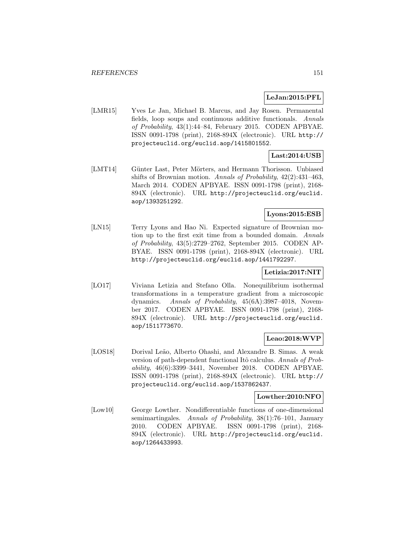### **LeJan:2015:PFL**

[LMR15] Yves Le Jan, Michael B. Marcus, and Jay Rosen. Permanental fields, loop soups and continuous additive functionals. Annals of Probability, 43(1):44–84, February 2015. CODEN APBYAE. ISSN 0091-1798 (print), 2168-894X (electronic). URL http:// projecteuclid.org/euclid.aop/1415801552.

# **Last:2014:USB**

[LMT14] Günter Last, Peter Mörters, and Hermann Thorisson. Unbiased shifts of Brownian motion. Annals of Probability, 42(2):431–463, March 2014. CODEN APBYAE. ISSN 0091-1798 (print), 2168- 894X (electronic). URL http://projecteuclid.org/euclid. aop/1393251292.

## **Lyons:2015:ESB**

[LN15] Terry Lyons and Hao Ni. Expected signature of Brownian motion up to the first exit time from a bounded domain. Annals of Probability, 43(5):2729–2762, September 2015. CODEN AP-BYAE. ISSN 0091-1798 (print), 2168-894X (electronic). URL http://projecteuclid.org/euclid.aop/1441792297.

## **Letizia:2017:NIT**

[LO17] Viviana Letizia and Stefano Olla. Nonequilibrium isothermal transformations in a temperature gradient from a microscopic dynamics. Annals of Probability, 45(6A):3987–4018, November 2017. CODEN APBYAE. ISSN 0091-1798 (print), 2168- 894X (electronic). URL http://projecteuclid.org/euclid. aop/1511773670.

### **Leao:2018:WVP**

[LOS18] Dorival Leão, Alberto Ohashi, and Alexandre B. Simas. A weak version of path-dependent functional Itô calculus. Annals of Probability, 46(6):3399–3441, November 2018. CODEN APBYAE. ISSN 0091-1798 (print), 2168-894X (electronic). URL http:// projecteuclid.org/euclid.aop/1537862437.

### **Lowther:2010:NFO**

[Low10] George Lowther. Nondifferentiable functions of one-dimensional semimartingales. Annals of Probability, 38(1):76–101, January 2010. CODEN APBYAE. ISSN 0091-1798 (print), 2168- 894X (electronic). URL http://projecteuclid.org/euclid. aop/1264433993.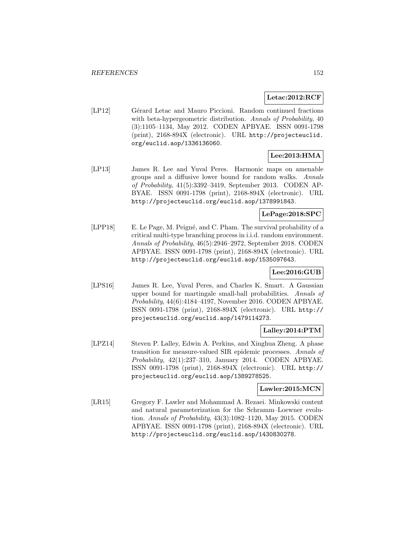### **Letac:2012:RCF**

[LP12] Gérard Letac and Mauro Piccioni. Random continued fractions with beta-hypergeometric distribution. Annals of Probability, 40 (3):1105–1134, May 2012. CODEN APBYAE. ISSN 0091-1798 (print), 2168-894X (electronic). URL http://projecteuclid. org/euclid.aop/1336136060.

# **Lee:2013:HMA**

[LP13] James R. Lee and Yuval Peres. Harmonic maps on amenable groups and a diffusive lower bound for random walks. Annals of Probability, 41(5):3392–3419, September 2013. CODEN AP-BYAE. ISSN 0091-1798 (print), 2168-894X (electronic). URL http://projecteuclid.org/euclid.aop/1378991843.

## **LePage:2018:SPC**

[LPP18] E. Le Page, M. Peigné, and C. Pham. The survival probability of a critical multi-type branching process in i.i.d. random environment. Annals of Probability, 46(5):2946–2972, September 2018. CODEN APBYAE. ISSN 0091-1798 (print), 2168-894X (electronic). URL http://projecteuclid.org/euclid.aop/1535097643.

## **Lee:2016:GUB**

[LPS16] James R. Lee, Yuval Peres, and Charles K. Smart. A Gaussian upper bound for martingale small-ball probabilities. Annals of Probability, 44(6):4184–4197, November 2016. CODEN APBYAE. ISSN 0091-1798 (print), 2168-894X (electronic). URL http:// projecteuclid.org/euclid.aop/1479114273.

## **Lalley:2014:PTM**

[LPZ14] Steven P. Lalley, Edwin A. Perkins, and Xinghua Zheng. A phase transition for measure-valued SIR epidemic processes. Annals of Probability, 42(1):237–310, January 2014. CODEN APBYAE. ISSN 0091-1798 (print), 2168-894X (electronic). URL http:// projecteuclid.org/euclid.aop/1389278525.

### **Lawler:2015:MCN**

[LR15] Gregory F. Lawler and Mohammad A. Rezaei. Minkowski content and natural parameterization for the Schramm–Loewner evolution. Annals of Probability, 43(3):1082–1120, May 2015. CODEN APBYAE. ISSN 0091-1798 (print), 2168-894X (electronic). URL http://projecteuclid.org/euclid.aop/1430830278.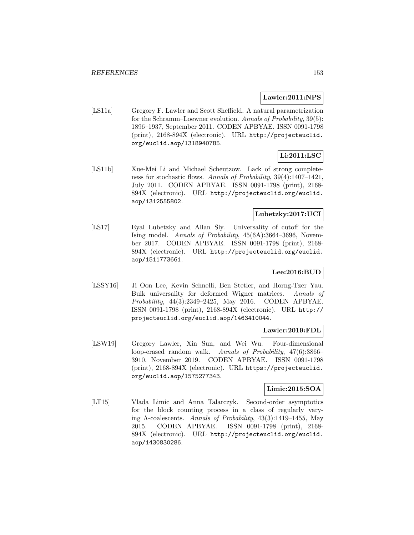#### **Lawler:2011:NPS**

[LS11a] Gregory F. Lawler and Scott Sheffield. A natural parametrization for the Schramm–Loewner evolution. Annals of Probability, 39(5): 1896–1937, September 2011. CODEN APBYAE. ISSN 0091-1798 (print), 2168-894X (electronic). URL http://projecteuclid. org/euclid.aop/1318940785.

# **Li:2011:LSC**

[LS11b] Xue-Mei Li and Michael Scheutzow. Lack of strong completeness for stochastic flows. Annals of Probability, 39(4):1407–1421, July 2011. CODEN APBYAE. ISSN 0091-1798 (print), 2168- 894X (electronic). URL http://projecteuclid.org/euclid. aop/1312555802.

## **Lubetzky:2017:UCI**

[LS17] Eyal Lubetzky and Allan Sly. Universality of cutoff for the Ising model. Annals of Probability, 45(6A):3664–3696, November 2017. CODEN APBYAE. ISSN 0091-1798 (print), 2168- 894X (electronic). URL http://projecteuclid.org/euclid. aop/1511773661.

# **Lee:2016:BUD**

[LSSY16] Ji Oon Lee, Kevin Schnelli, Ben Stetler, and Horng-Tzer Yau. Bulk universality for deformed Wigner matrices. Annals of Probability, 44(3):2349–2425, May 2016. CODEN APBYAE. ISSN 0091-1798 (print), 2168-894X (electronic). URL http:// projecteuclid.org/euclid.aop/1463410044.

### **Lawler:2019:FDL**

[LSW19] Gregory Lawler, Xin Sun, and Wei Wu. Four-dimensional loop-erased random walk. Annals of Probability, 47(6):3866– 3910, November 2019. CODEN APBYAE. ISSN 0091-1798 (print), 2168-894X (electronic). URL https://projecteuclid. org/euclid.aop/1575277343.

### **Limic:2015:SOA**

[LT15] Vlada Limic and Anna Talarczyk. Second-order asymptotics for the block counting process in a class of regularly varying Λ-coalescents. Annals of Probability, 43(3):1419–1455, May 2015. CODEN APBYAE. ISSN 0091-1798 (print), 2168- 894X (electronic). URL http://projecteuclid.org/euclid. aop/1430830286.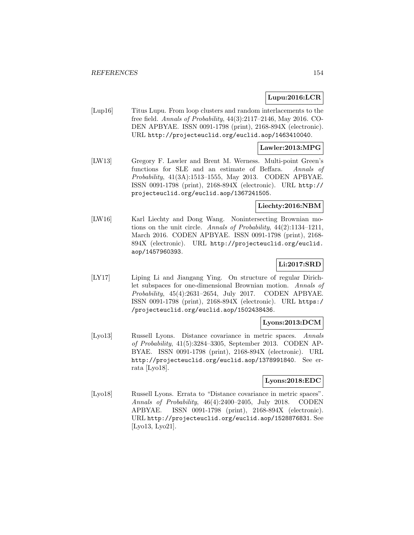### **Lupu:2016:LCR**

[Lup16] Titus Lupu. From loop clusters and random interlacements to the free field. Annals of Probability, 44(3):2117–2146, May 2016. CO-DEN APBYAE. ISSN 0091-1798 (print), 2168-894X (electronic). URL http://projecteuclid.org/euclid.aop/1463410040.

#### **Lawler:2013:MPG**

[LW13] Gregory F. Lawler and Brent M. Werness. Multi-point Green's functions for SLE and an estimate of Beffara. Annals of Probability, 41(3A):1513–1555, May 2013. CODEN APBYAE. ISSN 0091-1798 (print), 2168-894X (electronic). URL http:// projecteuclid.org/euclid.aop/1367241505.

### **Liechty:2016:NBM**

[LW16] Karl Liechty and Dong Wang. Nonintersecting Brownian motions on the unit circle. Annals of Probability, 44(2):1134–1211, March 2016. CODEN APBYAE. ISSN 0091-1798 (print), 2168- 894X (electronic). URL http://projecteuclid.org/euclid. aop/1457960393.

# **Li:2017:SRD**

[LY17] Liping Li and Jiangang Ying. On structure of regular Dirichlet subspaces for one-dimensional Brownian motion. Annals of Probability, 45(4):2631–2654, July 2017. CODEN APBYAE. ISSN 0091-1798 (print), 2168-894X (electronic). URL https:/ /projecteuclid.org/euclid.aop/1502438436.

# **Lyons:2013:DCM**

[Lyo13] Russell Lyons. Distance covariance in metric spaces. Annals of Probability, 41(5):3284–3305, September 2013. CODEN AP-BYAE. ISSN 0091-1798 (print), 2168-894X (electronic). URL http://projecteuclid.org/euclid.aop/1378991840. See errata [Lyo18].

### **Lyons:2018:EDC**

[Lyo18] Russell Lyons. Errata to "Distance covariance in metric spaces". Annals of Probability, 46(4):2400–2405, July 2018. CODEN APBYAE. ISSN 0091-1798 (print), 2168-894X (electronic). URL http://projecteuclid.org/euclid.aop/1528876831. See [Lyo13, Lyo21].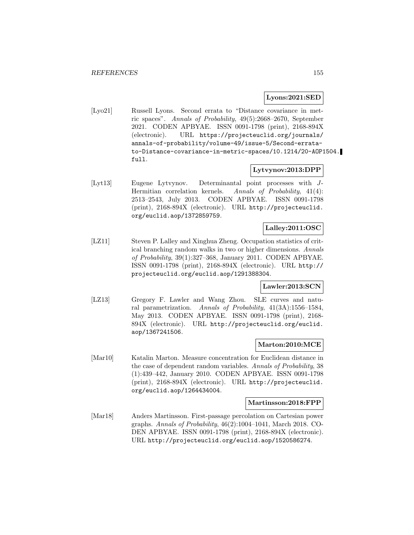#### **Lyons:2021:SED**

[Lyo21] Russell Lyons. Second errata to "Distance covariance in metric spaces". Annals of Probability, 49(5):2668–2670, September 2021. CODEN APBYAE. ISSN 0091-1798 (print), 2168-894X (electronic). URL https://projecteuclid.org/journals/ annals-of-probability/volume-49/issue-5/Second-erratato-Distance-covariance-in-metric-spaces/10.1214/20-AOP1504. full.

### **Lytvynov:2013:DPP**

[Lyt13] Eugene Lytvynov. Determinantal point processes with J-Hermitian correlation kernels. Annals of Probability, 41(4): 2513–2543, July 2013. CODEN APBYAE. ISSN 0091-1798 (print), 2168-894X (electronic). URL http://projecteuclid. org/euclid.aop/1372859759.

## **Lalley:2011:OSC**

[LZ11] Steven P. Lalley and Xinghua Zheng. Occupation statistics of critical branching random walks in two or higher dimensions. Annals of Probability, 39(1):327–368, January 2011. CODEN APBYAE. ISSN 0091-1798 (print), 2168-894X (electronic). URL http:// projecteuclid.org/euclid.aop/1291388304.

### **Lawler:2013:SCN**

[LZ13] Gregory F. Lawler and Wang Zhou. SLE curves and natural parametrization. Annals of Probability, 41(3A):1556–1584, May 2013. CODEN APBYAE. ISSN 0091-1798 (print), 2168- 894X (electronic). URL http://projecteuclid.org/euclid. aop/1367241506.

## **Marton:2010:MCE**

[Mar10] Katalin Marton. Measure concentration for Euclidean distance in the case of dependent random variables. Annals of Probability, 38 (1):439–442, January 2010. CODEN APBYAE. ISSN 0091-1798 (print), 2168-894X (electronic). URL http://projecteuclid. org/euclid.aop/1264434004.

#### **Martinsson:2018:FPP**

[Mar18] Anders Martinsson. First-passage percolation on Cartesian power graphs. Annals of Probability, 46(2):1004–1041, March 2018. CO-DEN APBYAE. ISSN 0091-1798 (print), 2168-894X (electronic). URL http://projecteuclid.org/euclid.aop/1520586274.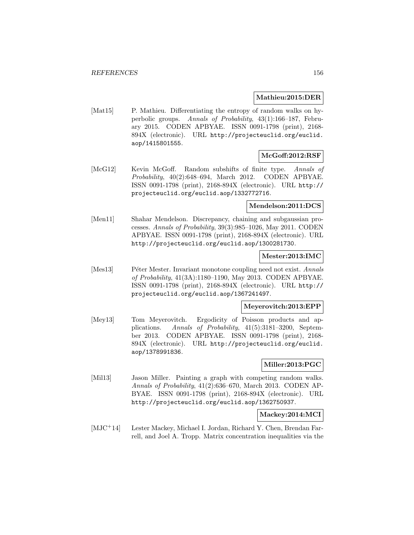#### **Mathieu:2015:DER**

[Mat15] P. Mathieu. Differentiating the entropy of random walks on hyperbolic groups. Annals of Probability, 43(1):166–187, February 2015. CODEN APBYAE. ISSN 0091-1798 (print), 2168- 894X (electronic). URL http://projecteuclid.org/euclid. aop/1415801555.

## **McGoff:2012:RSF**

[McG12] Kevin McGoff. Random subshifts of finite type. Annals of Probability, 40(2):648–694, March 2012. CODEN APBYAE. ISSN 0091-1798 (print), 2168-894X (electronic). URL http:// projecteuclid.org/euclid.aop/1332772716.

### **Mendelson:2011:DCS**

[Men11] Shahar Mendelson. Discrepancy, chaining and subgaussian processes. Annals of Probability, 39(3):985–1026, May 2011. CODEN APBYAE. ISSN 0091-1798 (print), 2168-894X (electronic). URL http://projecteuclid.org/euclid.aop/1300281730.

### **Mester:2013:IMC**

[Mes13] Péter Mester. Invariant monotone coupling need not exist. Annals of Probability, 41(3A):1180–1190, May 2013. CODEN APBYAE. ISSN 0091-1798 (print), 2168-894X (electronic). URL http:// projecteuclid.org/euclid.aop/1367241497.

### **Meyerovitch:2013:EPP**

[Mey13] Tom Meyerovitch. Ergodicity of Poisson products and applications. Annals of Probability, 41(5):3181–3200, September 2013. CODEN APBYAE. ISSN 0091-1798 (print), 2168- 894X (electronic). URL http://projecteuclid.org/euclid. aop/1378991836.

### **Miller:2013:PGC**

[Mil13] Jason Miller. Painting a graph with competing random walks. Annals of Probability, 41(2):636–670, March 2013. CODEN AP-BYAE. ISSN 0091-1798 (print), 2168-894X (electronic). URL http://projecteuclid.org/euclid.aop/1362750937.

### **Mackey:2014:MCI**

[MJC<sup>+</sup>14] Lester Mackey, Michael I. Jordan, Richard Y. Chen, Brendan Farrell, and Joel A. Tropp. Matrix concentration inequalities via the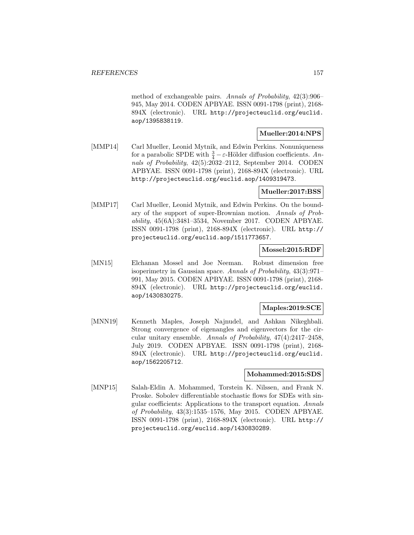method of exchangeable pairs. Annals of Probability, 42(3):906– 945, May 2014. CODEN APBYAE. ISSN 0091-1798 (print), 2168- 894X (electronic). URL http://projecteuclid.org/euclid. aop/1395838119.

### **Mueller:2014:NPS**

[MMP14] Carl Mueller, Leonid Mytnik, and Edwin Perkins. Nonuniqueness for a parabolic SPDE with  $\frac{3}{4} - \varepsilon$ -Hölder diffusion coefficients. Annals of Probability, 42(5):2032–2112, September 2014. CODEN APBYAE. ISSN 0091-1798 (print), 2168-894X (electronic). URL http://projecteuclid.org/euclid.aop/1409319473.

### **Mueller:2017:BSS**

[MMP17] Carl Mueller, Leonid Mytnik, and Edwin Perkins. On the boundary of the support of super-Brownian motion. Annals of Probability, 45(6A):3481–3534, November 2017. CODEN APBYAE. ISSN 0091-1798 (print), 2168-894X (electronic). URL http:// projecteuclid.org/euclid.aop/1511773657.

### **Mossel:2015:RDF**

[MN15] Elchanan Mossel and Joe Neeman. Robust dimension free isoperimetry in Gaussian space. Annals of Probability, 43(3):971– 991, May 2015. CODEN APBYAE. ISSN 0091-1798 (print), 2168- 894X (electronic). URL http://projecteuclid.org/euclid. aop/1430830275.

### **Maples:2019:SCE**

[MNN19] Kenneth Maples, Joseph Najnudel, and Ashkan Nikeghbali. Strong convergence of eigenangles and eigenvectors for the circular unitary ensemble. Annals of Probability, 47(4):2417–2458, July 2019. CODEN APBYAE. ISSN 0091-1798 (print), 2168- 894X (electronic). URL http://projecteuclid.org/euclid. aop/1562205712.

### **Mohammed:2015:SDS**

[MNP15] Salah-Eldin A. Mohammed, Torstein K. Nilssen, and Frank N. Proske. Sobolev differentiable stochastic flows for SDEs with singular coefficients: Applications to the transport equation. Annals of Probability, 43(3):1535–1576, May 2015. CODEN APBYAE. ISSN 0091-1798 (print), 2168-894X (electronic). URL http:// projecteuclid.org/euclid.aop/1430830289.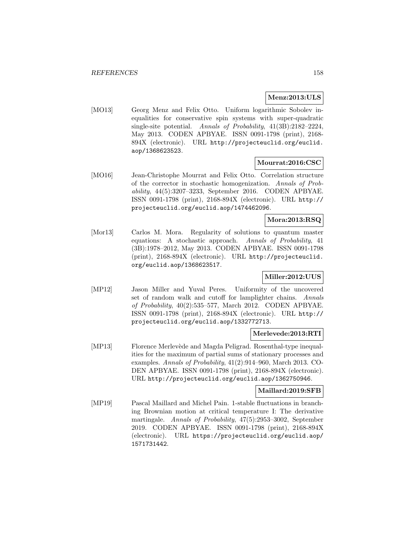### **Menz:2013:ULS**

[MO13] Georg Menz and Felix Otto. Uniform logarithmic Sobolev inequalities for conservative spin systems with super-quadratic single-site potential. Annals of Probability, 41(3B):2182–2224, May 2013. CODEN APBYAE. ISSN 0091-1798 (print), 2168- 894X (electronic). URL http://projecteuclid.org/euclid. aop/1368623523.

## **Mourrat:2016:CSC**

[MO16] Jean-Christophe Mourrat and Felix Otto. Correlation structure of the corrector in stochastic homogenization. Annals of Probability, 44(5):3207–3233, September 2016. CODEN APBYAE. ISSN 0091-1798 (print), 2168-894X (electronic). URL http:// projecteuclid.org/euclid.aop/1474462096.

### **Mora:2013:RSQ**

[Mor13] Carlos M. Mora. Regularity of solutions to quantum master equations: A stochastic approach. Annals of Probability, 41 (3B):1978–2012, May 2013. CODEN APBYAE. ISSN 0091-1798 (print), 2168-894X (electronic). URL http://projecteuclid. org/euclid.aop/1368623517.

## **Miller:2012:UUS**

[MP12] Jason Miller and Yuval Peres. Uniformity of the uncovered set of random walk and cutoff for lamplighter chains. Annals of Probability, 40(2):535–577, March 2012. CODEN APBYAE. ISSN 0091-1798 (print), 2168-894X (electronic). URL http:// projecteuclid.org/euclid.aop/1332772713.

## **Merlevede:2013:RTI**

[MP13] Florence Merlevède and Magda Peligrad. Rosenthal-type inequalities for the maximum of partial sums of stationary processes and examples. Annals of Probability, 41(2):914–960, March 2013. CO-DEN APBYAE. ISSN 0091-1798 (print), 2168-894X (electronic). URL http://projecteuclid.org/euclid.aop/1362750946.

### **Maillard:2019:SFB**

[MP19] Pascal Maillard and Michel Pain. 1-stable fluctuations in branching Brownian motion at critical temperature I: The derivative martingale. Annals of Probability, 47(5):2953–3002, September 2019. CODEN APBYAE. ISSN 0091-1798 (print), 2168-894X (electronic). URL https://projecteuclid.org/euclid.aop/ 1571731442.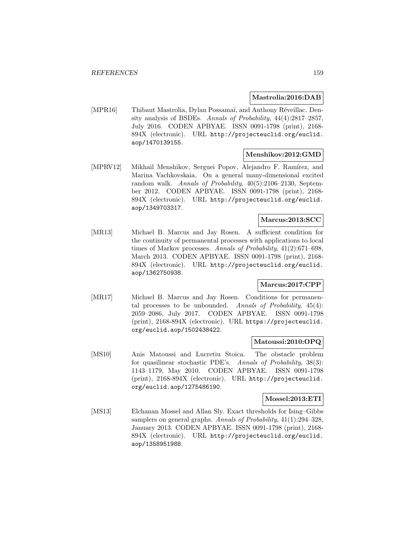#### **Mastrolia:2016:DAB**

[MPR16] Thibaut Mastrolia, Dylan Possamaï, and Anthony Réveillac. Density analysis of BSDEs. Annals of Probability, 44(4):2817–2857, July 2016. CODEN APBYAE. ISSN 0091-1798 (print), 2168- 894X (electronic). URL http://projecteuclid.org/euclid. aop/1470139155.

### **Menshikov:2012:GMD**

[MPRV12] Mikhail Menshikov, Serguei Popov, Alejandro F. Ramírez, and Marina Vachkovskaia. On a general many-dimensional excited random walk. Annals of Probability, 40(5):2106–2130, September 2012. CODEN APBYAE. ISSN 0091-1798 (print), 2168- 894X (electronic). URL http://projecteuclid.org/euclid. aop/1349703317.

### **Marcus:2013:SCC**

[MR13] Michael B. Marcus and Jay Rosen. A sufficient condition for the continuity of permanental processes with applications to local times of Markov processes. Annals of Probability, 41(2):671–698, March 2013. CODEN APBYAE. ISSN 0091-1798 (print), 2168- 894X (electronic). URL http://projecteuclid.org/euclid. aop/1362750938.

### **Marcus:2017:CPP**

[MR17] Michael B. Marcus and Jay Rosen. Conditions for permanental processes to be unbounded. Annals of Probability, 45(4): 2059–2086, July 2017. CODEN APBYAE. ISSN 0091-1798 (print), 2168-894X (electronic). URL https://projecteuclid. org/euclid.aop/1502438422.

### **Matoussi:2010:OPQ**

[MS10] Anis Matoussi and Lucretiu Stoica. The obstacle problem for quasilinear stochastic PDE's. Annals of Probability, 38(3): 1143–1179, May 2010. CODEN APBYAE. ISSN 0091-1798 (print), 2168-894X (electronic). URL http://projecteuclid. org/euclid.aop/1275486190.

#### **Mossel:2013:ETI**

[MS13] Elchanan Mossel and Allan Sly. Exact thresholds for Ising–Gibbs samplers on general graphs. Annals of Probability, 41(1):294–328, January 2013. CODEN APBYAE. ISSN 0091-1798 (print), 2168- 894X (electronic). URL http://projecteuclid.org/euclid. aop/1358951988.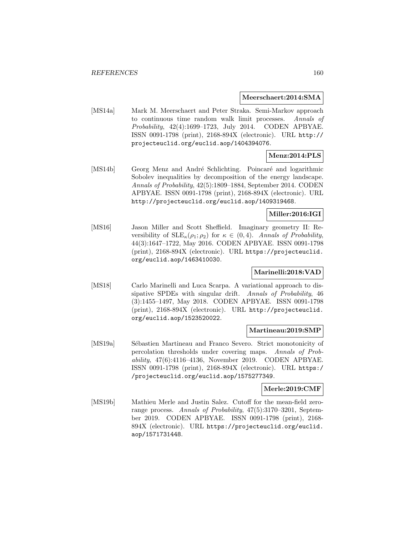#### **Meerschaert:2014:SMA**

[MS14a] Mark M. Meerschaert and Peter Straka. Semi-Markov approach to continuous time random walk limit processes. Annals of Probability, 42(4):1699–1723, July 2014. CODEN APBYAE. ISSN 0091-1798 (print), 2168-894X (electronic). URL http:// projecteuclid.org/euclid.aop/1404394076.

# **Menz:2014:PLS**

[MS14b] Georg Menz and André Schlichting. Poincaré and logarithmic Sobolev inequalities by decomposition of the energy landscape. Annals of Probability, 42(5):1809–1884, September 2014. CODEN APBYAE. ISSN 0091-1798 (print), 2168-894X (electronic). URL http://projecteuclid.org/euclid.aop/1409319468.

# **Miller:2016:IGI**

[MS16] Jason Miller and Scott Sheffield. Imaginary geometry II: Reversibility of  $SLE_{\kappa}(\rho_1;\rho_2)$  for  $\kappa \in (0,4)$ . Annals of Probability, 44(3):1647–1722, May 2016. CODEN APBYAE. ISSN 0091-1798 (print), 2168-894X (electronic). URL https://projecteuclid. org/euclid.aop/1463410030.

## **Marinelli:2018:VAD**

[MS18] Carlo Marinelli and Luca Scarpa. A variational approach to dissipative SPDEs with singular drift. Annals of Probability, 46 (3):1455–1497, May 2018. CODEN APBYAE. ISSN 0091-1798 (print), 2168-894X (electronic). URL http://projecteuclid. org/euclid.aop/1523520022.

#### **Martineau:2019:SMP**

[MS19a] Sébastien Martineau and Franco Severo. Strict monotonicity of percolation thresholds under covering maps. Annals of Probability, 47(6):4116–4136, November 2019. CODEN APBYAE. ISSN 0091-1798 (print), 2168-894X (electronic). URL https:/ /projecteuclid.org/euclid.aop/1575277349.

### **Merle:2019:CMF**

[MS19b] Mathieu Merle and Justin Salez. Cutoff for the mean-field zerorange process. Annals of Probability, 47(5):3170–3201, September 2019. CODEN APBYAE. ISSN 0091-1798 (print), 2168- 894X (electronic). URL https://projecteuclid.org/euclid. aop/1571731448.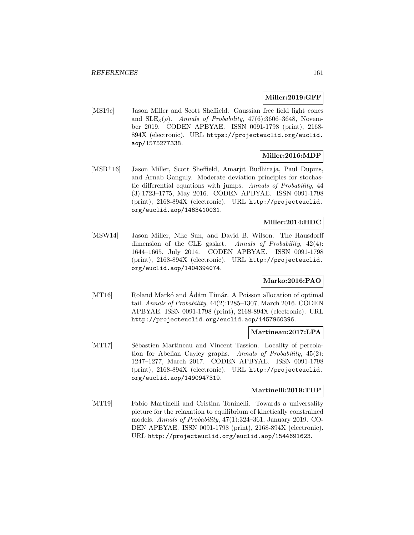### **Miller:2019:GFF**

[MS19c] Jason Miller and Scott Sheffield. Gaussian free field light cones and  $SLE_{\kappa}(\rho)$ . Annals of Probability, 47(6):3606-3648, November 2019. CODEN APBYAE. ISSN 0091-1798 (print), 2168- 894X (electronic). URL https://projecteuclid.org/euclid. aop/1575277338.

## **Miller:2016:MDP**

[MSB<sup>+</sup>16] Jason Miller, Scott Sheffield, Amarjit Budhiraja, Paul Dupuis, and Arnab Ganguly. Moderate deviation principles for stochastic differential equations with jumps. Annals of Probability, 44 (3):1723–1775, May 2016. CODEN APBYAE. ISSN 0091-1798 (print), 2168-894X (electronic). URL http://projecteuclid. org/euclid.aop/1463410031.

# **Miller:2014:HDC**

[MSW14] Jason Miller, Nike Sun, and David B. Wilson. The Hausdorff dimension of the CLE gasket. Annals of Probability, 42(4): 1644–1665, July 2014. CODEN APBYAE. ISSN 0091-1798 (print), 2168-894X (electronic). URL http://projecteuclid. org/euclid.aop/1404394074.

### **Marko:2016:PAO**

[MT16] Roland Markó and Adám Timár. A Poisson allocation of optimal tail. Annals of Probability, 44(2):1285–1307, March 2016. CODEN APBYAE. ISSN 0091-1798 (print), 2168-894X (electronic). URL http://projecteuclid.org/euclid.aop/1457960396.

### **Martineau:2017:LPA**

[MT17] Sébastien Martineau and Vincent Tassion. Locality of percolation for Abelian Cayley graphs. Annals of Probability, 45(2): 1247–1277, March 2017. CODEN APBYAE. ISSN 0091-1798 (print), 2168-894X (electronic). URL http://projecteuclid. org/euclid.aop/1490947319.

### **Martinelli:2019:TUP**

[MT19] Fabio Martinelli and Cristina Toninelli. Towards a universality picture for the relaxation to equilibrium of kinetically constrained models. Annals of Probability, 47(1):324–361, January 2019. CO-DEN APBYAE. ISSN 0091-1798 (print), 2168-894X (electronic). URL http://projecteuclid.org/euclid.aop/1544691623.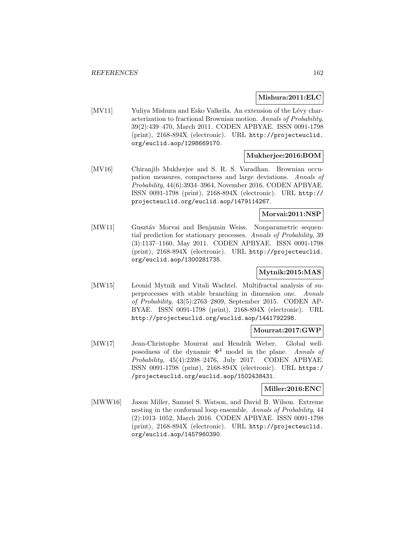#### **Mishura:2011:ELC**

[MV11] Yuliya Mishura and Esko Valkeila. An extension of the Lévy characterization to fractional Brownian motion. Annals of Probability, 39(2):439–470, March 2011. CODEN APBYAE. ISSN 0091-1798 (print), 2168-894X (electronic). URL http://projecteuclid. org/euclid.aop/1298669170.

### **Mukherjee:2016:BOM**

[MV16] Chiranjib Mukherjee and S. R. S. Varadhan. Brownian occupation measures, compactness and large deviations. Annals of Probability, 44(6):3934–3964, November 2016. CODEN APBYAE. ISSN 0091-1798 (print), 2168-894X (electronic). URL http:// projecteuclid.org/euclid.aop/1479114267.

# **Morvai:2011:NSP**

[MW11] Gusztáv Morvai and Benjamin Weiss. Nonparametric sequential prediction for stationary processes. Annals of Probability, 39 (3):1137–1160, May 2011. CODEN APBYAE. ISSN 0091-1798 (print), 2168-894X (electronic). URL http://projecteuclid. org/euclid.aop/1300281735.

## **Mytnik:2015:MAS**

[MW15] Leonid Mytnik and Vitali Wachtel. Multifractal analysis of superprocesses with stable branching in dimension one. Annals of Probability, 43(5):2763–2809, September 2015. CODEN AP-BYAE. ISSN 0091-1798 (print), 2168-894X (electronic). URL http://projecteuclid.org/euclid.aop/1441792298.

### **Mourrat:2017:GWP**

[MW17] Jean-Christophe Mourrat and Hendrik Weber. Global wellposedness of the dynamic  $\Phi^4$  model in the plane. Annals of Probability, 45(4):2398–2476, July 2017. CODEN APBYAE. ISSN 0091-1798 (print), 2168-894X (electronic). URL https:/ /projecteuclid.org/euclid.aop/1502438431.

### **Miller:2016:ENC**

[MWW16] Jason Miller, Samuel S. Watson, and David B. Wilson. Extreme nesting in the conformal loop ensemble. Annals of Probability, 44 (2):1013–1052, March 2016. CODEN APBYAE. ISSN 0091-1798 (print), 2168-894X (electronic). URL http://projecteuclid. org/euclid.aop/1457960390.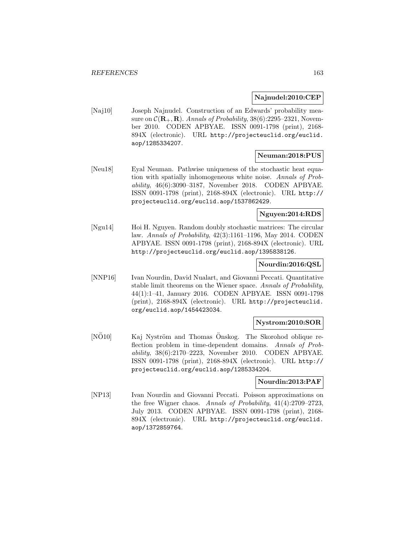### **Najnudel:2010:CEP**

[Naj10] Joseph Najnudel. Construction of an Edwards' probability measure on  $C(\mathbf{R}_+,\mathbf{R})$ . Annals of Probability, 38(6):2295–2321, November 2010. CODEN APBYAE. ISSN 0091-1798 (print), 2168- 894X (electronic). URL http://projecteuclid.org/euclid. aop/1285334207.

### **Neuman:2018:PUS**

[Neu18] Eyal Neuman. Pathwise uniqueness of the stochastic heat equation with spatially inhomogeneous white noise. Annals of Probability, 46(6):3090–3187, November 2018. CODEN APBYAE. ISSN 0091-1798 (print), 2168-894X (electronic). URL http:// projecteuclid.org/euclid.aop/1537862429.

### **Nguyen:2014:RDS**

[Ngu14] Hoi H. Nguyen. Random doubly stochastic matrices: The circular law. Annals of Probability, 42(3):1161–1196, May 2014. CODEN APBYAE. ISSN 0091-1798 (print), 2168-894X (electronic). URL http://projecteuclid.org/euclid.aop/1395838126.

### **Nourdin:2016:QSL**

[NNP16] Ivan Nourdin, David Nualart, and Giovanni Peccati. Quantitative stable limit theorems on the Wiener space. Annals of Probability, 44(1):1–41, January 2016. CODEN APBYAE. ISSN 0091-1798 (print), 2168-894X (electronic). URL http://projecteuclid. org/euclid.aop/1454423034.

## **Nystrom:2010:SOR**

[NÖ10] Kaj Nyström and Thomas Önskog. The Skorohod oblique reflection problem in time-dependent domains. Annals of Probability, 38(6):2170–2223, November 2010. CODEN APBYAE. ISSN 0091-1798 (print), 2168-894X (electronic). URL http:// projecteuclid.org/euclid.aop/1285334204.

### **Nourdin:2013:PAF**

[NP13] Ivan Nourdin and Giovanni Peccati. Poisson approximations on the free Wigner chaos. Annals of Probability, 41(4):2709–2723, July 2013. CODEN APBYAE. ISSN 0091-1798 (print), 2168- 894X (electronic). URL http://projecteuclid.org/euclid. aop/1372859764.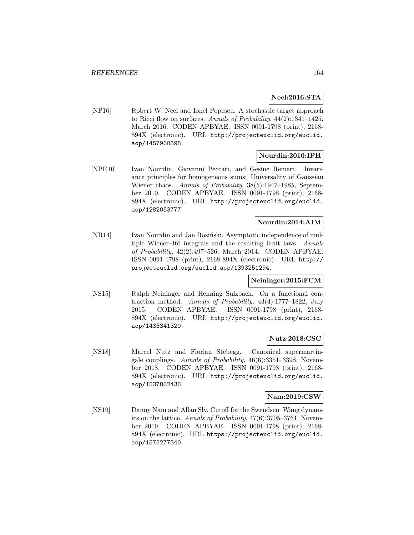### **Neel:2016:STA**

[NP16] Robert W. Neel and Ionel Popescu. A stochastic target approach to Ricci flow on surfaces. Annals of Probability, 44(2):1341–1425, March 2016. CODEN APBYAE. ISSN 0091-1798 (print), 2168- 894X (electronic). URL http://projecteuclid.org/euclid. aop/1457960398.

## **Nourdin:2010:IPH**

[NPR10] Ivan Nourdin, Giovanni Peccati, and Gesine Reinert. Invariance principles for homogeneous sums: Universality of Gaussian Wiener chaos. Annals of Probability, 38(5):1947–1985, September 2010. CODEN APBYAE. ISSN 0091-1798 (print), 2168- 894X (electronic). URL http://projecteuclid.org/euclid. aop/1282053777.

### **Nourdin:2014:AIM**

[NR14] Ivan Nourdin and Jan Rosinski. Asymptotic independence of multiple Wiener–Itô integrals and the resulting limit laws. Annals of Probability, 42(2):497–526, March 2014. CODEN APBYAE. ISSN 0091-1798 (print), 2168-894X (electronic). URL http:// projecteuclid.org/euclid.aop/1393251294.

### **Neininger:2015:FCM**

[NS15] Ralph Neininger and Henning Sulzbach. On a functional contraction method. Annals of Probability, 43(4):1777–1822, July 2015. CODEN APBYAE. ISSN 0091-1798 (print), 2168- 894X (electronic). URL http://projecteuclid.org/euclid. aop/1433341320.

#### **Nutz:2018:CSC**

[NS18] Marcel Nutz and Florian Stebegg. Canonical supermartingale couplings. Annals of Probability, 46(6):3351–3398, November 2018. CODEN APBYAE. ISSN 0091-1798 (print), 2168- 894X (electronic). URL http://projecteuclid.org/euclid. aop/1537862436.

### **Nam:2019:CSW**

[NS19] Danny Nam and Allan Sly. Cutoff for the Swendsen–Wang dynamics on the lattice. Annals of Probability, 47(6):3705–3761, November 2019. CODEN APBYAE. ISSN 0091-1798 (print), 2168- 894X (electronic). URL https://projecteuclid.org/euclid. aop/1575277340.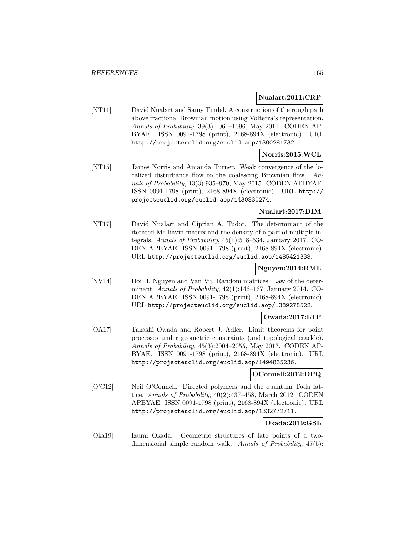### **Nualart:2011:CRP**

[NT11] David Nualart and Samy Tindel. A construction of the rough path above fractional Brownian motion using Volterra's representation. Annals of Probability, 39(3):1061–1096, May 2011. CODEN AP-BYAE. ISSN 0091-1798 (print), 2168-894X (electronic). URL http://projecteuclid.org/euclid.aop/1300281732.

# **Norris:2015:WCL**

[NT15] James Norris and Amanda Turner. Weak convergence of the localized disturbance flow to the coalescing Brownian flow. Annals of Probability, 43(3):935–970, May 2015. CODEN APBYAE. ISSN 0091-1798 (print), 2168-894X (electronic). URL http:// projecteuclid.org/euclid.aop/1430830274.

# **Nualart:2017:DIM**

[NT17] David Nualart and Ciprian A. Tudor. The determinant of the iterated Malliavin matrix and the density of a pair of multiple integrals. Annals of Probability, 45(1):518–534, January 2017. CO-DEN APBYAE. ISSN 0091-1798 (print), 2168-894X (electronic). URL http://projecteuclid.org/euclid.aop/1485421338.

## **Nguyen:2014:RML**

[NV14] Hoi H. Nguyen and Van Vu. Random matrices: Law of the determinant. Annals of Probability, 42(1):146–167, January 2014. CO-DEN APBYAE. ISSN 0091-1798 (print), 2168-894X (electronic). URL http://projecteuclid.org/euclid.aop/1389278522.

## **Owada:2017:LTP**

[OA17] Takashi Owada and Robert J. Adler. Limit theorems for point processes under geometric constraints (and topological crackle). Annals of Probability, 45(3):2004–2055, May 2017. CODEN AP-BYAE. ISSN 0091-1798 (print), 2168-894X (electronic). URL http://projecteuclid.org/euclid.aop/1494835236.

### **OConnell:2012:DPQ**

[O'C12] Neil O'Connell. Directed polymers and the quantum Toda lattice. Annals of Probability, 40(2):437–458, March 2012. CODEN APBYAE. ISSN 0091-1798 (print), 2168-894X (electronic). URL http://projecteuclid.org/euclid.aop/1332772711.

## **Okada:2019:GSL**

[Oka19] Izumi Okada. Geometric structures of late points of a twodimensional simple random walk. Annals of Probability, 47(5):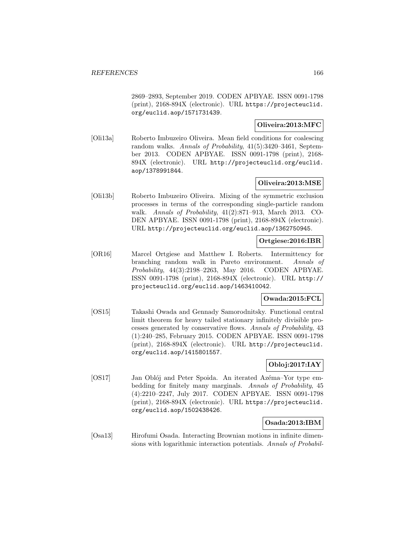2869–2893, September 2019. CODEN APBYAE. ISSN 0091-1798 (print), 2168-894X (electronic). URL https://projecteuclid. org/euclid.aop/1571731439.

### **Oliveira:2013:MFC**

[Oli13a] Roberto Imbuzeiro Oliveira. Mean field conditions for coalescing random walks. Annals of Probability, 41(5):3420–3461, September 2013. CODEN APBYAE. ISSN 0091-1798 (print), 2168- 894X (electronic). URL http://projecteuclid.org/euclid. aop/1378991844.

## **Oliveira:2013:MSE**

[Oli13b] Roberto Imbuzeiro Oliveira. Mixing of the symmetric exclusion processes in terms of the corresponding single-particle random walk. Annals of Probability, 41(2):871–913, March 2013. CO-DEN APBYAE. ISSN 0091-1798 (print), 2168-894X (electronic). URL http://projecteuclid.org/euclid.aop/1362750945.

### **Ortgiese:2016:IBR**

[OR16] Marcel Ortgiese and Matthew I. Roberts. Intermittency for branching random walk in Pareto environment. Annals of Probability, 44(3):2198–2263, May 2016. CODEN APBYAE. ISSN 0091-1798 (print), 2168-894X (electronic). URL http:// projecteuclid.org/euclid.aop/1463410042.

## **Owada:2015:FCL**

[OS15] Takashi Owada and Gennady Samorodnitsky. Functional central limit theorem for heavy tailed stationary infinitely divisible processes generated by conservative flows. Annals of Probability, 43 (1):240–285, February 2015. CODEN APBYAE. ISSN 0091-1798 (print), 2168-894X (electronic). URL http://projecteuclid. org/euclid.aop/1415801557.

## **Obloj:2017:IAY**

[OS17] Jan Oblój and Peter Spoida. An iterated Azéma–Yor type embedding for finitely many marginals. Annals of Probability, 45 (4):2210–2247, July 2017. CODEN APBYAE. ISSN 0091-1798 (print), 2168-894X (electronic). URL https://projecteuclid. org/euclid.aop/1502438426.

## **Osada:2013:IBM**

[Osa13] Hirofumi Osada. Interacting Brownian motions in infinite dimensions with logarithmic interaction potentials. Annals of Probabil-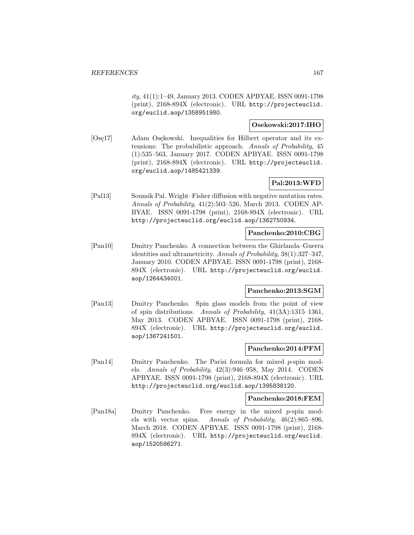ity, 41(1):1–49, January 2013. CODEN APBYAE. ISSN 0091-1798 (print), 2168-894X (electronic). URL http://projecteuclid. org/euclid.aop/1358951980.

# **Osekowski:2017:IHO**

[Ose<sub>17</sub>] Adam Osekowski. Inequalities for Hilbert operator and its extensions: The probabilistic approach. Annals of Probability, 45 (1):535–563, January 2017. CODEN APBYAE. ISSN 0091-1798 (print), 2168-894X (electronic). URL http://projecteuclid. org/euclid.aop/1485421339.

## **Pal:2013:WFD**

[Pal13] Soumik Pal. Wright–Fisher diffusion with negative mutation rates. Annals of Probability, 41(2):503–526, March 2013. CODEN AP-BYAE. ISSN 0091-1798 (print), 2168-894X (electronic). URL http://projecteuclid.org/euclid.aop/1362750934.

### **Panchenko:2010:CBG**

[Pan10] Dmitry Panchenko. A connection between the Ghirlanda–Guerra identities and ultrametricity. Annals of Probability, 38(1):327–347, January 2010. CODEN APBYAE. ISSN 0091-1798 (print), 2168- 894X (electronic). URL http://projecteuclid.org/euclid. aop/1264434001.

### **Panchenko:2013:SGM**

[Pan13] Dmitry Panchenko. Spin glass models from the point of view of spin distributions. Annals of Probability, 41(3A):1315–1361, May 2013. CODEN APBYAE. ISSN 0091-1798 (print), 2168- 894X (electronic). URL http://projecteuclid.org/euclid. aop/1367241501.

### **Panchenko:2014:PFM**

[Pan14] Dmitry Panchenko. The Parisi formula for mixed p-spin models. Annals of Probability, 42(3):946–958, May 2014. CODEN APBYAE. ISSN 0091-1798 (print), 2168-894X (electronic). URL http://projecteuclid.org/euclid.aop/1395838120.

#### **Panchenko:2018:FEM**

[Pan18a] Dmitry Panchenko. Free energy in the mixed p-spin models with vector spins. Annals of Probability, 46(2):865–896, March 2018. CODEN APBYAE. ISSN 0091-1798 (print), 2168- 894X (electronic). URL http://projecteuclid.org/euclid. aop/1520586271.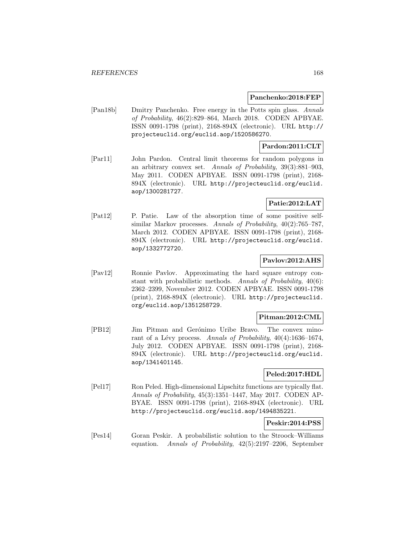#### **Panchenko:2018:FEP**

[Pan18b] Dmitry Panchenko. Free energy in the Potts spin glass. Annals of Probability, 46(2):829–864, March 2018. CODEN APBYAE. ISSN 0091-1798 (print), 2168-894X (electronic). URL http:// projecteuclid.org/euclid.aop/1520586270.

### **Pardon:2011:CLT**

[Par11] John Pardon. Central limit theorems for random polygons in an arbitrary convex set. Annals of Probability, 39(3):881–903, May 2011. CODEN APBYAE. ISSN 0091-1798 (print), 2168- 894X (electronic). URL http://projecteuclid.org/euclid. aop/1300281727.

### **Patie:2012:LAT**

[Pat12] P. Patie. Law of the absorption time of some positive selfsimilar Markov processes. Annals of Probability, 40(2):765–787, March 2012. CODEN APBYAE. ISSN 0091-1798 (print), 2168- 894X (electronic). URL http://projecteuclid.org/euclid. aop/1332772720.

### **Pavlov:2012:AHS**

[Pav12] Ronnie Pavlov. Approximating the hard square entropy constant with probabilistic methods. Annals of Probability, 40(6): 2362–2399, November 2012. CODEN APBYAE. ISSN 0091-1798 (print), 2168-894X (electronic). URL http://projecteuclid. org/euclid.aop/1351258729.

### **Pitman:2012:CML**

[PB12] Jim Pitman and Gerónimo Uribe Bravo. The convex minorant of a Lévy process. Annals of Probability,  $40(4):1636-1674$ , July 2012. CODEN APBYAE. ISSN 0091-1798 (print), 2168- 894X (electronic). URL http://projecteuclid.org/euclid. aop/1341401145.

## **Peled:2017:HDL**

[Pel17] Ron Peled. High-dimensional Lipschitz functions are typically flat. Annals of Probability, 45(3):1351–1447, May 2017. CODEN AP-BYAE. ISSN 0091-1798 (print), 2168-894X (electronic). URL http://projecteuclid.org/euclid.aop/1494835221.

## **Peskir:2014:PSS**

[Pes14] Goran Peskir. A probabilistic solution to the Stroock–Williams equation. Annals of Probability, 42(5):2197–2206, September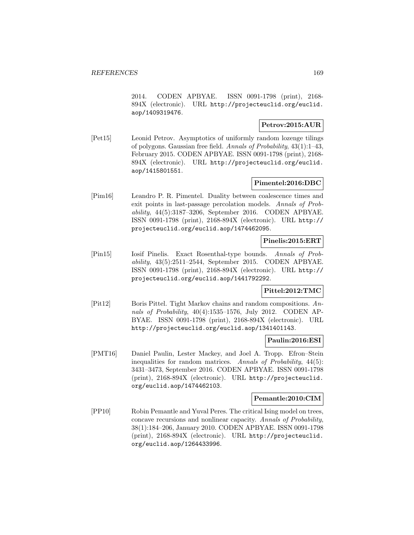2014. CODEN APBYAE. ISSN 0091-1798 (print), 2168- 894X (electronic). URL http://projecteuclid.org/euclid. aop/1409319476.

## **Petrov:2015:AUR**

[Pet15] Leonid Petrov. Asymptotics of uniformly random lozenge tilings of polygons. Gaussian free field. Annals of Probability, 43(1):1–43, February 2015. CODEN APBYAE. ISSN 0091-1798 (print), 2168- 894X (electronic). URL http://projecteuclid.org/euclid. aop/1415801551.

# **Pimentel:2016:DBC**

[Pim16] Leandro P. R. Pimentel. Duality between coalescence times and exit points in last-passage percolation models. Annals of Probability, 44(5):3187–3206, September 2016. CODEN APBYAE. ISSN 0091-1798 (print), 2168-894X (electronic). URL http:// projecteuclid.org/euclid.aop/1474462095.

### **Pinelis:2015:ERT**

[Pin15] Iosif Pinelis. Exact Rosenthal-type bounds. Annals of Probability, 43(5):2511–2544, September 2015. CODEN APBYAE. ISSN 0091-1798 (print), 2168-894X (electronic). URL http:// projecteuclid.org/euclid.aop/1441792292.

## **Pittel:2012:TMC**

[Pit12] Boris Pittel. Tight Markov chains and random compositions. Annals of Probability, 40(4):1535–1576, July 2012. CODEN AP-BYAE. ISSN 0091-1798 (print), 2168-894X (electronic). URL http://projecteuclid.org/euclid.aop/1341401143.

### **Paulin:2016:ESI**

[PMT16] Daniel Paulin, Lester Mackey, and Joel A. Tropp. Efron–Stein inequalities for random matrices. Annals of Probability, 44(5): 3431–3473, September 2016. CODEN APBYAE. ISSN 0091-1798 (print), 2168-894X (electronic). URL http://projecteuclid. org/euclid.aop/1474462103.

#### **Pemantle:2010:CIM**

[PP10] Robin Pemantle and Yuval Peres. The critical Ising model on trees, concave recursions and nonlinear capacity. Annals of Probability, 38(1):184–206, January 2010. CODEN APBYAE. ISSN 0091-1798 (print), 2168-894X (electronic). URL http://projecteuclid. org/euclid.aop/1264433996.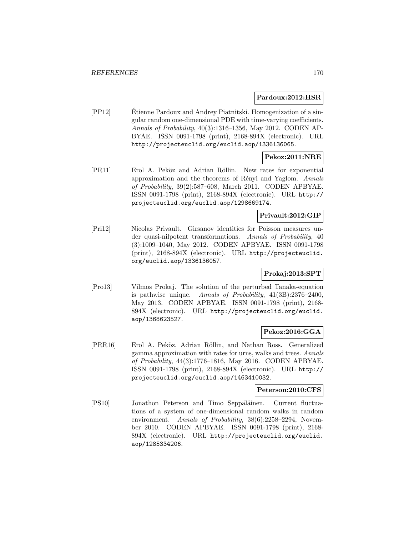#### **Pardoux:2012:HSR**

[PP12] Etienne Pardoux and Andrey Piatnitski. Homogenization of a sin- ´ gular random one-dimensional PDE with time-varying coefficients. Annals of Probability, 40(3):1316–1356, May 2012. CODEN AP-BYAE. ISSN 0091-1798 (print), 2168-894X (electronic). URL http://projecteuclid.org/euclid.aop/1336136065.

# **Pekoz:2011:NRE**

[PR11] Erol A. Peköz and Adrian Röllin. New rates for exponential approximation and the theorems of Rényi and Yaglom. Annals of Probability, 39(2):587–608, March 2011. CODEN APBYAE. ISSN 0091-1798 (print), 2168-894X (electronic). URL http:// projecteuclid.org/euclid.aop/1298669174.

### **Privault:2012:GIP**

[Pri12] Nicolas Privault. Girsanov identities for Poisson measures under quasi-nilpotent transformations. Annals of Probability, 40 (3):1009–1040, May 2012. CODEN APBYAE. ISSN 0091-1798 (print), 2168-894X (electronic). URL http://projecteuclid. org/euclid.aop/1336136057.

## **Prokaj:2013:SPT**

[Pro13] Vilmos Prokaj. The solution of the perturbed Tanaka-equation is pathwise unique. Annals of Probability, 41(3B):2376–2400, May 2013. CODEN APBYAE. ISSN 0091-1798 (print), 2168- 894X (electronic). URL http://projecteuclid.org/euclid. aop/1368623527.

### **Pekoz:2016:GGA**

[PRR16] Erol A. Peköz, Adrian Röllin, and Nathan Ross. Generalized gamma approximation with rates for urns, walks and trees. Annals of Probability, 44(3):1776–1816, May 2016. CODEN APBYAE. ISSN 0091-1798 (print), 2168-894X (electronic). URL http:// projecteuclid.org/euclid.aop/1463410032.

### **Peterson:2010:CFS**

[PS10] Jonathon Peterson and Timo Seppäläinen. Current fluctuations of a system of one-dimensional random walks in random environment. Annals of Probability, 38(6):2258-2294, November 2010. CODEN APBYAE. ISSN 0091-1798 (print), 2168- 894X (electronic). URL http://projecteuclid.org/euclid. aop/1285334206.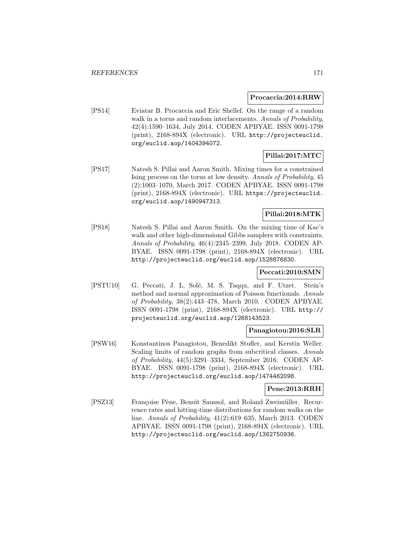#### **Procaccia:2014:RRW**

[PS14] Eviatar B. Procaccia and Eric Shellef. On the range of a random walk in a torus and random interlacements. Annals of Probability, 42(4):1590–1634, July 2014. CODEN APBYAE. ISSN 0091-1798 (print), 2168-894X (electronic). URL http://projecteuclid. org/euclid.aop/1404394072.

# **Pillai:2017:MTC**

[PS17] Natesh S. Pillai and Aaron Smith. Mixing times for a constrained Ising process on the torus at low density. Annals of Probability, 45 (2):1003–1070, March 2017. CODEN APBYAE. ISSN 0091-1798 (print), 2168-894X (electronic). URL https://projecteuclid. org/euclid.aop/1490947313.

# **Pillai:2018:MTK**

[PS18] Natesh S. Pillai and Aaron Smith. On the mixing time of Kac's walk and other high-dimensional Gibbs samplers with constraints. Annals of Probability, 46(4):2345–2399, July 2018. CODEN AP-BYAE. ISSN 0091-1798 (print), 2168-894X (electronic). URL http://projecteuclid.org/euclid.aop/1528876830.

### **Peccati:2010:SMN**

[PSTU10] G. Peccati, J. L. Solé, M. S. Taqqu, and F. Utzet. Stein's method and normal approximation of Poisson functionals. Annals of Probability, 38(2):443–478, March 2010. CODEN APBYAE. ISSN 0091-1798 (print), 2168-894X (electronic). URL http:// projecteuclid.org/euclid.aop/1268143523.

### **Panagiotou:2016:SLR**

[PSW16] Konstantinos Panagiotou, Benedikt Stufler, and Kerstin Weller. Scaling limits of random graphs from subcritical classes. Annals of Probability, 44(5):3291–3334, September 2016. CODEN AP-BYAE. ISSN 0091-1798 (print), 2168-894X (electronic). URL http://projecteuclid.org/euclid.aop/1474462098.

### **Pene:2013:RRH**

[PSZ13] Françoise Pène, Benoît Saussol, and Roland Zweimüller. Recurrence rates and hitting-time distributions for random walks on the line. Annals of Probability, 41(2):619–635, March 2013. CODEN APBYAE. ISSN 0091-1798 (print), 2168-894X (electronic). URL http://projecteuclid.org/euclid.aop/1362750936.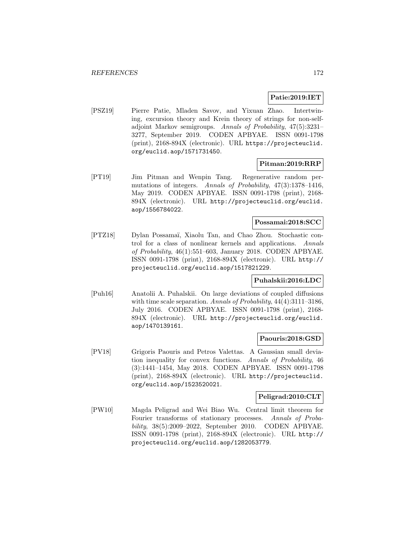### **Patie:2019:IET**

[PSZ19] Pierre Patie, Mladen Savov, and Yixuan Zhao. Intertwining, excursion theory and Krein theory of strings for non-selfadjoint Markov semigroups. Annals of Probability, 47(5):3231– 3277, September 2019. CODEN APBYAE. ISSN 0091-1798 (print), 2168-894X (electronic). URL https://projecteuclid. org/euclid.aop/1571731450.

#### **Pitman:2019:RRP**

[PT19] Jim Pitman and Wenpin Tang. Regenerative random permutations of integers. Annals of Probability, 47(3):1378–1416, May 2019. CODEN APBYAE. ISSN 0091-1798 (print), 2168- 894X (electronic). URL http://projecteuclid.org/euclid. aop/1556784022.

## **Possamai:2018:SCC**

[PTZ18] Dylan Possama¨ı, Xiaolu Tan, and Chao Zhou. Stochastic control for a class of nonlinear kernels and applications. Annals of Probability, 46(1):551–603, January 2018. CODEN APBYAE. ISSN 0091-1798 (print), 2168-894X (electronic). URL http:// projecteuclid.org/euclid.aop/1517821229.

### **Puhalskii:2016:LDC**

[Puh16] Anatolii A. Puhalskii. On large deviations of coupled diffusions with time scale separation. Annals of Probability, 44(4):3111-3186, July 2016. CODEN APBYAE. ISSN 0091-1798 (print), 2168- 894X (electronic). URL http://projecteuclid.org/euclid. aop/1470139161.

#### **Paouris:2018:GSD**

[PV18] Grigoris Paouris and Petros Valettas. A Gaussian small deviation inequality for convex functions. Annals of Probability, 46 (3):1441–1454, May 2018. CODEN APBYAE. ISSN 0091-1798 (print), 2168-894X (electronic). URL http://projecteuclid. org/euclid.aop/1523520021.

### **Peligrad:2010:CLT**

[PW10] Magda Peligrad and Wei Biao Wu. Central limit theorem for Fourier transforms of stationary processes. Annals of Probability, 38(5):2009–2022, September 2010. CODEN APBYAE. ISSN 0091-1798 (print), 2168-894X (electronic). URL http:// projecteuclid.org/euclid.aop/1282053779.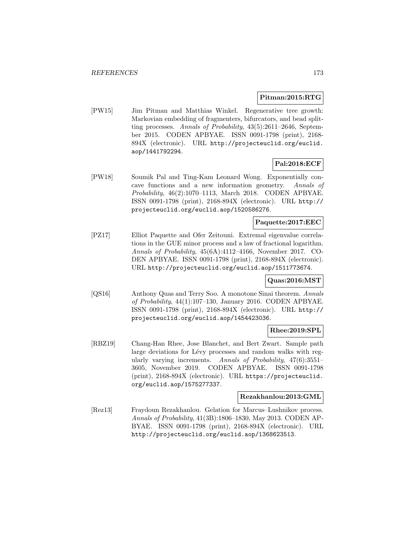### **Pitman:2015:RTG**

[PW15] Jim Pitman and Matthias Winkel. Regenerative tree growth: Markovian embedding of fragmenters, bifurcators, and bead splitting processes. Annals of Probability, 43(5):2611–2646, September 2015. CODEN APBYAE. ISSN 0091-1798 (print), 2168- 894X (electronic). URL http://projecteuclid.org/euclid. aop/1441792294.

# **Pal:2018:ECF**

[PW18] Soumik Pal and Ting-Kam Leonard Wong. Exponentially concave functions and a new information geometry. Annals of Probability, 46(2):1070–1113, March 2018. CODEN APBYAE. ISSN 0091-1798 (print), 2168-894X (electronic). URL http:// projecteuclid.org/euclid.aop/1520586276.

### **Paquette:2017:EEC**

[PZ17] Elliot Paquette and Ofer Zeitouni. Extremal eigenvalue correlations in the GUE minor process and a law of fractional logarithm. Annals of Probability, 45(6A):4112–4166, November 2017. CO-DEN APBYAE. ISSN 0091-1798 (print), 2168-894X (electronic). URL http://projecteuclid.org/euclid.aop/1511773674.

### **Quas:2016:MST**

[QS16] Anthony Quas and Terry Soo. A monotone Sinai theorem. Annals of Probability, 44(1):107–130, January 2016. CODEN APBYAE. ISSN 0091-1798 (print), 2168-894X (electronic). URL http:// projecteuclid.org/euclid.aop/1454423036.

### **Rhee:2019:SPL**

[RBZ19] Chang-Han Rhee, Jose Blanchet, and Bert Zwart. Sample path large deviations for Lévy processes and random walks with regularly varying increments. Annals of Probability, 47(6):3551– 3605, November 2019. CODEN APBYAE. ISSN 0091-1798 (print), 2168-894X (electronic). URL https://projecteuclid. org/euclid.aop/1575277337.

#### **Rezakhanlou:2013:GML**

[Rez13] Fraydoun Rezakhanlou. Gelation for Marcus–Lushnikov process. Annals of Probability, 41(3B):1806–1830, May 2013. CODEN AP-BYAE. ISSN 0091-1798 (print), 2168-894X (electronic). URL http://projecteuclid.org/euclid.aop/1368623513.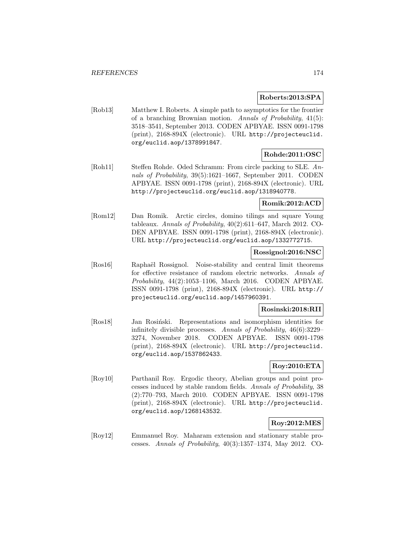### **Roberts:2013:SPA**

[Rob13] Matthew I. Roberts. A simple path to asymptotics for the frontier of a branching Brownian motion. Annals of Probability, 41(5): 3518–3541, September 2013. CODEN APBYAE. ISSN 0091-1798 (print), 2168-894X (electronic). URL http://projecteuclid. org/euclid.aop/1378991847.

# **Rohde:2011:OSC**

[Roh11] Steffen Rohde. Oded Schramm: From circle packing to SLE. Annals of Probability, 39(5):1621–1667, September 2011. CODEN APBYAE. ISSN 0091-1798 (print), 2168-894X (electronic). URL http://projecteuclid.org/euclid.aop/1318940778.

### **Romik:2012:ACD**

[Rom12] Dan Romik. Arctic circles, domino tilings and square Young tableaux. Annals of Probability, 40(2):611–647, March 2012. CO-DEN APBYAE. ISSN 0091-1798 (print), 2168-894X (electronic). URL http://projecteuclid.org/euclid.aop/1332772715.

### **Rossignol:2016:NSC**

[Ros16] Raphaël Rossignol. Noise-stability and central limit theorems for effective resistance of random electric networks. Annals of Probability, 44(2):1053–1106, March 2016. CODEN APBYAE. ISSN 0091-1798 (print), 2168-894X (electronic). URL http:// projecteuclid.org/euclid.aop/1457960391.

### **Rosinski:2018:RII**

[Ros18] Jan Rosiński. Representations and isomorphism identities for infinitely divisible processes. Annals of Probability, 46(6):3229– 3274, November 2018. CODEN APBYAE. ISSN 0091-1798 (print), 2168-894X (electronic). URL http://projecteuclid. org/euclid.aop/1537862433.

## **Roy:2010:ETA**

[Roy10] Parthanil Roy. Ergodic theory, Abelian groups and point processes induced by stable random fields. Annals of Probability, 38 (2):770–793, March 2010. CODEN APBYAE. ISSN 0091-1798 (print), 2168-894X (electronic). URL http://projecteuclid. org/euclid.aop/1268143532.

### **Roy:2012:MES**

[Roy12] Emmanuel Roy. Maharam extension and stationary stable processes. Annals of Probability, 40(3):1357–1374, May 2012. CO-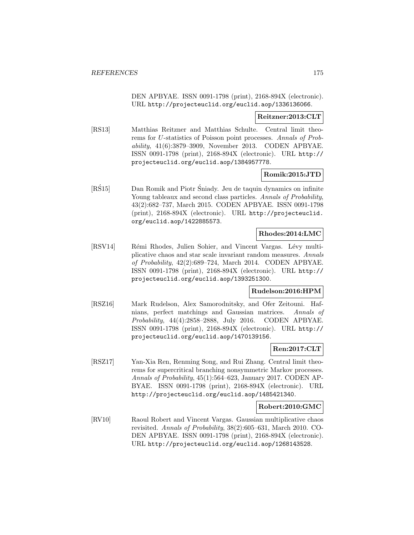DEN APBYAE. ISSN 0091-1798 (print), 2168-894X (electronic). URL http://projecteuclid.org/euclid.aop/1336136066.

#### **Reitzner:2013:CLT**

[RS13] Matthias Reitzner and Matthias Schulte. Central limit theorems for U-statistics of Poisson point processes. Annals of Probability, 41(6):3879–3909, November 2013. CODEN APBYAE. ISSN 0091-1798 (print), 2168-894X (electronic). URL http:// projecteuclid.org/euclid.aop/1384957778.

### **Romik:2015:JTD**

[RS15] Dan Romik and Piotr Sniady. Jeu de taquin dynamics on infinite Young tableaux and second class particles. Annals of Probability, 43(2):682–737, March 2015. CODEN APBYAE. ISSN 0091-1798 (print), 2168-894X (electronic). URL http://projecteuclid. org/euclid.aop/1422885573.

### **Rhodes:2014:LMC**

[RSV14] Rémi Rhodes, Julien Sohier, and Vincent Vargas. Lévy multiplicative chaos and star scale invariant random measures. Annals of Probability, 42(2):689–724, March 2014. CODEN APBYAE. ISSN 0091-1798 (print), 2168-894X (electronic). URL http:// projecteuclid.org/euclid.aop/1393251300.

### **Rudelson:2016:HPM**

[RSZ16] Mark Rudelson, Alex Samorodnitsky, and Ofer Zeitouni. Hafnians, perfect matchings and Gaussian matrices. Annals of Probability, 44(4):2858–2888, July 2016. CODEN APBYAE. ISSN 0091-1798 (print), 2168-894X (electronic). URL http:// projecteuclid.org/euclid.aop/1470139156.

### **Ren:2017:CLT**

[RSZ17] Yan-Xia Ren, Renming Song, and Rui Zhang. Central limit theorems for supercritical branching nonsymmetric Markov processes. Annals of Probability, 45(1):564–623, January 2017. CODEN AP-BYAE. ISSN 0091-1798 (print), 2168-894X (electronic). URL http://projecteuclid.org/euclid.aop/1485421340.

### **Robert:2010:GMC**

[RV10] Raoul Robert and Vincent Vargas. Gaussian multiplicative chaos revisited. Annals of Probability, 38(2):605–631, March 2010. CO-DEN APBYAE. ISSN 0091-1798 (print), 2168-894X (electronic). URL http://projecteuclid.org/euclid.aop/1268143528.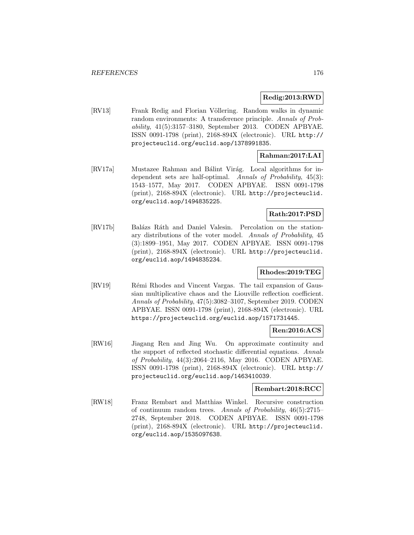### **Redig:2013:RWD**

[RV13] Frank Redig and Florian Völlering. Random walks in dynamic random environments: A transference principle. Annals of Probability, 41(5):3157–3180, September 2013. CODEN APBYAE. ISSN 0091-1798 (print), 2168-894X (electronic). URL http:// projecteuclid.org/euclid.aop/1378991835.

### **Rahman:2017:LAI**

[RV17a] Mustazee Rahman and Bálint Virág. Local algorithms for independent sets are half-optimal. Annals of Probability, 45(3): 1543–1577, May 2017. CODEN APBYAE. ISSN 0091-1798 (print), 2168-894X (electronic). URL http://projecteuclid. org/euclid.aop/1494835225.

### **Rath:2017:PSD**

[RV17b] Balázs Ráth and Daniel Valesin. Percolation on the stationary distributions of the voter model. Annals of Probability, 45 (3):1899–1951, May 2017. CODEN APBYAE. ISSN 0091-1798 (print), 2168-894X (electronic). URL http://projecteuclid. org/euclid.aop/1494835234.

### **Rhodes:2019:TEG**

[RV19] Rémi Rhodes and Vincent Vargas. The tail expansion of Gaussian multiplicative chaos and the Liouville reflection coefficient. Annals of Probability, 47(5):3082–3107, September 2019. CODEN APBYAE. ISSN 0091-1798 (print), 2168-894X (electronic). URL https://projecteuclid.org/euclid.aop/1571731445.

### **Ren:2016:ACS**

[RW16] Jiagang Ren and Jing Wu. On approximate continuity and the support of reflected stochastic differential equations. Annals of Probability, 44(3):2064–2116, May 2016. CODEN APBYAE. ISSN 0091-1798 (print), 2168-894X (electronic). URL http:// projecteuclid.org/euclid.aop/1463410039.

### **Rembart:2018:RCC**

[RW18] Franz Rembart and Matthias Winkel. Recursive construction of continuum random trees. Annals of Probability, 46(5):2715– 2748, September 2018. CODEN APBYAE. ISSN 0091-1798 (print), 2168-894X (electronic). URL http://projecteuclid. org/euclid.aop/1535097638.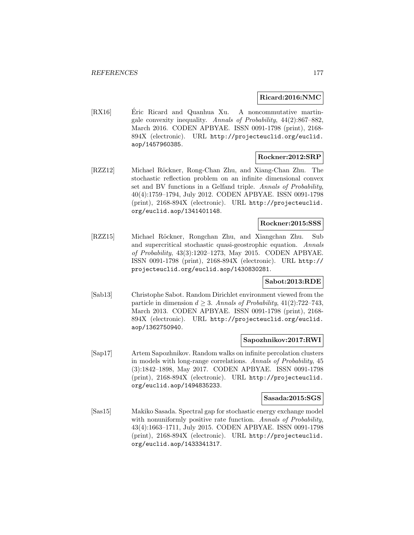### **Ricard:2016:NMC**

[RX16] Eric Ricard and Quanhua Xu. A noncommutative martingale convexity inequality. Annals of Probability, 44(2):867–882, March 2016. CODEN APBYAE. ISSN 0091-1798 (print), 2168- 894X (electronic). URL http://projecteuclid.org/euclid. aop/1457960385.

# **Rockner:2012:SRP**

[RZZ12] Michael Röckner, Rong-Chan Zhu, and Xiang-Chan Zhu. The stochastic reflection problem on an infinite dimensional convex set and BV functions in a Gelfand triple. Annals of Probability, 40(4):1759–1794, July 2012. CODEN APBYAE. ISSN 0091-1798 (print), 2168-894X (electronic). URL http://projecteuclid. org/euclid.aop/1341401148.

# **Rockner:2015:SSS**

[RZZ15] Michael R¨ockner, Rongchan Zhu, and Xiangchan Zhu. Sub and supercritical stochastic quasi-geostrophic equation. Annals of Probability, 43(3):1202–1273, May 2015. CODEN APBYAE. ISSN 0091-1798 (print), 2168-894X (electronic). URL http:// projecteuclid.org/euclid.aop/1430830281.

### **Sabot:2013:RDE**

[Sab13] Christophe Sabot. Random Dirichlet environment viewed from the particle in dimension  $d > 3$ . Annals of Probability, 41(2):722–743, March 2013. CODEN APBYAE. ISSN 0091-1798 (print), 2168- 894X (electronic). URL http://projecteuclid.org/euclid. aop/1362750940.

### **Sapozhnikov:2017:RWI**

[Sap17] Artem Sapozhnikov. Random walks on infinite percolation clusters in models with long-range correlations. Annals of Probability, 45 (3):1842–1898, May 2017. CODEN APBYAE. ISSN 0091-1798 (print), 2168-894X (electronic). URL http://projecteuclid. org/euclid.aop/1494835233.

#### **Sasada:2015:SGS**

[Sas15] Makiko Sasada. Spectral gap for stochastic energy exchange model with nonuniformly positive rate function. Annals of Probability, 43(4):1663–1711, July 2015. CODEN APBYAE. ISSN 0091-1798 (print), 2168-894X (electronic). URL http://projecteuclid. org/euclid.aop/1433341317.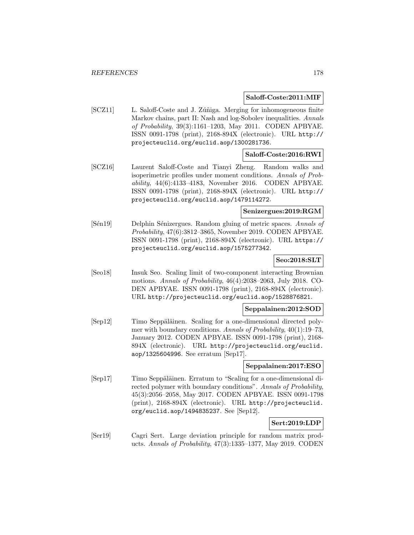#### **Saloff-Coste:2011:MIF**

[SCZ11] L. Saloff-Coste and J. Zúñiga. Merging for inhomogeneous finite Markov chains, part II: Nash and log-Sobolev inequalities. Annals of Probability, 39(3):1161–1203, May 2011. CODEN APBYAE. ISSN 0091-1798 (print), 2168-894X (electronic). URL http:// projecteuclid.org/euclid.aop/1300281736.

#### **Saloff-Coste:2016:RWI**

[SCZ16] Laurent Saloff-Coste and Tianyi Zheng. Random walks and isoperimetric profiles under moment conditions. Annals of Probability, 44(6):4133–4183, November 2016. CODEN APBYAE. ISSN 0091-1798 (print), 2168-894X (electronic). URL http:// projecteuclid.org/euclid.aop/1479114272.

### **Senizergues:2019:RGM**

[Sen19] Delphin Senizergues. Random gluing of metric spaces. Annals of Probability, 47(6):3812–3865, November 2019. CODEN APBYAE. ISSN 0091-1798 (print), 2168-894X (electronic). URL https:// projecteuclid.org/euclid.aop/1575277342.

### **Seo:2018:SLT**

[Seo18] Insuk Seo. Scaling limit of two-component interacting Brownian motions. Annals of Probability, 46(4):2038–2063, July 2018. CO-DEN APBYAE. ISSN 0091-1798 (print), 2168-894X (electronic). URL http://projecteuclid.org/euclid.aop/1528876821.

### **Seppalainen:2012:SOD**

[Sep12] Timo Seppäläinen. Scaling for a one-dimensional directed polymer with boundary conditions. Annals of Probability, 40(1):19–73, January 2012. CODEN APBYAE. ISSN 0091-1798 (print), 2168- 894X (electronic). URL http://projecteuclid.org/euclid. aop/1325604996. See erratum [Sep17].

### **Seppalainen:2017:ESO**

[Sep17] Timo Seppäläinen. Erratum to "Scaling for a one-dimensional directed polymer with boundary conditions". Annals of Probability, 45(3):2056–2058, May 2017. CODEN APBYAE. ISSN 0091-1798 (print), 2168-894X (electronic). URL http://projecteuclid. org/euclid.aop/1494835237. See [Sep12].

## **Sert:2019:LDP**

[Ser19] Cagri Sert. Large deviation principle for random matrix products. Annals of Probability, 47(3):1335–1377, May 2019. CODEN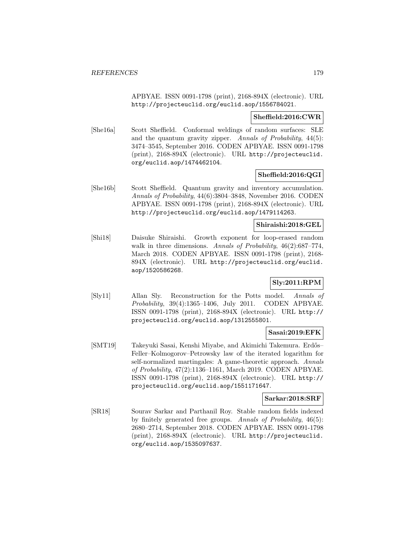APBYAE. ISSN 0091-1798 (print), 2168-894X (electronic). URL http://projecteuclid.org/euclid.aop/1556784021.

### **Sheffield:2016:CWR**

[She16a] Scott Sheffield. Conformal weldings of random surfaces: SLE and the quantum gravity zipper. Annals of Probability, 44(5): 3474–3545, September 2016. CODEN APBYAE. ISSN 0091-1798 (print), 2168-894X (electronic). URL http://projecteuclid. org/euclid.aop/1474462104.

### **Sheffield:2016:QGI**

[She16b] Scott Sheffield. Quantum gravity and inventory accumulation. Annals of Probability, 44(6):3804–3848, November 2016. CODEN APBYAE. ISSN 0091-1798 (print), 2168-894X (electronic). URL http://projecteuclid.org/euclid.aop/1479114263.

### **Shiraishi:2018:GEL**

[Shi18] Daisuke Shiraishi. Growth exponent for loop-erased random walk in three dimensions. Annals of Probability, 46(2):687–774, March 2018. CODEN APBYAE. ISSN 0091-1798 (print), 2168- 894X (electronic). URL http://projecteuclid.org/euclid. aop/1520586268.

# **Sly:2011:RPM**

[Sly11] Allan Sly. Reconstruction for the Potts model. Annals of Probability, 39(4):1365–1406, July 2011. CODEN APBYAE. ISSN 0091-1798 (print), 2168-894X (electronic). URL http:// projecteuclid.org/euclid.aop/1312555801.

#### **Sasai:2019:EFK**

[SMT19] Takeyuki Sasai, Kenshi Miyabe, and Akimichi Takemura. Erdős– Feller–Kolmogorov–Petrowsky law of the iterated logarithm for self-normalized martingales: A game-theoretic approach. Annals of Probability, 47(2):1136–1161, March 2019. CODEN APBYAE. ISSN 0091-1798 (print), 2168-894X (electronic). URL http:// projecteuclid.org/euclid.aop/1551171647.

#### **Sarkar:2018:SRF**

[SR18] Sourav Sarkar and Parthanil Roy. Stable random fields indexed by finitely generated free groups. Annals of Probability, 46(5): 2680–2714, September 2018. CODEN APBYAE. ISSN 0091-1798 (print), 2168-894X (electronic). URL http://projecteuclid. org/euclid.aop/1535097637.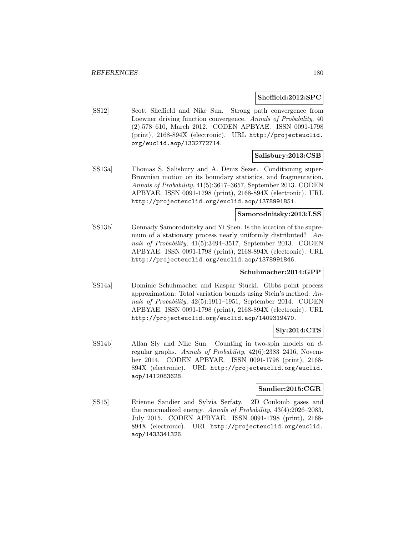#### **Sheffield:2012:SPC**

[SS12] Scott Sheffield and Nike Sun. Strong path convergence from Loewner driving function convergence. Annals of Probability, 40 (2):578–610, March 2012. CODEN APBYAE. ISSN 0091-1798 (print), 2168-894X (electronic). URL http://projecteuclid. org/euclid.aop/1332772714.

### **Salisbury:2013:CSB**

[SS13a] Thomas S. Salisbury and A. Deniz Sezer. Conditioning super-Brownian motion on its boundary statistics, and fragmentation. Annals of Probability, 41(5):3617–3657, September 2013. CODEN APBYAE. ISSN 0091-1798 (print), 2168-894X (electronic). URL http://projecteuclid.org/euclid.aop/1378991851.

### **Samorodnitsky:2013:LSS**

[SS13b] Gennady Samorodnitsky and Yi Shen. Is the location of the supremum of a stationary process nearly uniformly distributed? Annals of Probability, 41(5):3494–3517, September 2013. CODEN APBYAE. ISSN 0091-1798 (print), 2168-894X (electronic). URL http://projecteuclid.org/euclid.aop/1378991846.

### **Schuhmacher:2014:GPP**

[SS14a] Dominic Schuhmacher and Kaspar Stucki. Gibbs point process approximation: Total variation bounds using Stein's method. Annals of Probability, 42(5):1911–1951, September 2014. CODEN APBYAE. ISSN 0091-1798 (print), 2168-894X (electronic). URL http://projecteuclid.org/euclid.aop/1409319470.

## **Sly:2014:CTS**

[SS14b] Allan Sly and Nike Sun. Counting in two-spin models on dregular graphs. Annals of Probability, 42(6):2383–2416, November 2014. CODEN APBYAE. ISSN 0091-1798 (print), 2168- 894X (electronic). URL http://projecteuclid.org/euclid. aop/1412083628.

### **Sandier:2015:CGR**

[SS15] Etienne Sandier and Sylvia Serfaty. 2D Coulomb gases and the renormalized energy. Annals of Probability, 43(4):2026–2083, July 2015. CODEN APBYAE. ISSN 0091-1798 (print), 2168- 894X (electronic). URL http://projecteuclid.org/euclid. aop/1433341326.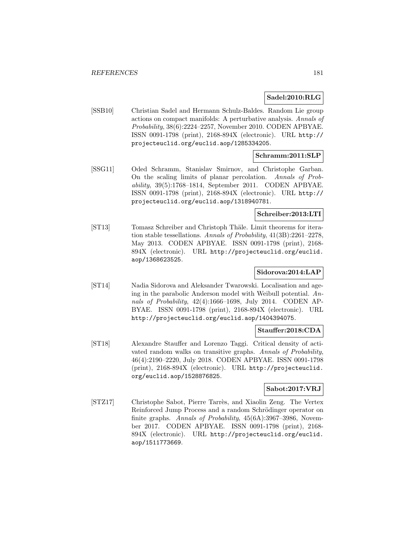### **Sadel:2010:RLG**

[SSB10] Christian Sadel and Hermann Schulz-Baldes. Random Lie group actions on compact manifolds: A perturbative analysis. Annals of Probability, 38(6):2224–2257, November 2010. CODEN APBYAE. ISSN 0091-1798 (print), 2168-894X (electronic). URL http:// projecteuclid.org/euclid.aop/1285334205.

### **Schramm:2011:SLP**

[SSG11] Oded Schramm, Stanislav Smirnov, and Christophe Garban. On the scaling limits of planar percolation. Annals of Probability, 39(5):1768–1814, September 2011. CODEN APBYAE. ISSN 0091-1798 (print), 2168-894X (electronic). URL http:// projecteuclid.org/euclid.aop/1318940781.

### **Schreiber:2013:LTI**

[ST13] Tomasz Schreiber and Christoph Thäle. Limit theorems for iteration stable tessellations. Annals of Probability, 41(3B):2261–2278, May 2013. CODEN APBYAE. ISSN 0091-1798 (print), 2168- 894X (electronic). URL http://projecteuclid.org/euclid. aop/1368623525.

# **Sidorova:2014:LAP**

[ST14] Nadia Sidorova and Aleksander Twarowski. Localisation and ageing in the parabolic Anderson model with Weibull potential. Annals of Probability, 42(4):1666–1698, July 2014. CODEN AP-BYAE. ISSN 0091-1798 (print), 2168-894X (electronic). URL http://projecteuclid.org/euclid.aop/1404394075.

### **Stauffer:2018:CDA**

[ST18] Alexandre Stauffer and Lorenzo Taggi. Critical density of activated random walks on transitive graphs. Annals of Probability, 46(4):2190–2220, July 2018. CODEN APBYAE. ISSN 0091-1798 (print), 2168-894X (electronic). URL http://projecteuclid. org/euclid.aop/1528876825.

### **Sabot:2017:VRJ**

[STZ17] Christophe Sabot, Pierre Tarrès, and Xiaolin Zeng. The Vertex Reinforced Jump Process and a random Schrödinger operator on finite graphs. Annals of Probability,  $45(6A):3967-3986$ , November 2017. CODEN APBYAE. ISSN 0091-1798 (print), 2168- 894X (electronic). URL http://projecteuclid.org/euclid. aop/1511773669.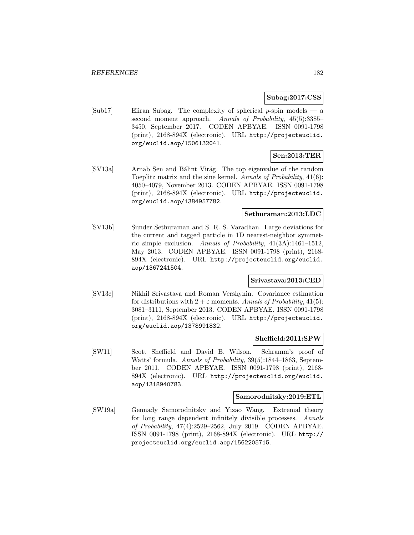#### **Subag:2017:CSS**

[Sub17] Eliran Subag. The complexity of spherical  $p$ -spin models — a second moment approach. Annals of Probability, 45(5):3385– 3450, September 2017. CODEN APBYAE. ISSN 0091-1798 (print), 2168-894X (electronic). URL http://projecteuclid. org/euclid.aop/1506132041.

# **Sen:2013:TER**

[SV13a] Arnab Sen and Bálint Virág. The top eigenvalue of the random Toeplitz matrix and the sine kernel. Annals of Probability, 41(6): 4050–4079, November 2013. CODEN APBYAE. ISSN 0091-1798 (print), 2168-894X (electronic). URL http://projecteuclid. org/euclid.aop/1384957782.

# **Sethuraman:2013:LDC**

[SV13b] Sunder Sethuraman and S. R. S. Varadhan. Large deviations for the current and tagged particle in 1D nearest-neighbor symmetric simple exclusion. Annals of Probability, 41(3A):1461–1512, May 2013. CODEN APBYAE. ISSN 0091-1798 (print), 2168- 894X (electronic). URL http://projecteuclid.org/euclid. aop/1367241504.

### **Srivastava:2013:CED**

[SV13c] Nikhil Srivastava and Roman Vershynin. Covariance estimation for distributions with  $2 + \varepsilon$  moments. Annals of Probability, 41(5): 3081–3111, September 2013. CODEN APBYAE. ISSN 0091-1798 (print), 2168-894X (electronic). URL http://projecteuclid. org/euclid.aop/1378991832.

#### **Sheffield:2011:SPW**

[SW11] Scott Sheffield and David B. Wilson. Schramm's proof of Watts' formula. Annals of Probability, 39(5):1844–1863, September 2011. CODEN APBYAE. ISSN 0091-1798 (print), 2168- 894X (electronic). URL http://projecteuclid.org/euclid. aop/1318940783.

#### **Samorodnitsky:2019:ETL**

[SW19a] Gennady Samorodnitsky and Yizao Wang. Extremal theory for long range dependent infinitely divisible processes. Annals of Probability, 47(4):2529–2562, July 2019. CODEN APBYAE. ISSN 0091-1798 (print), 2168-894X (electronic). URL http:// projecteuclid.org/euclid.aop/1562205715.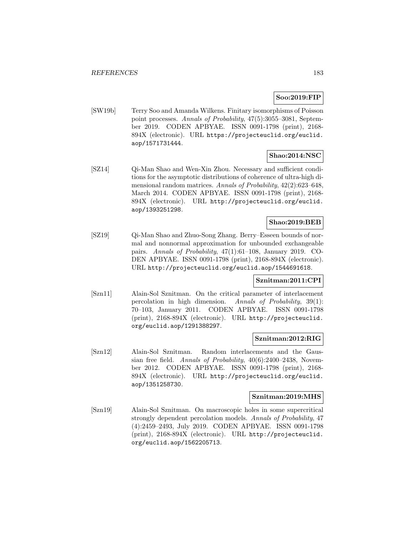## **Soo:2019:FIP**

[SW19b] Terry Soo and Amanda Wilkens. Finitary isomorphisms of Poisson point processes. Annals of Probability, 47(5):3055–3081, September 2019. CODEN APBYAE. ISSN 0091-1798 (print), 2168- 894X (electronic). URL https://projecteuclid.org/euclid. aop/1571731444.

### **Shao:2014:NSC**

[SZ14] Qi-Man Shao and Wen-Xin Zhou. Necessary and sufficient conditions for the asymptotic distributions of coherence of ultra-high dimensional random matrices. Annals of Probability, 42(2):623–648, March 2014. CODEN APBYAE. ISSN 0091-1798 (print), 2168- 894X (electronic). URL http://projecteuclid.org/euclid. aop/1393251298.

# **Shao:2019:BEB**

[SZ19] Qi-Man Shao and Zhuo-Song Zhang. Berry–Esseen bounds of normal and nonnormal approximation for unbounded exchangeable pairs. Annals of Probability, 47(1):61–108, January 2019. CO-DEN APBYAE. ISSN 0091-1798 (print), 2168-894X (electronic). URL http://projecteuclid.org/euclid.aop/1544691618.

# **Sznitman:2011:CPI**

[Szn11] Alain-Sol Sznitman. On the critical parameter of interlacement percolation in high dimension. Annals of Probability, 39(1): 70–103, January 2011. CODEN APBYAE. ISSN 0091-1798 (print), 2168-894X (electronic). URL http://projecteuclid. org/euclid.aop/1291388297.

### **Sznitman:2012:RIG**

[Szn12] Alain-Sol Sznitman. Random interlacements and the Gaussian free field. Annals of Probability, 40(6):2400–2438, November 2012. CODEN APBYAE. ISSN 0091-1798 (print), 2168- 894X (electronic). URL http://projecteuclid.org/euclid. aop/1351258730.

#### **Sznitman:2019:MHS**

[Szn19] Alain-Sol Sznitman. On macroscopic holes in some supercritical strongly dependent percolation models. Annals of Probability, 47 (4):2459–2493, July 2019. CODEN APBYAE. ISSN 0091-1798 (print), 2168-894X (electronic). URL http://projecteuclid. org/euclid.aop/1562205713.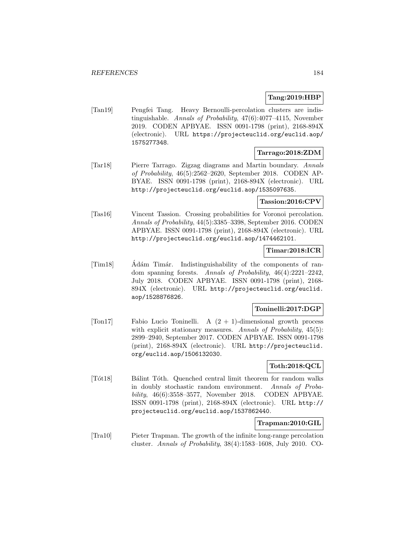## **Tang:2019:HBP**

[Tan19] Pengfei Tang. Heavy Bernoulli-percolation clusters are indistinguishable. Annals of Probability, 47(6):4077–4115, November 2019. CODEN APBYAE. ISSN 0091-1798 (print), 2168-894X (electronic). URL https://projecteuclid.org/euclid.aop/ 1575277348.

### **Tarrago:2018:ZDM**

[Tar18] Pierre Tarrago. Zigzag diagrams and Martin boundary. Annals of Probability, 46(5):2562–2620, September 2018. CODEN AP-BYAE. ISSN 0091-1798 (print), 2168-894X (electronic). URL http://projecteuclid.org/euclid.aop/1535097635.

# **Tassion:2016:CPV**

[Tas16] Vincent Tassion. Crossing probabilities for Voronoi percolation. Annals of Probability, 44(5):3385–3398, September 2016. CODEN APBYAE. ISSN 0091-1798 (print), 2168-894X (electronic). URL http://projecteuclid.org/euclid.aop/1474462101.

# **Timar:2018:ICR**

[Tim18] Adám Timár. Indistinguishability of the components of random spanning forests. Annals of Probability, 46(4):2221–2242, July 2018. CODEN APBYAE. ISSN 0091-1798 (print), 2168- 894X (electronic). URL http://projecteuclid.org/euclid. aop/1528876826.

## **Toninelli:2017:DGP**

[Ton17] Fabio Lucio Toninelli. A (2 + 1)-dimensional growth process with explicit stationary measures. Annals of Probability, 45(5): 2899–2940, September 2017. CODEN APBYAE. ISSN 0091-1798 (print), 2168-894X (electronic). URL http://projecteuclid. org/euclid.aop/1506132030.

# **Toth:2018:QCL**

[Tót18] Bálint Tóth. Quenched central limit theorem for random walks in doubly stochastic random environment. Annals of Probability, 46(6):3558–3577, November 2018. CODEN APBYAE. ISSN 0091-1798 (print), 2168-894X (electronic). URL http:// projecteuclid.org/euclid.aop/1537862440.

### **Trapman:2010:GIL**

[Tra10] Pieter Trapman. The growth of the infinite long-range percolation cluster. Annals of Probability, 38(4):1583–1608, July 2010. CO-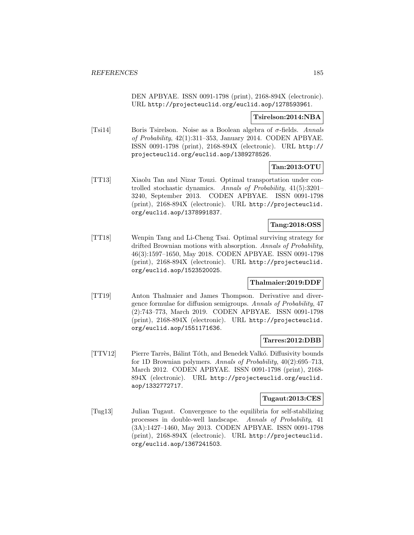DEN APBYAE. ISSN 0091-1798 (print), 2168-894X (electronic). URL http://projecteuclid.org/euclid.aop/1278593961.

### **Tsirelson:2014:NBA**

[Tsi14] Boris Tsirelson. Noise as a Boolean algebra of  $\sigma$ -fields. Annals of Probability, 42(1):311–353, January 2014. CODEN APBYAE. ISSN 0091-1798 (print), 2168-894X (electronic). URL http:// projecteuclid.org/euclid.aop/1389278526.

# **Tan:2013:OTU**

[TT13] Xiaolu Tan and Nizar Touzi. Optimal transportation under controlled stochastic dynamics. Annals of Probability, 41(5):3201– 3240, September 2013. CODEN APBYAE. ISSN 0091-1798 (print), 2168-894X (electronic). URL http://projecteuclid. org/euclid.aop/1378991837.

## **Tang:2018:OSS**

[TT18] Wenpin Tang and Li-Cheng Tsai. Optimal surviving strategy for drifted Brownian motions with absorption. Annals of Probability, 46(3):1597–1650, May 2018. CODEN APBYAE. ISSN 0091-1798 (print), 2168-894X (electronic). URL http://projecteuclid. org/euclid.aop/1523520025.

### **Thalmaier:2019:DDF**

[TT19] Anton Thalmaier and James Thompson. Derivative and divergence formulae for diffusion semigroups. Annals of Probability, 47 (2):743–773, March 2019. CODEN APBYAE. ISSN 0091-1798 (print), 2168-894X (electronic). URL http://projecteuclid. org/euclid.aop/1551171636.

#### **Tarres:2012:DBB**

[TTV12] Pierre Tarrès, Bálint Tóth, and Benedek Valkó. Diffusivity bounds for 1D Brownian polymers. Annals of Probability, 40(2):695–713, March 2012. CODEN APBYAE. ISSN 0091-1798 (print), 2168- 894X (electronic). URL http://projecteuclid.org/euclid. aop/1332772717.

#### **Tugaut:2013:CES**

[Tug13] Julian Tugaut. Convergence to the equilibria for self-stabilizing processes in double-well landscape. Annals of Probability, 41 (3A):1427–1460, May 2013. CODEN APBYAE. ISSN 0091-1798 (print), 2168-894X (electronic). URL http://projecteuclid. org/euclid.aop/1367241503.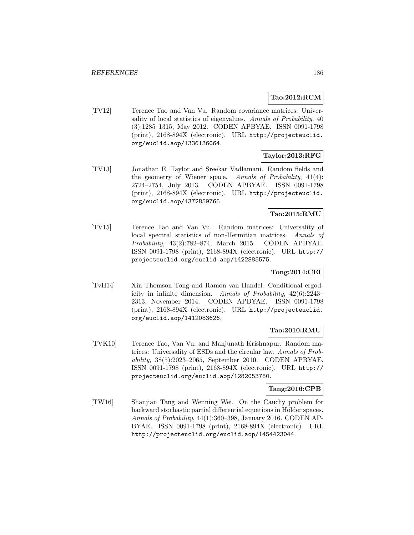## **Tao:2012:RCM**

[TV12] Terence Tao and Van Vu. Random covariance matrices: Universality of local statistics of eigenvalues. Annals of Probability, 40 (3):1285–1315, May 2012. CODEN APBYAE. ISSN 0091-1798 (print), 2168-894X (electronic). URL http://projecteuclid. org/euclid.aop/1336136064.

# **Taylor:2013:RFG**

[TV13] Jonathan E. Taylor and Sreekar Vadlamani. Random fields and the geometry of Wiener space. Annals of Probability, 41(4): 2724–2754, July 2013. CODEN APBYAE. ISSN 0091-1798 (print), 2168-894X (electronic). URL http://projecteuclid. org/euclid.aop/1372859765.

# **Tao:2015:RMU**

[TV15] Terence Tao and Van Vu. Random matrices: Universality of local spectral statistics of non-Hermitian matrices. Annals of Probability, 43(2):782–874, March 2015. CODEN APBYAE. ISSN 0091-1798 (print), 2168-894X (electronic). URL http:// projecteuclid.org/euclid.aop/1422885575.

# **Tong:2014:CEI**

[TvH14] Xin Thomson Tong and Ramon van Handel. Conditional ergodicity in infinite dimension. Annals of Probability, 42(6):2243– 2313, November 2014. CODEN APBYAE. ISSN 0091-1798 (print), 2168-894X (electronic). URL http://projecteuclid. org/euclid.aop/1412083626.

### **Tao:2010:RMU**

[TVK10] Terence Tao, Van Vu, and Manjunath Krishnapur. Random matrices: Universality of ESDs and the circular law. Annals of Probability, 38(5):2023–2065, September 2010. CODEN APBYAE. ISSN 0091-1798 (print), 2168-894X (electronic). URL http:// projecteuclid.org/euclid.aop/1282053780.

### **Tang:2016:CPB**

[TW16] Shanjian Tang and Wenning Wei. On the Cauchy problem for backward stochastic partial differential equations in Hölder spaces. Annals of Probability, 44(1):360–398, January 2016. CODEN AP-BYAE. ISSN 0091-1798 (print), 2168-894X (electronic). URL http://projecteuclid.org/euclid.aop/1454423044.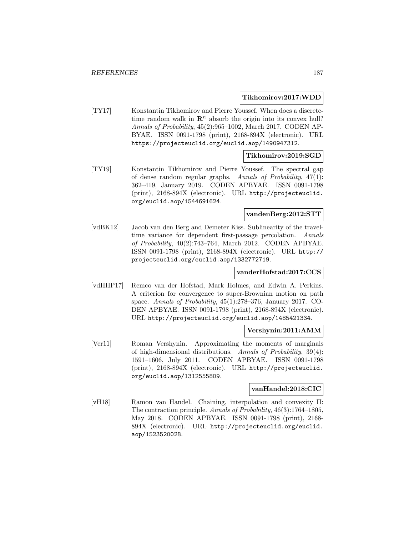#### **Tikhomirov:2017:WDD**

[TY17] Konstantin Tikhomirov and Pierre Youssef. When does a discretetime random walk in  $\mathbb{R}^n$  absorb the origin into its convex hull? Annals of Probability, 45(2):965–1002, March 2017. CODEN AP-BYAE. ISSN 0091-1798 (print), 2168-894X (electronic). URL https://projecteuclid.org/euclid.aop/1490947312.

### **Tikhomirov:2019:SGD**

[TY19] Konstantin Tikhomirov and Pierre Youssef. The spectral gap of dense random regular graphs. Annals of Probability, 47(1): 362–419, January 2019. CODEN APBYAE. ISSN 0091-1798 (print), 2168-894X (electronic). URL http://projecteuclid. org/euclid.aop/1544691624.

# **vandenBerg:2012:STT**

[vdBK12] Jacob van den Berg and Demeter Kiss. Sublinearity of the traveltime variance for dependent first-passage percolation. Annals of Probability, 40(2):743–764, March 2012. CODEN APBYAE. ISSN 0091-1798 (print), 2168-894X (electronic). URL http:// projecteuclid.org/euclid.aop/1332772719.

### **vanderHofstad:2017:CCS**

[vdHHP17] Remco van der Hofstad, Mark Holmes, and Edwin A. Perkins. A criterion for convergence to super-Brownian motion on path space. Annals of Probability, 45(1):278–376, January 2017. CO-DEN APBYAE. ISSN 0091-1798 (print), 2168-894X (electronic). URL http://projecteuclid.org/euclid.aop/1485421334.

### **Vershynin:2011:AMM**

[Ver11] Roman Vershynin. Approximating the moments of marginals of high-dimensional distributions. Annals of Probability, 39(4): 1591–1606, July 2011. CODEN APBYAE. ISSN 0091-1798 (print), 2168-894X (electronic). URL http://projecteuclid. org/euclid.aop/1312555809.

# **vanHandel:2018:CIC**

[vH18] Ramon van Handel. Chaining, interpolation and convexity II: The contraction principle. Annals of Probability, 46(3):1764–1805, May 2018. CODEN APBYAE. ISSN 0091-1798 (print), 2168- 894X (electronic). URL http://projecteuclid.org/euclid. aop/1523520028.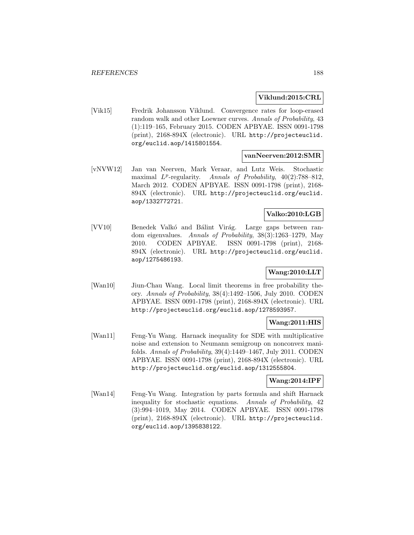### **Viklund:2015:CRL**

[Vik15] Fredrik Johansson Viklund. Convergence rates for loop-erased random walk and other Loewner curves. Annals of Probability, 43 (1):119–165, February 2015. CODEN APBYAE. ISSN 0091-1798 (print), 2168-894X (electronic). URL http://projecteuclid. org/euclid.aop/1415801554.

### **vanNeerven:2012:SMR**

[vNVW12] Jan van Neerven, Mark Veraar, and Lutz Weis. Stochastic maximal  $L^p$ -regularity. Annals of Probability, 40(2):788–812, March 2012. CODEN APBYAE. ISSN 0091-1798 (print), 2168- 894X (electronic). URL http://projecteuclid.org/euclid. aop/1332772721.

# **Valko:2010:LGB**

[VV10] Benedek Valkó and Bálint Virág. Large gaps between random eigenvalues. Annals of Probability, 38(3):1263–1279, May 2010. CODEN APBYAE. ISSN 0091-1798 (print), 2168- 894X (electronic). URL http://projecteuclid.org/euclid. aop/1275486193.

# **Wang:2010:LLT**

[Wan10] Jiun-Chau Wang. Local limit theorems in free probability theory. Annals of Probability, 38(4):1492–1506, July 2010. CODEN APBYAE. ISSN 0091-1798 (print), 2168-894X (electronic). URL http://projecteuclid.org/euclid.aop/1278593957.

### **Wang:2011:HIS**

[Wan11] Feng-Yu Wang. Harnack inequality for SDE with multiplicative noise and extension to Neumann semigroup on nonconvex manifolds. Annals of Probability, 39(4):1449–1467, July 2011. CODEN APBYAE. ISSN 0091-1798 (print), 2168-894X (electronic). URL http://projecteuclid.org/euclid.aop/1312555804.

### **Wang:2014:IPF**

[Wan14] Feng-Yu Wang. Integration by parts formula and shift Harnack inequality for stochastic equations. Annals of Probability, 42 (3):994–1019, May 2014. CODEN APBYAE. ISSN 0091-1798 (print), 2168-894X (electronic). URL http://projecteuclid. org/euclid.aop/1395838122.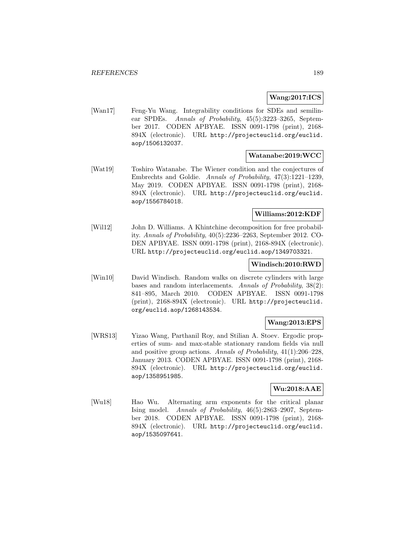### **Wang:2017:ICS**

[Wan17] Feng-Yu Wang. Integrability conditions for SDEs and semilinear SPDEs. Annals of Probability, 45(5):3223–3265, September 2017. CODEN APBYAE. ISSN 0091-1798 (print), 2168- 894X (electronic). URL http://projecteuclid.org/euclid. aop/1506132037.

### **Watanabe:2019:WCC**

[Wat19] Toshiro Watanabe. The Wiener condition and the conjectures of Embrechts and Goldie. Annals of Probability, 47(3):1221–1239, May 2019. CODEN APBYAE. ISSN 0091-1798 (print), 2168- 894X (electronic). URL http://projecteuclid.org/euclid. aop/1556784018.

# **Williams:2012:KDF**

[Wil12] John D. Williams. A Khintchine decomposition for free probability. Annals of Probability, 40(5):2236–2263, September 2012. CO-DEN APBYAE. ISSN 0091-1798 (print), 2168-894X (electronic). URL http://projecteuclid.org/euclid.aop/1349703321.

### **Windisch:2010:RWD**

[Win10] David Windisch. Random walks on discrete cylinders with large bases and random interlacements. Annals of Probability, 38(2): 841–895, March 2010. CODEN APBYAE. ISSN 0091-1798 (print), 2168-894X (electronic). URL http://projecteuclid. org/euclid.aop/1268143534.

### **Wang:2013:EPS**

[WRS13] Yizao Wang, Parthanil Roy, and Stilian A. Stoev. Ergodic properties of sum- and max-stable stationary random fields via null and positive group actions. Annals of Probability, 41(1):206–228, January 2013. CODEN APBYAE. ISSN 0091-1798 (print), 2168- 894X (electronic). URL http://projecteuclid.org/euclid. aop/1358951985.

### **Wu:2018:AAE**

[Wu18] Hao Wu. Alternating arm exponents for the critical planar Ising model. Annals of Probability, 46(5):2863–2907, September 2018. CODEN APBYAE. ISSN 0091-1798 (print), 2168- 894X (electronic). URL http://projecteuclid.org/euclid. aop/1535097641.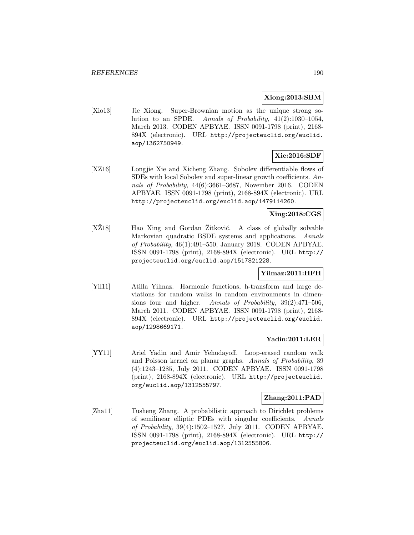### **Xiong:2013:SBM**

[Xio13] Jie Xiong. Super-Brownian motion as the unique strong solution to an SPDE. Annals of Probability, 41(2):1030–1054, March 2013. CODEN APBYAE. ISSN 0091-1798 (print), 2168- 894X (electronic). URL http://projecteuclid.org/euclid. aop/1362750949.

# **Xie:2016:SDF**

[XZ16] Longjie Xie and Xicheng Zhang. Sobolev differentiable flows of SDEs with local Sobolev and super-linear growth coefficients. Annals of Probability, 44(6):3661–3687, November 2016. CODEN APBYAE. ISSN 0091-1798 (print), 2168-894X (electronic). URL http://projecteuclid.org/euclid.aop/1479114260.

### **Xing:2018:CGS**

[XZ18] Hao Xing and Gordan Zitković. A class of globally solvable Markovian quadratic BSDE systems and applications. Annals of Probability, 46(1):491–550, January 2018. CODEN APBYAE. ISSN 0091-1798 (print), 2168-894X (electronic). URL http:// projecteuclid.org/euclid.aop/1517821228.

# **Yilmaz:2011:HFH**

[Yil11] Atilla Yilmaz. Harmonic functions, h-transform and large deviations for random walks in random environments in dimensions four and higher. Annals of Probability, 39(2):471–506, March 2011. CODEN APBYAE. ISSN 0091-1798 (print), 2168- 894X (electronic). URL http://projecteuclid.org/euclid. aop/1298669171.

### **Yadin:2011:LER**

[YY11] Ariel Yadin and Amir Yehudayoff. Loop-erased random walk and Poisson kernel on planar graphs. Annals of Probability, 39 (4):1243–1285, July 2011. CODEN APBYAE. ISSN 0091-1798 (print), 2168-894X (electronic). URL http://projecteuclid. org/euclid.aop/1312555797.

# **Zhang:2011:PAD**

[Zha11] Tusheng Zhang. A probabilistic approach to Dirichlet problems of semilinear elliptic PDEs with singular coefficients. Annals of Probability, 39(4):1502–1527, July 2011. CODEN APBYAE. ISSN 0091-1798 (print), 2168-894X (electronic). URL http:// projecteuclid.org/euclid.aop/1312555806.